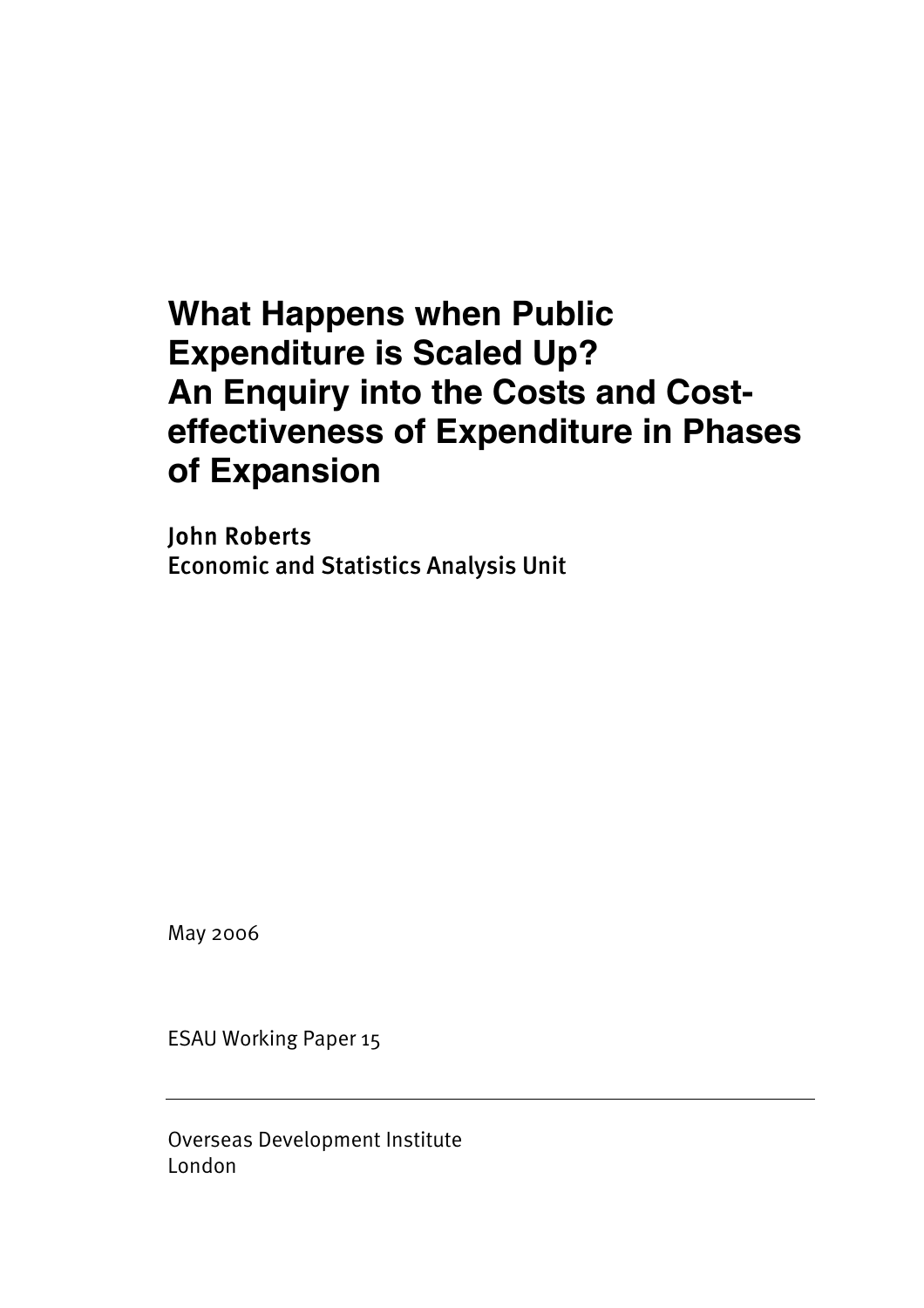# **What Happens when Public Expenditure is Scaled Up? An Enquiry into the Costs and Costeffectiveness of Expenditure in Phases of Expansion**

John Roberts Economic and Statistics Analysis Unit

May 2006

ESAU Working Paper 15

Overseas Development Institute London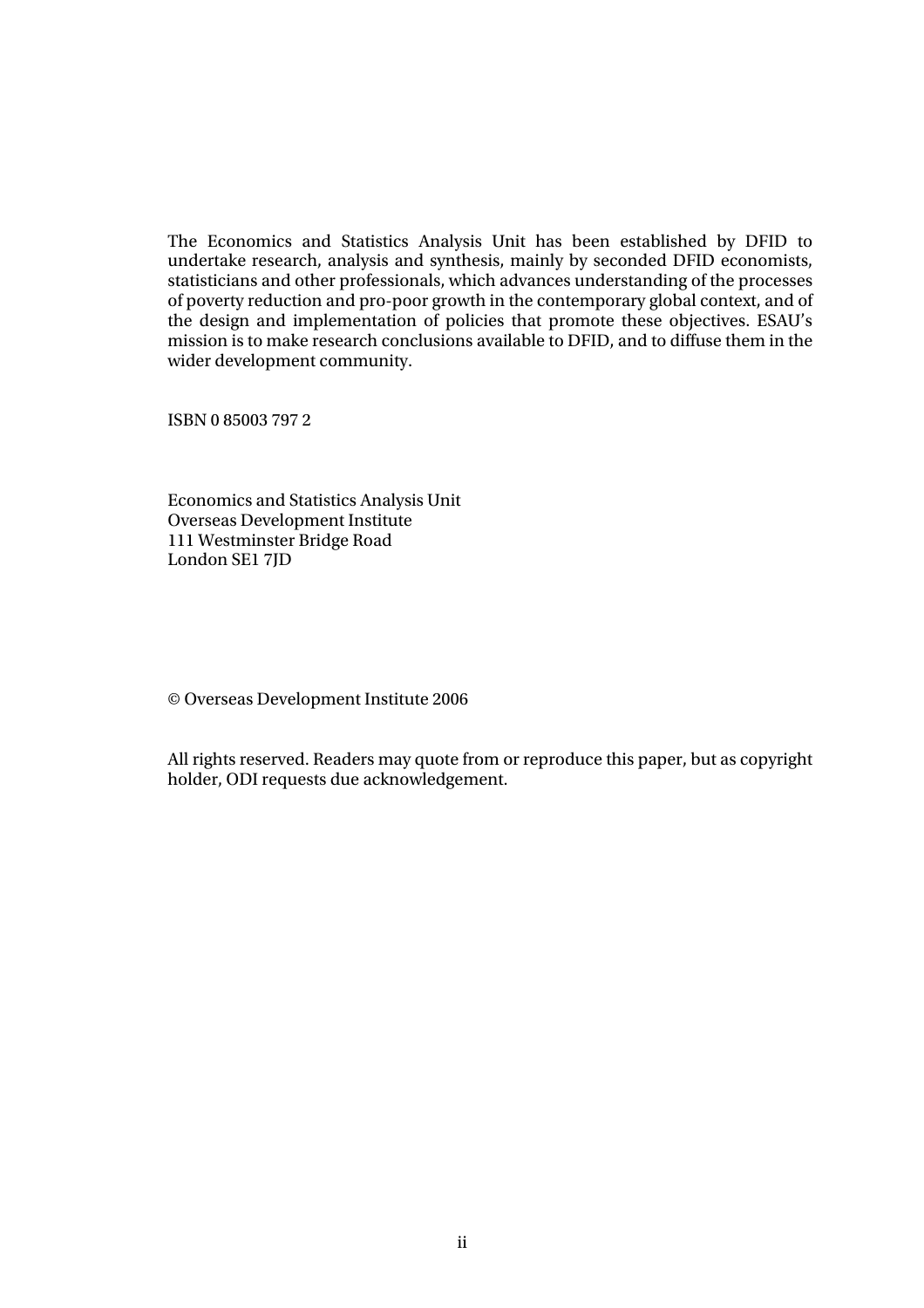The Economics and Statistics Analysis Unit has been established by DFID to undertake research, analysis and synthesis, mainly by seconded DFID economists, statisticians and other professionals, which advances understanding of the processes of poverty reduction and pro-poor growth in the contemporary global context, and of the design and implementation of policies that promote these objectives. ESAU's mission is to make research conclusions available to DFID, and to diffuse them in the wider development community.

ISBN 0 85003 797 2

Economics and Statistics Analysis Unit Overseas Development Institute 111 Westminster Bridge Road London SE1 7JD

© Overseas Development Institute 2006

All rights reserved. Readers may quote from or reproduce this paper, but as copyright holder, ODI requests due acknowledgement.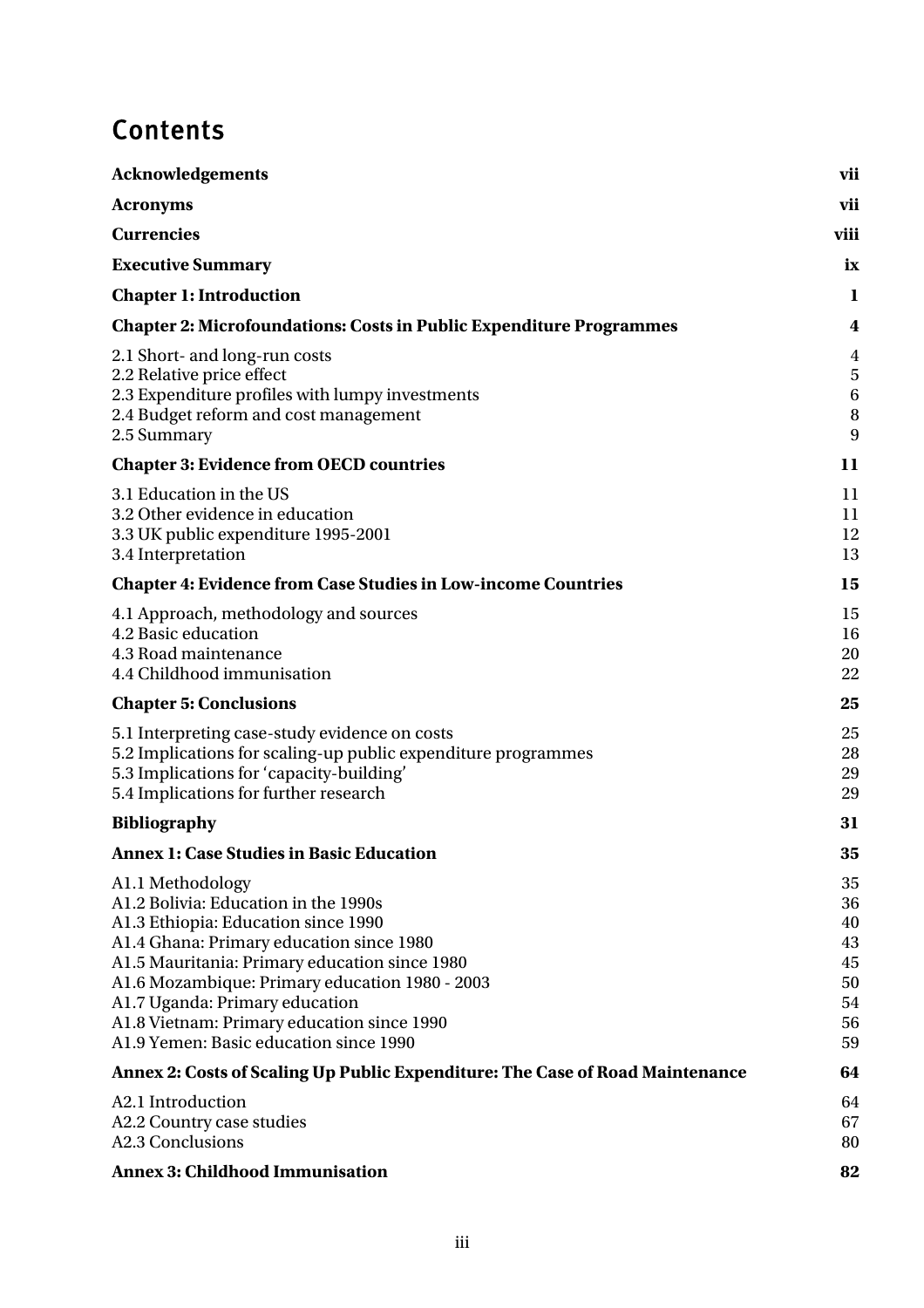# **Contents**

| <b>Acknowledgements</b>                                                                                                                                                                                                                                                                                                                                                  | vii                                                |
|--------------------------------------------------------------------------------------------------------------------------------------------------------------------------------------------------------------------------------------------------------------------------------------------------------------------------------------------------------------------------|----------------------------------------------------|
| <b>Acronyms</b>                                                                                                                                                                                                                                                                                                                                                          | vii                                                |
| <b>Currencies</b>                                                                                                                                                                                                                                                                                                                                                        | viii                                               |
| <b>Executive Summary</b>                                                                                                                                                                                                                                                                                                                                                 | ix                                                 |
| <b>Chapter 1: Introduction</b>                                                                                                                                                                                                                                                                                                                                           | 1                                                  |
| <b>Chapter 2: Microfoundations: Costs in Public Expenditure Programmes</b>                                                                                                                                                                                                                                                                                               | 4                                                  |
| 2.1 Short- and long-run costs<br>2.2 Relative price effect<br>2.3 Expenditure profiles with lumpy investments<br>2.4 Budget reform and cost management<br>2.5 Summary                                                                                                                                                                                                    | $\overline{4}$<br>5<br>6<br>8<br>9                 |
| <b>Chapter 3: Evidence from OECD countries</b>                                                                                                                                                                                                                                                                                                                           | 11                                                 |
| 3.1 Education in the US<br>3.2 Other evidence in education<br>3.3 UK public expenditure 1995-2001<br>3.4 Interpretation                                                                                                                                                                                                                                                  | 11<br>11<br>12<br>13                               |
| <b>Chapter 4: Evidence from Case Studies in Low-income Countries</b>                                                                                                                                                                                                                                                                                                     | 15                                                 |
| 4.1 Approach, methodology and sources<br>4.2 Basic education<br>4.3 Road maintenance<br>4.4 Childhood immunisation                                                                                                                                                                                                                                                       | 15<br>16<br>20<br>22                               |
| <b>Chapter 5: Conclusions</b>                                                                                                                                                                                                                                                                                                                                            | 25                                                 |
| 5.1 Interpreting case-study evidence on costs<br>5.2 Implications for scaling-up public expenditure programmes<br>5.3 Implications for 'capacity-building'<br>5.4 Implications for further research                                                                                                                                                                      | 25<br>28<br>29<br>29                               |
| <b>Bibliography</b>                                                                                                                                                                                                                                                                                                                                                      | 31                                                 |
| <b>Annex 1: Case Studies in Basic Education</b>                                                                                                                                                                                                                                                                                                                          | 35                                                 |
| A1.1 Methodology<br>A1.2 Bolivia: Education in the 1990s<br>A1.3 Ethiopia: Education since 1990<br>A1.4 Ghana: Primary education since 1980<br>A1.5 Mauritania: Primary education since 1980<br>A1.6 Mozambique: Primary education 1980 - 2003<br>A1.7 Uganda: Primary education<br>A1.8 Vietnam: Primary education since 1990<br>A1.9 Yemen: Basic education since 1990 | 35<br>36<br>40<br>43<br>45<br>50<br>54<br>56<br>59 |
| Annex 2: Costs of Scaling Up Public Expenditure: The Case of Road Maintenance                                                                                                                                                                                                                                                                                            | 64                                                 |
| A2.1 Introduction<br>A2.2 Country case studies<br>A2.3 Conclusions                                                                                                                                                                                                                                                                                                       | 64<br>67<br>80                                     |
| <b>Annex 3: Childhood Immunisation</b>                                                                                                                                                                                                                                                                                                                                   | 82                                                 |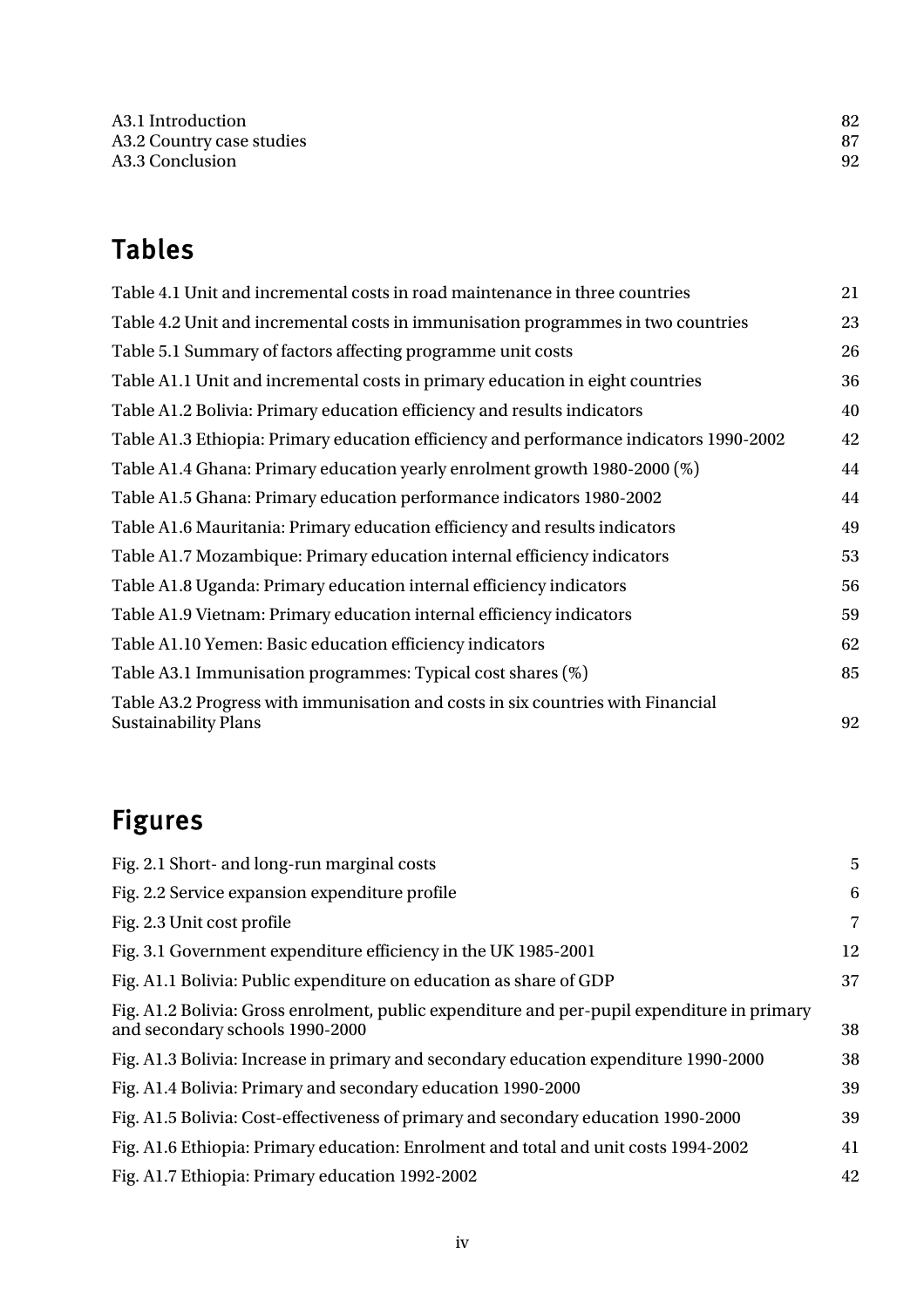# Tables

| Table 4.1 Unit and incremental costs in road maintenance in three countries                                    | 21 |
|----------------------------------------------------------------------------------------------------------------|----|
| Table 4.2 Unit and incremental costs in immunisation programmes in two countries                               | 23 |
| Table 5.1 Summary of factors affecting programme unit costs                                                    | 26 |
| Table A1.1 Unit and incremental costs in primary education in eight countries                                  | 36 |
| Table A1.2 Bolivia: Primary education efficiency and results indicators                                        | 40 |
| Table A1.3 Ethiopia: Primary education efficiency and performance indicators 1990-2002                         | 42 |
| Table A1.4 Ghana: Primary education yearly enrolment growth 1980-2000 (%)                                      | 44 |
| Table A1.5 Ghana: Primary education performance indicators 1980-2002                                           | 44 |
| Table A1.6 Mauritania: Primary education efficiency and results indicators                                     | 49 |
| Table A1.7 Mozambique: Primary education internal efficiency indicators                                        | 53 |
| Table A1.8 Uganda: Primary education internal efficiency indicators                                            | 56 |
| Table A1.9 Vietnam: Primary education internal efficiency indicators                                           | 59 |
| Table A1.10 Yemen: Basic education efficiency indicators                                                       | 62 |
| Table A3.1 Immunisation programmes: Typical cost shares (%)                                                    | 85 |
| Table A3.2 Progress with immunisation and costs in six countries with Financial<br><b>Sustainability Plans</b> | 92 |

# Figures

| Fig. 2.1 Short- and long-run marginal costs                                                                                    | 5              |
|--------------------------------------------------------------------------------------------------------------------------------|----------------|
| Fig. 2.2 Service expansion expenditure profile                                                                                 | 6              |
| Fig. 2.3 Unit cost profile                                                                                                     | $\overline{7}$ |
| Fig. 3.1 Government expenditure efficiency in the UK 1985-2001                                                                 | 12             |
| Fig. A1.1 Bolivia: Public expenditure on education as share of GDP                                                             | 37             |
| Fig. A1.2 Bolivia: Gross enrolment, public expenditure and per-pupil expenditure in primary<br>and secondary schools 1990-2000 | 38             |
| Fig. A1.3 Bolivia: Increase in primary and secondary education expenditure 1990-2000                                           | 38             |
| Fig. A1.4 Bolivia: Primary and secondary education 1990-2000                                                                   | 39             |
| Fig. A1.5 Bolivia: Cost-effectiveness of primary and secondary education 1990-2000                                             | 39             |
| Fig. A1.6 Ethiopia: Primary education: Enrolment and total and unit costs 1994-2002                                            | 41             |
| Fig. A1.7 Ethiopia: Primary education 1992-2002                                                                                | 42             |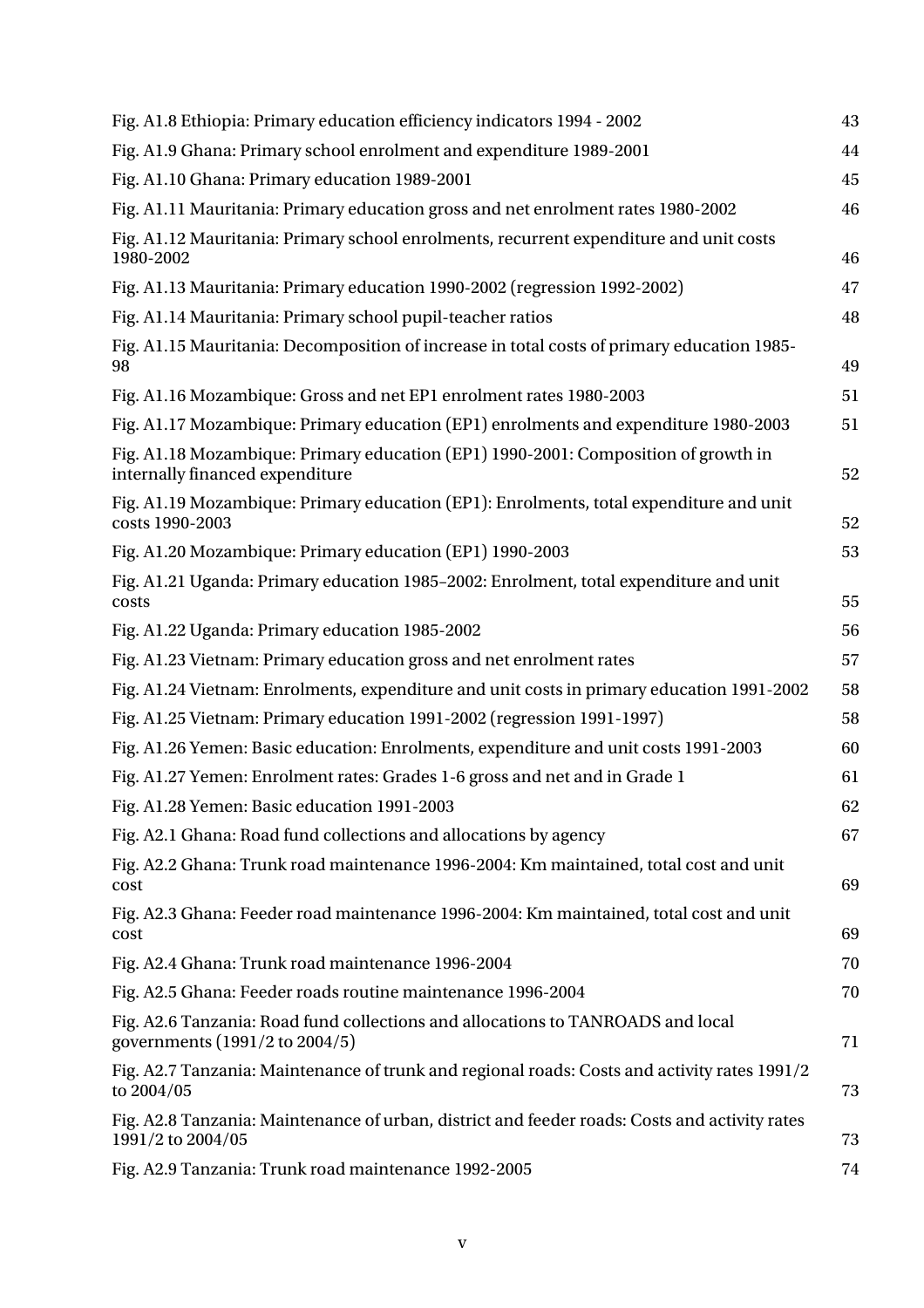| Fig. A1.8 Ethiopia: Primary education efficiency indicators 1994 - 2002                                               | 43 |
|-----------------------------------------------------------------------------------------------------------------------|----|
| Fig. A1.9 Ghana: Primary school enrolment and expenditure 1989-2001                                                   | 44 |
| Fig. A1.10 Ghana: Primary education 1989-2001                                                                         | 45 |
| Fig. A1.11 Mauritania: Primary education gross and net enrolment rates 1980-2002                                      | 46 |
| Fig. A1.12 Mauritania: Primary school enrolments, recurrent expenditure and unit costs<br>1980-2002                   | 46 |
| Fig. A1.13 Mauritania: Primary education 1990-2002 (regression 1992-2002)                                             | 47 |
| Fig. A1.14 Mauritania: Primary school pupil-teacher ratios                                                            | 48 |
| Fig. A1.15 Mauritania: Decomposition of increase in total costs of primary education 1985-<br>98                      | 49 |
| Fig. A1.16 Mozambique: Gross and net EP1 enrolment rates 1980-2003                                                    | 51 |
| Fig. A1.17 Mozambique: Primary education (EP1) enrolments and expenditure 1980-2003                                   | 51 |
| Fig. A1.18 Mozambique: Primary education (EP1) 1990-2001: Composition of growth in<br>internally financed expenditure | 52 |
| Fig. A1.19 Mozambique: Primary education (EP1): Enrolments, total expenditure and unit<br>costs 1990-2003             | 52 |
| Fig. A1.20 Mozambique: Primary education (EP1) 1990-2003                                                              | 53 |
| Fig. A1.21 Uganda: Primary education 1985-2002: Enrolment, total expenditure and unit<br>costs                        | 55 |
| Fig. A1.22 Uganda: Primary education 1985-2002                                                                        | 56 |
| Fig. A1.23 Vietnam: Primary education gross and net enrolment rates                                                   | 57 |
| Fig. A1.24 Vietnam: Enrolments, expenditure and unit costs in primary education 1991-2002                             | 58 |
| Fig. A1.25 Vietnam: Primary education 1991-2002 (regression 1991-1997)                                                | 58 |
| Fig. A1.26 Yemen: Basic education: Enrolments, expenditure and unit costs 1991-2003                                   | 60 |
| Fig. A1.27 Yemen: Enrolment rates: Grades 1-6 gross and net and in Grade 1                                            | 61 |
| Fig. A1.28 Yemen: Basic education 1991-2003                                                                           | 62 |
| Fig. A2.1 Ghana: Road fund collections and allocations by agency                                                      | 67 |
| Fig. A2.2 Ghana: Trunk road maintenance 1996-2004: Km maintained, total cost and unit<br>cost                         | 69 |
| Fig. A2.3 Ghana: Feeder road maintenance 1996-2004: Km maintained, total cost and unit<br>cost                        | 69 |
| Fig. A2.4 Ghana: Trunk road maintenance 1996-2004                                                                     | 70 |
| Fig. A2.5 Ghana: Feeder roads routine maintenance 1996-2004                                                           | 70 |
| Fig. A2.6 Tanzania: Road fund collections and allocations to TANROADS and local<br>governments (1991/2 to 2004/5)     | 71 |
| Fig. A2.7 Tanzania: Maintenance of trunk and regional roads: Costs and activity rates 1991/2<br>to 2004/05            | 73 |
| Fig. A2.8 Tanzania: Maintenance of urban, district and feeder roads: Costs and activity rates<br>1991/2 to 2004/05    | 73 |
| Fig. A2.9 Tanzania: Trunk road maintenance 1992-2005                                                                  | 74 |
|                                                                                                                       |    |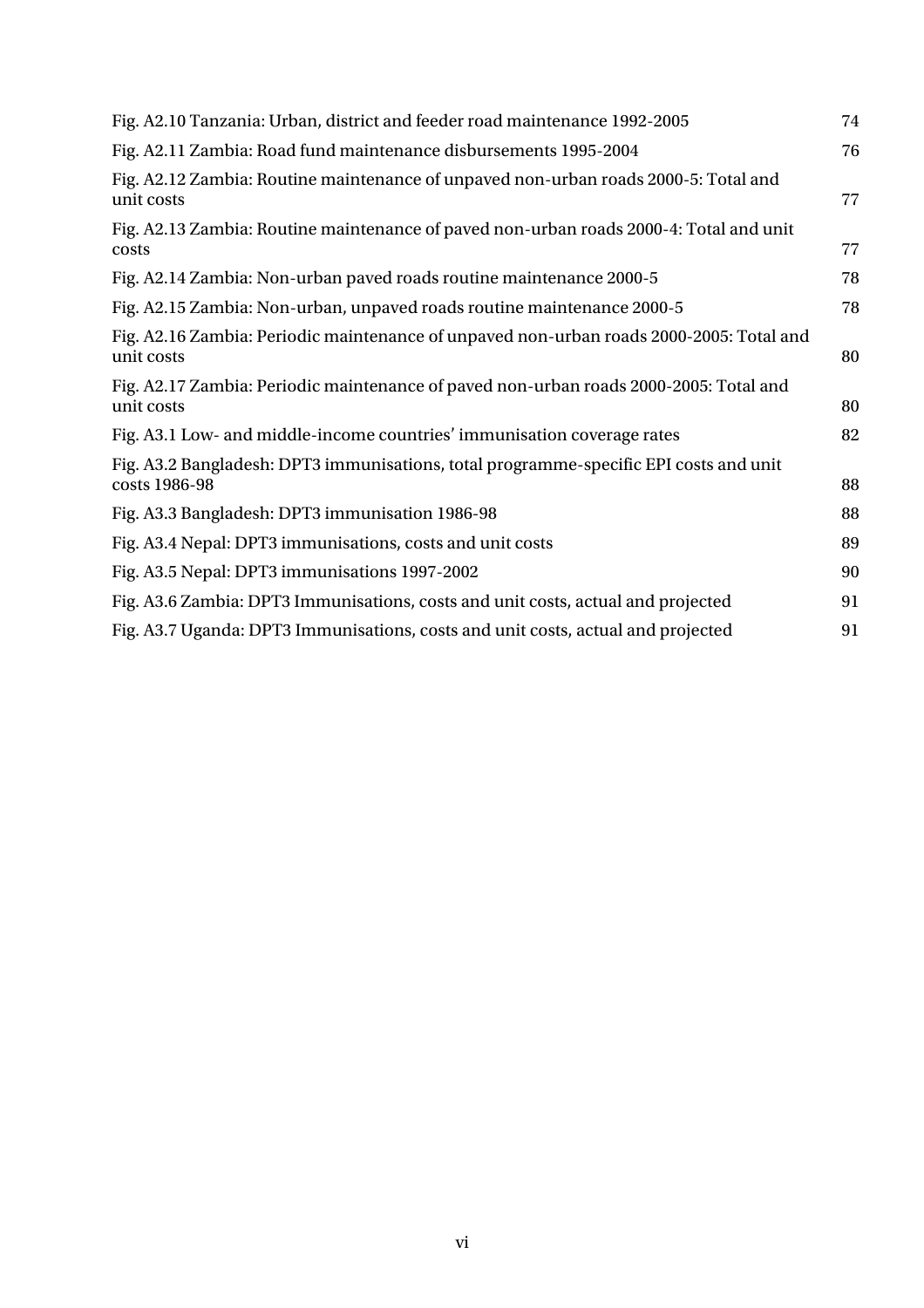| Fig. A2.10 Tanzania: Urban, district and feeder road maintenance 1992-2005                             | 74 |
|--------------------------------------------------------------------------------------------------------|----|
| Fig. A2.11 Zambia: Road fund maintenance disbursements 1995-2004                                       | 76 |
| Fig. A2.12 Zambia: Routine maintenance of unpaved non-urban roads 2000-5: Total and<br>unit costs      | 77 |
| Fig. A2.13 Zambia: Routine maintenance of paved non-urban roads 2000-4: Total and unit<br>costs        | 77 |
| Fig. A2.14 Zambia: Non-urban paved roads routine maintenance 2000-5                                    | 78 |
| Fig. A2.15 Zambia: Non-urban, unpaved roads routine maintenance 2000-5                                 | 78 |
| Fig. A2.16 Zambia: Periodic maintenance of unpaved non-urban roads 2000-2005: Total and<br>unit costs  | 80 |
| Fig. A2.17 Zambia: Periodic maintenance of paved non-urban roads 2000-2005: Total and<br>unit costs    | 80 |
| Fig. A3.1 Low- and middle-income countries' immunisation coverage rates                                | 82 |
| Fig. A3.2 Bangladesh: DPT3 immunisations, total programme-specific EPI costs and unit<br>costs 1986-98 | 88 |
| Fig. A3.3 Bangladesh: DPT3 immunisation 1986-98                                                        | 88 |
| Fig. A3.4 Nepal: DPT3 immunisations, costs and unit costs                                              | 89 |
| Fig. A3.5 Nepal: DPT3 immunisations 1997-2002                                                          | 90 |
| Fig. A3.6 Zambia: DPT3 Immunisations, costs and unit costs, actual and projected                       | 91 |
| Fig. A3.7 Uganda: DPT3 Immunisations, costs and unit costs, actual and projected                       | 91 |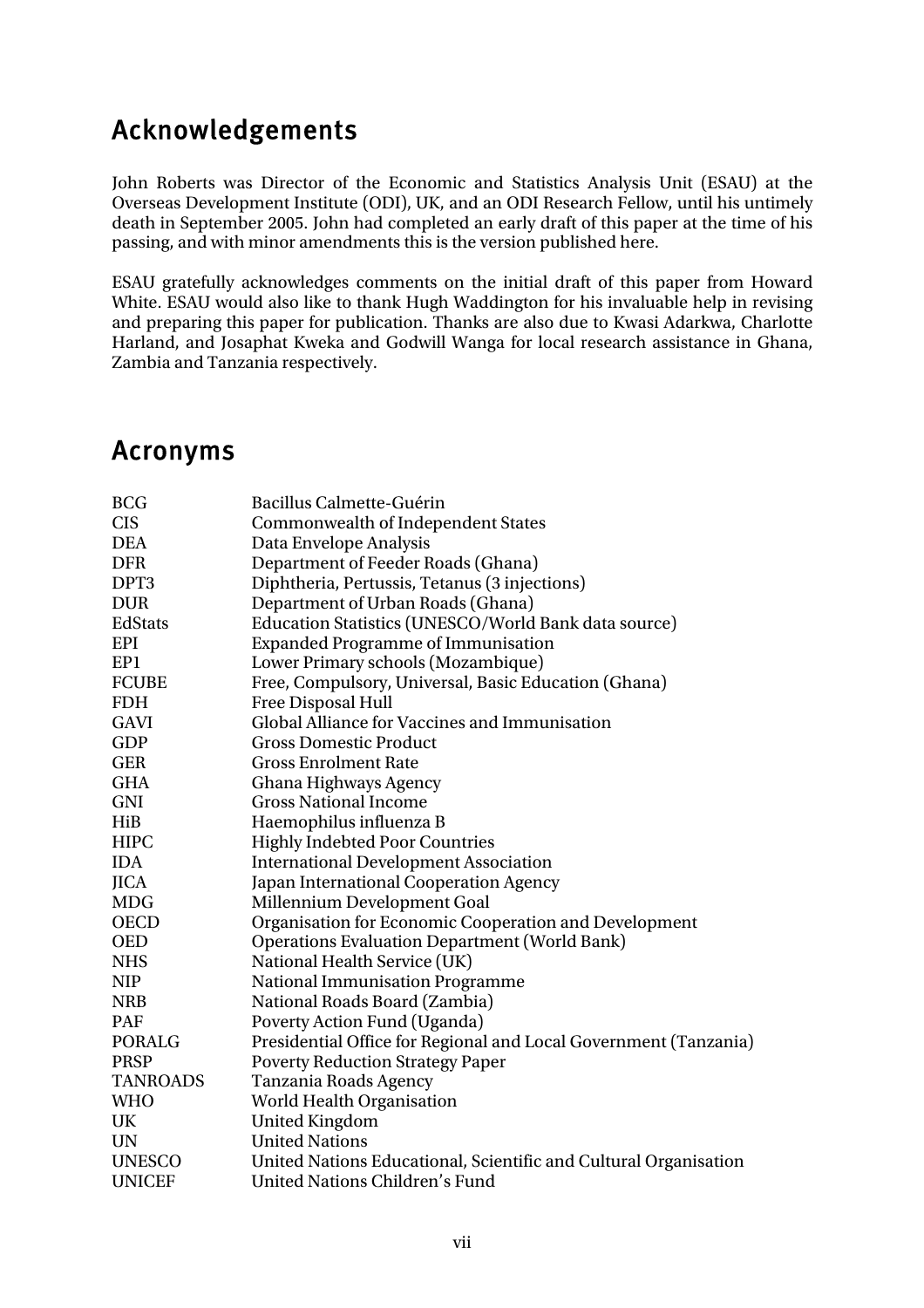## Acknowledgements

John Roberts was Director of the Economic and Statistics Analysis Unit (ESAU) at the Overseas Development Institute (ODI), UK, and an ODI Research Fellow, until his untimely death in September 2005. John had completed an early draft of this paper at the time of his passing, and with minor amendments this is the version published here.

ESAU gratefully acknowledges comments on the initial draft of this paper from Howard White. ESAU would also like to thank Hugh Waddington for his invaluable help in revising and preparing this paper for publication. Thanks are also due to Kwasi Adarkwa, Charlotte Harland, and Josaphat Kweka and Godwill Wanga for local research assistance in Ghana, Zambia and Tanzania respectively.

## Acronyms

| <b>BCG</b>      | Bacillus Calmette-Guérin                                         |  |  |  |  |
|-----------------|------------------------------------------------------------------|--|--|--|--|
| <b>CIS</b>      | <b>Commonwealth of Independent States</b>                        |  |  |  |  |
| <b>DEA</b>      | Data Envelope Analysis                                           |  |  |  |  |
| <b>DFR</b>      | Department of Feeder Roads (Ghana)                               |  |  |  |  |
| DPT3            | Diphtheria, Pertussis, Tetanus (3 injections)                    |  |  |  |  |
| <b>DUR</b>      | Department of Urban Roads (Ghana)                                |  |  |  |  |
| EdStats         | Education Statistics (UNESCO/World Bank data source)             |  |  |  |  |
| EPI             | <b>Expanded Programme of Immunisation</b>                        |  |  |  |  |
| EP1             | Lower Primary schools (Mozambique)                               |  |  |  |  |
| <b>FCUBE</b>    | Free, Compulsory, Universal, Basic Education (Ghana)             |  |  |  |  |
| <b>FDH</b>      | <b>Free Disposal Hull</b>                                        |  |  |  |  |
| <b>GAVI</b>     | Global Alliance for Vaccines and Immunisation                    |  |  |  |  |
| <b>GDP</b>      | <b>Gross Domestic Product</b>                                    |  |  |  |  |
| <b>GER</b>      | <b>Gross Enrolment Rate</b>                                      |  |  |  |  |
| <b>GHA</b>      | Ghana Highways Agency                                            |  |  |  |  |
| <b>GNI</b>      | <b>Gross National Income</b>                                     |  |  |  |  |
| HiB             | Haemophilus influenza B                                          |  |  |  |  |
| <b>HIPC</b>     | <b>Highly Indebted Poor Countries</b>                            |  |  |  |  |
| <b>IDA</b>      | <b>International Development Association</b>                     |  |  |  |  |
| <b>JICA</b>     | Japan International Cooperation Agency                           |  |  |  |  |
| <b>MDG</b>      | Millennium Development Goal                                      |  |  |  |  |
| <b>OECD</b>     | Organisation for Economic Cooperation and Development            |  |  |  |  |
| <b>OED</b>      | <b>Operations Evaluation Department (World Bank)</b>             |  |  |  |  |
| <b>NHS</b>      | National Health Service (UK)                                     |  |  |  |  |
| <b>NIP</b>      | National Immunisation Programme                                  |  |  |  |  |
| <b>NRB</b>      | National Roads Board (Zambia)                                    |  |  |  |  |
| PAF             | Poverty Action Fund (Uganda)                                     |  |  |  |  |
| <b>PORALG</b>   | Presidential Office for Regional and Local Government (Tanzania) |  |  |  |  |
| <b>PRSP</b>     | <b>Poverty Reduction Strategy Paper</b>                          |  |  |  |  |
| <b>TANROADS</b> | Tanzania Roads Agency                                            |  |  |  |  |
| <b>WHO</b>      | World Health Organisation                                        |  |  |  |  |
| UK              | <b>United Kingdom</b>                                            |  |  |  |  |
| <b>UN</b>       | <b>United Nations</b>                                            |  |  |  |  |
| <b>UNESCO</b>   | United Nations Educational, Scientific and Cultural Organisation |  |  |  |  |
| <b>UNICEF</b>   | <b>United Nations Children's Fund</b>                            |  |  |  |  |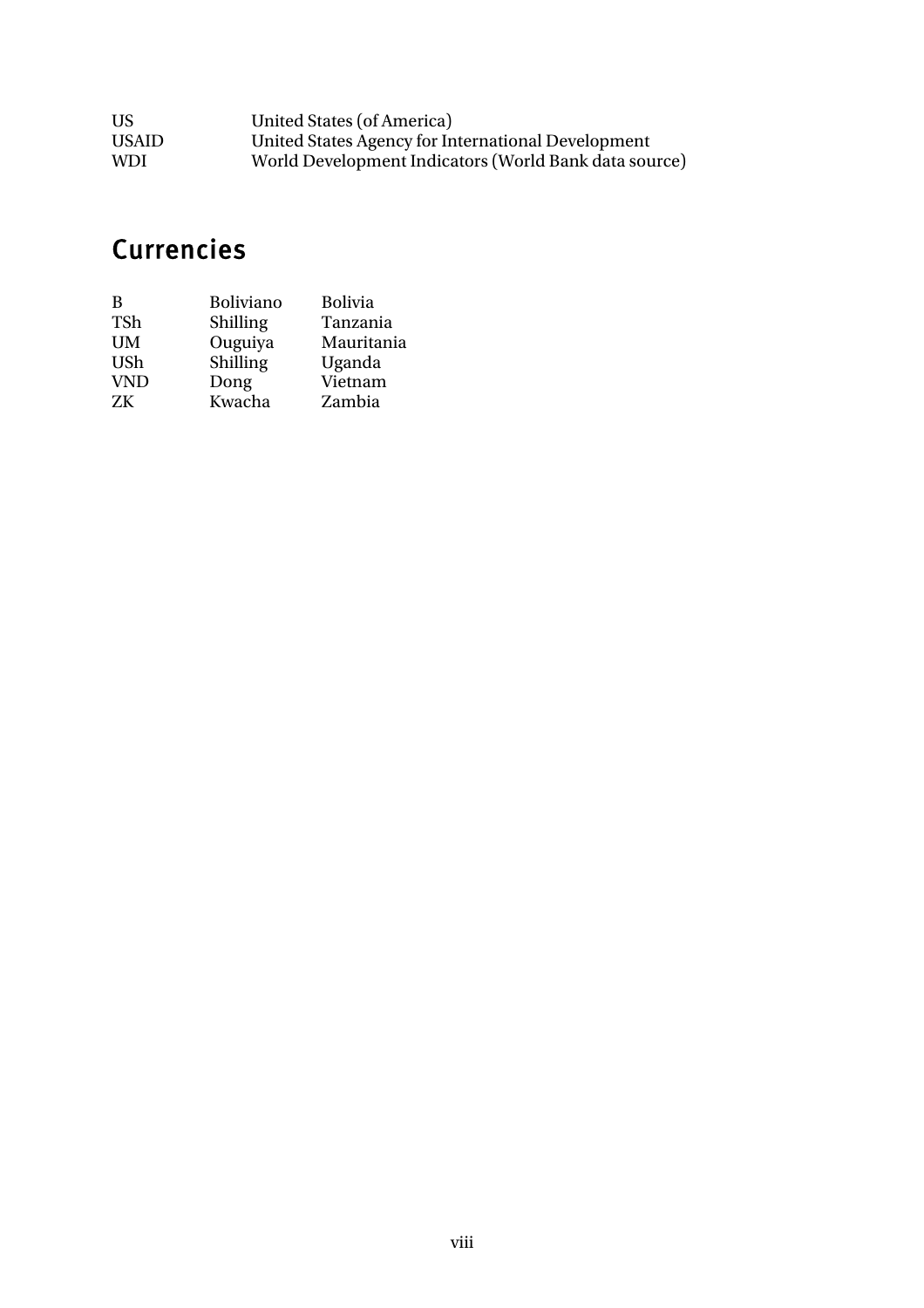| US           | United States (of America)                            |
|--------------|-------------------------------------------------------|
| <b>USAID</b> | United States Agency for International Development    |
| <b>WDI</b>   | World Development Indicators (World Bank data source) |

# **Currencies**

| B          | <b>Boliviano</b> | <b>Bolivia</b> |
|------------|------------------|----------------|
| <b>TSh</b> | <b>Shilling</b>  | Tanzania       |
| <b>UM</b>  | Ouguiya          | Mauritania     |
| <b>USh</b> | Shilling         | Uganda         |
| <b>VND</b> | Dong             | Vietnam        |
| ZK         | Kwacha           | Zambia         |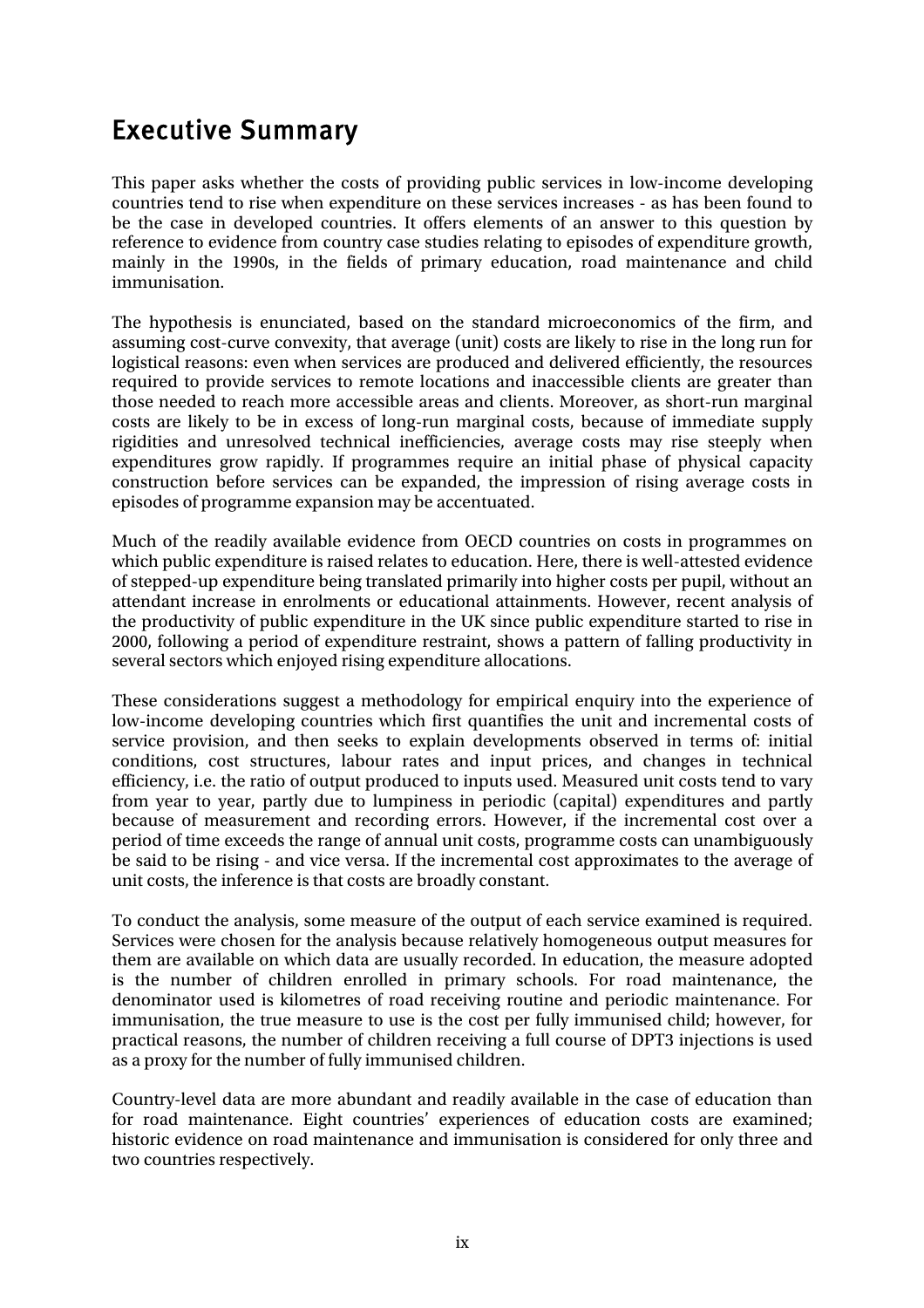## Executive Summary

This paper asks whether the costs of providing public services in low-income developing countries tend to rise when expenditure on these services increases - as has been found to be the case in developed countries. It offers elements of an answer to this question by reference to evidence from country case studies relating to episodes of expenditure growth, mainly in the 1990s, in the fields of primary education, road maintenance and child immunisation.

The hypothesis is enunciated, based on the standard microeconomics of the firm, and assuming cost-curve convexity, that average (unit) costs are likely to rise in the long run for logistical reasons: even when services are produced and delivered efficiently, the resources required to provide services to remote locations and inaccessible clients are greater than those needed to reach more accessible areas and clients. Moreover, as short-run marginal costs are likely to be in excess of long-run marginal costs, because of immediate supply rigidities and unresolved technical inefficiencies, average costs may rise steeply when expenditures grow rapidly. If programmes require an initial phase of physical capacity construction before services can be expanded, the impression of rising average costs in episodes of programme expansion may be accentuated.

Much of the readily available evidence from OECD countries on costs in programmes on which public expenditure is raised relates to education. Here, there is well-attested evidence of stepped-up expenditure being translated primarily into higher costs per pupil, without an attendant increase in enrolments or educational attainments. However, recent analysis of the productivity of public expenditure in the UK since public expenditure started to rise in 2000, following a period of expenditure restraint, shows a pattern of falling productivity in several sectors which enjoyed rising expenditure allocations.

These considerations suggest a methodology for empirical enquiry into the experience of low-income developing countries which first quantifies the unit and incremental costs of service provision, and then seeks to explain developments observed in terms of: initial conditions, cost structures, labour rates and input prices, and changes in technical efficiency, i.e. the ratio of output produced to inputs used. Measured unit costs tend to vary from year to year, partly due to lumpiness in periodic (capital) expenditures and partly because of measurement and recording errors. However, if the incremental cost over a period of time exceeds the range of annual unit costs, programme costs can unambiguously be said to be rising - and vice versa. If the incremental cost approximates to the average of unit costs, the inference is that costs are broadly constant.

To conduct the analysis, some measure of the output of each service examined is required. Services were chosen for the analysis because relatively homogeneous output measures for them are available on which data are usually recorded. In education, the measure adopted is the number of children enrolled in primary schools. For road maintenance, the denominator used is kilometres of road receiving routine and periodic maintenance. For immunisation, the true measure to use is the cost per fully immunised child; however, for practical reasons, the number of children receiving a full course of DPT3 injections is used as a proxy for the number of fully immunised children.

Country-level data are more abundant and readily available in the case of education than for road maintenance. Eight countries' experiences of education costs are examined; historic evidence on road maintenance and immunisation is considered for only three and two countries respectively.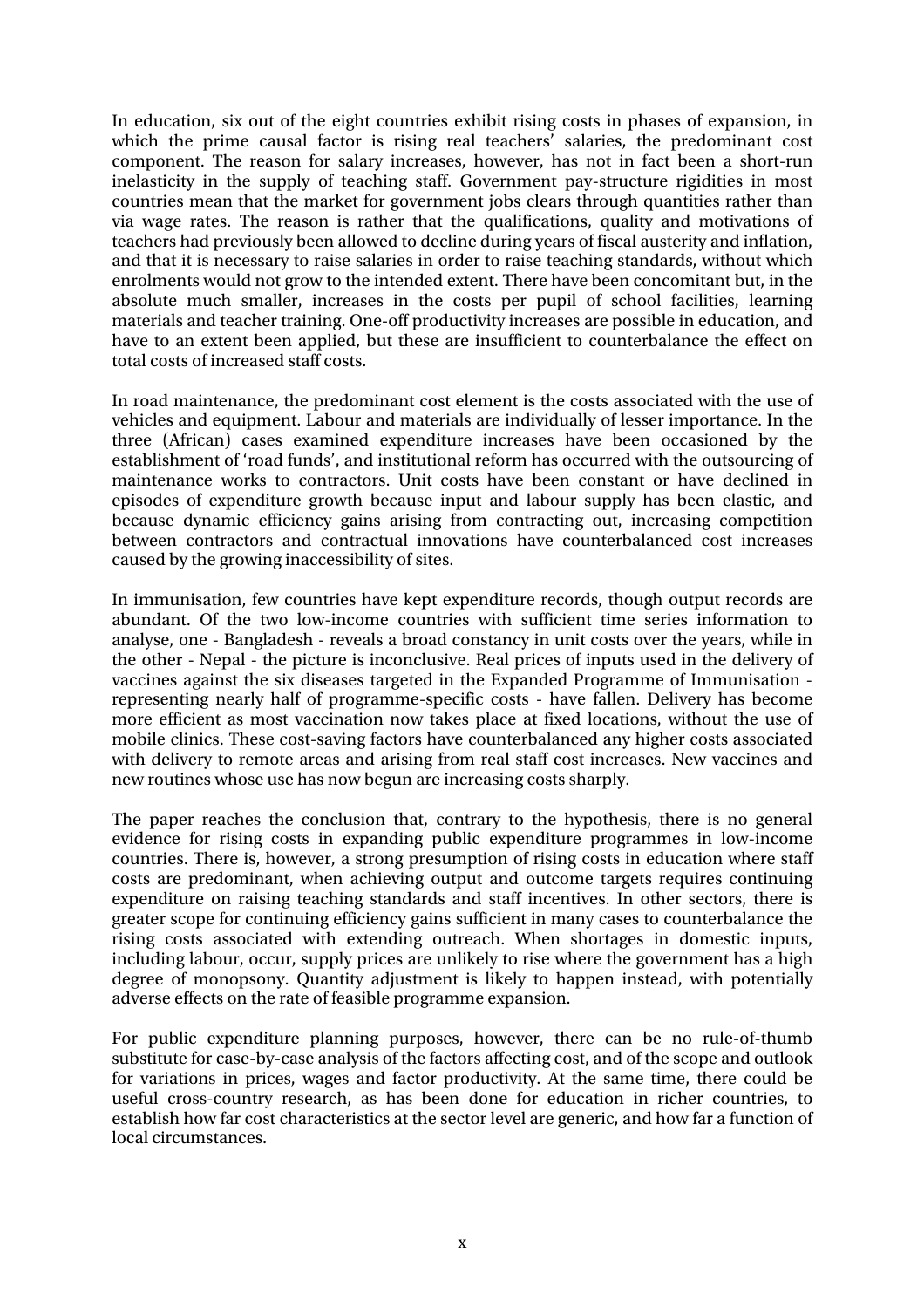In education, six out of the eight countries exhibit rising costs in phases of expansion, in which the prime causal factor is rising real teachers' salaries, the predominant cost component. The reason for salary increases, however, has not in fact been a short-run inelasticity in the supply of teaching staff. Government pay-structure rigidities in most countries mean that the market for government jobs clears through quantities rather than via wage rates. The reason is rather that the qualifications, quality and motivations of teachers had previously been allowed to decline during years of fiscal austerity and inflation, and that it is necessary to raise salaries in order to raise teaching standards, without which enrolments would not grow to the intended extent. There have been concomitant but, in the absolute much smaller, increases in the costs per pupil of school facilities, learning materials and teacher training. One-off productivity increases are possible in education, and have to an extent been applied, but these are insufficient to counterbalance the effect on total costs of increased staff costs.

In road maintenance, the predominant cost element is the costs associated with the use of vehicles and equipment. Labour and materials are individually of lesser importance. In the three (African) cases examined expenditure increases have been occasioned by the establishment of 'road funds', and institutional reform has occurred with the outsourcing of maintenance works to contractors. Unit costs have been constant or have declined in episodes of expenditure growth because input and labour supply has been elastic, and because dynamic efficiency gains arising from contracting out, increasing competition between contractors and contractual innovations have counterbalanced cost increases caused by the growing inaccessibility of sites.

In immunisation, few countries have kept expenditure records, though output records are abundant. Of the two low-income countries with sufficient time series information to analyse, one - Bangladesh - reveals a broad constancy in unit costs over the years, while in the other - Nepal - the picture is inconclusive. Real prices of inputs used in the delivery of vaccines against the six diseases targeted in the Expanded Programme of Immunisation representing nearly half of programme-specific costs - have fallen. Delivery has become more efficient as most vaccination now takes place at fixed locations, without the use of mobile clinics. These cost-saving factors have counterbalanced any higher costs associated with delivery to remote areas and arising from real staff cost increases. New vaccines and new routines whose use has now begun are increasing costs sharply.

The paper reaches the conclusion that, contrary to the hypothesis, there is no general evidence for rising costs in expanding public expenditure programmes in low-income countries. There is, however, a strong presumption of rising costs in education where staff costs are predominant, when achieving output and outcome targets requires continuing expenditure on raising teaching standards and staff incentives. In other sectors, there is greater scope for continuing efficiency gains sufficient in many cases to counterbalance the rising costs associated with extending outreach. When shortages in domestic inputs, including labour, occur, supply prices are unlikely to rise where the government has a high degree of monopsony. Quantity adjustment is likely to happen instead, with potentially adverse effects on the rate of feasible programme expansion.

For public expenditure planning purposes, however, there can be no rule-of-thumb substitute for case-by-case analysis of the factors affecting cost, and of the scope and outlook for variations in prices, wages and factor productivity. At the same time, there could be useful cross-country research, as has been done for education in richer countries, to establish how far cost characteristics at the sector level are generic, and how far a function of local circumstances.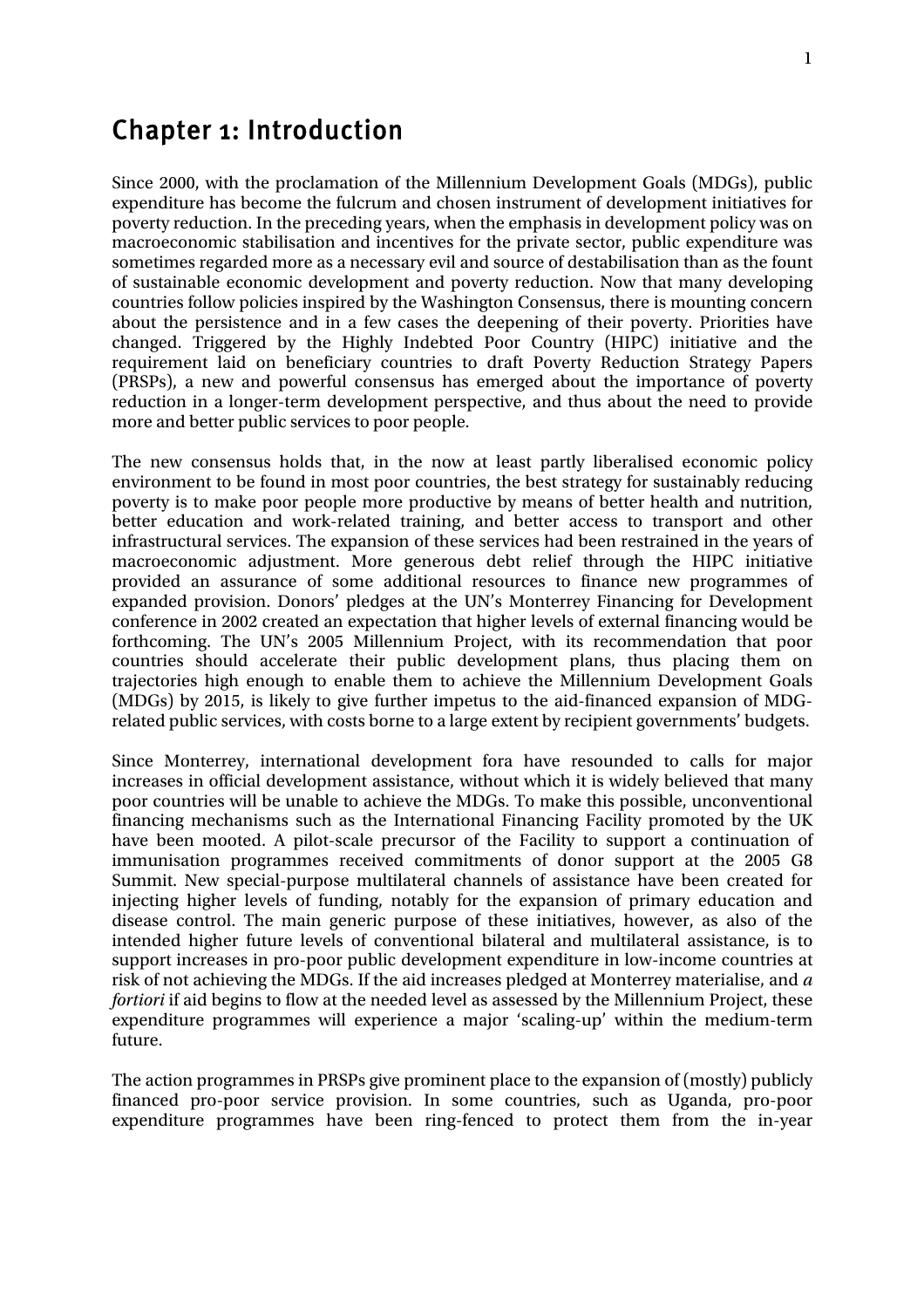## Chapter 1: Introduction

Since 2000, with the proclamation of the Millennium Development Goals (MDGs), public expenditure has become the fulcrum and chosen instrument of development initiatives for poverty reduction. In the preceding years, when the emphasis in development policy was on macroeconomic stabilisation and incentives for the private sector, public expenditure was sometimes regarded more as a necessary evil and source of destabilisation than as the fount of sustainable economic development and poverty reduction. Now that many developing countries follow policies inspired by the Washington Consensus, there is mounting concern about the persistence and in a few cases the deepening of their poverty. Priorities have changed. Triggered by the Highly Indebted Poor Country (HIPC) initiative and the requirement laid on beneficiary countries to draft Poverty Reduction Strategy Papers (PRSPs), a new and powerful consensus has emerged about the importance of poverty reduction in a longer-term development perspective, and thus about the need to provide more and better public services to poor people.

The new consensus holds that, in the now at least partly liberalised economic policy environment to be found in most poor countries, the best strategy for sustainably reducing poverty is to make poor people more productive by means of better health and nutrition, better education and work-related training, and better access to transport and other infrastructural services. The expansion of these services had been restrained in the years of macroeconomic adjustment. More generous debt relief through the HIPC initiative provided an assurance of some additional resources to finance new programmes of expanded provision. Donors' pledges at the UN's Monterrey Financing for Development conference in 2002 created an expectation that higher levels of external financing would be forthcoming. The UN's 2005 Millennium Project, with its recommendation that poor countries should accelerate their public development plans, thus placing them on trajectories high enough to enable them to achieve the Millennium Development Goals (MDGs) by 2015, is likely to give further impetus to the aid-financed expansion of MDGrelated public services, with costs borne to a large extent by recipient governments' budgets.

Since Monterrey, international development fora have resounded to calls for major increases in official development assistance, without which it is widely believed that many poor countries will be unable to achieve the MDGs. To make this possible, unconventional financing mechanisms such as the International Financing Facility promoted by the UK have been mooted. A pilot-scale precursor of the Facility to support a continuation of immunisation programmes received commitments of donor support at the 2005 G8 Summit. New special-purpose multilateral channels of assistance have been created for injecting higher levels of funding, notably for the expansion of primary education and disease control. The main generic purpose of these initiatives, however, as also of the intended higher future levels of conventional bilateral and multilateral assistance, is to support increases in pro-poor public development expenditure in low-income countries at risk of not achieving the MDGs. If the aid increases pledged at Monterrey materialise, and *a fortiori* if aid begins to flow at the needed level as assessed by the Millennium Project, these expenditure programmes will experience a major 'scaling-up' within the medium-term future.

The action programmes in PRSPs give prominent place to the expansion of (mostly) publicly financed pro-poor service provision. In some countries, such as Uganda, pro-poor expenditure programmes have been ring-fenced to protect them from the in-year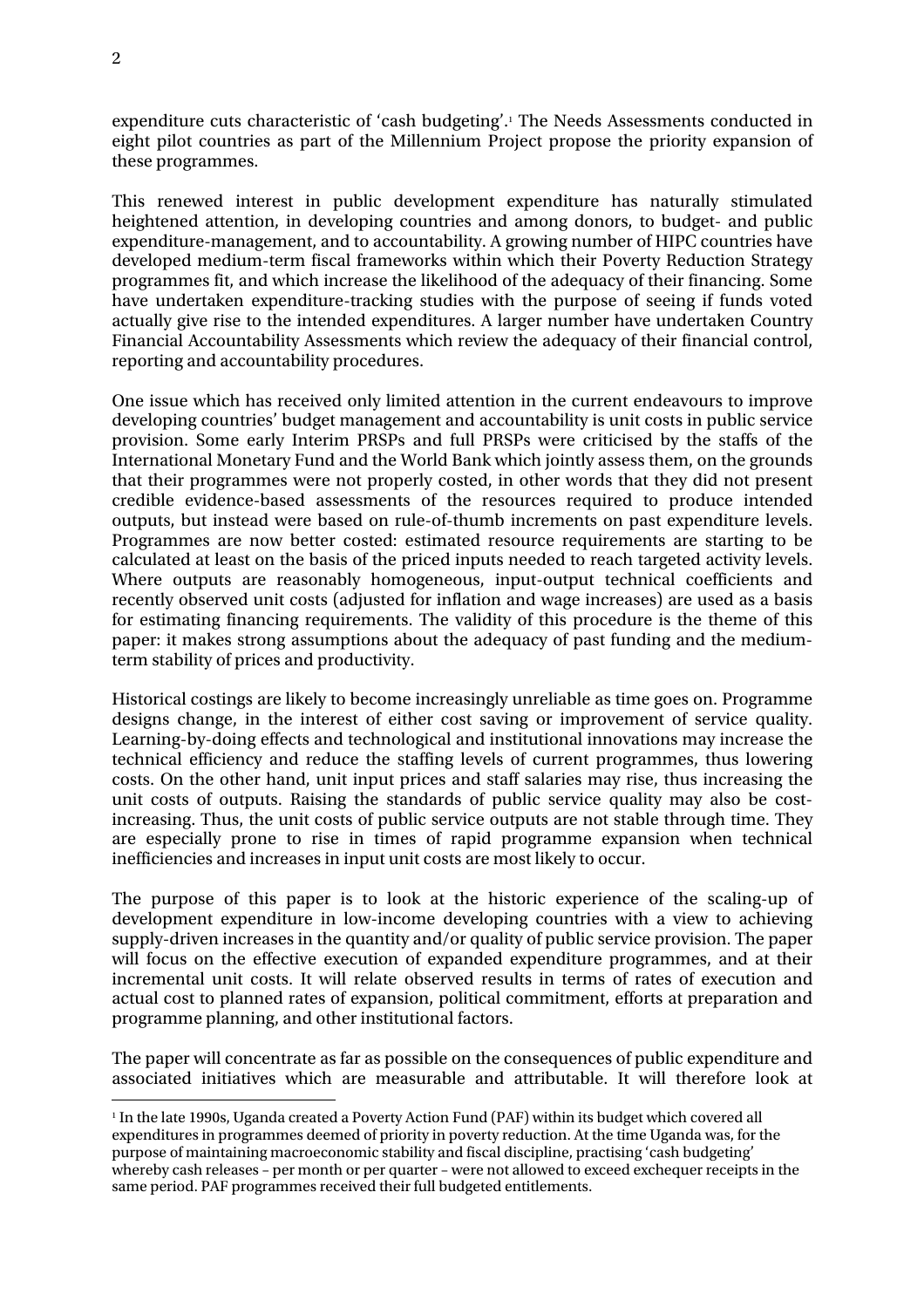expenditure cuts characteristic of 'cash budgeting'.1 The Needs Assessments conducted in eight pilot countries as part of the Millennium Project propose the priority expansion of these programmes.

This renewed interest in public development expenditure has naturally stimulated heightened attention, in developing countries and among donors, to budget- and public expenditure-management, and to accountability. A growing number of HIPC countries have developed medium-term fiscal frameworks within which their Poverty Reduction Strategy programmes fit, and which increase the likelihood of the adequacy of their financing. Some have undertaken expenditure-tracking studies with the purpose of seeing if funds voted actually give rise to the intended expenditures. A larger number have undertaken Country Financial Accountability Assessments which review the adequacy of their financial control, reporting and accountability procedures.

One issue which has received only limited attention in the current endeavours to improve developing countries' budget management and accountability is unit costs in public service provision. Some early Interim PRSPs and full PRSPs were criticised by the staffs of the International Monetary Fund and the World Bank which jointly assess them, on the grounds that their programmes were not properly costed, in other words that they did not present credible evidence-based assessments of the resources required to produce intended outputs, but instead were based on rule-of-thumb increments on past expenditure levels. Programmes are now better costed: estimated resource requirements are starting to be calculated at least on the basis of the priced inputs needed to reach targeted activity levels. Where outputs are reasonably homogeneous, input-output technical coefficients and recently observed unit costs (adjusted for inflation and wage increases) are used as a basis for estimating financing requirements. The validity of this procedure is the theme of this paper: it makes strong assumptions about the adequacy of past funding and the mediumterm stability of prices and productivity.

Historical costings are likely to become increasingly unreliable as time goes on. Programme designs change, in the interest of either cost saving or improvement of service quality. Learning-by-doing effects and technological and institutional innovations may increase the technical efficiency and reduce the staffing levels of current programmes, thus lowering costs. On the other hand, unit input prices and staff salaries may rise, thus increasing the unit costs of outputs. Raising the standards of public service quality may also be costincreasing. Thus, the unit costs of public service outputs are not stable through time. They are especially prone to rise in times of rapid programme expansion when technical inefficiencies and increases in input unit costs are most likely to occur.

The purpose of this paper is to look at the historic experience of the scaling-up of development expenditure in low-income developing countries with a view to achieving supply-driven increases in the quantity and/or quality of public service provision. The paper will focus on the effective execution of expanded expenditure programmes, and at their incremental unit costs. It will relate observed results in terms of rates of execution and actual cost to planned rates of expansion, political commitment, efforts at preparation and programme planning, and other institutional factors.

The paper will concentrate as far as possible on the consequences of public expenditure and associated initiatives which are measurable and attributable. It will therefore look at

 $\overline{a}$ 

<sup>1</sup> In the late 1990s, Uganda created a Poverty Action Fund (PAF) within its budget which covered all expenditures in programmes deemed of priority in poverty reduction. At the time Uganda was, for the purpose of maintaining macroeconomic stability and fiscal discipline, practising 'cash budgeting' whereby cash releases – per month or per quarter – were not allowed to exceed exchequer receipts in the same period. PAF programmes received their full budgeted entitlements.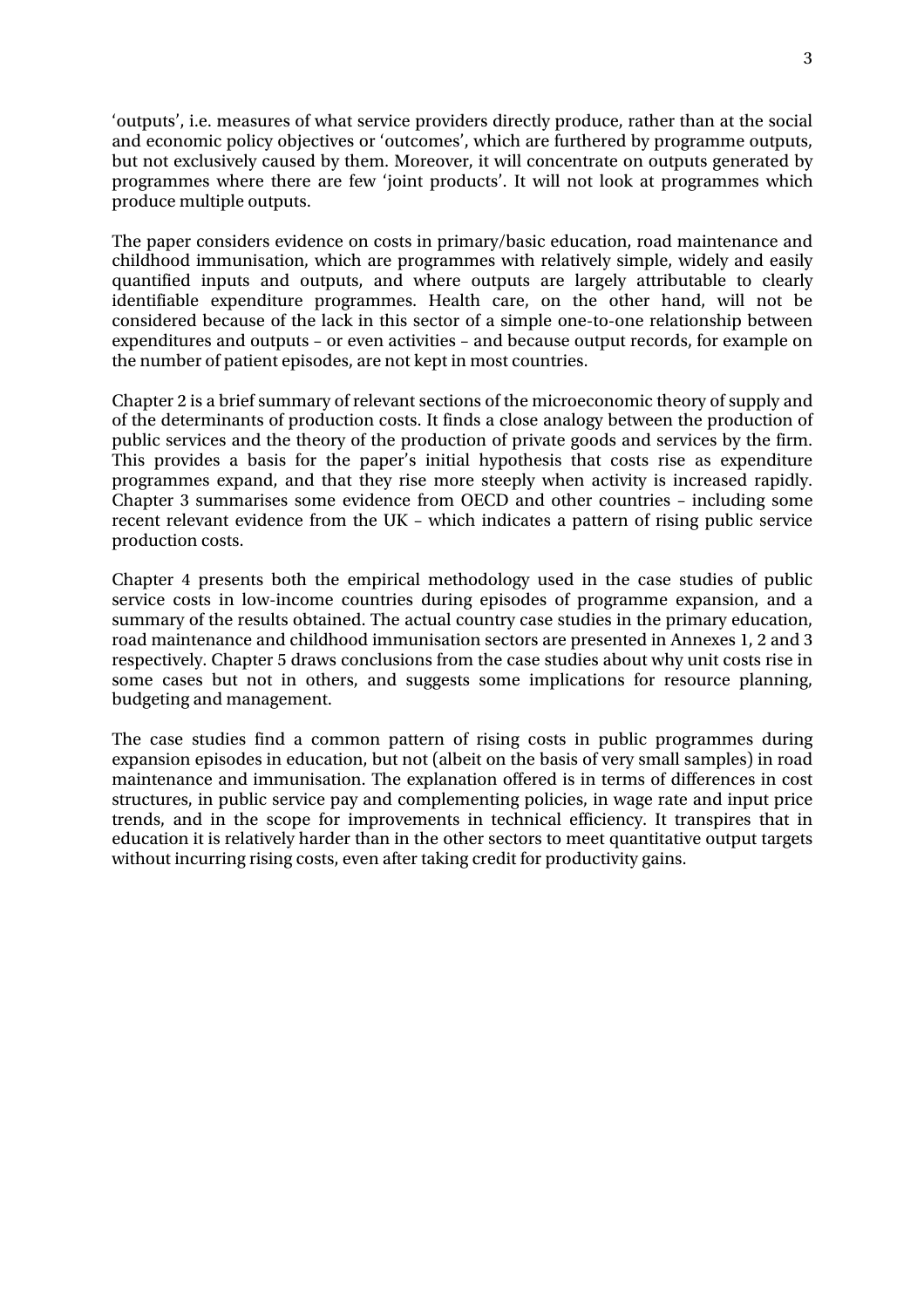'outputs', i.e. measures of what service providers directly produce, rather than at the social and economic policy objectives or 'outcomes', which are furthered by programme outputs, but not exclusively caused by them. Moreover, it will concentrate on outputs generated by programmes where there are few 'joint products'. It will not look at programmes which produce multiple outputs.

The paper considers evidence on costs in primary/basic education, road maintenance and childhood immunisation, which are programmes with relatively simple, widely and easily quantified inputs and outputs, and where outputs are largely attributable to clearly identifiable expenditure programmes. Health care, on the other hand, will not be considered because of the lack in this sector of a simple one-to-one relationship between expenditures and outputs – or even activities – and because output records, for example on the number of patient episodes, are not kept in most countries.

Chapter 2 is a brief summary of relevant sections of the microeconomic theory of supply and of the determinants of production costs. It finds a close analogy between the production of public services and the theory of the production of private goods and services by the firm. This provides a basis for the paper's initial hypothesis that costs rise as expenditure programmes expand, and that they rise more steeply when activity is increased rapidly. Chapter 3 summarises some evidence from OECD and other countries – including some recent relevant evidence from the UK – which indicates a pattern of rising public service production costs.

Chapter 4 presents both the empirical methodology used in the case studies of public service costs in low-income countries during episodes of programme expansion, and a summary of the results obtained. The actual country case studies in the primary education, road maintenance and childhood immunisation sectors are presented in Annexes 1, 2 and 3 respectively. Chapter 5 draws conclusions from the case studies about why unit costs rise in some cases but not in others, and suggests some implications for resource planning, budgeting and management.

The case studies find a common pattern of rising costs in public programmes during expansion episodes in education, but not (albeit on the basis of very small samples) in road maintenance and immunisation. The explanation offered is in terms of differences in cost structures, in public service pay and complementing policies, in wage rate and input price trends, and in the scope for improvements in technical efficiency. It transpires that in education it is relatively harder than in the other sectors to meet quantitative output targets without incurring rising costs, even after taking credit for productivity gains.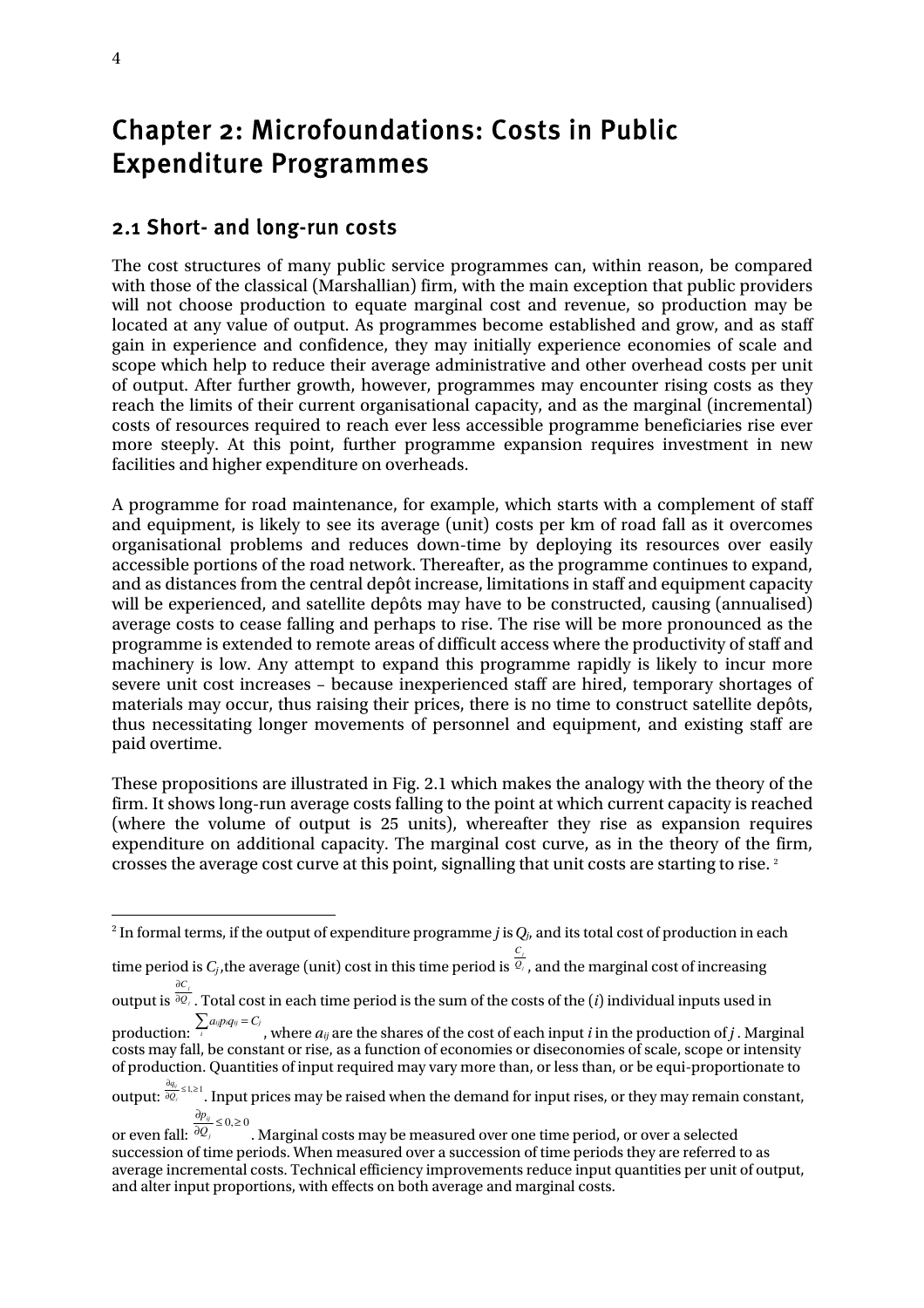## Chapter 2: Microfoundations: Costs in Public Expenditure Programmes

### 2.1 Short- and long-run costs

The cost structures of many public service programmes can, within reason, be compared with those of the classical (Marshallian) firm, with the main exception that public providers will not choose production to equate marginal cost and revenue, so production may be located at any value of output. As programmes become established and grow, and as staff gain in experience and confidence, they may initially experience economies of scale and scope which help to reduce their average administrative and other overhead costs per unit of output. After further growth, however, programmes may encounter rising costs as they reach the limits of their current organisational capacity, and as the marginal (incremental) costs of resources required to reach ever less accessible programme beneficiaries rise ever more steeply. At this point, further programme expansion requires investment in new facilities and higher expenditure on overheads.

A programme for road maintenance, for example, which starts with a complement of staff and equipment, is likely to see its average (unit) costs per km of road fall as it overcomes organisational problems and reduces down-time by deploying its resources over easily accessible portions of the road network. Thereafter, as the programme continues to expand, and as distances from the central depôt increase, limitations in staff and equipment capacity will be experienced, and satellite depôts may have to be constructed, causing (annualised) average costs to cease falling and perhaps to rise. The rise will be more pronounced as the programme is extended to remote areas of difficult access where the productivity of staff and machinery is low. Any attempt to expand this programme rapidly is likely to incur more severe unit cost increases – because inexperienced staff are hired, temporary shortages of materials may occur, thus raising their prices, there is no time to construct satellite depôts, thus necessitating longer movements of personnel and equipment, and existing staff are paid overtime.

These propositions are illustrated in Fig. 2.1 which makes the analogy with the theory of the firm. It shows long-run average costs falling to the point at which current capacity is reached (where the volume of output is 25 units), whereafter they rise as expansion requires expenditure on additional capacity. The marginal cost curve, as in the theory of the firm, crosses the average cost curve at this point, signalling that unit costs are starting to rise.<sup>2</sup>

time period is  $C_j$ , the average (unit) cost in this time period is  $\frac{C_j}{Q_j}$ *C* , and the marginal cost of increasing *C* ∂

 2 In formal terms, if the output of expenditure programme *j* is*Qj*, and its total cost of production in each

output is  $\frac{\partial C_j}{\partial Q_j}$ ∂ . Total cost in each time period is the sum of the costs of the (*i*) individual inputs used in

production:  $\sum_{i}a_{i}p_{i}q_{ij}=C_{j}$  , where  $a_{ij}$  are the shares of the cost of each input *i* in the production of *j* . Marginal costs may fall, be constant or rise, as a function of economies or diseconomies of scale, scope or intensity of production. Quantities of input required may vary more than, or less than, or be equi-proportionate to

output:  $\frac{\partial q_{ij}}{\partial Q_j} \leq 1, \geq 1$ *ij Q q* . Input prices may be raised when the demand for input rises, or they may remain constant,  $\frac{\partial p_{ij}}{\partial \theta}$  ≤ 0,≥ 0

or even fall:  $\partial Q_j$  $\mathring{\ }$ . Marginal costs may be measured over one time period, or over a selected succession of time periods. When measured over a succession of time periods they are referred to as average incremental costs. Technical efficiency improvements reduce input quantities per unit of output, and alter input proportions, with effects on both average and marginal costs.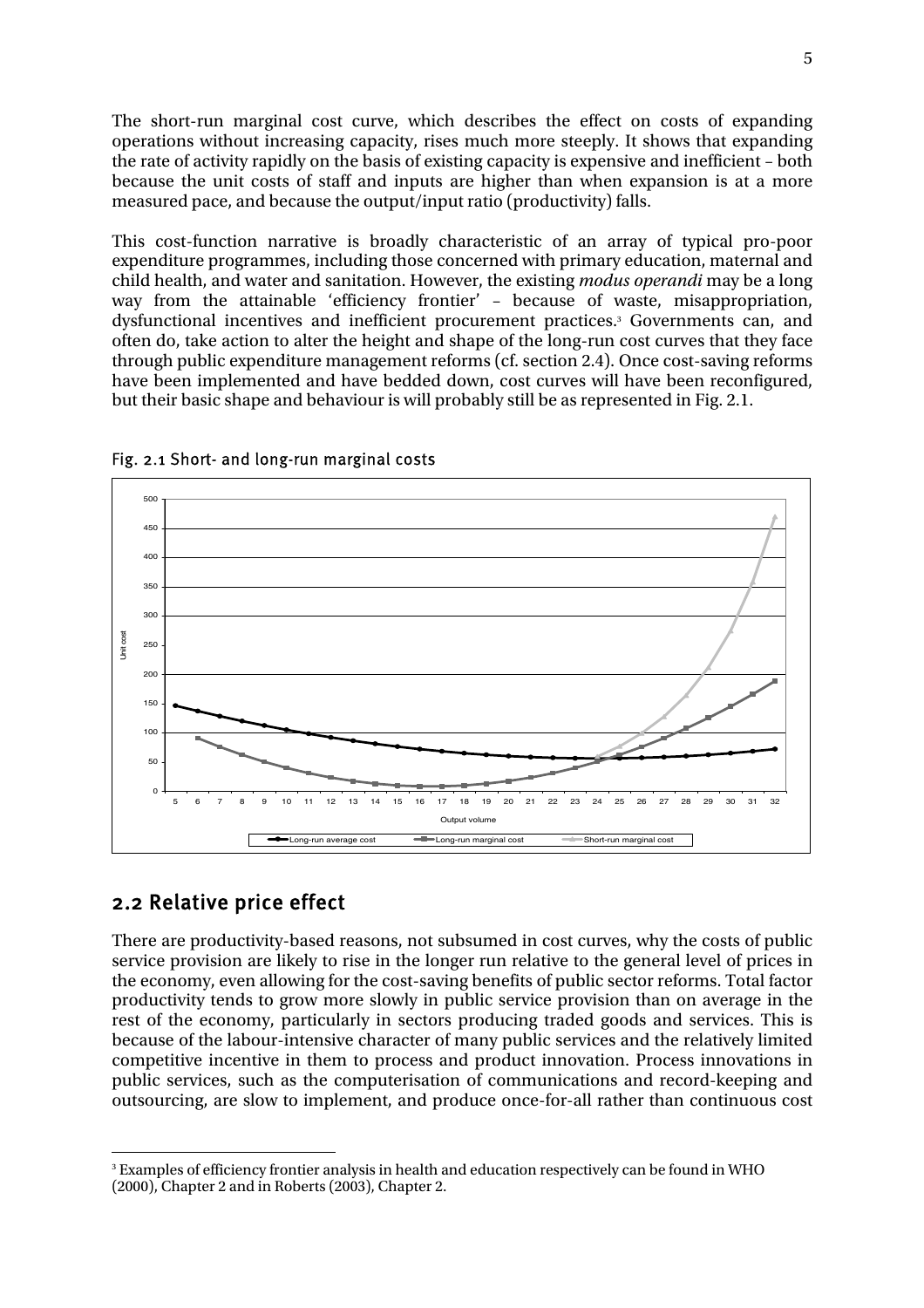The short-run marginal cost curve, which describes the effect on costs of expanding operations without increasing capacity, rises much more steeply. It shows that expanding the rate of activity rapidly on the basis of existing capacity is expensive and inefficient – both because the unit costs of staff and inputs are higher than when expansion is at a more measured pace, and because the output/input ratio (productivity) falls.

This cost-function narrative is broadly characteristic of an array of typical pro-poor expenditure programmes, including those concerned with primary education, maternal and child health, and water and sanitation. However, the existing *modus operandi* may be a long way from the attainable 'efficiency frontier' – because of waste, misappropriation, dysfunctional incentives and inefficient procurement practices.3 Governments can, and often do, take action to alter the height and shape of the long-run cost curves that they face through public expenditure management reforms (cf. section 2.4). Once cost-saving reforms have been implemented and have bedded down, cost curves will have been reconfigured, but their basic shape and behaviour is will probably still be as represented in Fig. 2.1.





#### 2.2 Relative price effect

 $\overline{a}$ 

There are productivity-based reasons, not subsumed in cost curves, why the costs of public service provision are likely to rise in the longer run relative to the general level of prices in the economy, even allowing for the cost-saving benefits of public sector reforms. Total factor productivity tends to grow more slowly in public service provision than on average in the rest of the economy, particularly in sectors producing traded goods and services. This is because of the labour-intensive character of many public services and the relatively limited competitive incentive in them to process and product innovation. Process innovations in public services, such as the computerisation of communications and record-keeping and outsourcing, are slow to implement, and produce once-for-all rather than continuous cost

 $^{\rm 3}$  Examples of efficiency frontier analysis in health and education respectively can be found in WHO (2000), Chapter 2 and in Roberts (2003), Chapter 2.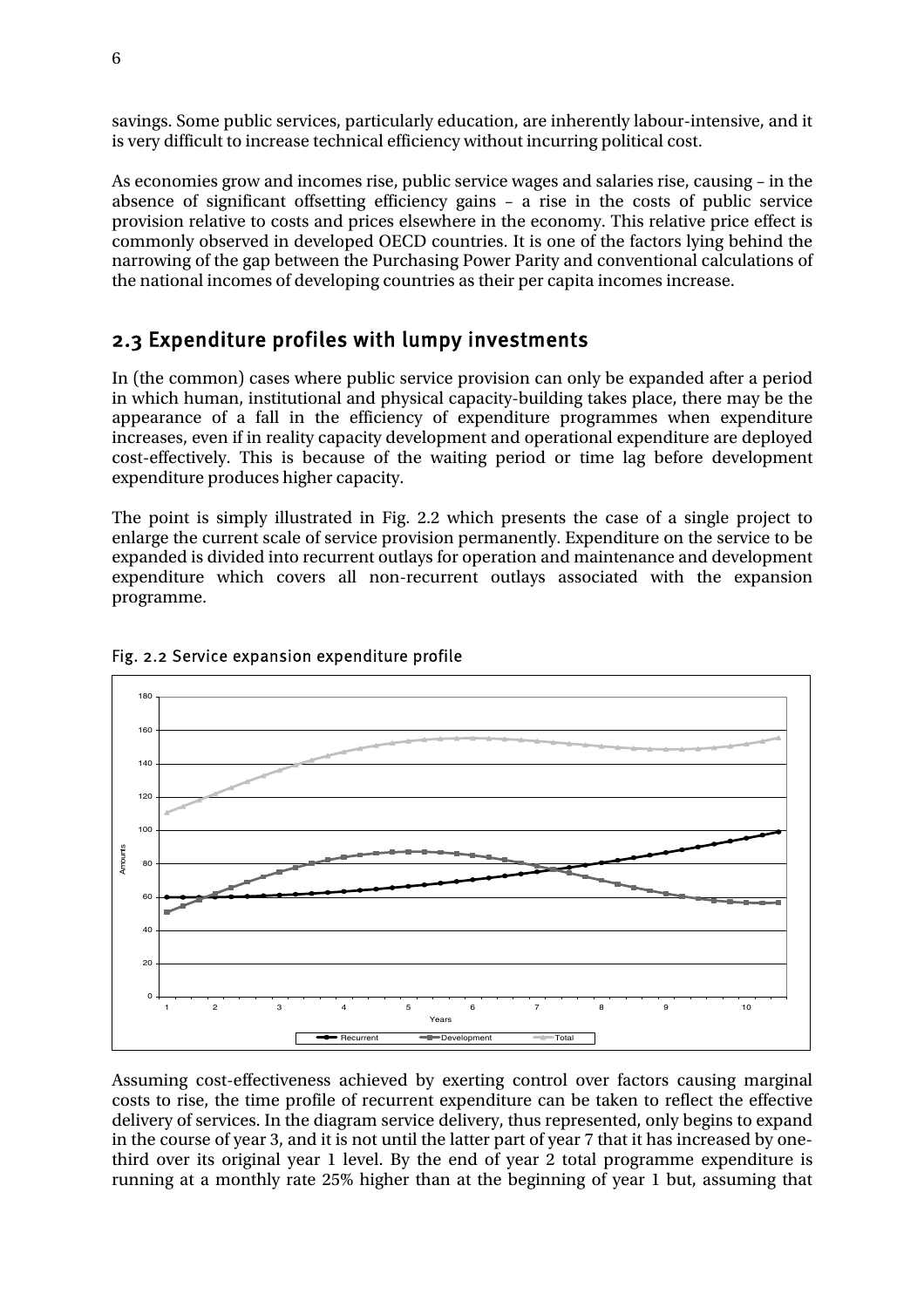savings. Some public services, particularly education, are inherently labour-intensive, and it is very difficult to increase technical efficiency without incurring political cost.

As economies grow and incomes rise, public service wages and salaries rise, causing – in the absence of significant offsetting efficiency gains – a rise in the costs of public service provision relative to costs and prices elsewhere in the economy. This relative price effect is commonly observed in developed OECD countries. It is one of the factors lying behind the narrowing of the gap between the Purchasing Power Parity and conventional calculations of the national incomes of developing countries as their per capita incomes increase.

## 2.3 Expenditure profiles with lumpy investments

In (the common) cases where public service provision can only be expanded after a period in which human, institutional and physical capacity-building takes place, there may be the appearance of a fall in the efficiency of expenditure programmes when expenditure increases, even if in reality capacity development and operational expenditure are deployed cost-effectively. This is because of the waiting period or time lag before development expenditure produces higher capacity.

The point is simply illustrated in Fig. 2.2 which presents the case of a single project to enlarge the current scale of service provision permanently. Expenditure on the service to be expanded is divided into recurrent outlays for operation and maintenance and development expenditure which covers all non-recurrent outlays associated with the expansion programme.



#### Fig. 2.2 Service expansion expenditure profile

Assuming cost-effectiveness achieved by exerting control over factors causing marginal costs to rise, the time profile of recurrent expenditure can be taken to reflect the effective delivery of services. In the diagram service delivery, thus represented, only begins to expand in the course of year 3, and it is not until the latter part of year 7 that it has increased by onethird over its original year 1 level. By the end of year 2 total programme expenditure is running at a monthly rate 25% higher than at the beginning of year 1 but, assuming that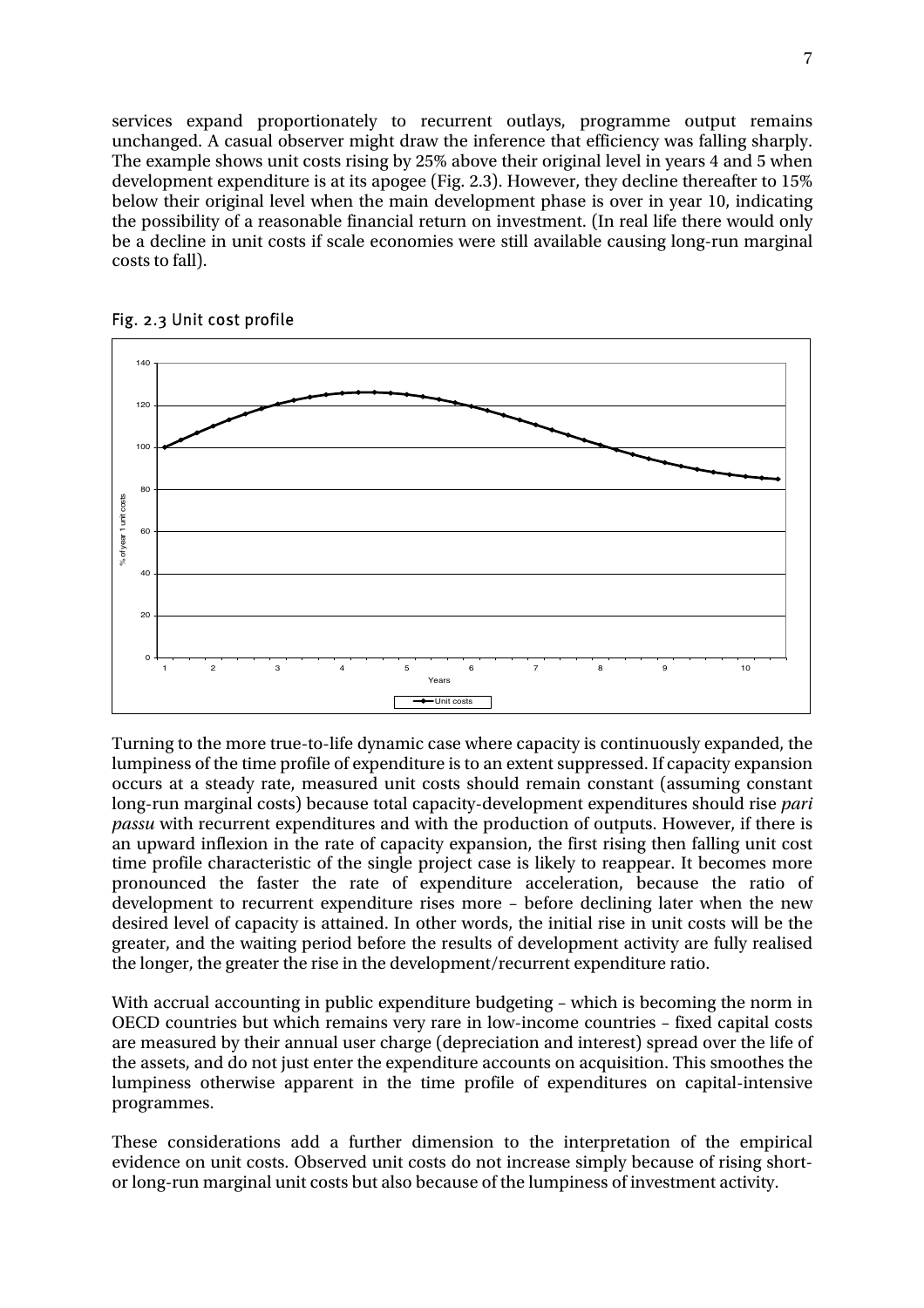services expand proportionately to recurrent outlays, programme output remains unchanged. A casual observer might draw the inference that efficiency was falling sharply. The example shows unit costs rising by 25% above their original level in years 4 and 5 when development expenditure is at its apogee (Fig. 2.3). However, they decline thereafter to 15% below their original level when the main development phase is over in year 10, indicating the possibility of a reasonable financial return on investment. (In real life there would only be a decline in unit costs if scale economies were still available causing long-run marginal costs to fall).



#### Fig. 2.3 Unit cost profile

Turning to the more true-to-life dynamic case where capacity is continuously expanded, the lumpiness of the time profile of expenditure is to an extent suppressed. If capacity expansion occurs at a steady rate, measured unit costs should remain constant (assuming constant long-run marginal costs) because total capacity-development expenditures should rise *pari passu* with recurrent expenditures and with the production of outputs. However, if there is an upward inflexion in the rate of capacity expansion, the first rising then falling unit cost time profile characteristic of the single project case is likely to reappear. It becomes more pronounced the faster the rate of expenditure acceleration, because the ratio of development to recurrent expenditure rises more – before declining later when the new desired level of capacity is attained. In other words, the initial rise in unit costs will be the greater, and the waiting period before the results of development activity are fully realised the longer, the greater the rise in the development/recurrent expenditure ratio.

With accrual accounting in public expenditure budgeting – which is becoming the norm in OECD countries but which remains very rare in low-income countries – fixed capital costs are measured by their annual user charge (depreciation and interest) spread over the life of the assets, and do not just enter the expenditure accounts on acquisition. This smoothes the lumpiness otherwise apparent in the time profile of expenditures on capital-intensive programmes.

These considerations add a further dimension to the interpretation of the empirical evidence on unit costs. Observed unit costs do not increase simply because of rising shortor long-run marginal unit costs but also because of the lumpiness of investment activity.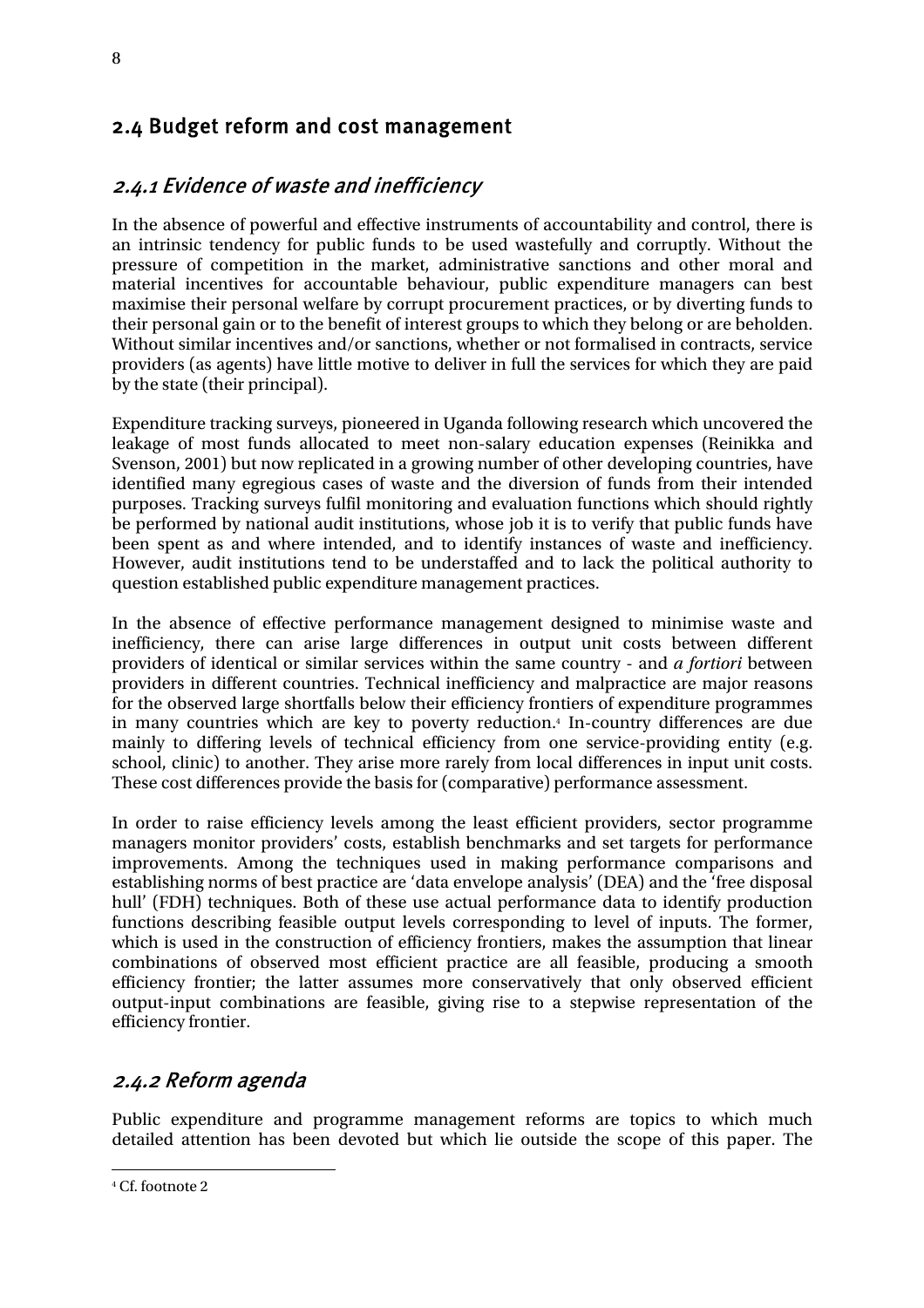## 2.4 Budget reform and cost management

## 2.4.1 Evidence of waste and inefficiency

In the absence of powerful and effective instruments of accountability and control, there is an intrinsic tendency for public funds to be used wastefully and corruptly. Without the pressure of competition in the market, administrative sanctions and other moral and material incentives for accountable behaviour, public expenditure managers can best maximise their personal welfare by corrupt procurement practices, or by diverting funds to their personal gain or to the benefit of interest groups to which they belong or are beholden. Without similar incentives and/or sanctions, whether or not formalised in contracts, service providers (as agents) have little motive to deliver in full the services for which they are paid by the state (their principal).

Expenditure tracking surveys, pioneered in Uganda following research which uncovered the leakage of most funds allocated to meet non-salary education expenses (Reinikka and Svenson, 2001) but now replicated in a growing number of other developing countries, have identified many egregious cases of waste and the diversion of funds from their intended purposes. Tracking surveys fulfil monitoring and evaluation functions which should rightly be performed by national audit institutions, whose job it is to verify that public funds have been spent as and where intended, and to identify instances of waste and inefficiency. However, audit institutions tend to be understaffed and to lack the political authority to question established public expenditure management practices.

In the absence of effective performance management designed to minimise waste and inefficiency, there can arise large differences in output unit costs between different providers of identical or similar services within the same country - and *a fortiori* between providers in different countries. Technical inefficiency and malpractice are major reasons for the observed large shortfalls below their efficiency frontiers of expenditure programmes in many countries which are key to poverty reduction.4 In-country differences are due mainly to differing levels of technical efficiency from one service-providing entity (e.g. school, clinic) to another. They arise more rarely from local differences in input unit costs. These cost differences provide the basis for (comparative) performance assessment.

In order to raise efficiency levels among the least efficient providers, sector programme managers monitor providers' costs, establish benchmarks and set targets for performance improvements. Among the techniques used in making performance comparisons and establishing norms of best practice are 'data envelope analysis' (DEA) and the 'free disposal hull' (FDH) techniques. Both of these use actual performance data to identify production functions describing feasible output levels corresponding to level of inputs. The former, which is used in the construction of efficiency frontiers, makes the assumption that linear combinations of observed most efficient practice are all feasible, producing a smooth efficiency frontier; the latter assumes more conservatively that only observed efficient output-input combinations are feasible, giving rise to a stepwise representation of the efficiency frontier.

### 2.4.2 Reform agenda

Public expenditure and programme management reforms are topics to which much detailed attention has been devoted but which lie outside the scope of this paper. The

8

 $\overline{a}$ 4 Cf. footnote 2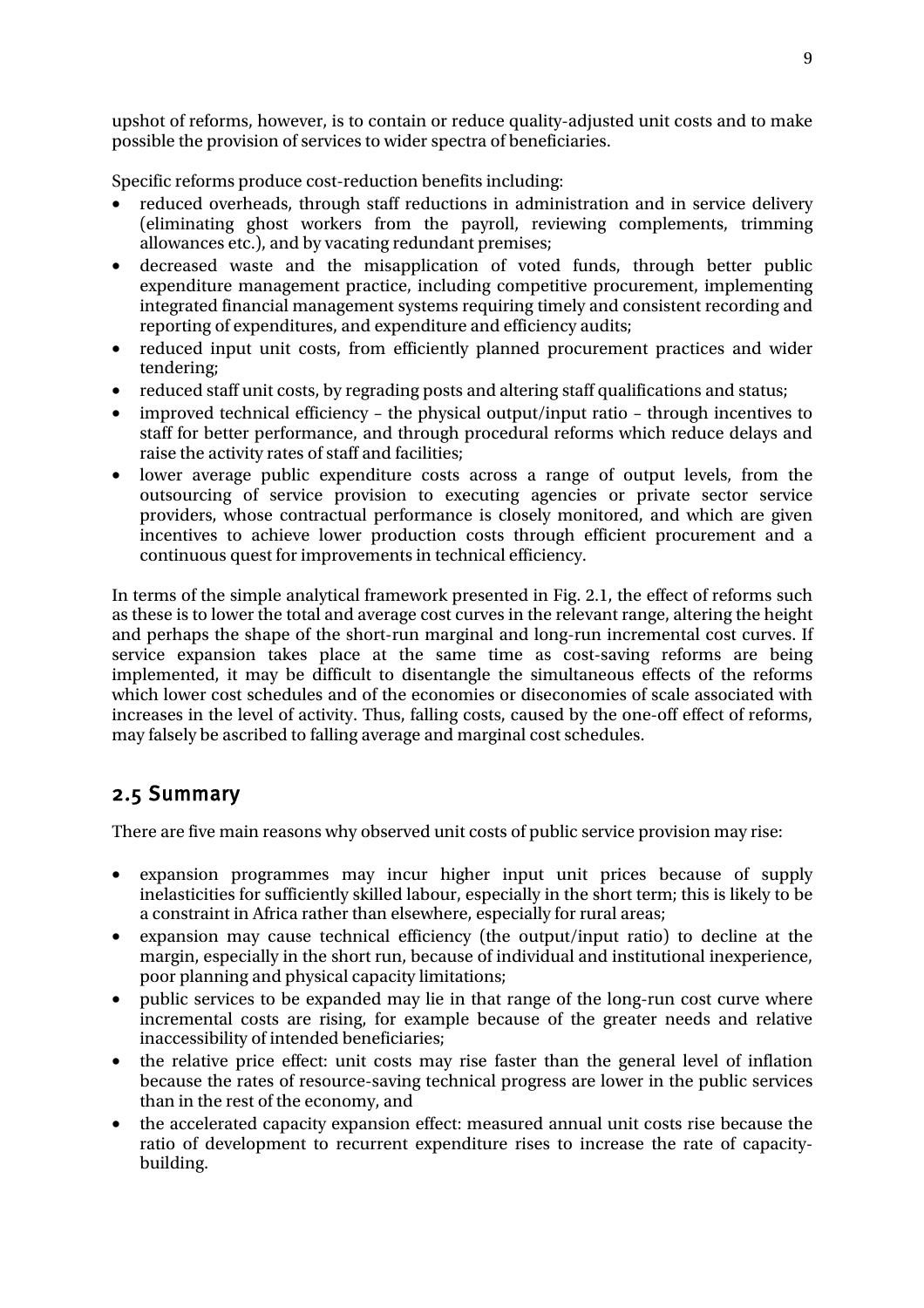upshot of reforms, however, is to contain or reduce quality-adjusted unit costs and to make possible the provision of services to wider spectra of beneficiaries.

Specific reforms produce cost-reduction benefits including:

- reduced overheads, through staff reductions in administration and in service delivery (eliminating ghost workers from the payroll, reviewing complements, trimming allowances etc.), and by vacating redundant premises;
- decreased waste and the misapplication of voted funds, through better public expenditure management practice, including competitive procurement, implementing integrated financial management systems requiring timely and consistent recording and reporting of expenditures, and expenditure and efficiency audits;
- reduced input unit costs, from efficiently planned procurement practices and wider tendering;
- reduced staff unit costs, by regrading posts and altering staff qualifications and status;
- improved technical efficiency the physical output/input ratio through incentives to staff for better performance, and through procedural reforms which reduce delays and raise the activity rates of staff and facilities;
- lower average public expenditure costs across a range of output levels, from the outsourcing of service provision to executing agencies or private sector service providers, whose contractual performance is closely monitored, and which are given incentives to achieve lower production costs through efficient procurement and a continuous quest for improvements in technical efficiency.

In terms of the simple analytical framework presented in Fig. 2.1, the effect of reforms such as these is to lower the total and average cost curves in the relevant range, altering the height and perhaps the shape of the short-run marginal and long-run incremental cost curves. If service expansion takes place at the same time as cost-saving reforms are being implemented, it may be difficult to disentangle the simultaneous effects of the reforms which lower cost schedules and of the economies or diseconomies of scale associated with increases in the level of activity. Thus, falling costs, caused by the one-off effect of reforms, may falsely be ascribed to falling average and marginal cost schedules.

## 2.5 Summary

There are five main reasons why observed unit costs of public service provision may rise:

- expansion programmes may incur higher input unit prices because of supply inelasticities for sufficiently skilled labour, especially in the short term; this is likely to be a constraint in Africa rather than elsewhere, especially for rural areas;
- expansion may cause technical efficiency (the output/input ratio) to decline at the margin, especially in the short run, because of individual and institutional inexperience, poor planning and physical capacity limitations;
- public services to be expanded may lie in that range of the long-run cost curve where incremental costs are rising, for example because of the greater needs and relative inaccessibility of intended beneficiaries;
- the relative price effect: unit costs may rise faster than the general level of inflation because the rates of resource-saving technical progress are lower in the public services than in the rest of the economy, and
- the accelerated capacity expansion effect: measured annual unit costs rise because the ratio of development to recurrent expenditure rises to increase the rate of capacitybuilding.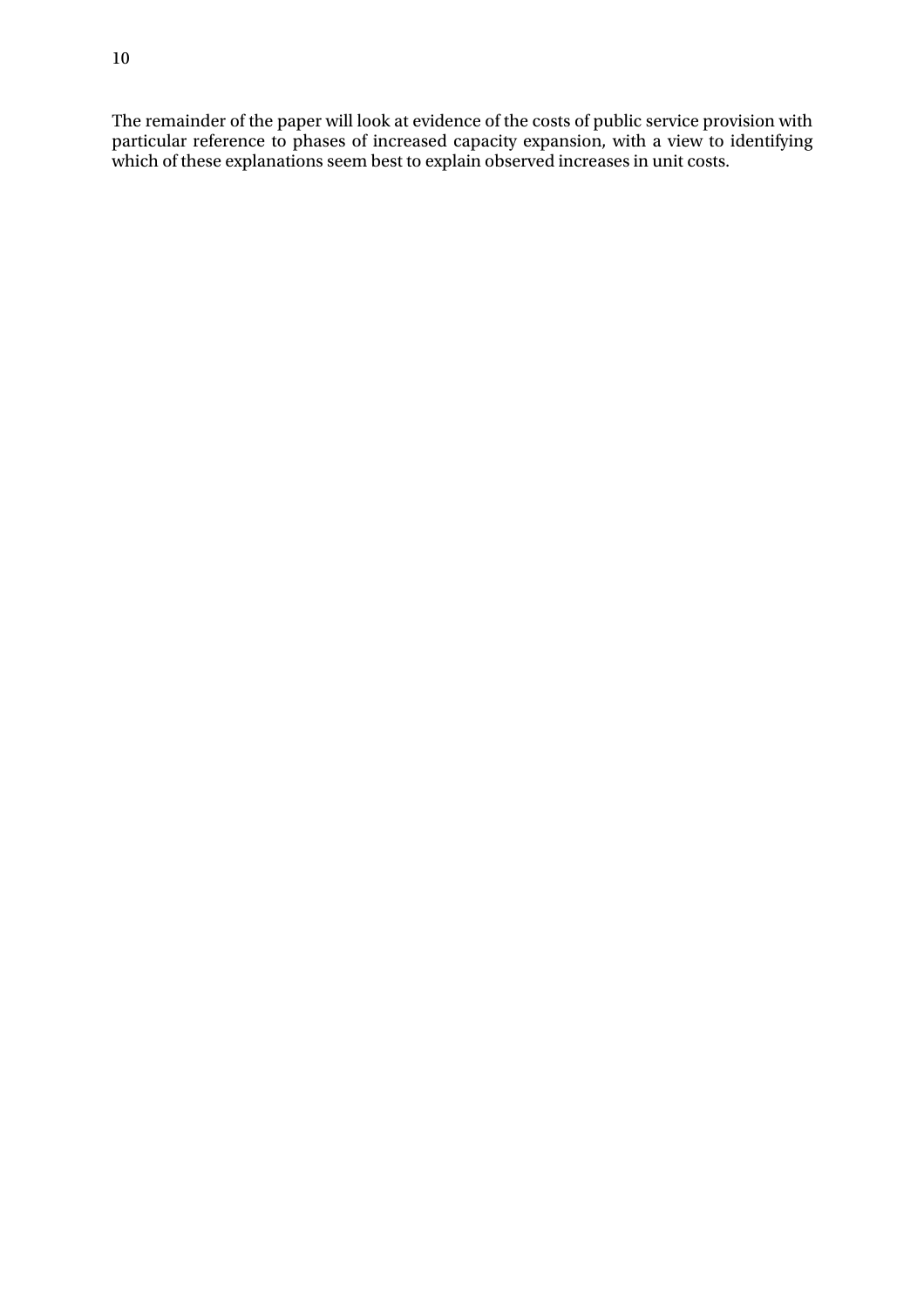The remainder of the paper will look at evidence of the costs of public service provision with particular reference to phases of increased capacity expansion, with a view to identifying which of these explanations seem best to explain observed increases in unit costs.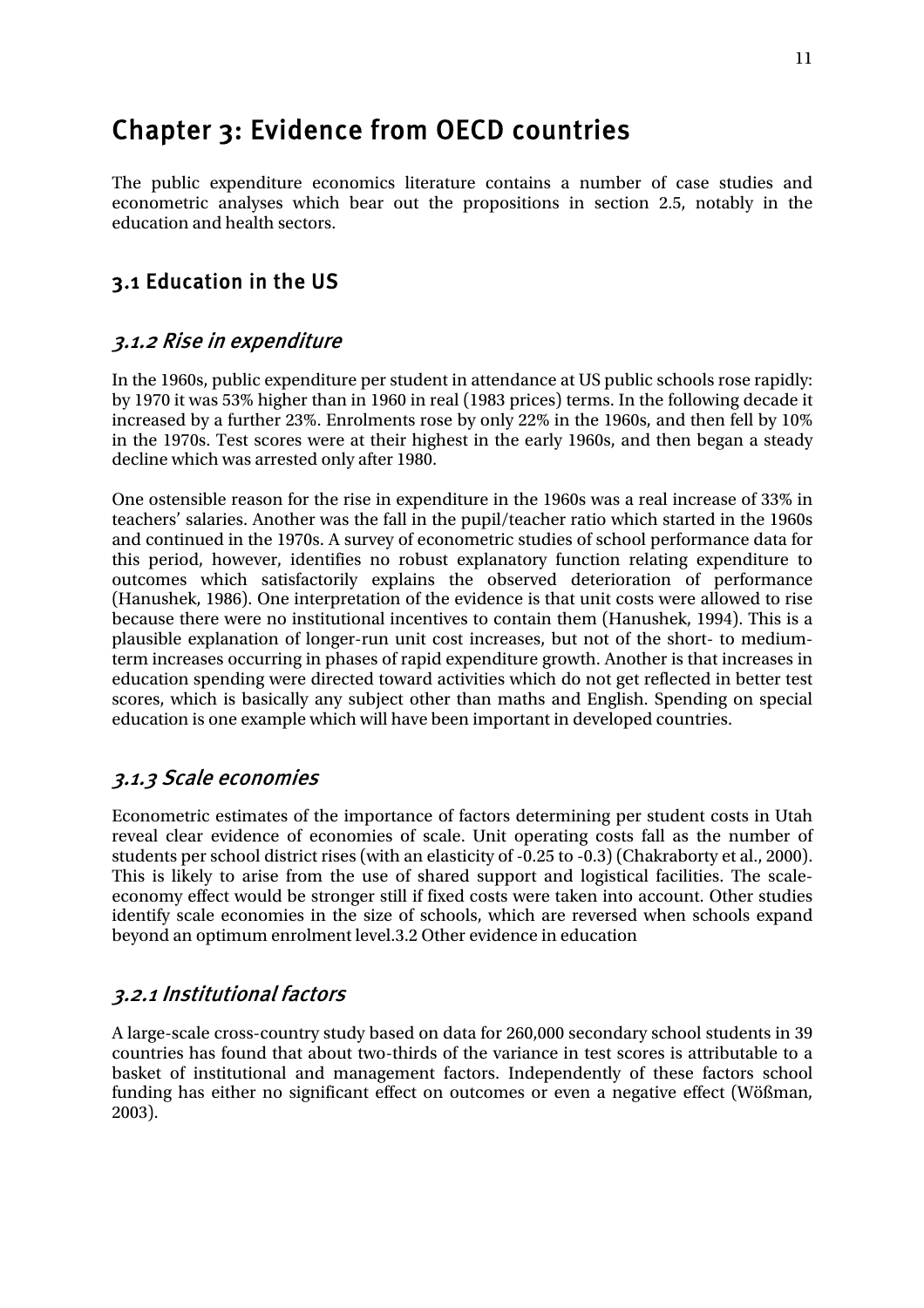## Chapter 3: Evidence from OECD countries

The public expenditure economics literature contains a number of case studies and econometric analyses which bear out the propositions in section 2.5, notably in the education and health sectors.

## 3.1 Education in the US

### 3.1.2 Rise in expenditure

In the 1960s, public expenditure per student in attendance at US public schools rose rapidly: by 1970 it was 53% higher than in 1960 in real (1983 prices) terms. In the following decade it increased by a further 23%. Enrolments rose by only 22% in the 1960s, and then fell by 10% in the 1970s. Test scores were at their highest in the early 1960s, and then began a steady decline which was arrested only after 1980.

One ostensible reason for the rise in expenditure in the 1960s was a real increase of 33% in teachers' salaries. Another was the fall in the pupil/teacher ratio which started in the 1960s and continued in the 1970s. A survey of econometric studies of school performance data for this period, however, identifies no robust explanatory function relating expenditure to outcomes which satisfactorily explains the observed deterioration of performance (Hanushek, 1986). One interpretation of the evidence is that unit costs were allowed to rise because there were no institutional incentives to contain them (Hanushek, 1994). This is a plausible explanation of longer-run unit cost increases, but not of the short- to mediumterm increases occurring in phases of rapid expenditure growth. Another is that increases in education spending were directed toward activities which do not get reflected in better test scores, which is basically any subject other than maths and English. Spending on special education is one example which will have been important in developed countries.

### 3.1.3 Scale economies

Econometric estimates of the importance of factors determining per student costs in Utah reveal clear evidence of economies of scale. Unit operating costs fall as the number of students per school district rises (with an elasticity of -0.25 to -0.3) (Chakraborty et al., 2000). This is likely to arise from the use of shared support and logistical facilities. The scaleeconomy effect would be stronger still if fixed costs were taken into account. Other studies identify scale economies in the size of schools, which are reversed when schools expand beyond an optimum enrolment level.3.2 Other evidence in education

#### 3.2.1 Institutional factors

A large-scale cross-country study based on data for 260,000 secondary school students in 39 countries has found that about two-thirds of the variance in test scores is attributable to a basket of institutional and management factors. Independently of these factors school funding has either no significant effect on outcomes or even a negative effect (Wößman, 2003).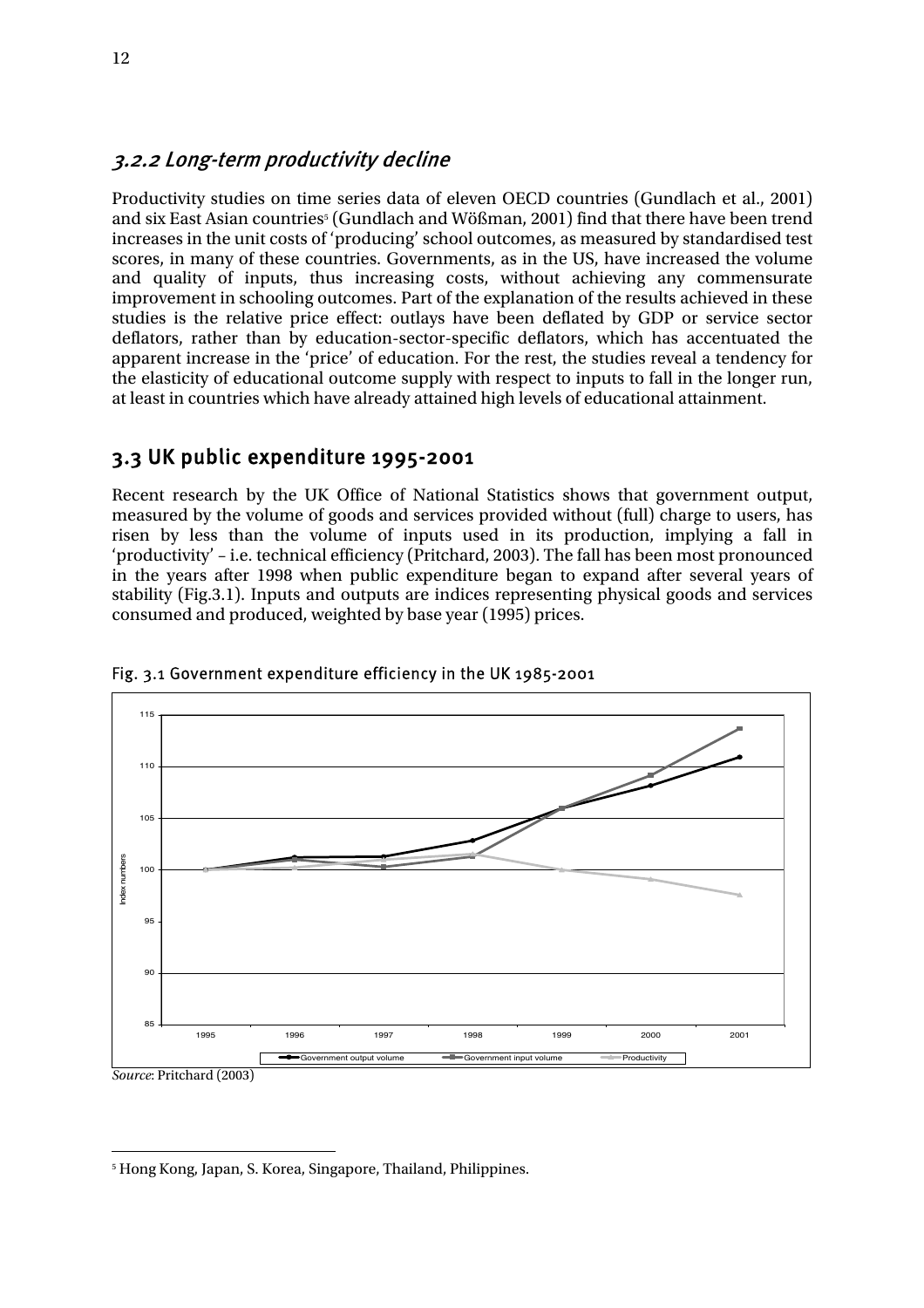#### 3.2.2 Long-term productivity decline

Productivity studies on time series data of eleven OECD countries (Gundlach et al., 2001) and six East Asian countries5 (Gundlach and Wößman, 2001) find that there have been trend increases in the unit costs of 'producing' school outcomes, as measured by standardised test scores, in many of these countries. Governments, as in the US, have increased the volume and quality of inputs, thus increasing costs, without achieving any commensurate improvement in schooling outcomes. Part of the explanation of the results achieved in these studies is the relative price effect: outlays have been deflated by GDP or service sector deflators, rather than by education-sector-specific deflators, which has accentuated the apparent increase in the 'price' of education. For the rest, the studies reveal a tendency for the elasticity of educational outcome supply with respect to inputs to fall in the longer run, at least in countries which have already attained high levels of educational attainment.

## 3.3 UK public expenditure 1995-2001

Recent research by the UK Office of National Statistics shows that government output, measured by the volume of goods and services provided without (full) charge to users, has risen by less than the volume of inputs used in its production, implying a fall in 'productivity' – i.e. technical efficiency (Pritchard, 2003). The fall has been most pronounced in the years after 1998 when public expenditure began to expand after several years of stability (Fig.3.1). Inputs and outputs are indices representing physical goods and services consumed and produced, weighted by base year (1995) prices.



#### Fig. 3.1 Government expenditure efficiency in the UK 1985-2001

 $\overline{a}$ 5 Hong Kong, Japan, S. Korea, Singapore, Thailand, Philippines.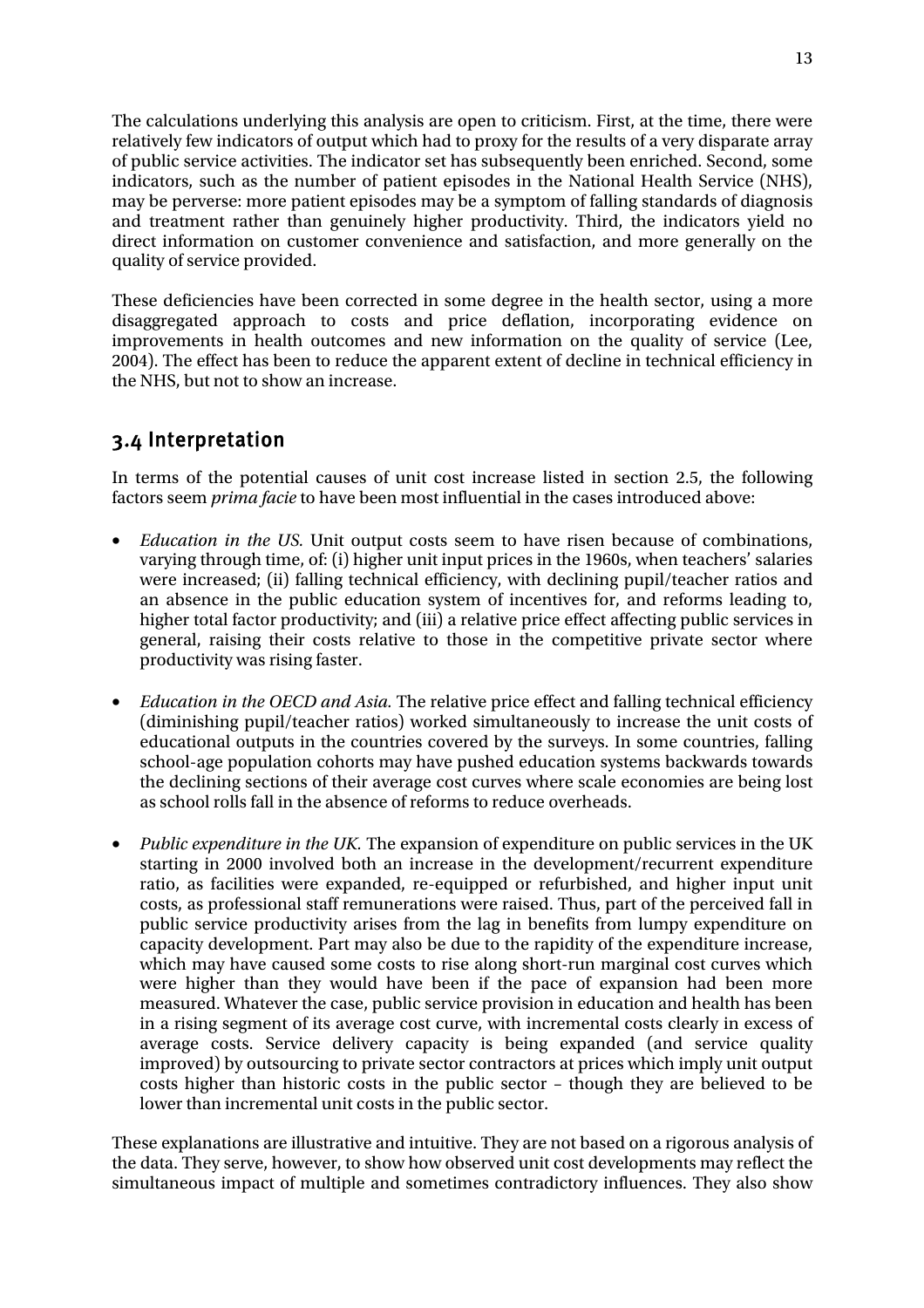The calculations underlying this analysis are open to criticism. First, at the time, there were relatively few indicators of output which had to proxy for the results of a very disparate array of public service activities. The indicator set has subsequently been enriched. Second, some indicators, such as the number of patient episodes in the National Health Service (NHS), may be perverse: more patient episodes may be a symptom of falling standards of diagnosis and treatment rather than genuinely higher productivity. Third, the indicators yield no direct information on customer convenience and satisfaction, and more generally on the quality of service provided.

These deficiencies have been corrected in some degree in the health sector, using a more disaggregated approach to costs and price deflation, incorporating evidence on improvements in health outcomes and new information on the quality of service (Lee, 2004). The effect has been to reduce the apparent extent of decline in technical efficiency in the NHS, but not to show an increase.

## 3.4 Interpretation

In terms of the potential causes of unit cost increase listed in section 2.5, the following factors seem *prima facie* to have been most influential in the cases introduced above:

- *Education in the US.* Unit output costs seem to have risen because of combinations, varying through time, of: (i) higher unit input prices in the 1960s, when teachers' salaries were increased; (ii) falling technical efficiency, with declining pupil/teacher ratios and an absence in the public education system of incentives for, and reforms leading to, higher total factor productivity; and (iii) a relative price effect affecting public services in general, raising their costs relative to those in the competitive private sector where productivity was rising faster.
- *Education in the OECD and Asia.* The relative price effect and falling technical efficiency (diminishing pupil/teacher ratios) worked simultaneously to increase the unit costs of educational outputs in the countries covered by the surveys. In some countries, falling school-age population cohorts may have pushed education systems backwards towards the declining sections of their average cost curves where scale economies are being lost as school rolls fall in the absence of reforms to reduce overheads.
- *Public expenditure in the UK.* The expansion of expenditure on public services in the UK starting in 2000 involved both an increase in the development/recurrent expenditure ratio, as facilities were expanded, re-equipped or refurbished, and higher input unit costs, as professional staff remunerations were raised. Thus, part of the perceived fall in public service productivity arises from the lag in benefits from lumpy expenditure on capacity development. Part may also be due to the rapidity of the expenditure increase, which may have caused some costs to rise along short-run marginal cost curves which were higher than they would have been if the pace of expansion had been more measured. Whatever the case, public service provision in education and health has been in a rising segment of its average cost curve, with incremental costs clearly in excess of average costs. Service delivery capacity is being expanded (and service quality improved) by outsourcing to private sector contractors at prices which imply unit output costs higher than historic costs in the public sector – though they are believed to be lower than incremental unit costs in the public sector.

These explanations are illustrative and intuitive. They are not based on a rigorous analysis of the data. They serve, however, to show how observed unit cost developments may reflect the simultaneous impact of multiple and sometimes contradictory influences. They also show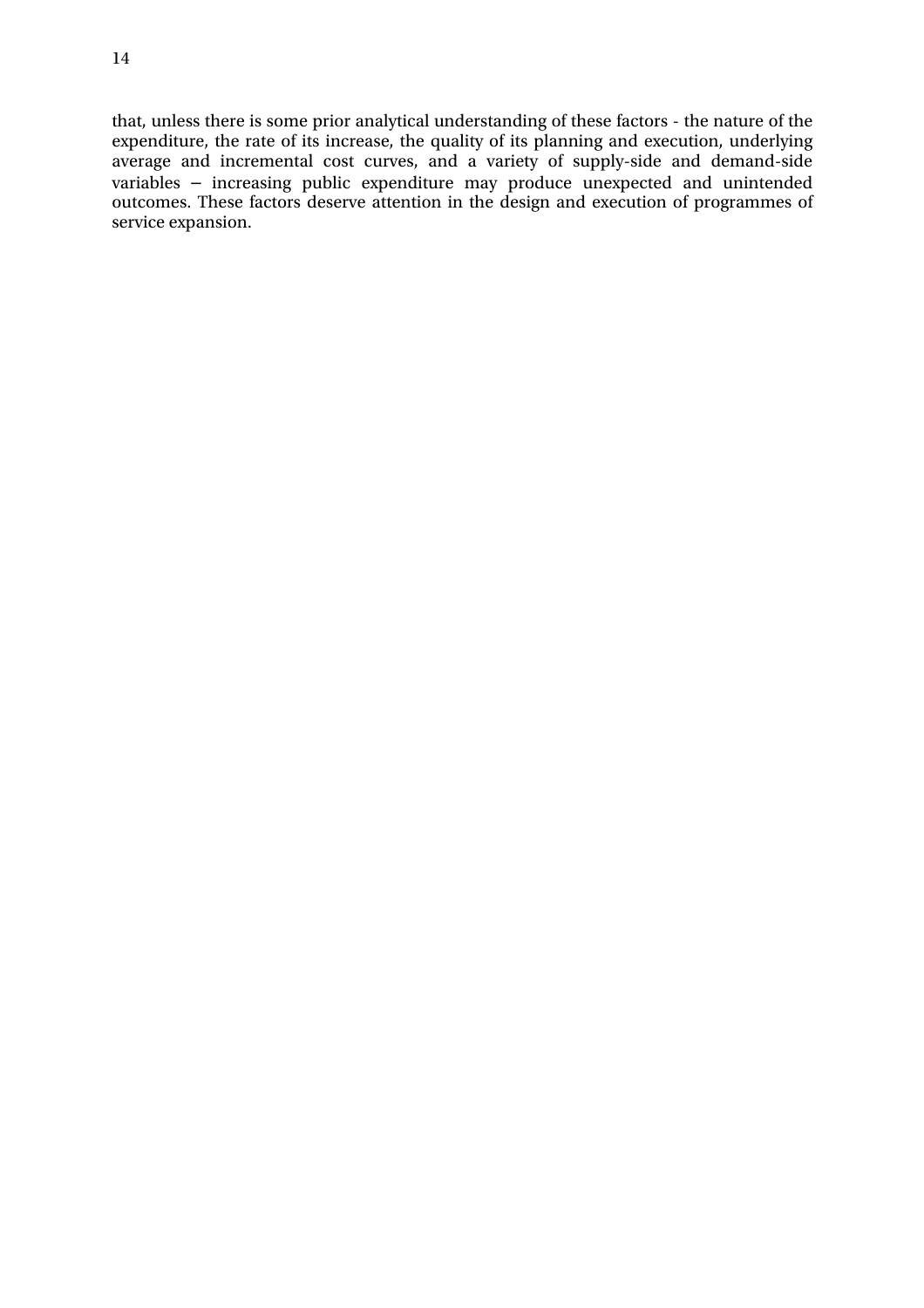that, unless there is some prior analytical understanding of these factors - the nature of the expenditure, the rate of its increase, the quality of its planning and execution, underlying average and incremental cost curves, and a variety of supply-side and demand-side variables – increasing public expenditure may produce unexpected and unintended outcomes. These factors deserve attention in the design and execution of programmes of service expansion.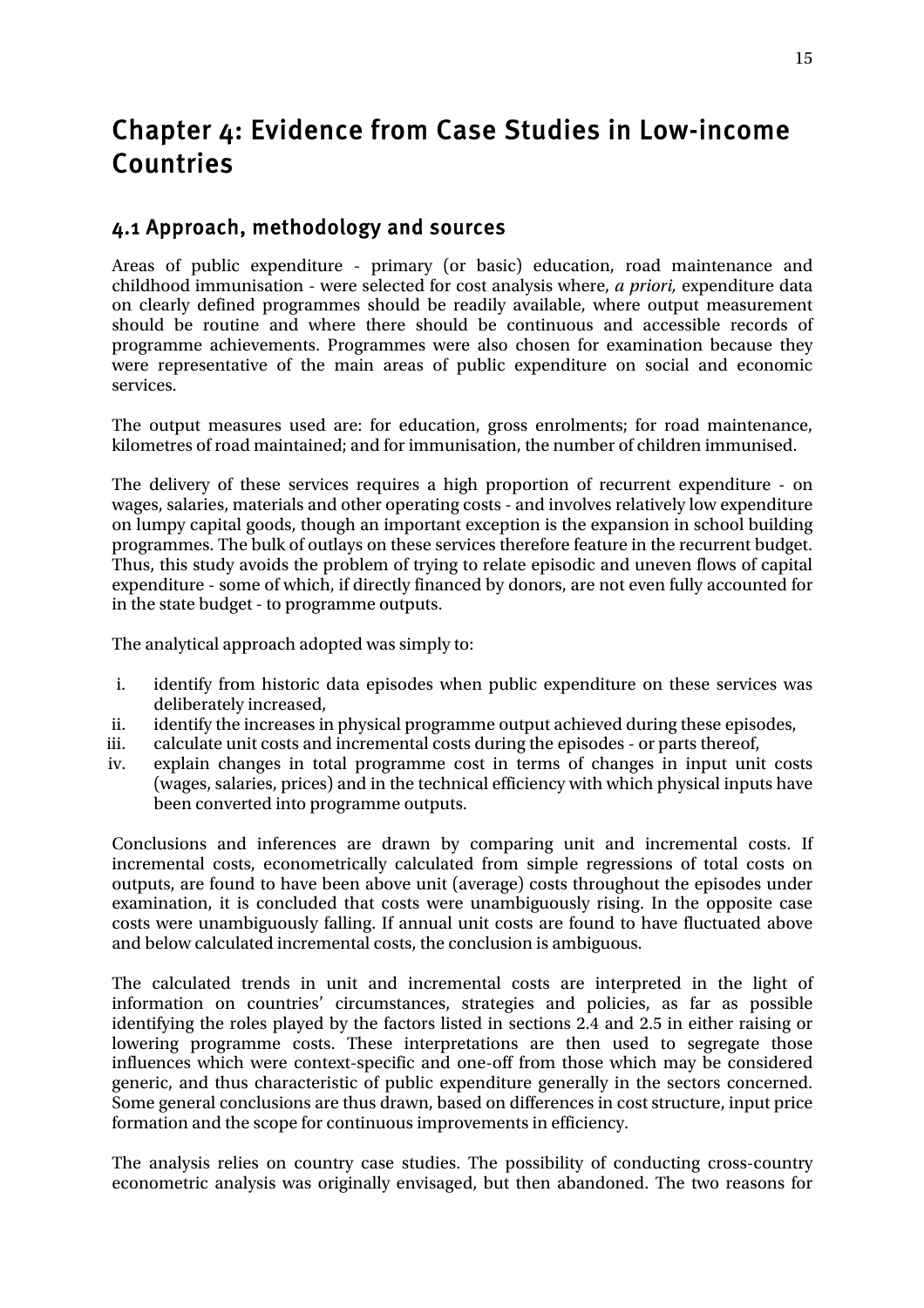## Chapter 4: Evidence from Case Studies in Low-income Countries

## 4.1 Approach, methodology and sources

Areas of public expenditure - primary (or basic) education, road maintenance and childhood immunisation - were selected for cost analysis where, *a priori,* expenditure data on clearly defined programmes should be readily available, where output measurement should be routine and where there should be continuous and accessible records of programme achievements. Programmes were also chosen for examination because they were representative of the main areas of public expenditure on social and economic services.

The output measures used are: for education, gross enrolments; for road maintenance, kilometres of road maintained; and for immunisation, the number of children immunised.

The delivery of these services requires a high proportion of recurrent expenditure - on wages, salaries, materials and other operating costs - and involves relatively low expenditure on lumpy capital goods, though an important exception is the expansion in school building programmes. The bulk of outlays on these services therefore feature in the recurrent budget. Thus, this study avoids the problem of trying to relate episodic and uneven flows of capital expenditure - some of which, if directly financed by donors, are not even fully accounted for in the state budget - to programme outputs.

The analytical approach adopted was simply to:

- i. identify from historic data episodes when public expenditure on these services was deliberately increased,
- ii. identify the increases in physical programme output achieved during these episodes,
- iii. calculate unit costs and incremental costs during the episodes or parts thereof,
- iv. explain changes in total programme cost in terms of changes in input unit costs (wages, salaries, prices) and in the technical efficiency with which physical inputs have been converted into programme outputs.

Conclusions and inferences are drawn by comparing unit and incremental costs. If incremental costs, econometrically calculated from simple regressions of total costs on outputs, are found to have been above unit (average) costs throughout the episodes under examination, it is concluded that costs were unambiguously rising. In the opposite case costs were unambiguously falling. If annual unit costs are found to have fluctuated above and below calculated incremental costs, the conclusion is ambiguous.

The calculated trends in unit and incremental costs are interpreted in the light of information on countries' circumstances, strategies and policies, as far as possible identifying the roles played by the factors listed in sections 2.4 and 2.5 in either raising or lowering programme costs. These interpretations are then used to segregate those influences which were context-specific and one-off from those which may be considered generic, and thus characteristic of public expenditure generally in the sectors concerned. Some general conclusions are thus drawn, based on differences in cost structure, input price formation and the scope for continuous improvements in efficiency.

The analysis relies on country case studies. The possibility of conducting cross-country econometric analysis was originally envisaged, but then abandoned. The two reasons for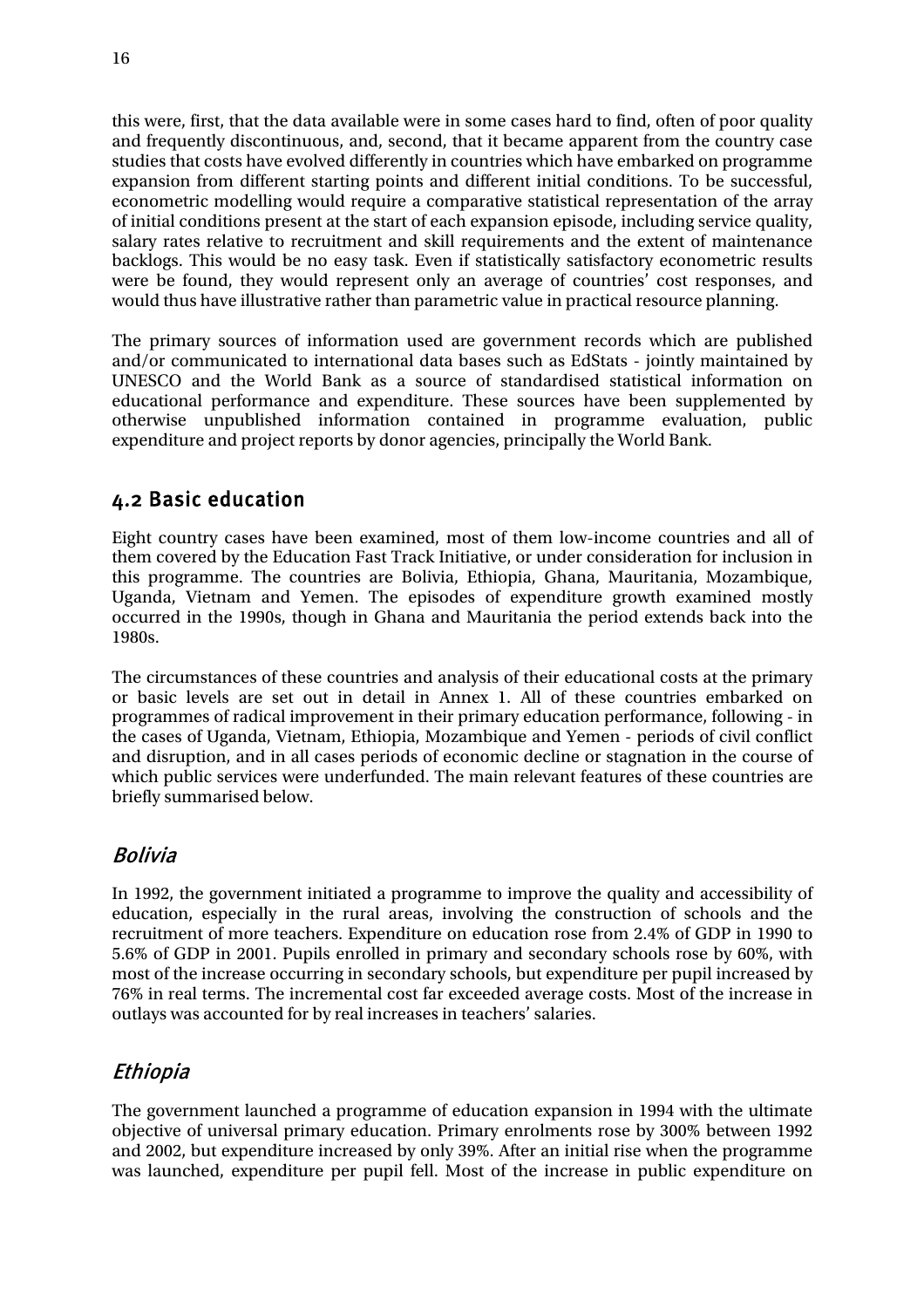this were, first, that the data available were in some cases hard to find, often of poor quality and frequently discontinuous, and, second, that it became apparent from the country case studies that costs have evolved differently in countries which have embarked on programme expansion from different starting points and different initial conditions. To be successful, econometric modelling would require a comparative statistical representation of the array of initial conditions present at the start of each expansion episode, including service quality, salary rates relative to recruitment and skill requirements and the extent of maintenance backlogs. This would be no easy task. Even if statistically satisfactory econometric results were be found, they would represent only an average of countries' cost responses, and would thus have illustrative rather than parametric value in practical resource planning.

The primary sources of information used are government records which are published and/or communicated to international data bases such as EdStats - jointly maintained by UNESCO and the World Bank as a source of standardised statistical information on educational performance and expenditure. These sources have been supplemented by otherwise unpublished information contained in programme evaluation, public expenditure and project reports by donor agencies, principally the World Bank.

## 4.2 Basic education

Eight country cases have been examined, most of them low-income countries and all of them covered by the Education Fast Track Initiative, or under consideration for inclusion in this programme. The countries are Bolivia, Ethiopia, Ghana, Mauritania, Mozambique, Uganda, Vietnam and Yemen. The episodes of expenditure growth examined mostly occurred in the 1990s, though in Ghana and Mauritania the period extends back into the 1980s.

The circumstances of these countries and analysis of their educational costs at the primary or basic levels are set out in detail in Annex 1. All of these countries embarked on programmes of radical improvement in their primary education performance, following - in the cases of Uganda, Vietnam, Ethiopia, Mozambique and Yemen - periods of civil conflict and disruption, and in all cases periods of economic decline or stagnation in the course of which public services were underfunded. The main relevant features of these countries are briefly summarised below.

### Bolivia

In 1992, the government initiated a programme to improve the quality and accessibility of education, especially in the rural areas, involving the construction of schools and the recruitment of more teachers. Expenditure on education rose from 2.4% of GDP in 1990 to 5.6% of GDP in 2001. Pupils enrolled in primary and secondary schools rose by 60%, with most of the increase occurring in secondary schools, but expenditure per pupil increased by 76% in real terms. The incremental cost far exceeded average costs. Most of the increase in outlays was accounted for by real increases in teachers' salaries.

## Ethiopia

The government launched a programme of education expansion in 1994 with the ultimate objective of universal primary education. Primary enrolments rose by 300% between 1992 and 2002, but expenditure increased by only 39%. After an initial rise when the programme was launched, expenditure per pupil fell. Most of the increase in public expenditure on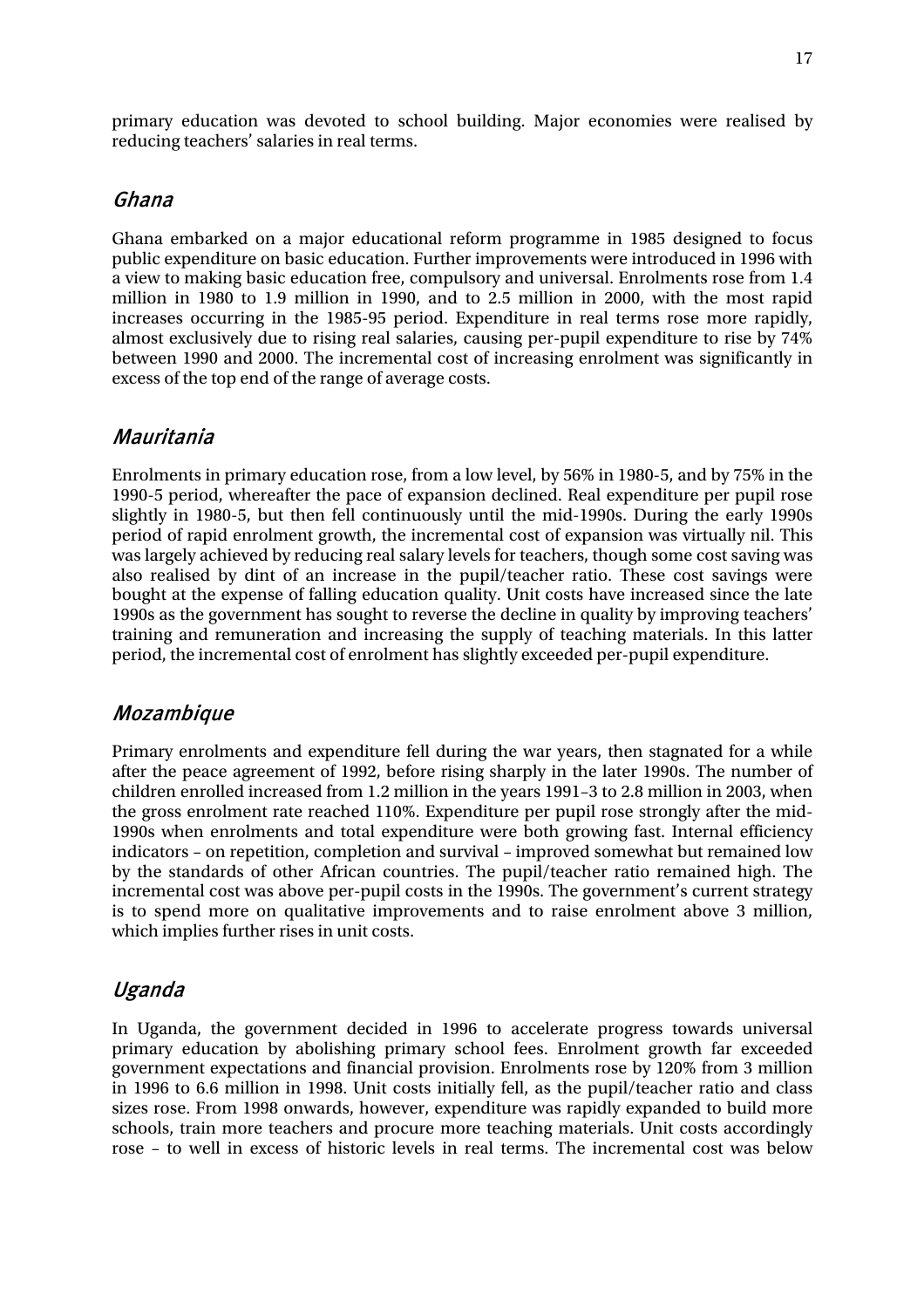primary education was devoted to school building. Major economies were realised by reducing teachers' salaries in real terms.

#### Ghana

Ghana embarked on a major educational reform programme in 1985 designed to focus public expenditure on basic education. Further improvements were introduced in 1996 with a view to making basic education free, compulsory and universal. Enrolments rose from 1.4 million in 1980 to 1.9 million in 1990, and to 2.5 million in 2000, with the most rapid increases occurring in the 1985-95 period. Expenditure in real terms rose more rapidly, almost exclusively due to rising real salaries, causing per-pupil expenditure to rise by 74% between 1990 and 2000. The incremental cost of increasing enrolment was significantly in excess of the top end of the range of average costs.

#### Mauritania

Enrolments in primary education rose, from a low level, by 56% in 1980-5, and by 75% in the 1990-5 period, whereafter the pace of expansion declined. Real expenditure per pupil rose slightly in 1980-5, but then fell continuously until the mid-1990s. During the early 1990s period of rapid enrolment growth, the incremental cost of expansion was virtually nil. This was largely achieved by reducing real salary levels for teachers, though some cost saving was also realised by dint of an increase in the pupil/teacher ratio. These cost savings were bought at the expense of falling education quality. Unit costs have increased since the late 1990s as the government has sought to reverse the decline in quality by improving teachers' training and remuneration and increasing the supply of teaching materials. In this latter period, the incremental cost of enrolment has slightly exceeded per-pupil expenditure.

#### Mozambique

Primary enrolments and expenditure fell during the war years, then stagnated for a while after the peace agreement of 1992, before rising sharply in the later 1990s. The number of children enrolled increased from 1.2 million in the years 1991–3 to 2.8 million in 2003, when the gross enrolment rate reached 110%. Expenditure per pupil rose strongly after the mid-1990s when enrolments and total expenditure were both growing fast. Internal efficiency indicators – on repetition, completion and survival – improved somewhat but remained low by the standards of other African countries. The pupil/teacher ratio remained high. The incremental cost was above per-pupil costs in the 1990s. The government's current strategy is to spend more on qualitative improvements and to raise enrolment above 3 million, which implies further rises in unit costs.

#### Uganda

In Uganda, the government decided in 1996 to accelerate progress towards universal primary education by abolishing primary school fees. Enrolment growth far exceeded government expectations and financial provision. Enrolments rose by 120% from 3 million in 1996 to 6.6 million in 1998. Unit costs initially fell, as the pupil/teacher ratio and class sizes rose. From 1998 onwards, however, expenditure was rapidly expanded to build more schools, train more teachers and procure more teaching materials. Unit costs accordingly rose – to well in excess of historic levels in real terms. The incremental cost was below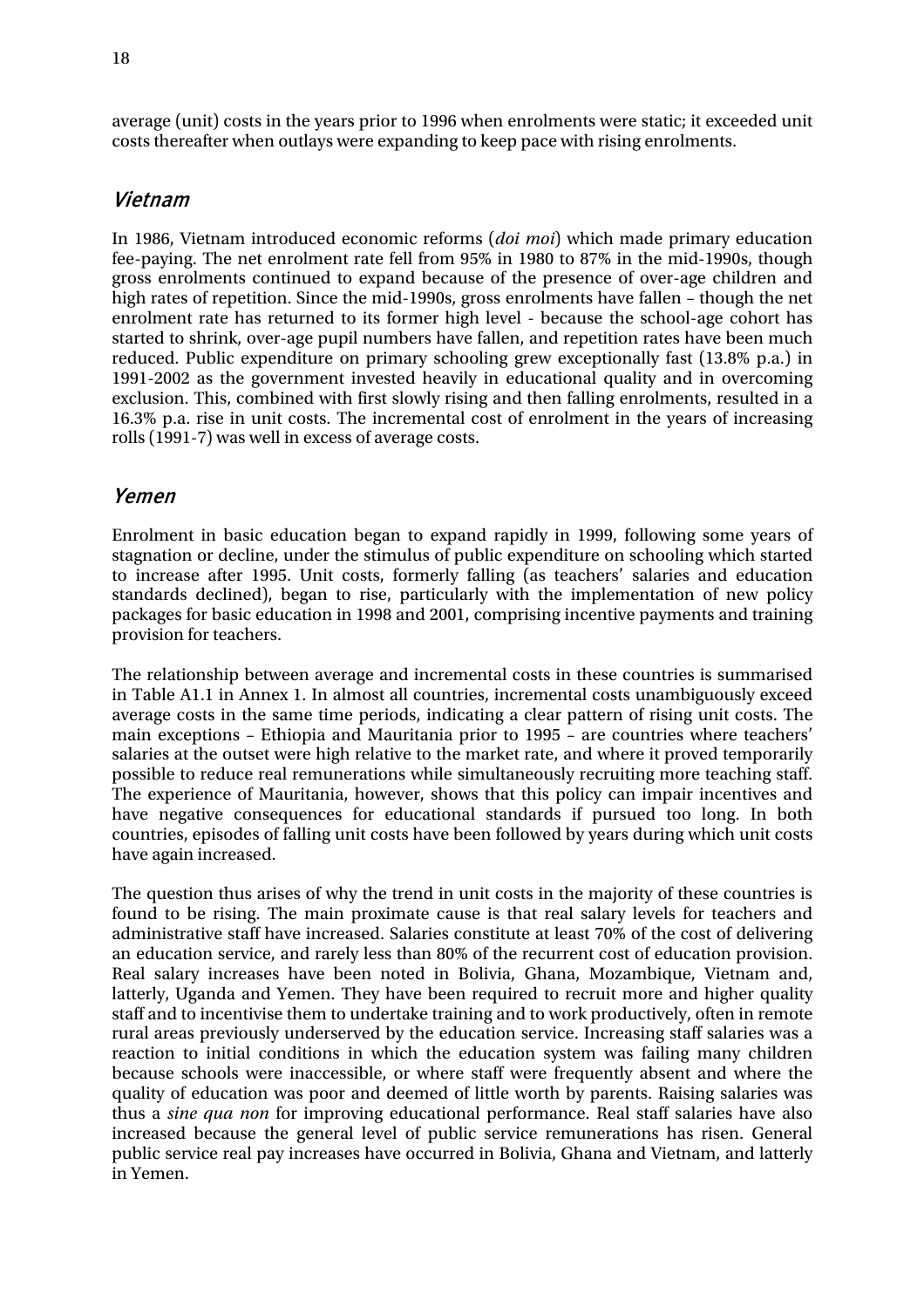average (unit) costs in the years prior to 1996 when enrolments were static; it exceeded unit costs thereafter when outlays were expanding to keep pace with rising enrolments.

#### Vietnam

In 1986, Vietnam introduced economic reforms (*doi moi*) which made primary education fee-paying. The net enrolment rate fell from 95% in 1980 to 87% in the mid-1990s, though gross enrolments continued to expand because of the presence of over-age children and high rates of repetition. Since the mid-1990s, gross enrolments have fallen – though the net enrolment rate has returned to its former high level - because the school-age cohort has started to shrink, over-age pupil numbers have fallen, and repetition rates have been much reduced. Public expenditure on primary schooling grew exceptionally fast (13.8% p.a.) in 1991-2002 as the government invested heavily in educational quality and in overcoming exclusion. This, combined with first slowly rising and then falling enrolments, resulted in a 16.3% p.a. rise in unit costs. The incremental cost of enrolment in the years of increasing rolls (1991-7) was well in excess of average costs.

#### Yemen

Enrolment in basic education began to expand rapidly in 1999, following some years of stagnation or decline, under the stimulus of public expenditure on schooling which started to increase after 1995. Unit costs, formerly falling (as teachers' salaries and education standards declined), began to rise, particularly with the implementation of new policy packages for basic education in 1998 and 2001, comprising incentive payments and training provision for teachers.

The relationship between average and incremental costs in these countries is summarised in Table A1.1 in Annex 1. In almost all countries, incremental costs unambiguously exceed average costs in the same time periods, indicating a clear pattern of rising unit costs. The main exceptions – Ethiopia and Mauritania prior to 1995 – are countries where teachers' salaries at the outset were high relative to the market rate, and where it proved temporarily possible to reduce real remunerations while simultaneously recruiting more teaching staff. The experience of Mauritania, however, shows that this policy can impair incentives and have negative consequences for educational standards if pursued too long. In both countries, episodes of falling unit costs have been followed by years during which unit costs have again increased.

The question thus arises of why the trend in unit costs in the majority of these countries is found to be rising. The main proximate cause is that real salary levels for teachers and administrative staff have increased. Salaries constitute at least 70% of the cost of delivering an education service, and rarely less than 80% of the recurrent cost of education provision. Real salary increases have been noted in Bolivia, Ghana, Mozambique, Vietnam and, latterly, Uganda and Yemen. They have been required to recruit more and higher quality staff and to incentivise them to undertake training and to work productively, often in remote rural areas previously underserved by the education service. Increasing staff salaries was a reaction to initial conditions in which the education system was failing many children because schools were inaccessible, or where staff were frequently absent and where the quality of education was poor and deemed of little worth by parents. Raising salaries was thus a *sine qua non* for improving educational performance. Real staff salaries have also increased because the general level of public service remunerations has risen. General public service real pay increases have occurred in Bolivia, Ghana and Vietnam, and latterly in Yemen.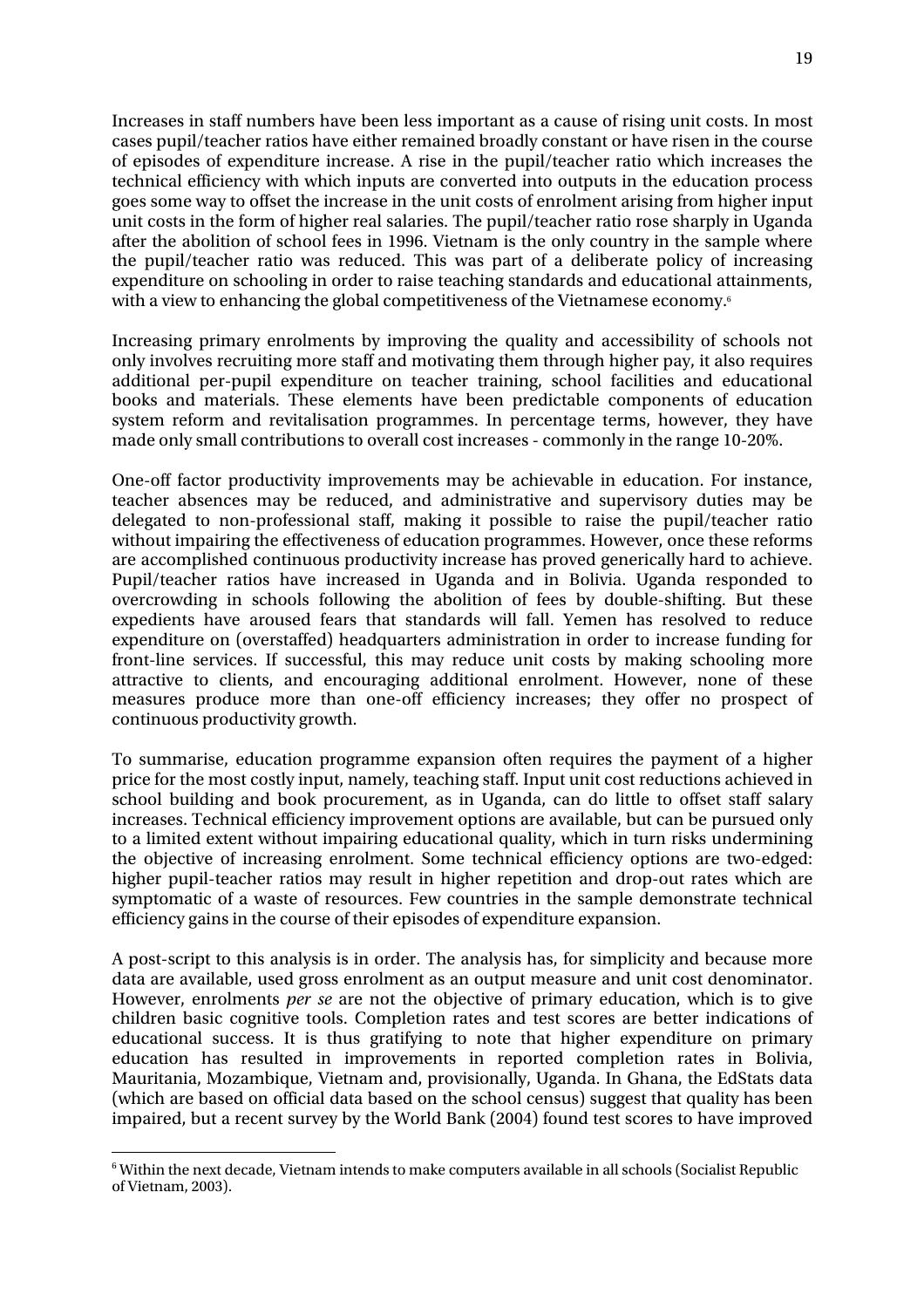Increases in staff numbers have been less important as a cause of rising unit costs. In most cases pupil/teacher ratios have either remained broadly constant or have risen in the course of episodes of expenditure increase. A rise in the pupil/teacher ratio which increases the technical efficiency with which inputs are converted into outputs in the education process goes some way to offset the increase in the unit costs of enrolment arising from higher input unit costs in the form of higher real salaries. The pupil/teacher ratio rose sharply in Uganda after the abolition of school fees in 1996. Vietnam is the only country in the sample where the pupil/teacher ratio was reduced. This was part of a deliberate policy of increasing expenditure on schooling in order to raise teaching standards and educational attainments, with a view to enhancing the global competitiveness of the Vietnamese economy.<sup>6</sup>

Increasing primary enrolments by improving the quality and accessibility of schools not only involves recruiting more staff and motivating them through higher pay, it also requires additional per-pupil expenditure on teacher training, school facilities and educational books and materials. These elements have been predictable components of education system reform and revitalisation programmes. In percentage terms, however, they have made only small contributions to overall cost increases - commonly in the range 10-20%.

One-off factor productivity improvements may be achievable in education. For instance, teacher absences may be reduced, and administrative and supervisory duties may be delegated to non-professional staff, making it possible to raise the pupil/teacher ratio without impairing the effectiveness of education programmes. However, once these reforms are accomplished continuous productivity increase has proved generically hard to achieve. Pupil/teacher ratios have increased in Uganda and in Bolivia. Uganda responded to overcrowding in schools following the abolition of fees by double-shifting. But these expedients have aroused fears that standards will fall. Yemen has resolved to reduce expenditure on (overstaffed) headquarters administration in order to increase funding for front-line services. If successful, this may reduce unit costs by making schooling more attractive to clients, and encouraging additional enrolment. However, none of these measures produce more than one-off efficiency increases; they offer no prospect of continuous productivity growth.

To summarise, education programme expansion often requires the payment of a higher price for the most costly input, namely, teaching staff. Input unit cost reductions achieved in school building and book procurement, as in Uganda, can do little to offset staff salary increases. Technical efficiency improvement options are available, but can be pursued only to a limited extent without impairing educational quality, which in turn risks undermining the objective of increasing enrolment. Some technical efficiency options are two-edged: higher pupil-teacher ratios may result in higher repetition and drop-out rates which are symptomatic of a waste of resources. Few countries in the sample demonstrate technical efficiency gains in the course of their episodes of expenditure expansion.

A post-script to this analysis is in order. The analysis has, for simplicity and because more data are available, used gross enrolment as an output measure and unit cost denominator. However, enrolments *per se* are not the objective of primary education, which is to give children basic cognitive tools. Completion rates and test scores are better indications of educational success. It is thus gratifying to note that higher expenditure on primary education has resulted in improvements in reported completion rates in Bolivia, Mauritania, Mozambique, Vietnam and, provisionally, Uganda. In Ghana, the EdStats data (which are based on official data based on the school census) suggest that quality has been impaired, but a recent survey by the World Bank (2004) found test scores to have improved

 $\overline{a}$ 

<sup>6</sup> Within the next decade, Vietnam intends to make computers available in all schools (Socialist Republic of Vietnam, 2003).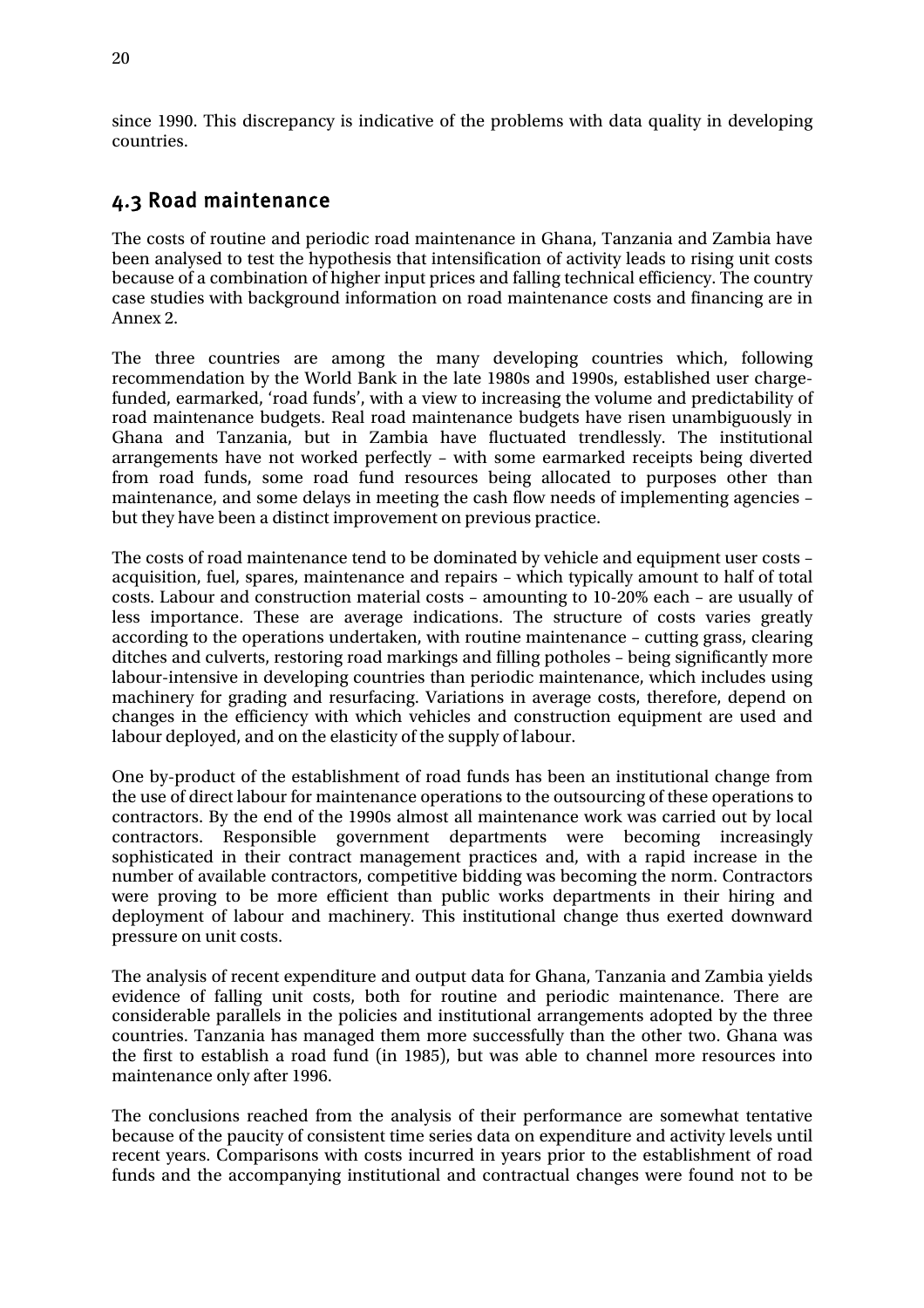since 1990. This discrepancy is indicative of the problems with data quality in developing countries.

## 4.3 Road maintenance

The costs of routine and periodic road maintenance in Ghana, Tanzania and Zambia have been analysed to test the hypothesis that intensification of activity leads to rising unit costs because of a combination of higher input prices and falling technical efficiency. The country case studies with background information on road maintenance costs and financing are in Annex 2.

The three countries are among the many developing countries which, following recommendation by the World Bank in the late 1980s and 1990s, established user chargefunded, earmarked, 'road funds', with a view to increasing the volume and predictability of road maintenance budgets. Real road maintenance budgets have risen unambiguously in Ghana and Tanzania, but in Zambia have fluctuated trendlessly. The institutional arrangements have not worked perfectly – with some earmarked receipts being diverted from road funds, some road fund resources being allocated to purposes other than maintenance, and some delays in meeting the cash flow needs of implementing agencies – but they have been a distinct improvement on previous practice.

The costs of road maintenance tend to be dominated by vehicle and equipment user costs – acquisition, fuel, spares, maintenance and repairs – which typically amount to half of total costs. Labour and construction material costs – amounting to 10-20% each – are usually of less importance. These are average indications. The structure of costs varies greatly according to the operations undertaken, with routine maintenance – cutting grass, clearing ditches and culverts, restoring road markings and filling potholes – being significantly more labour-intensive in developing countries than periodic maintenance, which includes using machinery for grading and resurfacing. Variations in average costs, therefore, depend on changes in the efficiency with which vehicles and construction equipment are used and labour deployed, and on the elasticity of the supply of labour.

One by-product of the establishment of road funds has been an institutional change from the use of direct labour for maintenance operations to the outsourcing of these operations to contractors. By the end of the 1990s almost all maintenance work was carried out by local contractors. Responsible government departments were becoming increasingly sophisticated in their contract management practices and, with a rapid increase in the number of available contractors, competitive bidding was becoming the norm. Contractors were proving to be more efficient than public works departments in their hiring and deployment of labour and machinery. This institutional change thus exerted downward pressure on unit costs.

The analysis of recent expenditure and output data for Ghana, Tanzania and Zambia yields evidence of falling unit costs, both for routine and periodic maintenance. There are considerable parallels in the policies and institutional arrangements adopted by the three countries. Tanzania has managed them more successfully than the other two. Ghana was the first to establish a road fund (in 1985), but was able to channel more resources into maintenance only after 1996.

The conclusions reached from the analysis of their performance are somewhat tentative because of the paucity of consistent time series data on expenditure and activity levels until recent years. Comparisons with costs incurred in years prior to the establishment of road funds and the accompanying institutional and contractual changes were found not to be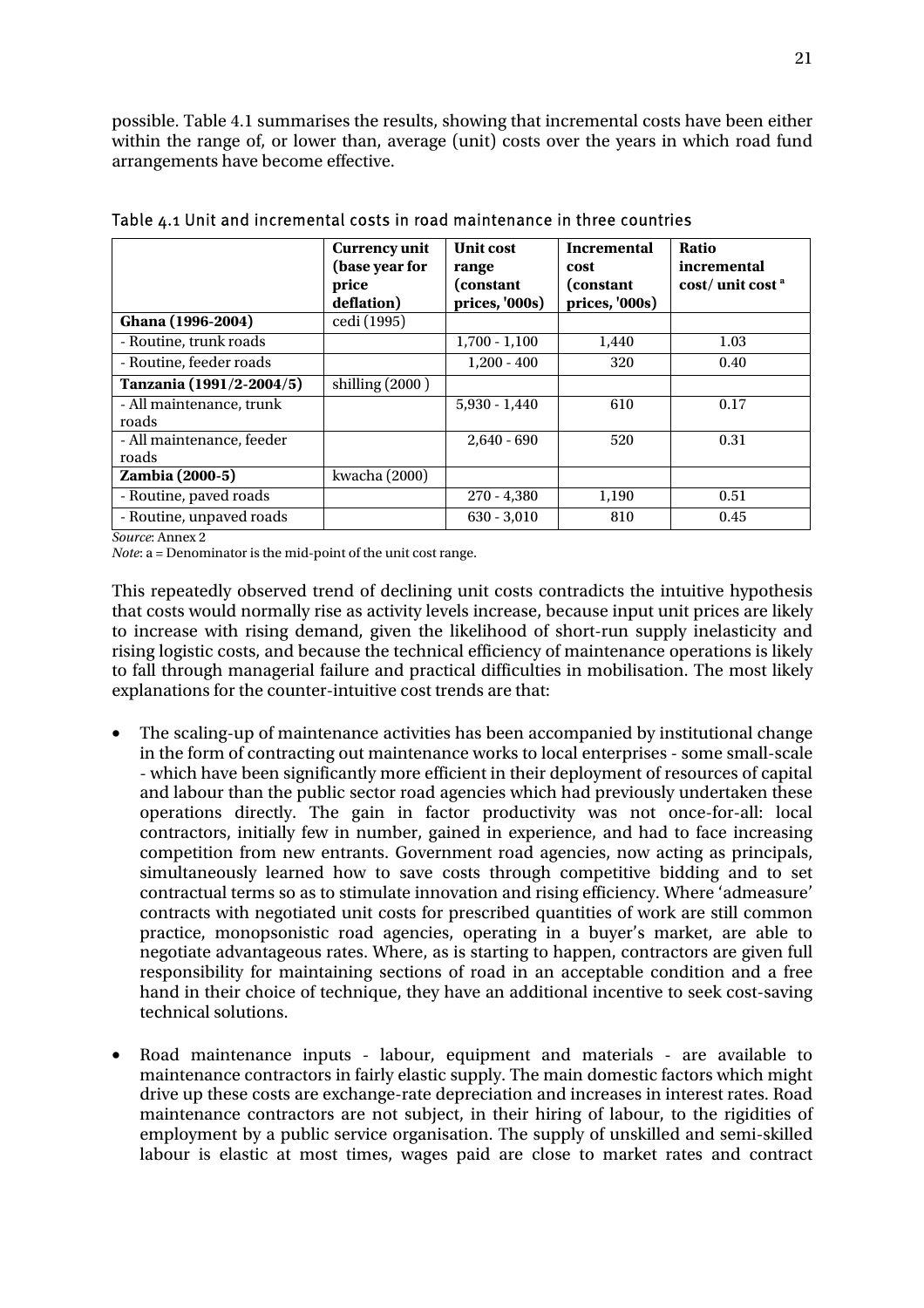possible. Table 4.1 summarises the results, showing that incremental costs have been either within the range of, or lower than, average (unit) costs over the years in which road fund arrangements have become effective.

|                                    | <b>Currency unit</b><br>(base year for<br>price<br>deflation) | <b>Unit cost</b><br>range<br>(constant<br>prices, '000s) | <b>Incremental</b><br>cost<br>(constant<br>prices, '000s) | Ratio<br>incremental<br>cost/unit cost <sup>a</sup> |
|------------------------------------|---------------------------------------------------------------|----------------------------------------------------------|-----------------------------------------------------------|-----------------------------------------------------|
| Ghana (1996-2004)                  | cedi (1995)                                                   |                                                          |                                                           |                                                     |
| - Routine, trunk roads             |                                                               | $1,700 - 1,100$                                          | 1,440                                                     | 1.03                                                |
| - Routine, feeder roads            |                                                               | $1,200 - 400$                                            | 320                                                       | 0.40                                                |
| Tanzania (1991/2-2004/5)           | shilling $(2000)$                                             |                                                          |                                                           |                                                     |
| - All maintenance, trunk<br>roads  |                                                               | $5,930 - 1,440$                                          | 610                                                       | 0.17                                                |
| - All maintenance, feeder<br>roads |                                                               | $2,640 - 690$                                            | 520                                                       | 0.31                                                |
| Zambia (2000-5)                    | kwacha (2000)                                                 |                                                          |                                                           |                                                     |
| - Routine, paved roads             |                                                               | $270 - 4,380$                                            | 1,190                                                     | 0.51                                                |
| - Routine, unpaved roads           |                                                               | $630 - 3,010$                                            | 810                                                       | 0.45                                                |

Table 4.1 Unit and incremental costs in road maintenance in three countries

*Source*: Annex 2

*Note*: a = Denominator is the mid-point of the unit cost range.

This repeatedly observed trend of declining unit costs contradicts the intuitive hypothesis that costs would normally rise as activity levels increase, because input unit prices are likely to increase with rising demand, given the likelihood of short-run supply inelasticity and rising logistic costs, and because the technical efficiency of maintenance operations is likely to fall through managerial failure and practical difficulties in mobilisation. The most likely explanations for the counter-intuitive cost trends are that:

- The scaling-up of maintenance activities has been accompanied by institutional change in the form of contracting out maintenance works to local enterprises - some small-scale - which have been significantly more efficient in their deployment of resources of capital and labour than the public sector road agencies which had previously undertaken these operations directly. The gain in factor productivity was not once-for-all: local contractors, initially few in number, gained in experience, and had to face increasing competition from new entrants. Government road agencies, now acting as principals, simultaneously learned how to save costs through competitive bidding and to set contractual terms so as to stimulate innovation and rising efficiency. Where 'admeasure' contracts with negotiated unit costs for prescribed quantities of work are still common practice, monopsonistic road agencies, operating in a buyer's market, are able to negotiate advantageous rates. Where, as is starting to happen, contractors are given full responsibility for maintaining sections of road in an acceptable condition and a free hand in their choice of technique, they have an additional incentive to seek cost-saving technical solutions.
- Road maintenance inputs labour, equipment and materials are available to maintenance contractors in fairly elastic supply. The main domestic factors which might drive up these costs are exchange-rate depreciation and increases in interest rates. Road maintenance contractors are not subject, in their hiring of labour, to the rigidities of employment by a public service organisation. The supply of unskilled and semi-skilled labour is elastic at most times, wages paid are close to market rates and contract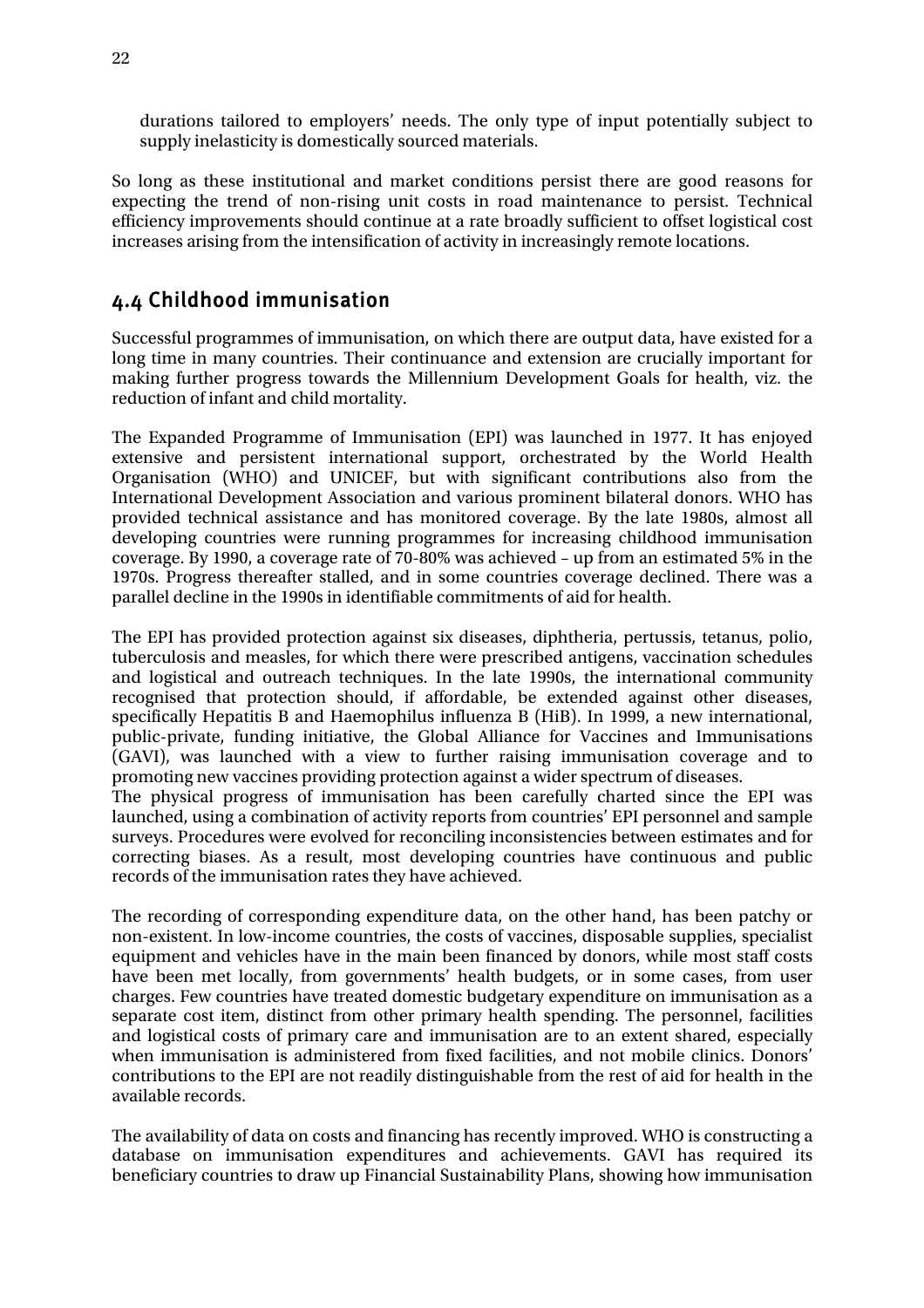durations tailored to employers' needs. The only type of input potentially subject to supply inelasticity is domestically sourced materials.

So long as these institutional and market conditions persist there are good reasons for expecting the trend of non-rising unit costs in road maintenance to persist. Technical efficiency improvements should continue at a rate broadly sufficient to offset logistical cost increases arising from the intensification of activity in increasingly remote locations.

## 4.4 Childhood immunisation

Successful programmes of immunisation, on which there are output data, have existed for a long time in many countries. Their continuance and extension are crucially important for making further progress towards the Millennium Development Goals for health, viz. the reduction of infant and child mortality.

The Expanded Programme of Immunisation (EPI) was launched in 1977. It has enjoyed extensive and persistent international support, orchestrated by the World Health Organisation (WHO) and UNICEF, but with significant contributions also from the International Development Association and various prominent bilateral donors. WHO has provided technical assistance and has monitored coverage. By the late 1980s, almost all developing countries were running programmes for increasing childhood immunisation coverage. By 1990, a coverage rate of 70-80% was achieved – up from an estimated 5% in the 1970s. Progress thereafter stalled, and in some countries coverage declined. There was a parallel decline in the 1990s in identifiable commitments of aid for health.

The EPI has provided protection against six diseases, diphtheria, pertussis, tetanus, polio, tuberculosis and measles, for which there were prescribed antigens, vaccination schedules and logistical and outreach techniques. In the late 1990s, the international community recognised that protection should, if affordable, be extended against other diseases, specifically Hepatitis B and Haemophilus influenza B (HiB). In 1999, a new international, public-private, funding initiative, the Global Alliance for Vaccines and Immunisations (GAVI), was launched with a view to further raising immunisation coverage and to promoting new vaccines providing protection against a wider spectrum of diseases.

The physical progress of immunisation has been carefully charted since the EPI was launched, using a combination of activity reports from countries' EPI personnel and sample surveys. Procedures were evolved for reconciling inconsistencies between estimates and for correcting biases. As a result, most developing countries have continuous and public records of the immunisation rates they have achieved.

The recording of corresponding expenditure data, on the other hand, has been patchy or non-existent. In low-income countries, the costs of vaccines, disposable supplies, specialist equipment and vehicles have in the main been financed by donors, while most staff costs have been met locally, from governments' health budgets, or in some cases, from user charges. Few countries have treated domestic budgetary expenditure on immunisation as a separate cost item, distinct from other primary health spending. The personnel, facilities and logistical costs of primary care and immunisation are to an extent shared, especially when immunisation is administered from fixed facilities, and not mobile clinics. Donors' contributions to the EPI are not readily distinguishable from the rest of aid for health in the available records.

The availability of data on costs and financing has recently improved. WHO is constructing a database on immunisation expenditures and achievements. GAVI has required its beneficiary countries to draw up Financial Sustainability Plans, showing how immunisation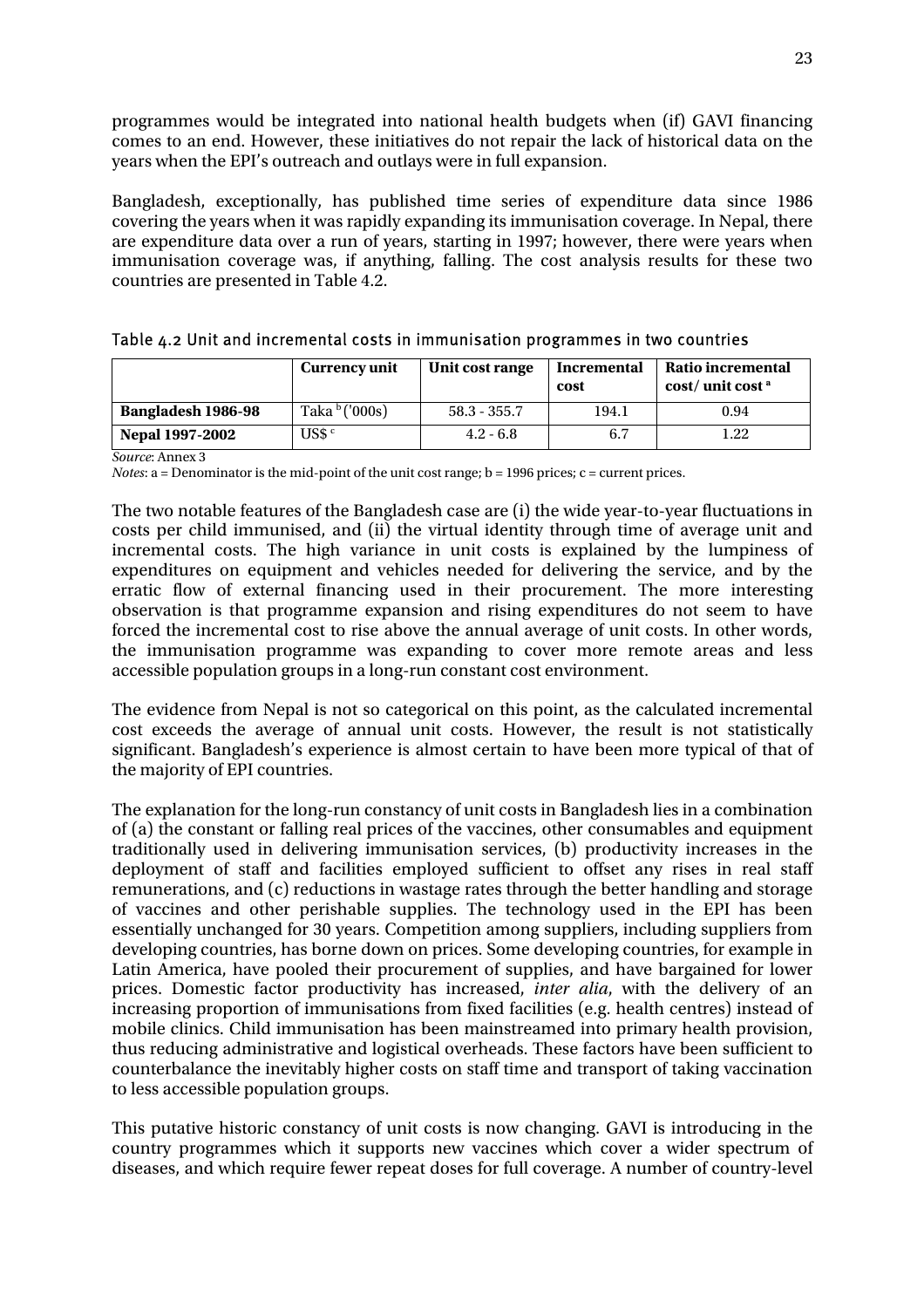programmes would be integrated into national health budgets when (if) GAVI financing comes to an end. However, these initiatives do not repair the lack of historical data on the years when the EPI's outreach and outlays were in full expansion.

Bangladesh, exceptionally, has published time series of expenditure data since 1986 covering the years when it was rapidly expanding its immunisation coverage. In Nepal, there are expenditure data over a run of years, starting in 1997; however, there were years when immunisation coverage was, if anything, falling. The cost analysis results for these two countries are presented in Table 4.2.

|                        | <b>Currency unit</b>   | Unit cost range | Incremental<br>cost | Ratio incremental<br>$\cos t /$ unit cost $\alpha$ |
|------------------------|------------------------|-----------------|---------------------|----------------------------------------------------|
| Bangladesh 1986-98     | Taka $\frac{b}{1000s}$ | $58.3 - 355.7$  | 194.1               | 0.94                                               |
| <b>Nepal 1997-2002</b> | US\$ <sup>c</sup>      | $4.2 - 6.8$     | 6.7                 | 1.22                                               |

*Source*: Annex 3

*Notes*: a = Denominator is the mid-point of the unit cost range; b = 1996 prices; c = current prices.

The two notable features of the Bangladesh case are (i) the wide year-to-year fluctuations in costs per child immunised, and (ii) the virtual identity through time of average unit and incremental costs. The high variance in unit costs is explained by the lumpiness of expenditures on equipment and vehicles needed for delivering the service, and by the erratic flow of external financing used in their procurement. The more interesting observation is that programme expansion and rising expenditures do not seem to have forced the incremental cost to rise above the annual average of unit costs. In other words, the immunisation programme was expanding to cover more remote areas and less accessible population groups in a long-run constant cost environment.

The evidence from Nepal is not so categorical on this point, as the calculated incremental cost exceeds the average of annual unit costs. However, the result is not statistically significant. Bangladesh's experience is almost certain to have been more typical of that of the majority of EPI countries.

The explanation for the long-run constancy of unit costs in Bangladesh lies in a combination of (a) the constant or falling real prices of the vaccines, other consumables and equipment traditionally used in delivering immunisation services, (b) productivity increases in the deployment of staff and facilities employed sufficient to offset any rises in real staff remunerations, and (c) reductions in wastage rates through the better handling and storage of vaccines and other perishable supplies. The technology used in the EPI has been essentially unchanged for 30 years. Competition among suppliers, including suppliers from developing countries, has borne down on prices. Some developing countries, for example in Latin America, have pooled their procurement of supplies, and have bargained for lower prices. Domestic factor productivity has increased, *inter alia*, with the delivery of an increasing proportion of immunisations from fixed facilities (e.g. health centres) instead of mobile clinics. Child immunisation has been mainstreamed into primary health provision, thus reducing administrative and logistical overheads. These factors have been sufficient to counterbalance the inevitably higher costs on staff time and transport of taking vaccination to less accessible population groups.

This putative historic constancy of unit costs is now changing. GAVI is introducing in the country programmes which it supports new vaccines which cover a wider spectrum of diseases, and which require fewer repeat doses for full coverage. A number of country-level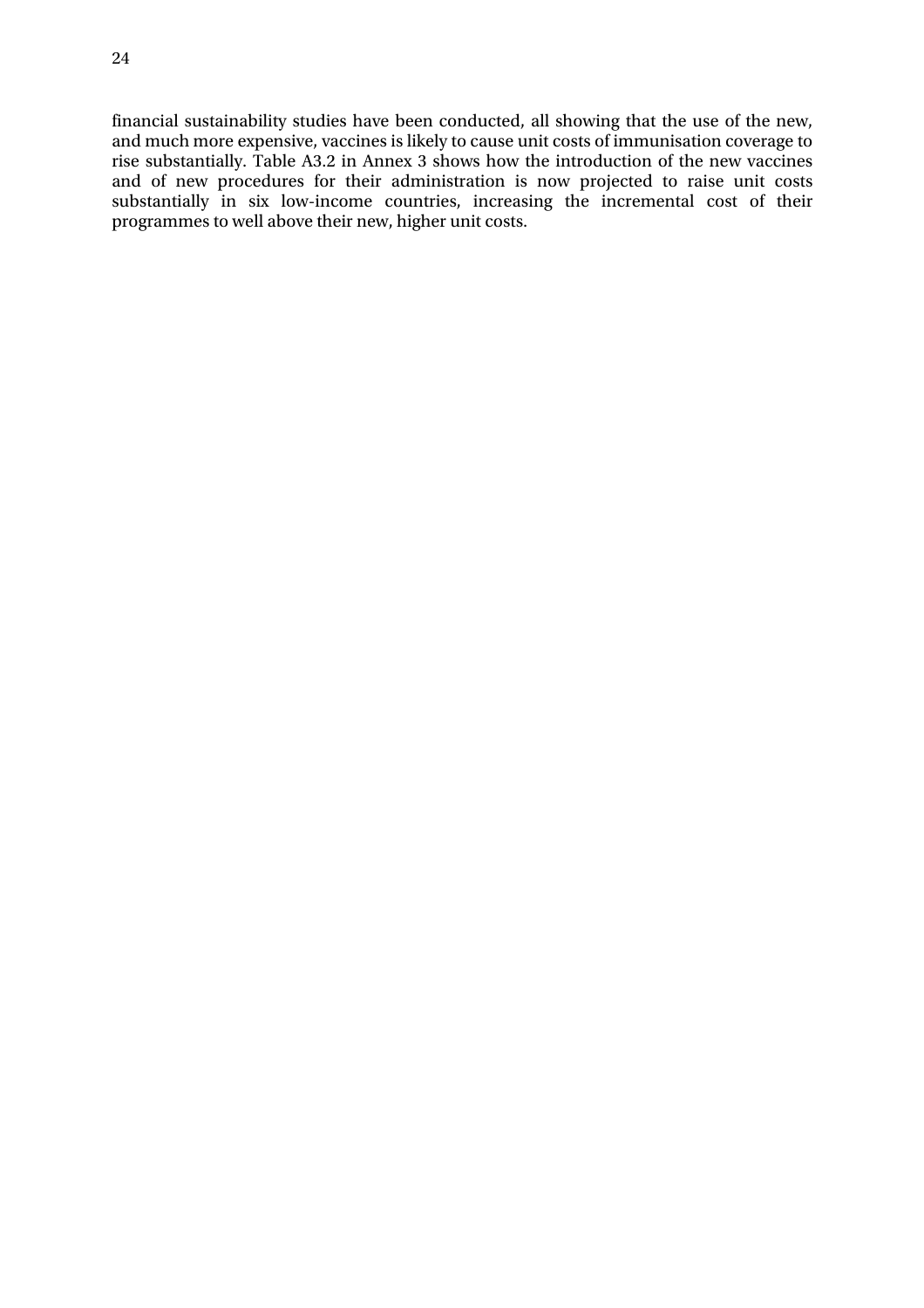financial sustainability studies have been conducted, all showing that the use of the new, and much more expensive, vaccines is likely to cause unit costs of immunisation coverage to rise substantially. Table A3.2 in Annex 3 shows how the introduction of the new vaccines and of new procedures for their administration is now projected to raise unit costs substantially in six low-income countries, increasing the incremental cost of their programmes to well above their new, higher unit costs.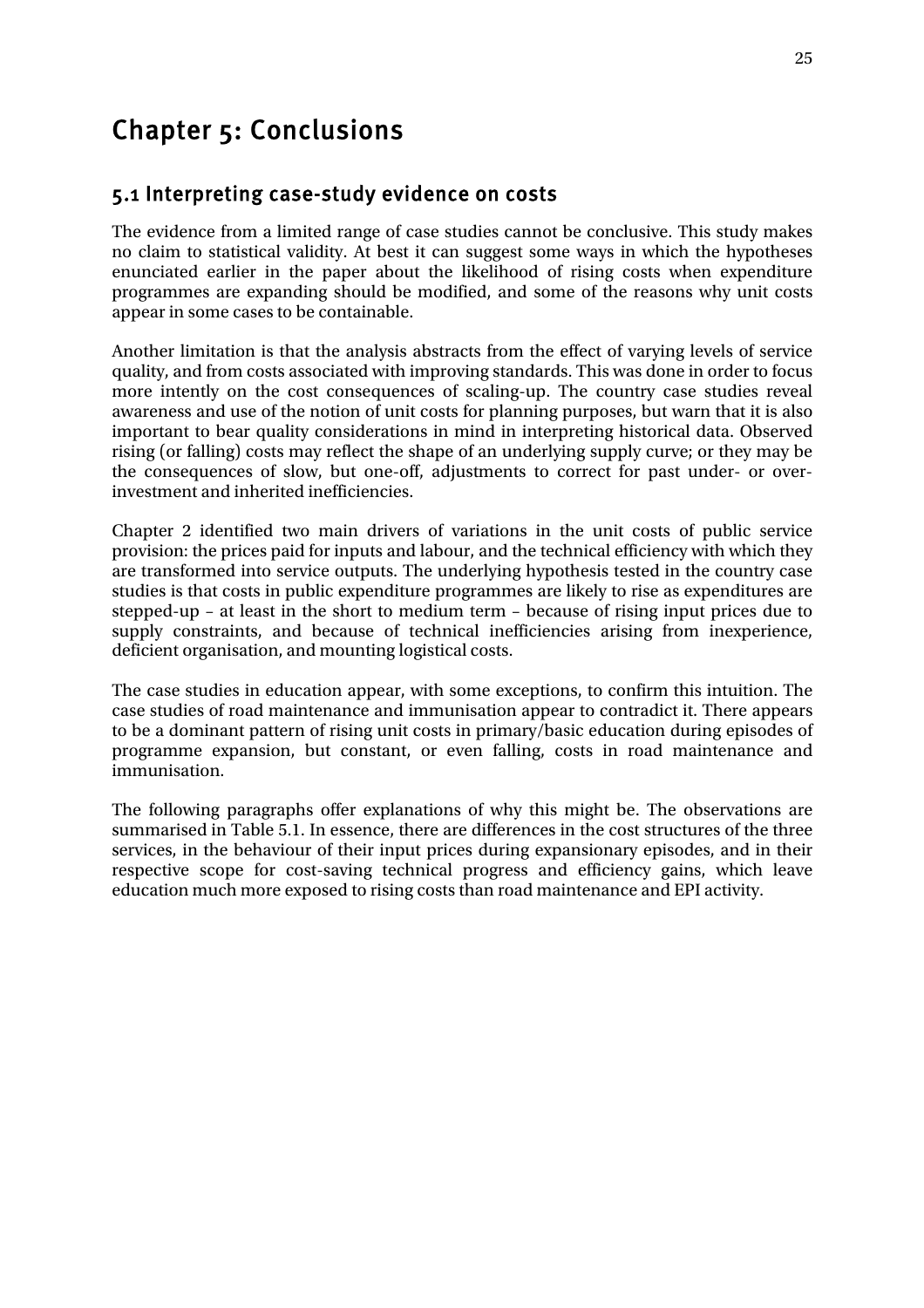## Chapter 5: Conclusions

### 5.1 Interpreting case-study evidence on costs

The evidence from a limited range of case studies cannot be conclusive. This study makes no claim to statistical validity. At best it can suggest some ways in which the hypotheses enunciated earlier in the paper about the likelihood of rising costs when expenditure programmes are expanding should be modified, and some of the reasons why unit costs appear in some cases to be containable.

Another limitation is that the analysis abstracts from the effect of varying levels of service quality, and from costs associated with improving standards. This was done in order to focus more intently on the cost consequences of scaling-up. The country case studies reveal awareness and use of the notion of unit costs for planning purposes, but warn that it is also important to bear quality considerations in mind in interpreting historical data. Observed rising (or falling) costs may reflect the shape of an underlying supply curve; or they may be the consequences of slow, but one-off, adjustments to correct for past under- or overinvestment and inherited inefficiencies.

Chapter 2 identified two main drivers of variations in the unit costs of public service provision: the prices paid for inputs and labour, and the technical efficiency with which they are transformed into service outputs. The underlying hypothesis tested in the country case studies is that costs in public expenditure programmes are likely to rise as expenditures are stepped-up – at least in the short to medium term – because of rising input prices due to supply constraints, and because of technical inefficiencies arising from inexperience, deficient organisation, and mounting logistical costs.

The case studies in education appear, with some exceptions, to confirm this intuition. The case studies of road maintenance and immunisation appear to contradict it. There appears to be a dominant pattern of rising unit costs in primary/basic education during episodes of programme expansion, but constant, or even falling, costs in road maintenance and immunisation.

The following paragraphs offer explanations of why this might be. The observations are summarised in Table 5.1. In essence, there are differences in the cost structures of the three services, in the behaviour of their input prices during expansionary episodes, and in their respective scope for cost-saving technical progress and efficiency gains, which leave education much more exposed to rising costs than road maintenance and EPI activity.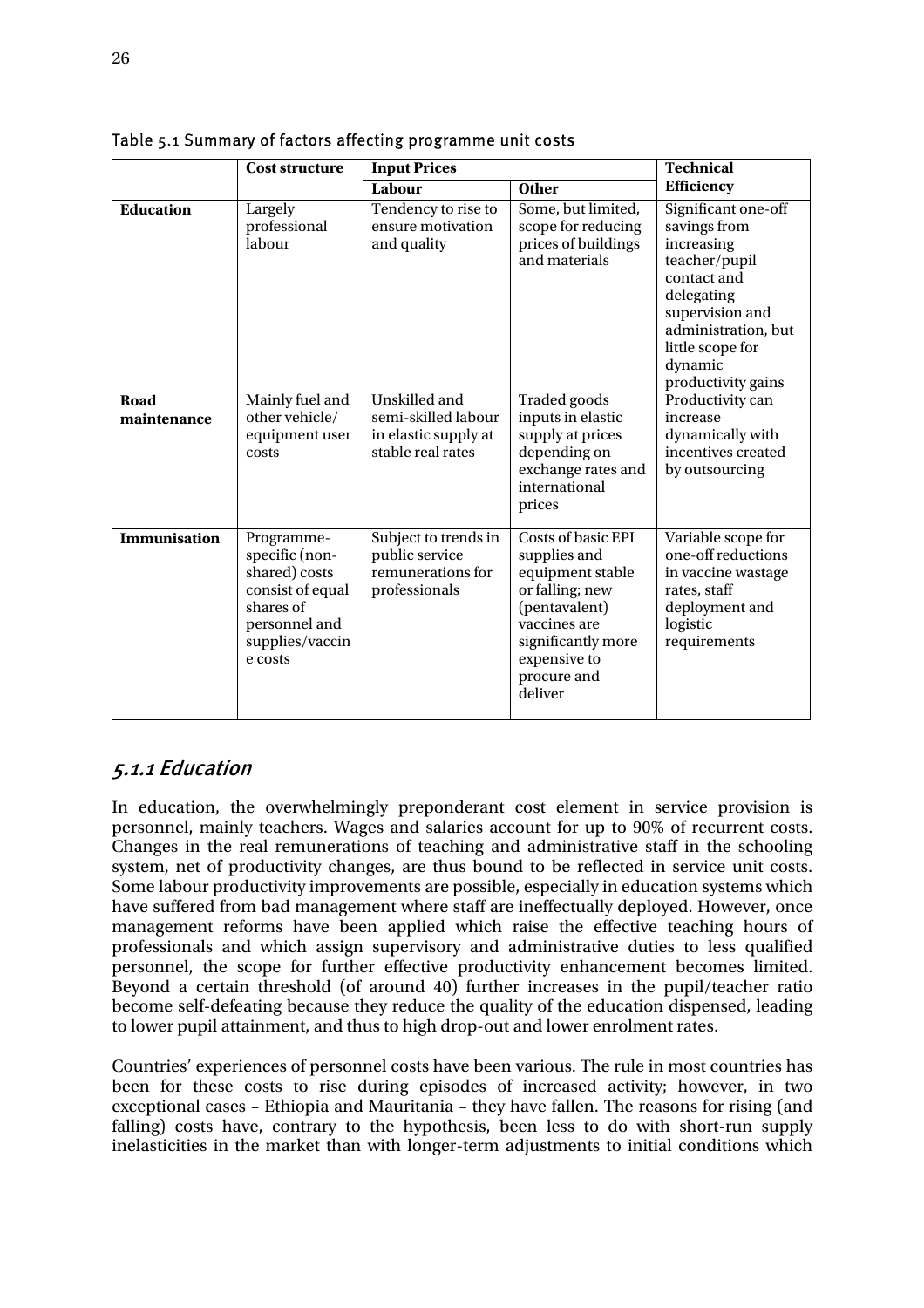|                     | <b>Cost structure</b>                                                                                                         | <b>Input Prices</b>                                                               |                                                                                                                                                                                   | <b>Technical</b>                                                                                                                                                                               |
|---------------------|-------------------------------------------------------------------------------------------------------------------------------|-----------------------------------------------------------------------------------|-----------------------------------------------------------------------------------------------------------------------------------------------------------------------------------|------------------------------------------------------------------------------------------------------------------------------------------------------------------------------------------------|
|                     |                                                                                                                               | Labour                                                                            | <b>Other</b>                                                                                                                                                                      | <b>Efficiency</b>                                                                                                                                                                              |
| <b>Education</b>    | Largely<br>professional<br>labour                                                                                             | Tendency to rise to<br>ensure motivation<br>and quality                           | Some, but limited,<br>scope for reducing<br>prices of buildings<br>and materials                                                                                                  | Significant one-off<br>savings from<br>increasing<br>teacher/pupil<br>contact and<br>delegating<br>supervision and<br>administration, but<br>little scope for<br>dynamic<br>productivity gains |
| Road<br>maintenance | Mainly fuel and<br>other vehicle/<br>equipment user<br>costs                                                                  | Unskilled and<br>semi-skilled labour<br>in elastic supply at<br>stable real rates | Traded goods<br>inputs in elastic<br>supply at prices<br>depending on<br>exchange rates and<br>international<br>prices                                                            | Productivity can<br>increase<br>dynamically with<br>incentives created<br>by outsourcing                                                                                                       |
| Immunisation        | Programme-<br>specific (non-<br>shared) costs<br>consist of equal<br>shares of<br>personnel and<br>supplies/vaccin<br>e costs | Subject to trends in<br>public service<br>remunerations for<br>professionals      | <b>Costs of basic EPI</b><br>supplies and<br>equipment stable<br>or falling; new<br>(pentavalent)<br>vaccines are<br>significantly more<br>expensive to<br>procure and<br>deliver | Variable scope for<br>one-off reductions<br>in vaccine wastage<br>rates, staff<br>deployment and<br>logistic<br>requirements                                                                   |

Table 5.1 Summary of factors affecting programme unit costs

### 5.1.1 Education

In education, the overwhelmingly preponderant cost element in service provision is personnel, mainly teachers. Wages and salaries account for up to 90% of recurrent costs. Changes in the real remunerations of teaching and administrative staff in the schooling system, net of productivity changes, are thus bound to be reflected in service unit costs. Some labour productivity improvements are possible, especially in education systems which have suffered from bad management where staff are ineffectually deployed. However, once management reforms have been applied which raise the effective teaching hours of professionals and which assign supervisory and administrative duties to less qualified personnel, the scope for further effective productivity enhancement becomes limited. Beyond a certain threshold (of around 40) further increases in the pupil/teacher ratio become self-defeating because they reduce the quality of the education dispensed, leading to lower pupil attainment, and thus to high drop-out and lower enrolment rates.

Countries' experiences of personnel costs have been various. The rule in most countries has been for these costs to rise during episodes of increased activity; however, in two exceptional cases – Ethiopia and Mauritania – they have fallen. The reasons for rising (and falling) costs have, contrary to the hypothesis, been less to do with short-run supply inelasticities in the market than with longer-term adjustments to initial conditions which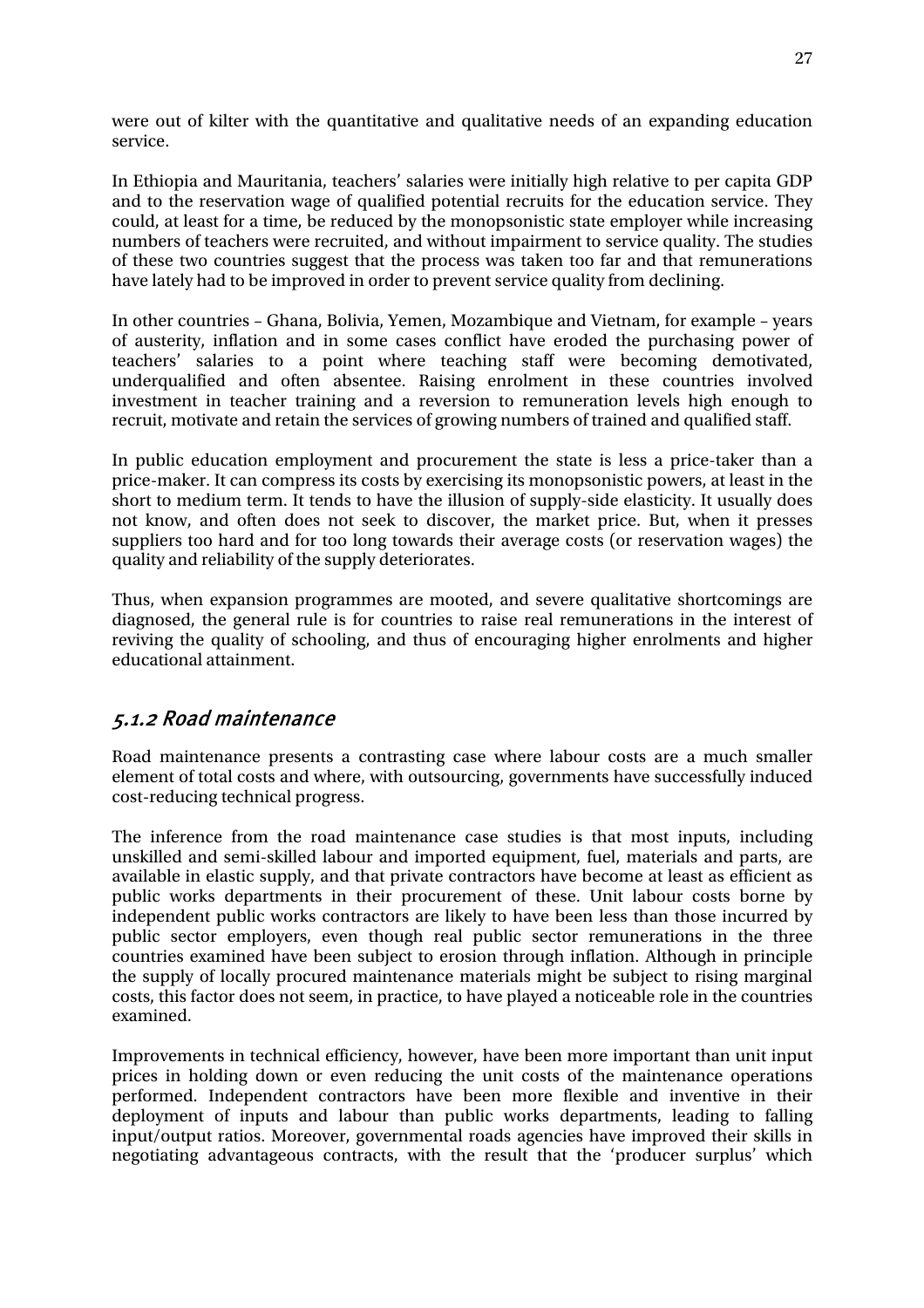were out of kilter with the quantitative and qualitative needs of an expanding education service.

In Ethiopia and Mauritania, teachers' salaries were initially high relative to per capita GDP and to the reservation wage of qualified potential recruits for the education service. They could, at least for a time, be reduced by the monopsonistic state employer while increasing numbers of teachers were recruited, and without impairment to service quality. The studies of these two countries suggest that the process was taken too far and that remunerations have lately had to be improved in order to prevent service quality from declining.

In other countries – Ghana, Bolivia, Yemen, Mozambique and Vietnam, for example – years of austerity, inflation and in some cases conflict have eroded the purchasing power of teachers' salaries to a point where teaching staff were becoming demotivated, underqualified and often absentee. Raising enrolment in these countries involved investment in teacher training and a reversion to remuneration levels high enough to recruit, motivate and retain the services of growing numbers of trained and qualified staff.

In public education employment and procurement the state is less a price-taker than a price-maker. It can compress its costs by exercising its monopsonistic powers, at least in the short to medium term. It tends to have the illusion of supply-side elasticity. It usually does not know, and often does not seek to discover, the market price. But, when it presses suppliers too hard and for too long towards their average costs (or reservation wages) the quality and reliability of the supply deteriorates.

Thus, when expansion programmes are mooted, and severe qualitative shortcomings are diagnosed, the general rule is for countries to raise real remunerations in the interest of reviving the quality of schooling, and thus of encouraging higher enrolments and higher educational attainment.

### 5.1.2 Road maintenance

Road maintenance presents a contrasting case where labour costs are a much smaller element of total costs and where, with outsourcing, governments have successfully induced cost-reducing technical progress.

The inference from the road maintenance case studies is that most inputs, including unskilled and semi-skilled labour and imported equipment, fuel, materials and parts, are available in elastic supply, and that private contractors have become at least as efficient as public works departments in their procurement of these. Unit labour costs borne by independent public works contractors are likely to have been less than those incurred by public sector employers, even though real public sector remunerations in the three countries examined have been subject to erosion through inflation. Although in principle the supply of locally procured maintenance materials might be subject to rising marginal costs, this factor does not seem, in practice, to have played a noticeable role in the countries examined.

Improvements in technical efficiency, however, have been more important than unit input prices in holding down or even reducing the unit costs of the maintenance operations performed. Independent contractors have been more flexible and inventive in their deployment of inputs and labour than public works departments, leading to falling input/output ratios. Moreover, governmental roads agencies have improved their skills in negotiating advantageous contracts, with the result that the 'producer surplus' which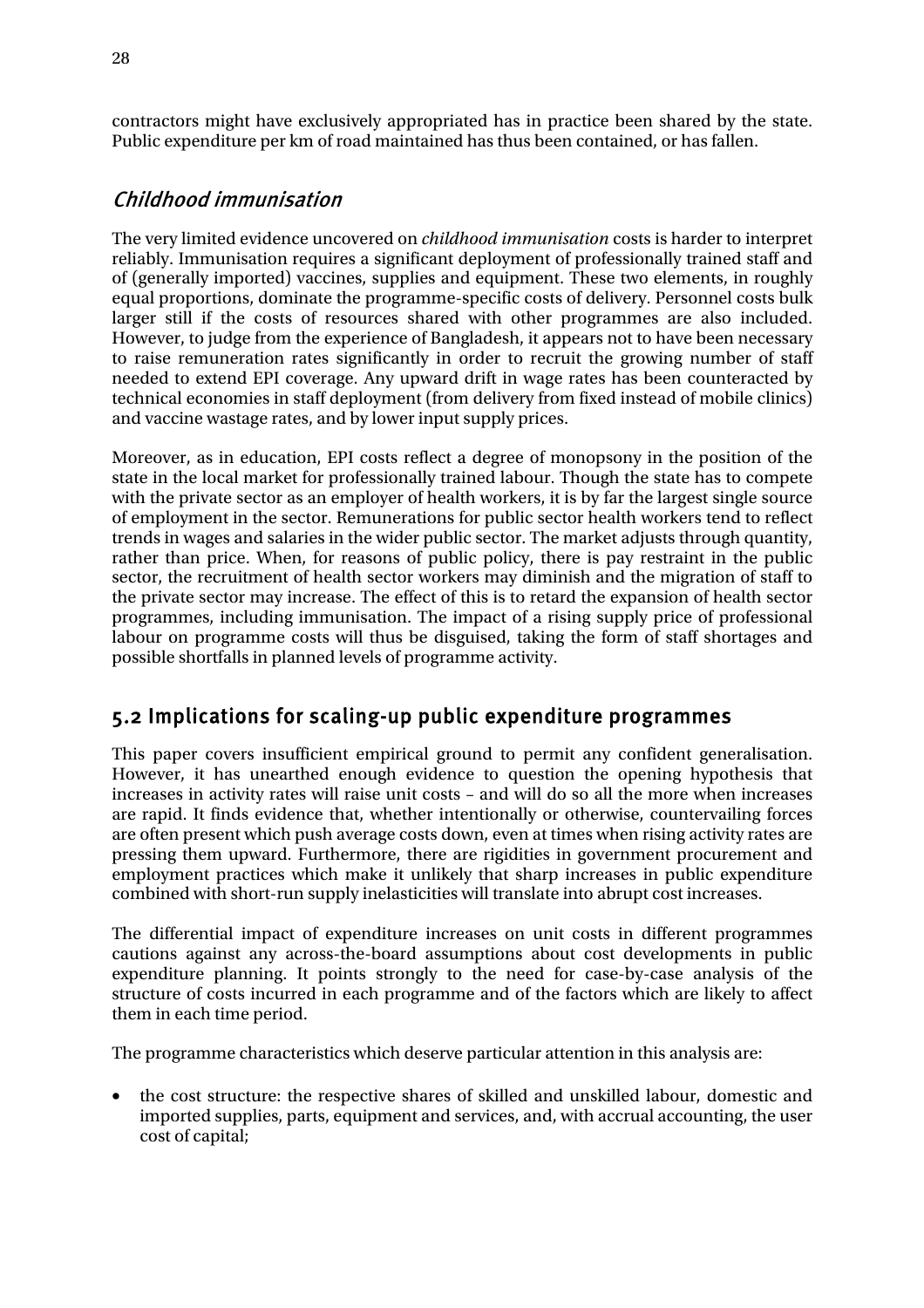contractors might have exclusively appropriated has in practice been shared by the state. Public expenditure per km of road maintained has thus been contained, or has fallen.

### Childhood immunisation

The very limited evidence uncovered on *childhood immunisation* costs is harder to interpret reliably. Immunisation requires a significant deployment of professionally trained staff and of (generally imported) vaccines, supplies and equipment. These two elements, in roughly equal proportions, dominate the programme-specific costs of delivery. Personnel costs bulk larger still if the costs of resources shared with other programmes are also included. However, to judge from the experience of Bangladesh, it appears not to have been necessary to raise remuneration rates significantly in order to recruit the growing number of staff needed to extend EPI coverage. Any upward drift in wage rates has been counteracted by technical economies in staff deployment (from delivery from fixed instead of mobile clinics) and vaccine wastage rates, and by lower input supply prices.

Moreover, as in education, EPI costs reflect a degree of monopsony in the position of the state in the local market for professionally trained labour. Though the state has to compete with the private sector as an employer of health workers, it is by far the largest single source of employment in the sector. Remunerations for public sector health workers tend to reflect trends in wages and salaries in the wider public sector. The market adjusts through quantity, rather than price. When, for reasons of public policy, there is pay restraint in the public sector, the recruitment of health sector workers may diminish and the migration of staff to the private sector may increase. The effect of this is to retard the expansion of health sector programmes, including immunisation. The impact of a rising supply price of professional labour on programme costs will thus be disguised, taking the form of staff shortages and possible shortfalls in planned levels of programme activity.

### 5.2 Implications for scaling-up public expenditure programmes

This paper covers insufficient empirical ground to permit any confident generalisation. However, it has unearthed enough evidence to question the opening hypothesis that increases in activity rates will raise unit costs – and will do so all the more when increases are rapid. It finds evidence that, whether intentionally or otherwise, countervailing forces are often present which push average costs down, even at times when rising activity rates are pressing them upward. Furthermore, there are rigidities in government procurement and employment practices which make it unlikely that sharp increases in public expenditure combined with short-run supply inelasticities will translate into abrupt cost increases.

The differential impact of expenditure increases on unit costs in different programmes cautions against any across-the-board assumptions about cost developments in public expenditure planning. It points strongly to the need for case-by-case analysis of the structure of costs incurred in each programme and of the factors which are likely to affect them in each time period.

The programme characteristics which deserve particular attention in this analysis are:

• the cost structure: the respective shares of skilled and unskilled labour, domestic and imported supplies, parts, equipment and services, and, with accrual accounting, the user cost of capital;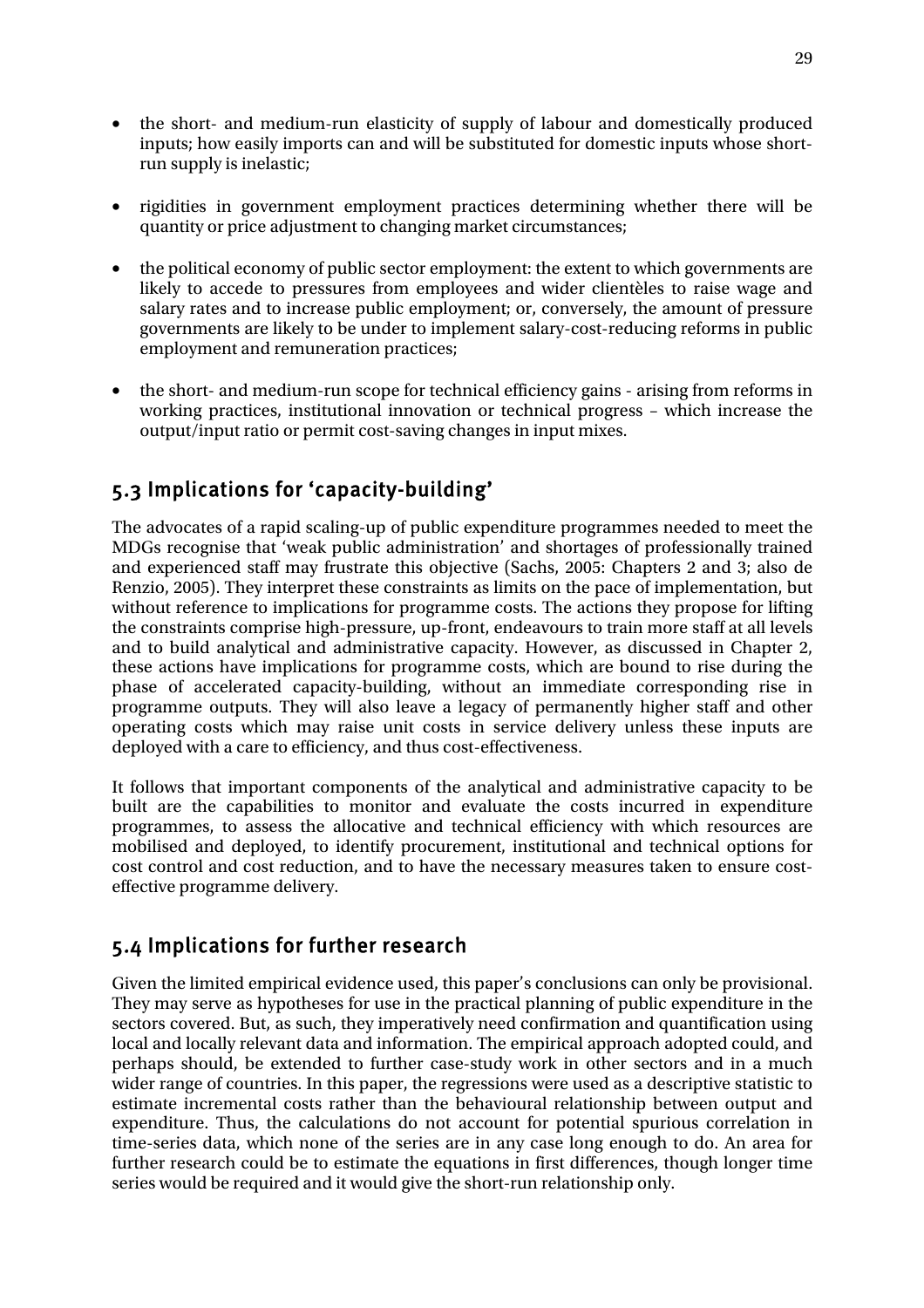- the short- and medium-run elasticity of supply of labour and domestically produced inputs; how easily imports can and will be substituted for domestic inputs whose shortrun supply is inelastic;
- rigidities in government employment practices determining whether there will be quantity or price adjustment to changing market circumstances;
- the political economy of public sector employment: the extent to which governments are likely to accede to pressures from employees and wider clientèles to raise wage and salary rates and to increase public employment; or, conversely, the amount of pressure governments are likely to be under to implement salary-cost-reducing reforms in public employment and remuneration practices;
- the short- and medium-run scope for technical efficiency gains arising from reforms in working practices, institutional innovation or technical progress – which increase the output/input ratio or permit cost-saving changes in input mixes.

## 5.3 Implications for 'capacity-building'

The advocates of a rapid scaling-up of public expenditure programmes needed to meet the MDGs recognise that 'weak public administration' and shortages of professionally trained and experienced staff may frustrate this objective (Sachs, 2005: Chapters 2 and 3; also de Renzio, 2005). They interpret these constraints as limits on the pace of implementation, but without reference to implications for programme costs. The actions they propose for lifting the constraints comprise high-pressure, up-front, endeavours to train more staff at all levels and to build analytical and administrative capacity. However, as discussed in Chapter 2, these actions have implications for programme costs, which are bound to rise during the phase of accelerated capacity-building, without an immediate corresponding rise in programme outputs. They will also leave a legacy of permanently higher staff and other operating costs which may raise unit costs in service delivery unless these inputs are deployed with a care to efficiency, and thus cost-effectiveness.

It follows that important components of the analytical and administrative capacity to be built are the capabilities to monitor and evaluate the costs incurred in expenditure programmes, to assess the allocative and technical efficiency with which resources are mobilised and deployed, to identify procurement, institutional and technical options for cost control and cost reduction, and to have the necessary measures taken to ensure costeffective programme delivery.

### 5.4 Implications for further research

Given the limited empirical evidence used, this paper's conclusions can only be provisional. They may serve as hypotheses for use in the practical planning of public expenditure in the sectors covered. But, as such, they imperatively need confirmation and quantification using local and locally relevant data and information. The empirical approach adopted could, and perhaps should, be extended to further case-study work in other sectors and in a much wider range of countries. In this paper, the regressions were used as a descriptive statistic to estimate incremental costs rather than the behavioural relationship between output and expenditure. Thus, the calculations do not account for potential spurious correlation in time-series data, which none of the series are in any case long enough to do. An area for further research could be to estimate the equations in first differences, though longer time series would be required and it would give the short-run relationship only.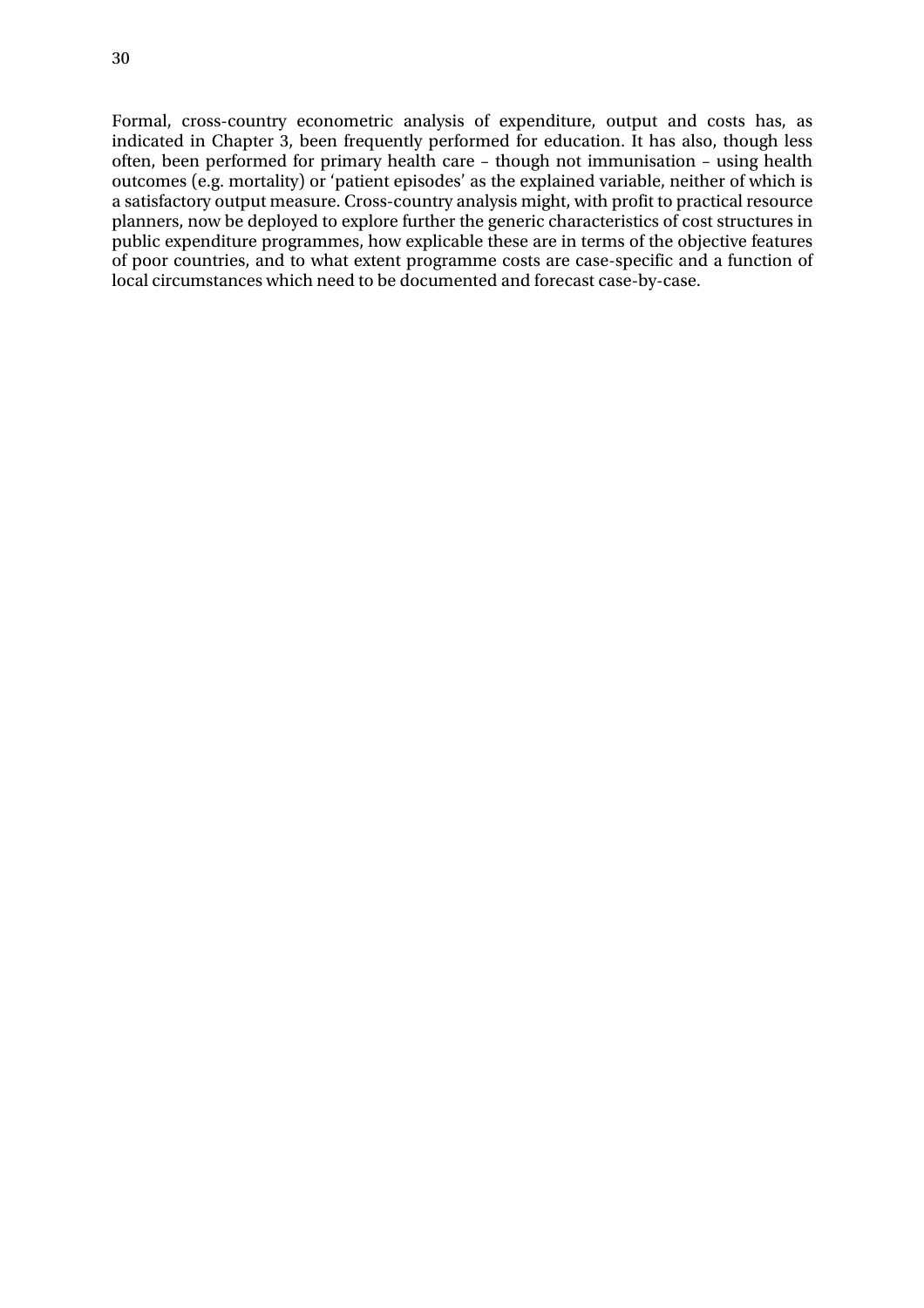Formal, cross-country econometric analysis of expenditure, output and costs has, as indicated in Chapter 3, been frequently performed for education. It has also, though less often, been performed for primary health care – though not immunisation – using health outcomes (e.g. mortality) or 'patient episodes' as the explained variable, neither of which is a satisfactory output measure. Cross-country analysis might, with profit to practical resource planners, now be deployed to explore further the generic characteristics of cost structures in public expenditure programmes, how explicable these are in terms of the objective features of poor countries, and to what extent programme costs are case-specific and a function of local circumstances which need to be documented and forecast case-by-case.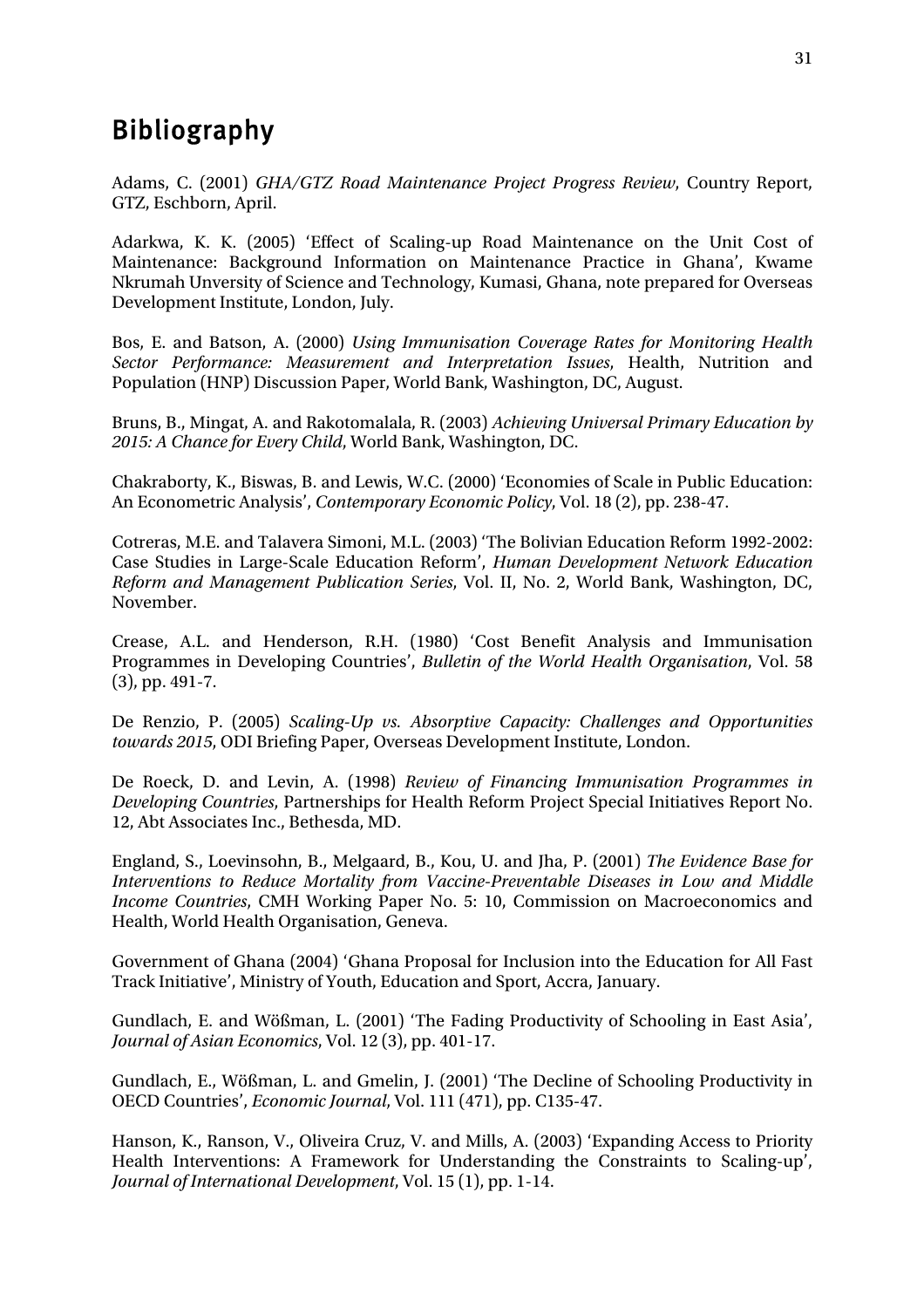# Bibliography

Adams, C. (2001) *GHA/GTZ Road Maintenance Project Progress Review*, Country Report, GTZ, Eschborn, April.

Adarkwa, K. K. (2005) 'Effect of Scaling-up Road Maintenance on the Unit Cost of Maintenance: Background Information on Maintenance Practice in Ghana', Kwame Nkrumah Unversity of Science and Technology, Kumasi, Ghana, note prepared for Overseas Development Institute, London, July.

Bos, E. and Batson, A. (2000) *Using Immunisation Coverage Rates for Monitoring Health Sector Performance: Measurement and Interpretation Issues*, Health, Nutrition and Population (HNP) Discussion Paper, World Bank, Washington, DC, August.

Bruns, B., Mingat, A. and Rakotomalala, R. (2003) *Achieving Universal Primary Education by 2015: A Chance for Every Child*, World Bank, Washington, DC.

Chakraborty, K., Biswas, B. and Lewis, W.C. (2000) 'Economies of Scale in Public Education: An Econometric Analysis', *Contemporary Economic Policy*, Vol. 18 (2), pp. 238-47.

Cotreras, M.E. and Talavera Simoni, M.L. (2003) 'The Bolivian Education Reform 1992-2002: Case Studies in Large-Scale Education Reform', *Human Development Network Education Reform and Management Publication Series*, Vol. II, No. 2, World Bank, Washington, DC, November.

Crease, A.L. and Henderson, R.H. (1980) 'Cost Benefit Analysis and Immunisation Programmes in Developing Countries', *Bulletin of the World Health Organisation*, Vol. 58 (3), pp. 491-7.

De Renzio, P. (2005) *Scaling-Up vs. Absorptive Capacity: Challenges and Opportunities towards 2015*, ODI Briefing Paper, Overseas Development Institute, London.

De Roeck, D. and Levin, A. (1998) *Review of Financing Immunisation Programmes in Developing Countries*, Partnerships for Health Reform Project Special Initiatives Report No. 12, Abt Associates Inc., Bethesda, MD.

England, S., Loevinsohn, B., Melgaard, B., Kou, U. and Jha, P. (2001) *The Evidence Base for Interventions to Reduce Mortality from Vaccine-Preventable Diseases in Low and Middle Income Countries*, CMH Working Paper No. 5: 10, Commission on Macroeconomics and Health, World Health Organisation, Geneva.

Government of Ghana (2004) 'Ghana Proposal for Inclusion into the Education for All Fast Track Initiative', Ministry of Youth, Education and Sport, Accra, January.

Gundlach, E. and Wößman, L. (2001) 'The Fading Productivity of Schooling in East Asia', *Journal of Asian Economics*, Vol. 12 (3), pp. 401-17.

Gundlach, E., Wößman, L. and Gmelin, J. (2001) 'The Decline of Schooling Productivity in OECD Countries', *Economic Journal*, Vol. 111 (471), pp. C135-47.

Hanson, K., Ranson, V., Oliveira Cruz, V. and Mills, A. (2003) 'Expanding Access to Priority Health Interventions: A Framework for Understanding the Constraints to Scaling-up', *Journal of International Development*, Vol. 15 (1), pp. 1-14.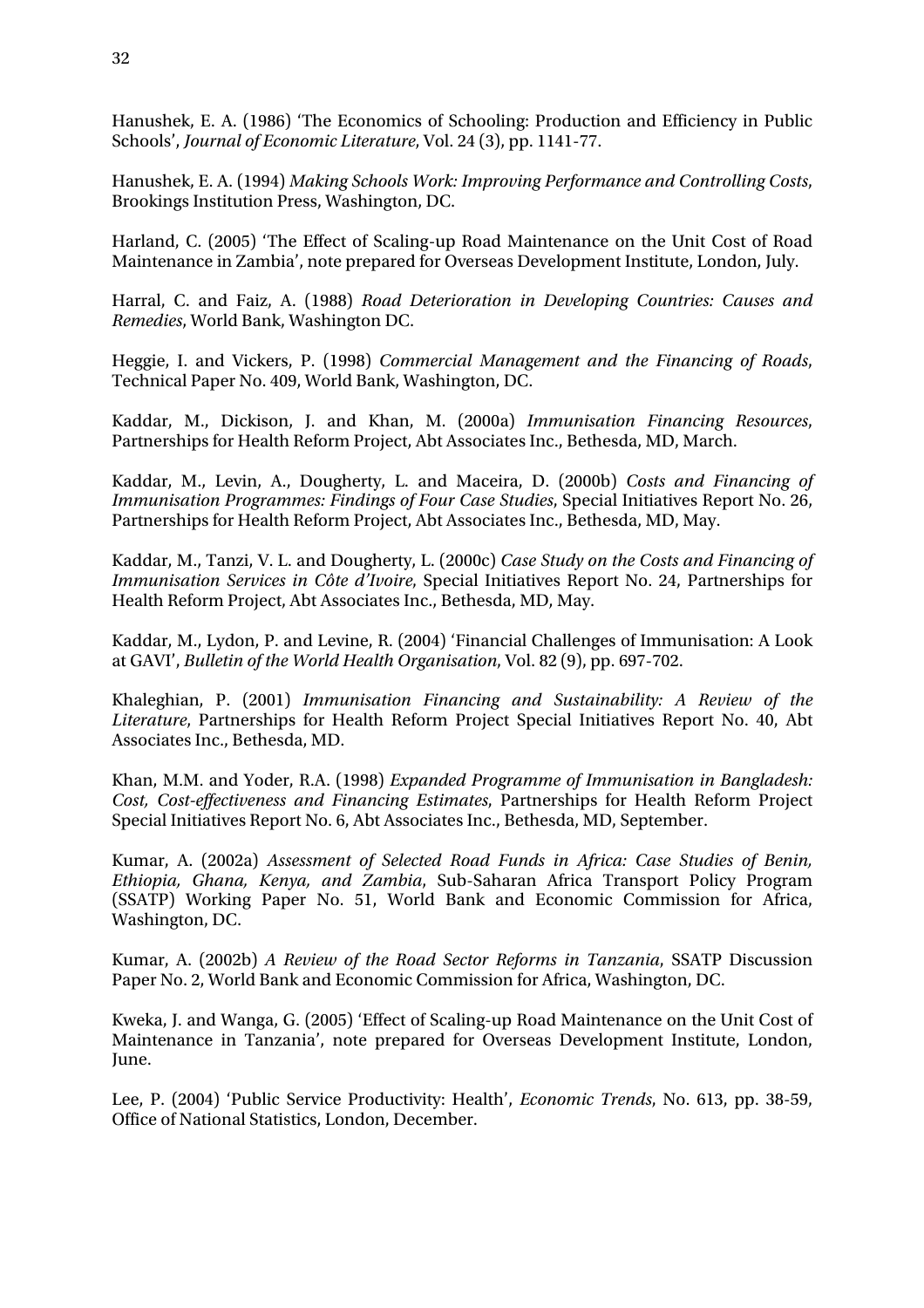Hanushek, E. A. (1986) 'The Economics of Schooling: Production and Efficiency in Public Schools', *Journal of Economic Literature*, Vol. 24 (3), pp. 1141-77.

Hanushek, E. A. (1994) *Making Schools Work: Improving Performance and Controlling Costs*, Brookings Institution Press, Washington, DC.

Harland, C. (2005) 'The Effect of Scaling-up Road Maintenance on the Unit Cost of Road Maintenance in Zambia', note prepared for Overseas Development Institute, London, July.

Harral, C. and Faiz, A. (1988) *Road Deterioration in Developing Countries: Causes and Remedies*, World Bank, Washington DC.

Heggie, I. and Vickers, P. (1998) *Commercial Management and the Financing of Roads*, Technical Paper No. 409, World Bank, Washington, DC.

Kaddar, M., Dickison, J. and Khan, M. (2000a) *Immunisation Financing Resources*, Partnerships for Health Reform Project, Abt Associates Inc., Bethesda, MD, March.

Kaddar, M., Levin, A., Dougherty, L. and Maceira, D. (2000b) *Costs and Financing of Immunisation Programmes: Findings of Four Case Studies*, Special Initiatives Report No. 26, Partnerships for Health Reform Project, Abt Associates Inc., Bethesda, MD, May.

Kaddar, M., Tanzi, V. L. and Dougherty, L. (2000c) *Case Study on the Costs and Financing of Immunisation Services in Côte d'Ivoire*, Special Initiatives Report No. 24, Partnerships for Health Reform Project, Abt Associates Inc., Bethesda, MD, May.

Kaddar, M., Lydon, P. and Levine, R. (2004) 'Financial Challenges of Immunisation: A Look at GAVI', *Bulletin of the World Health Organisation*, Vol. 82 (9), pp. 697-702.

Khaleghian, P. (2001) *Immunisation Financing and Sustainability: A Review of the Literature*, Partnerships for Health Reform Project Special Initiatives Report No. 40, Abt Associates Inc., Bethesda, MD.

Khan, M.M. and Yoder, R.A. (1998) *Expanded Programme of Immunisation in Bangladesh: Cost, Cost-effectiveness and Financing Estimates*, Partnerships for Health Reform Project Special Initiatives Report No. 6, Abt Associates Inc., Bethesda, MD, September.

Kumar, A. (2002a) *Assessment of Selected Road Funds in Africa: Case Studies of Benin, Ethiopia, Ghana, Kenya, and Zambia*, Sub-Saharan Africa Transport Policy Program (SSATP) Working Paper No. 51, World Bank and Economic Commission for Africa, Washington, DC.

Kumar, A. (2002b) *A Review of the Road Sector Reforms in Tanzania*, SSATP Discussion Paper No. 2, World Bank and Economic Commission for Africa, Washington, DC.

Kweka, J. and Wanga, G. (2005) 'Effect of Scaling-up Road Maintenance on the Unit Cost of Maintenance in Tanzania', note prepared for Overseas Development Institute, London, June.

Lee, P. (2004) 'Public Service Productivity: Health', *Economic Trends*, No. 613, pp. 38-59, Office of National Statistics, London, December.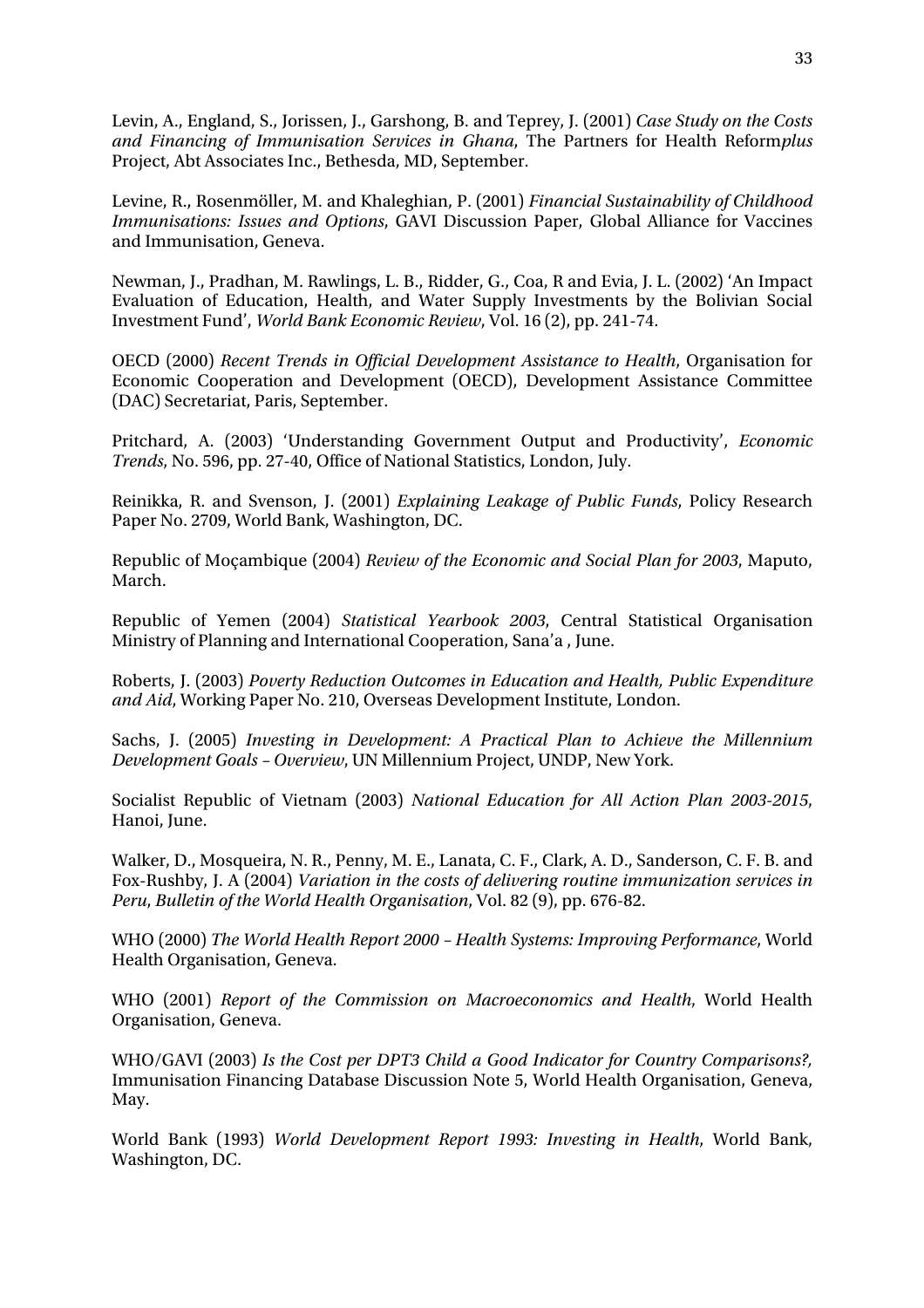Levin, A., England, S., Jorissen, J., Garshong, B. and Teprey, J. (2001) *Case Study on the Costs and Financing of Immunisation Services in Ghana*, The Partners for Health Reform*plus* Project, Abt Associates Inc., Bethesda, MD, September.

Levine, R., Rosenmöller, M. and Khaleghian, P. (2001) *Financial Sustainability of Childhood Immunisations: Issues and Options*, GAVI Discussion Paper, Global Alliance for Vaccines and Immunisation, Geneva.

Newman, J., Pradhan, M. Rawlings, L. B., Ridder, G., Coa, R and Evia, J. L. (2002) 'An Impact Evaluation of Education, Health, and Water Supply Investments by the Bolivian Social Investment Fund', *World Bank Economic Review*, Vol. 16 (2), pp. 241-74.

OECD (2000) *Recent Trends in Official Development Assistance to Health*, Organisation for Economic Cooperation and Development (OECD), Development Assistance Committee (DAC) Secretariat, Paris, September.

Pritchard, A. (2003) 'Understanding Government Output and Productivity', *Economic Trends*, No. 596, pp. 27-40, Office of National Statistics, London, July.

Reinikka, R. and Svenson, J. (2001) *Explaining Leakage of Public Funds*, Policy Research Paper No. 2709, World Bank, Washington, DC.

Republic of Moçambique (2004) *Review of the Economic and Social Plan for 2003*, Maputo, March.

Republic of Yemen (2004) *Statistical Yearbook 2003*, Central Statistical Organisation Ministry of Planning and International Cooperation, Sana'a , June.

Roberts, J. (2003) *Poverty Reduction Outcomes in Education and Health, Public Expenditure and Aid*, Working Paper No. 210, Overseas Development Institute, London.

Sachs, J. (2005) *Investing in Development: A Practical Plan to Achieve the Millennium Development Goals – Overview*, UN Millennium Project, UNDP, New York.

Socialist Republic of Vietnam (2003) *National Education for All Action Plan 2003-2015*, Hanoi, June.

Walker, D., Mosqueira, N. R., Penny, M. E., Lanata, C. F., Clark, A. D., Sanderson, C. F. B. and Fox-Rushby, J. A (2004) *Variation in the costs of delivering routine immunization services in Peru*, *Bulletin of the World Health Organisation*, Vol. 82 (9), pp. 676-82.

WHO (2000) *The World Health Report 2000 – Health Systems: Improving Performance*, World Health Organisation, Geneva.

WHO (2001) *Report of the Commission on Macroeconomics and Health*, World Health Organisation, Geneva.

WHO/GAVI (2003) *Is the Cost per DPT3 Child a Good Indicator for Country Comparisons?,* Immunisation Financing Database Discussion Note 5, World Health Organisation, Geneva, May.

World Bank (1993) *World Development Report 1993: Investing in Health*, World Bank, Washington, DC.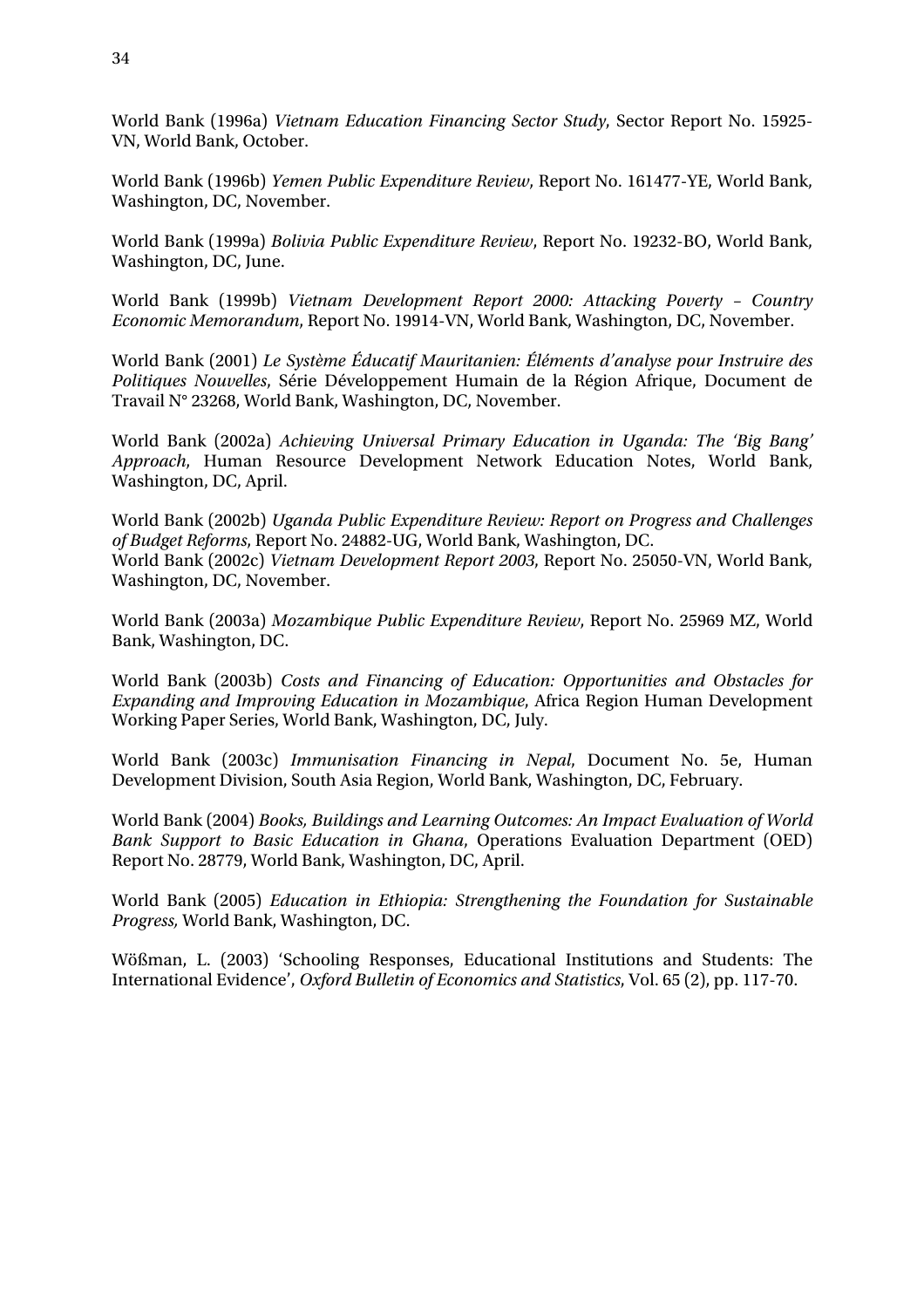World Bank (1996a) *Vietnam Education Financing Sector Study*, Sector Report No. 15925- VN, World Bank, October.

World Bank (1996b) *Yemen Public Expenditure Review*, Report No. 161477-YE, World Bank, Washington, DC, November.

World Bank (1999a) *Bolivia Public Expenditure Review*, Report No. 19232-BO, World Bank, Washington, DC, June.

World Bank (1999b) *Vietnam Development Report 2000: Attacking Poverty – Country Economic Memorandum*, Report No. 19914-VN, World Bank, Washington, DC, November.

World Bank (2001) *Le Système Éducatif Mauritanien: Éléments d'analyse pour Instruire des Politiques Nouvelles*, Série Développement Humain de la Région Afrique, Document de Travail N° 23268, World Bank, Washington, DC, November.

World Bank (2002a) *Achieving Universal Primary Education in Uganda: The 'Big Bang' Approach*, Human Resource Development Network Education Notes, World Bank, Washington, DC, April.

World Bank (2002b) *Uganda Public Expenditure Review: Report on Progress and Challenges of Budget Reforms*, Report No. 24882-UG, World Bank, Washington, DC. World Bank (2002c) *Vietnam Development Report 2003*, Report No. 25050-VN, World Bank, Washington, DC, November.

World Bank (2003a) *Mozambique Public Expenditure Review*, Report No. 25969 MZ, World Bank, Washington, DC.

World Bank (2003b) *Costs and Financing of Education: Opportunities and Obstacles for Expanding and Improving Education in Mozambique*, Africa Region Human Development Working Paper Series, World Bank, Washington, DC, July.

World Bank (2003c) *Immunisation Financing in Nepal*, Document No. 5e, Human Development Division, South Asia Region, World Bank, Washington, DC, February.

World Bank (2004) *Books, Buildings and Learning Outcomes: An Impact Evaluation of World Bank Support to Basic Education in Ghana*, Operations Evaluation Department (OED) Report No. 28779, World Bank, Washington, DC, April.

World Bank (2005) *Education in Ethiopia: Strengthening the Foundation for Sustainable Progress,* World Bank, Washington, DC.

Wößman, L. (2003) 'Schooling Responses, Educational Institutions and Students: The International Evidence', *Oxford Bulletin of Economics and Statistics*, Vol. 65 (2), pp. 117-70.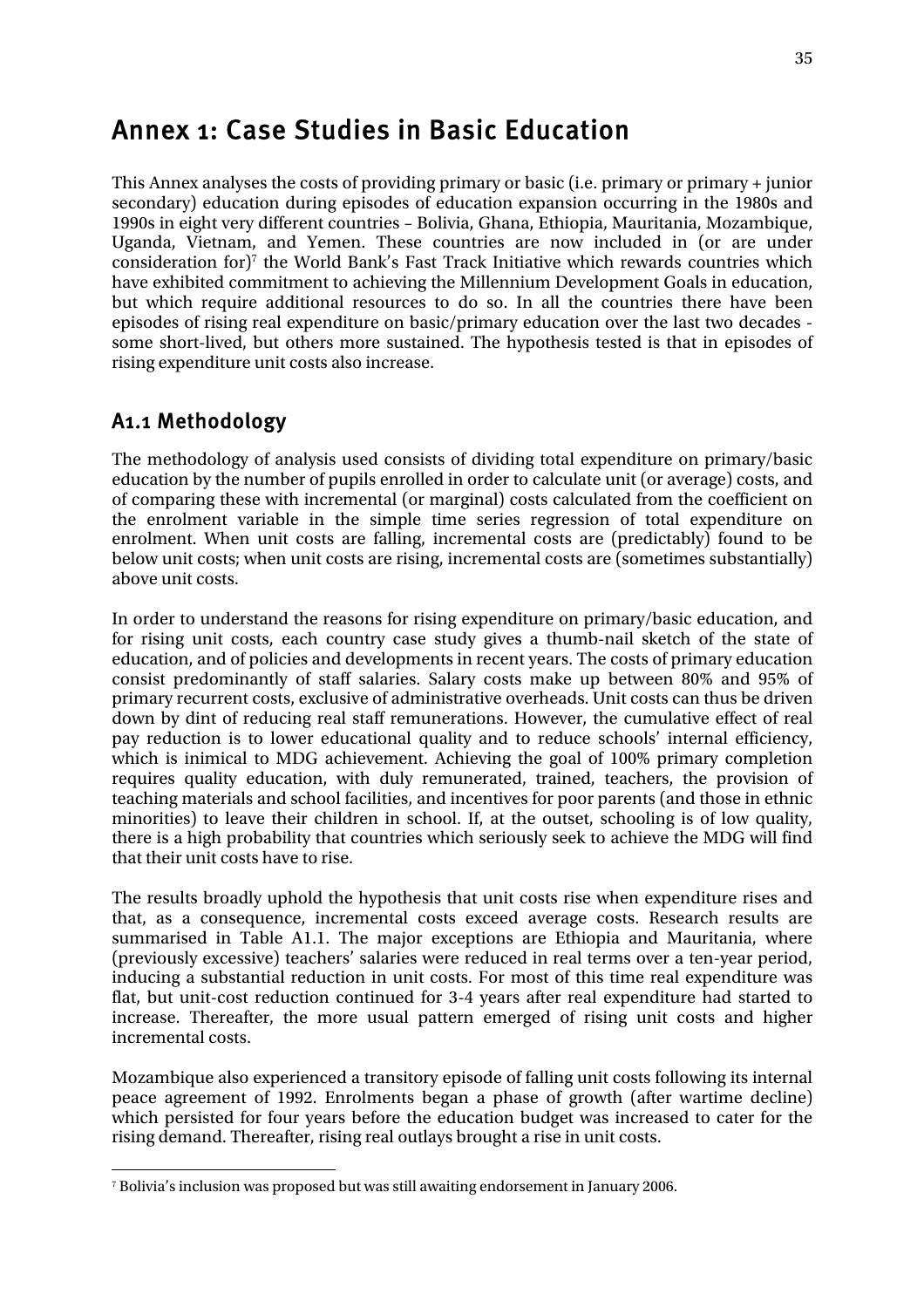# Annex 1: Case Studies in Basic Education

This Annex analyses the costs of providing primary or basic (i.e. primary or primary + junior secondary) education during episodes of education expansion occurring in the 1980s and 1990s in eight very different countries – Bolivia, Ghana, Ethiopia, Mauritania, Mozambique, Uganda, Vietnam, and Yemen. These countries are now included in (or are under consideration for)<sup>7</sup> the World Bank's Fast Track Initiative which rewards countries which have exhibited commitment to achieving the Millennium Development Goals in education, but which require additional resources to do so. In all the countries there have been episodes of rising real expenditure on basic/primary education over the last two decades some short-lived, but others more sustained. The hypothesis tested is that in episodes of rising expenditure unit costs also increase.

### A1.1 Methodology

The methodology of analysis used consists of dividing total expenditure on primary/basic education by the number of pupils enrolled in order to calculate unit (or average) costs, and of comparing these with incremental (or marginal) costs calculated from the coefficient on the enrolment variable in the simple time series regression of total expenditure on enrolment. When unit costs are falling, incremental costs are (predictably) found to be below unit costs; when unit costs are rising, incremental costs are (sometimes substantially) above unit costs.

In order to understand the reasons for rising expenditure on primary/basic education, and for rising unit costs, each country case study gives a thumb-nail sketch of the state of education, and of policies and developments in recent years. The costs of primary education consist predominantly of staff salaries. Salary costs make up between 80% and 95% of primary recurrent costs, exclusive of administrative overheads. Unit costs can thus be driven down by dint of reducing real staff remunerations. However, the cumulative effect of real pay reduction is to lower educational quality and to reduce schools' internal efficiency, which is inimical to MDG achievement. Achieving the goal of 100% primary completion requires quality education, with duly remunerated, trained, teachers, the provision of teaching materials and school facilities, and incentives for poor parents (and those in ethnic minorities) to leave their children in school. If, at the outset, schooling is of low quality, there is a high probability that countries which seriously seek to achieve the MDG will find that their unit costs have to rise.

The results broadly uphold the hypothesis that unit costs rise when expenditure rises and that, as a consequence, incremental costs exceed average costs. Research results are summarised in Table A1.1. The major exceptions are Ethiopia and Mauritania, where (previously excessive) teachers' salaries were reduced in real terms over a ten-year period, inducing a substantial reduction in unit costs. For most of this time real expenditure was flat, but unit-cost reduction continued for 3-4 years after real expenditure had started to increase. Thereafter, the more usual pattern emerged of rising unit costs and higher incremental costs.

Mozambique also experienced a transitory episode of falling unit costs following its internal peace agreement of 1992. Enrolments began a phase of growth (after wartime decline) which persisted for four years before the education budget was increased to cater for the rising demand. Thereafter, rising real outlays brought a rise in unit costs.

 7 Bolivia's inclusion was proposed but was still awaiting endorsement in January 2006.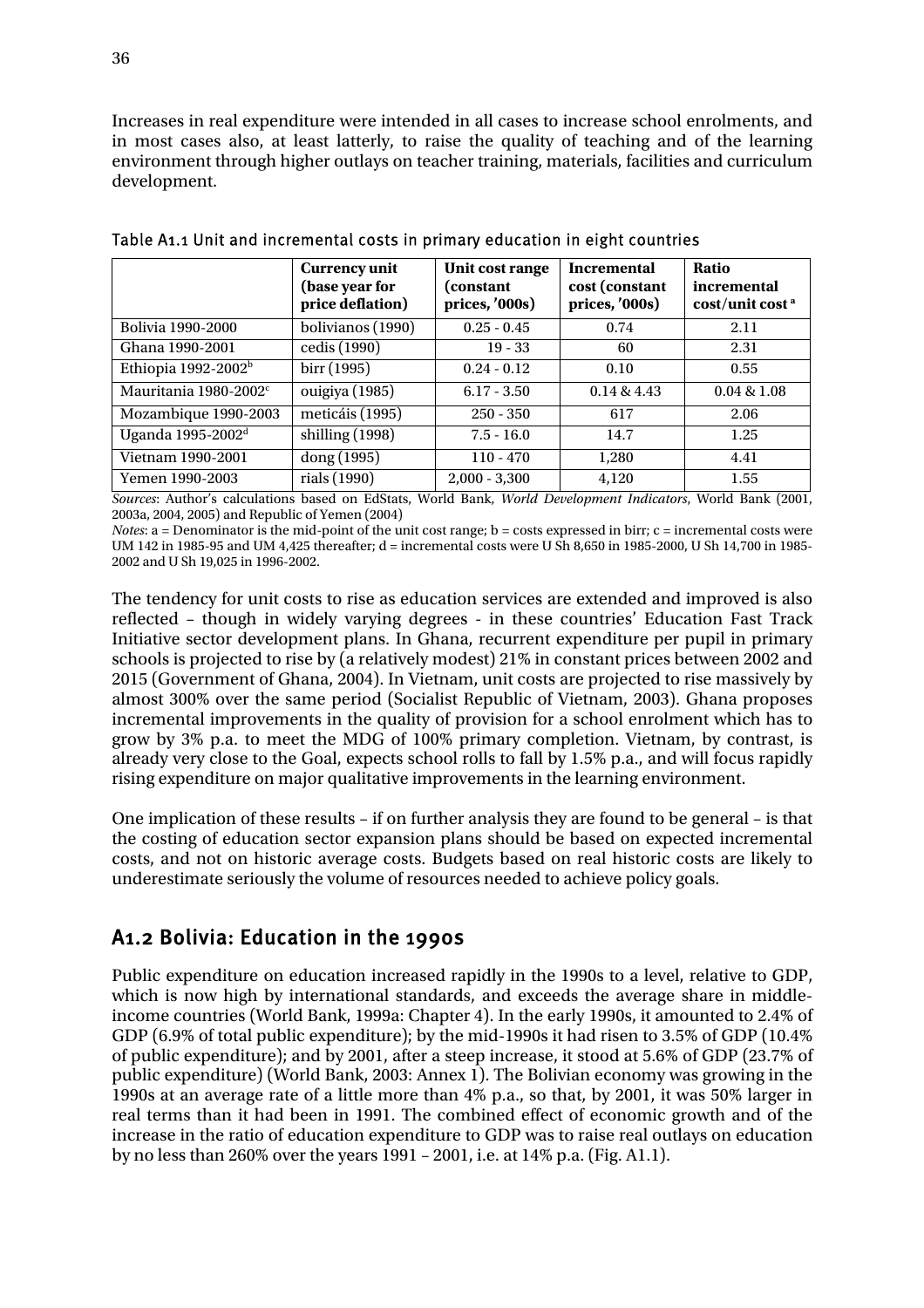Increases in real expenditure were intended in all cases to increase school enrolments, and in most cases also, at least latterly, to raise the quality of teaching and of the learning environment through higher outlays on teacher training, materials, facilities and curriculum development.

|                                   | <b>Currency unit</b><br>(base year for<br>price deflation) | Unit cost range<br>(constant)<br>prices, '000s) | <b>Incremental</b><br>cost (constant<br>prices, '000s) | Ratio<br>incremental<br>cost/unit cost <sup>a</sup> |
|-----------------------------------|------------------------------------------------------------|-------------------------------------------------|--------------------------------------------------------|-----------------------------------------------------|
| Bolivia 1990-2000                 | bolivianos (1990)                                          | $0.25 - 0.45$                                   | 0.74                                                   | 2.11                                                |
| Ghana 1990-2001                   | cedis (1990)                                               | $19 - 33$                                       | 60                                                     | 2.31                                                |
| Ethiopia 1992-2002 <sup>b</sup>   | birr (1995)                                                | $0.24 - 0.12$                                   | 0.10                                                   | 0.55                                                |
| Mauritania 1980-2002 <sup>c</sup> | ouigiya (1985)                                             | $6.17 - 3.50$                                   | 0.14 & 4.43                                            | 0.04 & 1.08                                         |
| Mozambique 1990-2003              | meticáis (1995)                                            | $250 - 350$                                     | 617                                                    | 2.06                                                |
| Uganda 1995-2002 <sup>d</sup>     | shilling (1998)                                            | $7.5 - 16.0$                                    | 14.7                                                   | 1.25                                                |
| Vietnam 1990-2001                 | dong (1995)                                                | $110 - 470$                                     | 1,280                                                  | 4.41                                                |
| Yemen 1990-2003                   | rials (1990)                                               | $2,000 - 3,300$                                 | 4,120                                                  | 1.55                                                |

Table A1.1 Unit and incremental costs in primary education in eight countries

*Sources*: Author's calculations based on EdStats, World Bank, *World Development Indicators*, World Bank (2001, 2003a, 2004, 2005) and Republic of Yemen (2004)

*Notes*: a = Denominator is the mid-point of the unit cost range; b = costs expressed in birr; c = incremental costs were UM 142 in 1985-95 and UM 4,425 thereafter; d = incremental costs were U Sh 8,650 in 1985-2000, U Sh 14,700 in 1985- 2002 and U Sh 19,025 in 1996-2002.

The tendency for unit costs to rise as education services are extended and improved is also reflected – though in widely varying degrees - in these countries' Education Fast Track Initiative sector development plans. In Ghana, recurrent expenditure per pupil in primary schools is projected to rise by (a relatively modest) 21% in constant prices between 2002 and 2015 (Government of Ghana, 2004). In Vietnam, unit costs are projected to rise massively by almost 300% over the same period (Socialist Republic of Vietnam, 2003). Ghana proposes incremental improvements in the quality of provision for a school enrolment which has to grow by 3% p.a. to meet the MDG of 100% primary completion. Vietnam, by contrast, is already very close to the Goal, expects school rolls to fall by 1.5% p.a., and will focus rapidly rising expenditure on major qualitative improvements in the learning environment.

One implication of these results – if on further analysis they are found to be general – is that the costing of education sector expansion plans should be based on expected incremental costs, and not on historic average costs. Budgets based on real historic costs are likely to underestimate seriously the volume of resources needed to achieve policy goals.

### A1.2 Bolivia: Education in the 1990s

Public expenditure on education increased rapidly in the 1990s to a level, relative to GDP, which is now high by international standards, and exceeds the average share in middleincome countries (World Bank, 1999a: Chapter 4). In the early 1990s, it amounted to 2.4% of GDP (6.9% of total public expenditure); by the mid-1990s it had risen to 3.5% of GDP (10.4% of public expenditure); and by 2001, after a steep increase, it stood at 5.6% of GDP (23.7% of public expenditure) (World Bank, 2003: Annex 1). The Bolivian economy was growing in the 1990s at an average rate of a little more than 4% p.a., so that, by 2001, it was 50% larger in real terms than it had been in 1991. The combined effect of economic growth and of the increase in the ratio of education expenditure to GDP was to raise real outlays on education by no less than 260% over the years 1991 – 2001, i.e. at 14% p.a. (Fig. A1.1).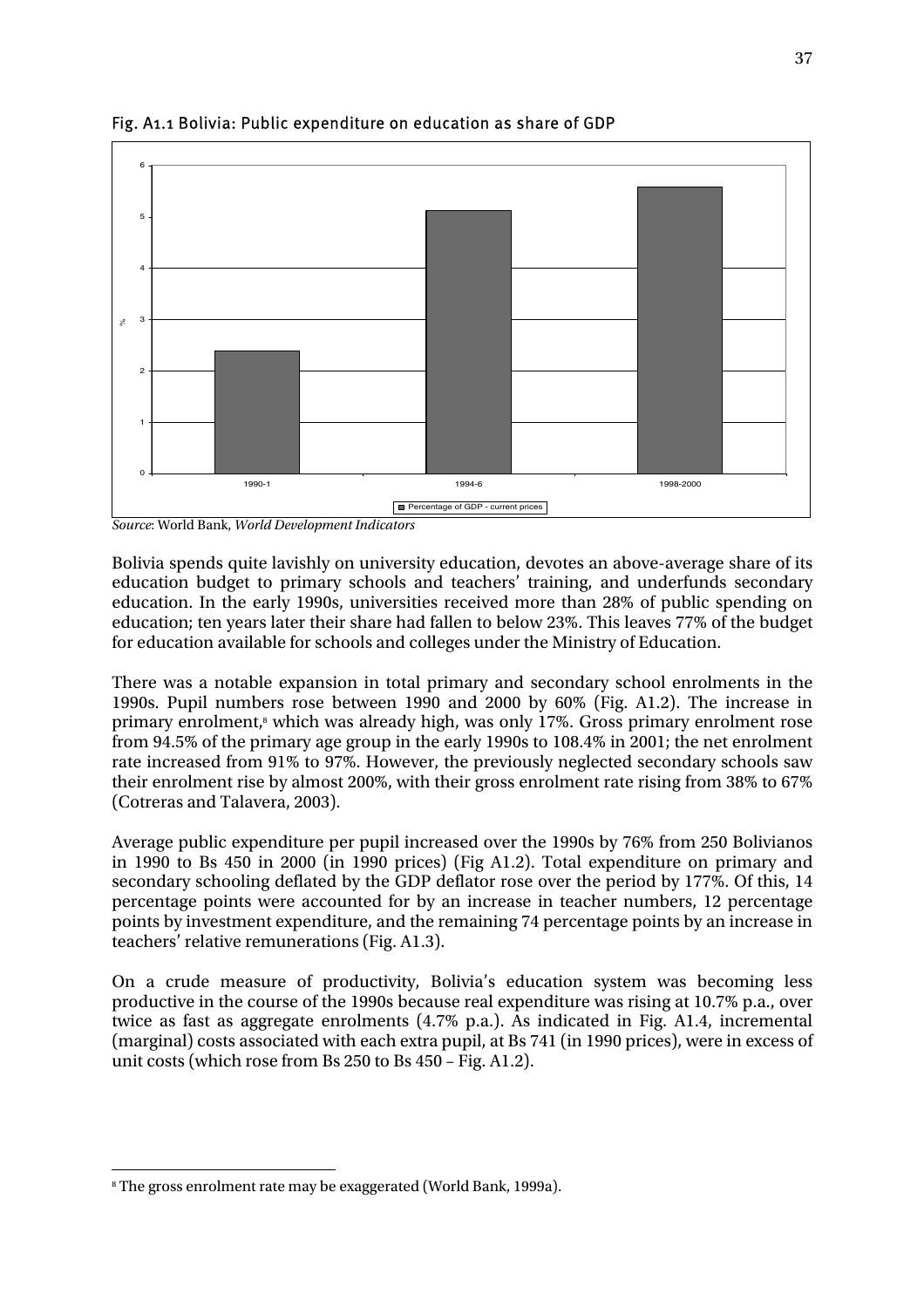

Fig. A1.1 Bolivia: Public expenditure on education as share of GDP

*Source*: World Bank, *World Development Indicators* 

Bolivia spends quite lavishly on university education, devotes an above-average share of its education budget to primary schools and teachers' training, and underfunds secondary education. In the early 1990s, universities received more than 28% of public spending on education; ten years later their share had fallen to below 23%. This leaves 77% of the budget for education available for schools and colleges under the Ministry of Education.

There was a notable expansion in total primary and secondary school enrolments in the 1990s. Pupil numbers rose between 1990 and 2000 by 60% (Fig. A1.2). The increase in primary enrolment,<sup>8</sup> which was already high, was only 17%. Gross primary enrolment rose from 94.5% of the primary age group in the early 1990s to 108.4% in 2001; the net enrolment rate increased from 91% to 97%. However, the previously neglected secondary schools saw their enrolment rise by almost 200%, with their gross enrolment rate rising from 38% to 67% (Cotreras and Talavera, 2003).

Average public expenditure per pupil increased over the 1990s by 76% from 250 Bolivianos in 1990 to Bs 450 in 2000 (in 1990 prices) (Fig A1.2). Total expenditure on primary and secondary schooling deflated by the GDP deflator rose over the period by 177%. Of this, 14 percentage points were accounted for by an increase in teacher numbers, 12 percentage points by investment expenditure, and the remaining 74 percentage points by an increase in teachers' relative remunerations (Fig. A1.3).

On a crude measure of productivity, Bolivia's education system was becoming less productive in the course of the 1990s because real expenditure was rising at 10.7% p.a., over twice as fast as aggregate enrolments (4.7% p.a.). As indicated in Fig. A1.4, incremental (marginal) costs associated with each extra pupil, at Bs 741 (in 1990 prices), were in excess of unit costs (which rose from Bs 250 to Bs 450 – Fig. A1.2).

 $\overline{a}$ 8 The gross enrolment rate may be exaggerated (World Bank, 1999a).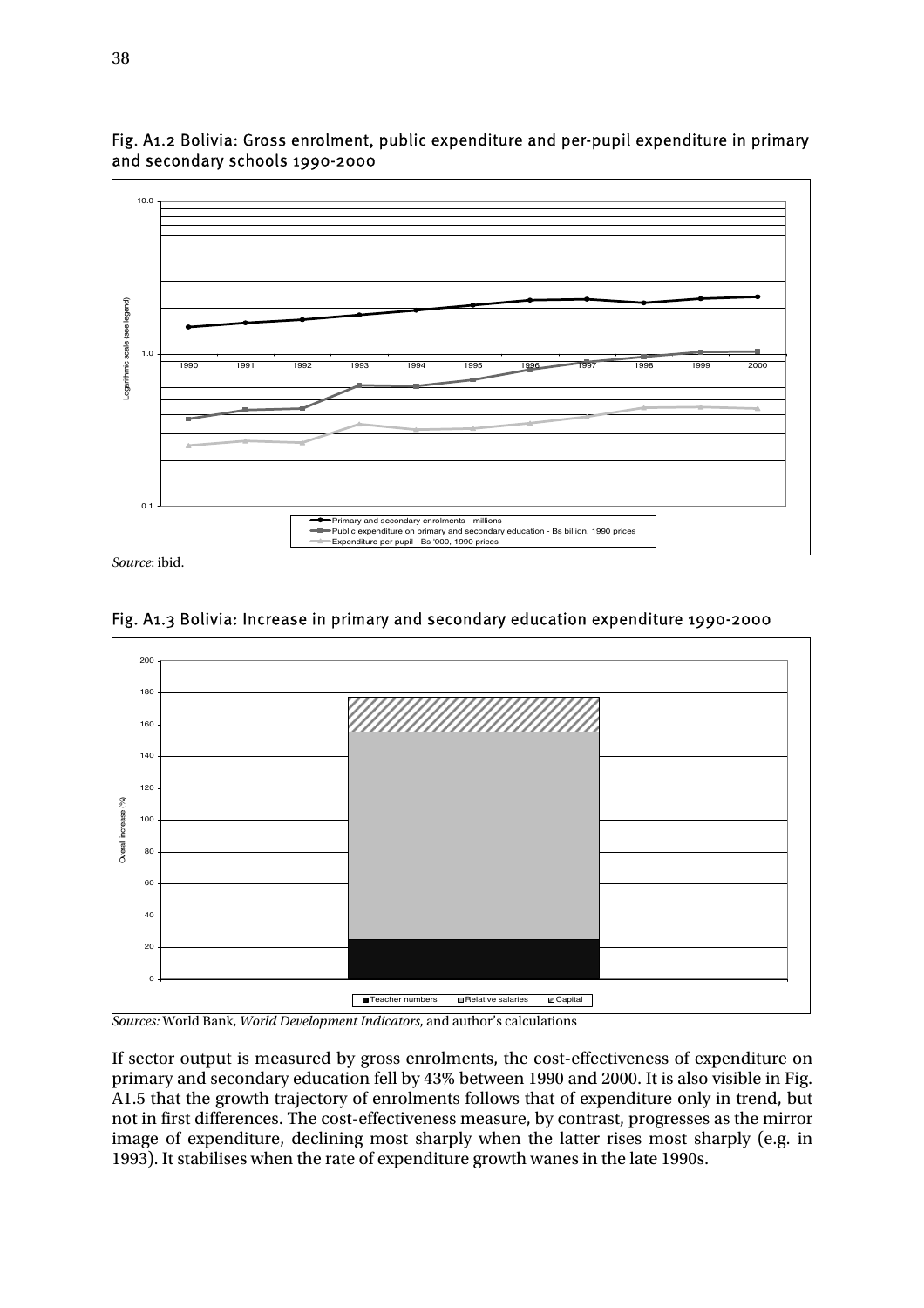

Fig. A1.2 Bolivia: Gross enrolment, public expenditure and per-pupil expenditure in primary and secondary schools 1990-2000

*Source*: ibid.



Fig. A1.3 Bolivia: Increase in primary and secondary education expenditure 1990-2000

*Sources:* World Bank, *World Development Indicators*, and author's calculations

If sector output is measured by gross enrolments, the cost-effectiveness of expenditure on primary and secondary education fell by 43% between 1990 and 2000. It is also visible in Fig. A1.5 that the growth trajectory of enrolments follows that of expenditure only in trend, but not in first differences. The cost-effectiveness measure, by contrast, progresses as the mirror image of expenditure, declining most sharply when the latter rises most sharply (e.g. in 1993). It stabilises when the rate of expenditure growth wanes in the late 1990s.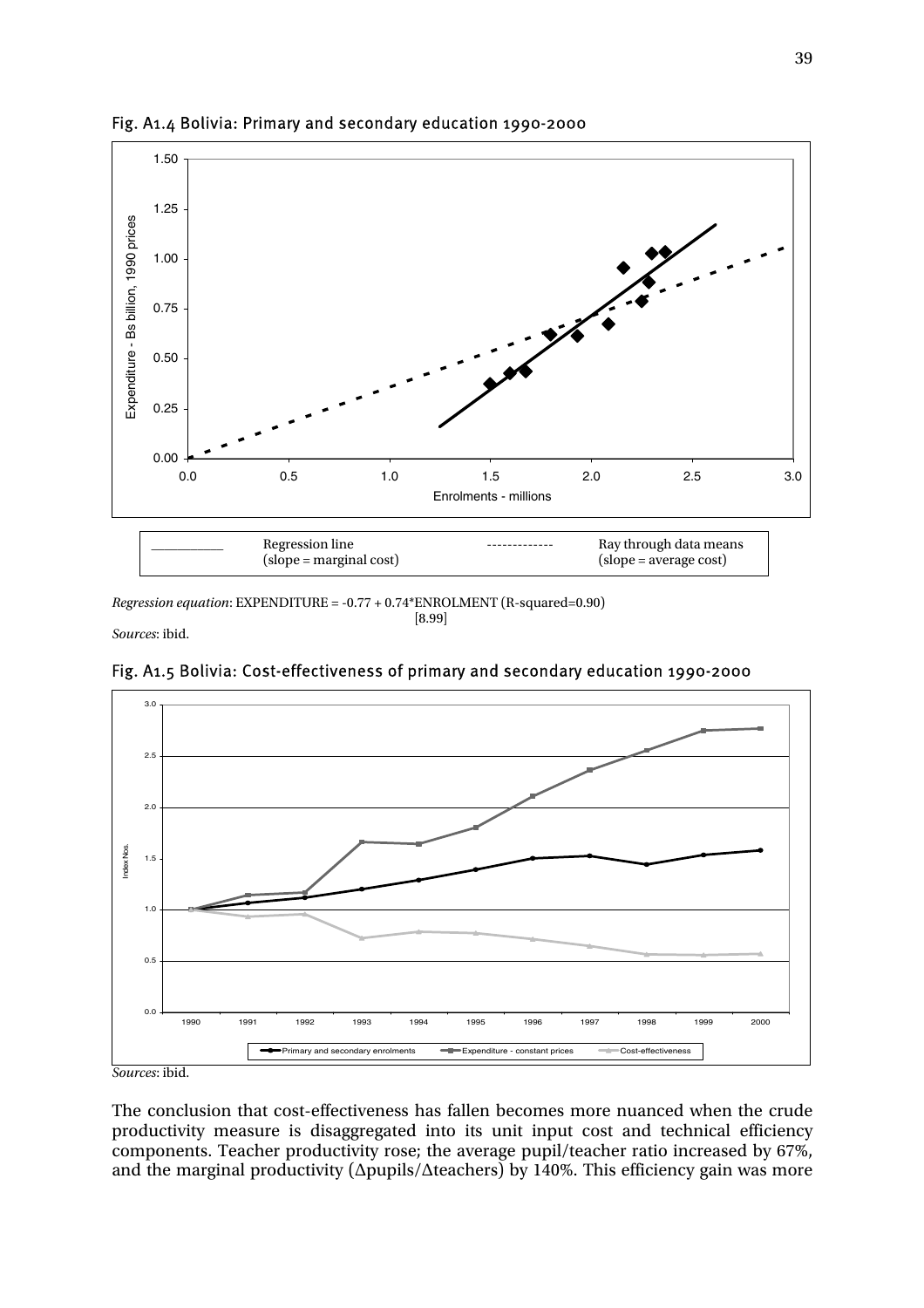

#### Fig. A1.4 Bolivia: Primary and secondary education 1990-2000

*Regression equation*: EXPENDITURE = -0.77 + 0.74\*ENROLMENT (R-squared=0.90)

 $[8.99]$ *Sources*: ibid.



Fig. A1.5 Bolivia: Cost-effectiveness of primary and secondary education 1990-2000

*Sources*: ibid.

The conclusion that cost-effectiveness has fallen becomes more nuanced when the crude productivity measure is disaggregated into its unit input cost and technical efficiency components. Teacher productivity rose; the average pupil/teacher ratio increased by 67%, and the marginal productivity ( $\Delta$ pupils/ $\Delta$ teachers) by 140%. This efficiency gain was more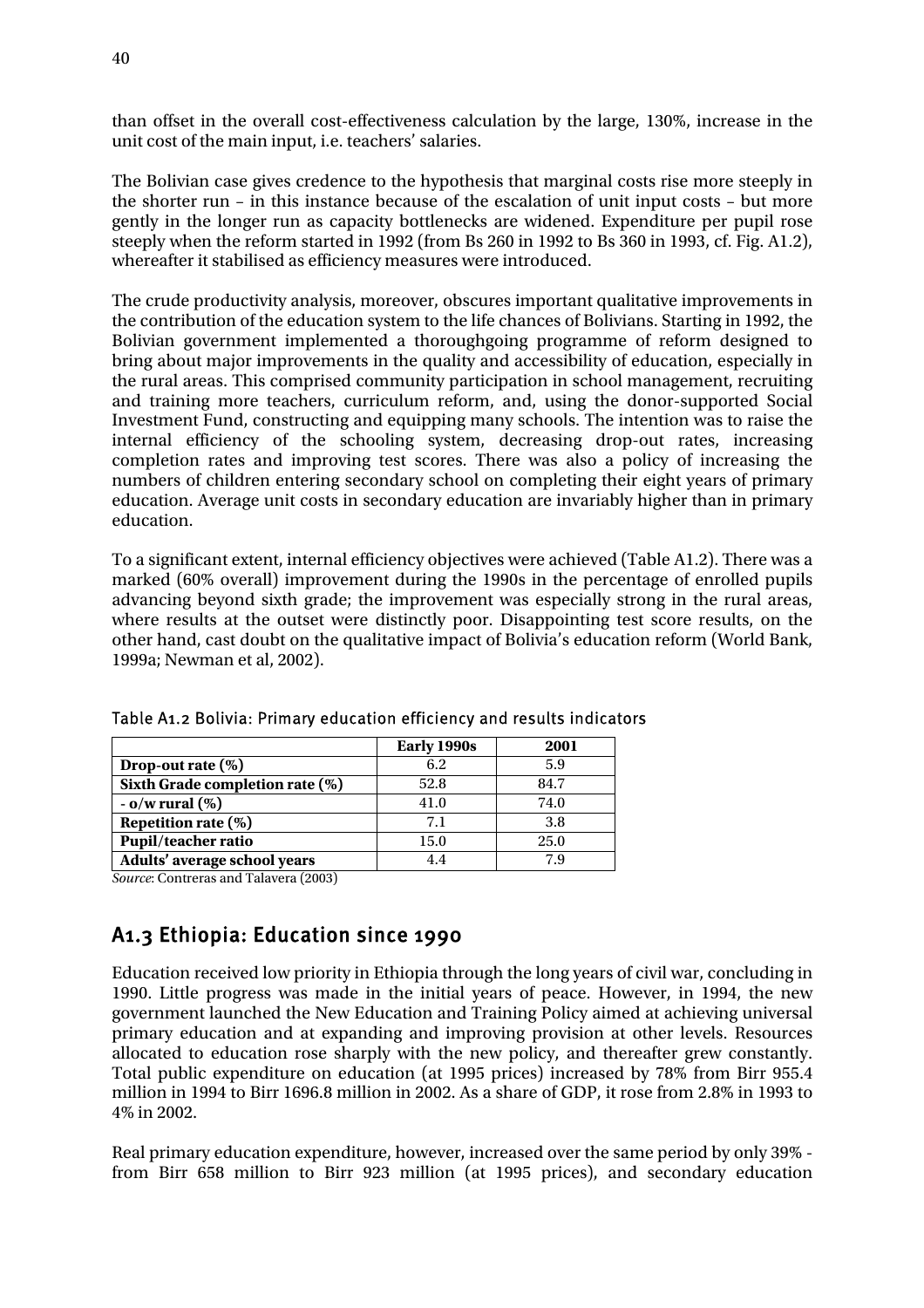than offset in the overall cost-effectiveness calculation by the large, 130%, increase in the unit cost of the main input, i.e. teachers' salaries.

The Bolivian case gives credence to the hypothesis that marginal costs rise more steeply in the shorter run – in this instance because of the escalation of unit input costs – but more gently in the longer run as capacity bottlenecks are widened. Expenditure per pupil rose steeply when the reform started in 1992 (from Bs 260 in 1992 to Bs 360 in 1993, cf. Fig. A1.2), whereafter it stabilised as efficiency measures were introduced.

The crude productivity analysis, moreover, obscures important qualitative improvements in the contribution of the education system to the life chances of Bolivians. Starting in 1992, the Bolivian government implemented a thoroughgoing programme of reform designed to bring about major improvements in the quality and accessibility of education, especially in the rural areas. This comprised community participation in school management, recruiting and training more teachers, curriculum reform, and, using the donor-supported Social Investment Fund, constructing and equipping many schools. The intention was to raise the internal efficiency of the schooling system, decreasing drop-out rates, increasing completion rates and improving test scores. There was also a policy of increasing the numbers of children entering secondary school on completing their eight years of primary education. Average unit costs in secondary education are invariably higher than in primary education.

To a significant extent, internal efficiency objectives were achieved (Table A1.2). There was a marked (60% overall) improvement during the 1990s in the percentage of enrolled pupils advancing beyond sixth grade; the improvement was especially strong in the rural areas, where results at the outset were distinctly poor. Disappointing test score results, on the other hand, cast doubt on the qualitative impact of Bolivia's education reform (World Bank, 1999a; Newman et al, 2002).

|                                 | Early 1990s | 2001 |
|---------------------------------|-------------|------|
| Drop-out rate $(\%)$            | 6.2         | 5.9  |
| Sixth Grade completion rate (%) | 52.8        | 84.7 |
| $-$ 0/w rural $(\%)$            | 41.0        | 74.0 |
| Repetition rate $(\%)$          | 7.1         | 3.8  |
| Pupil/teacher ratio             | 15.0        | 25.0 |
| Adults' average school years    | 4.4         | 7.9  |

Table A1.2 Bolivia: Primary education efficiency and results indicators

*Source*: Contreras and Talavera (2003)

## A1.3 Ethiopia: Education since 1990

Education received low priority in Ethiopia through the long years of civil war, concluding in 1990. Little progress was made in the initial years of peace. However, in 1994, the new government launched the New Education and Training Policy aimed at achieving universal primary education and at expanding and improving provision at other levels. Resources allocated to education rose sharply with the new policy, and thereafter grew constantly. Total public expenditure on education (at 1995 prices) increased by 78% from Birr 955.4 million in 1994 to Birr 1696.8 million in 2002. As a share of GDP, it rose from 2.8% in 1993 to 4% in 2002.

Real primary education expenditure, however, increased over the same period by only 39% from Birr 658 million to Birr 923 million (at 1995 prices), and secondary education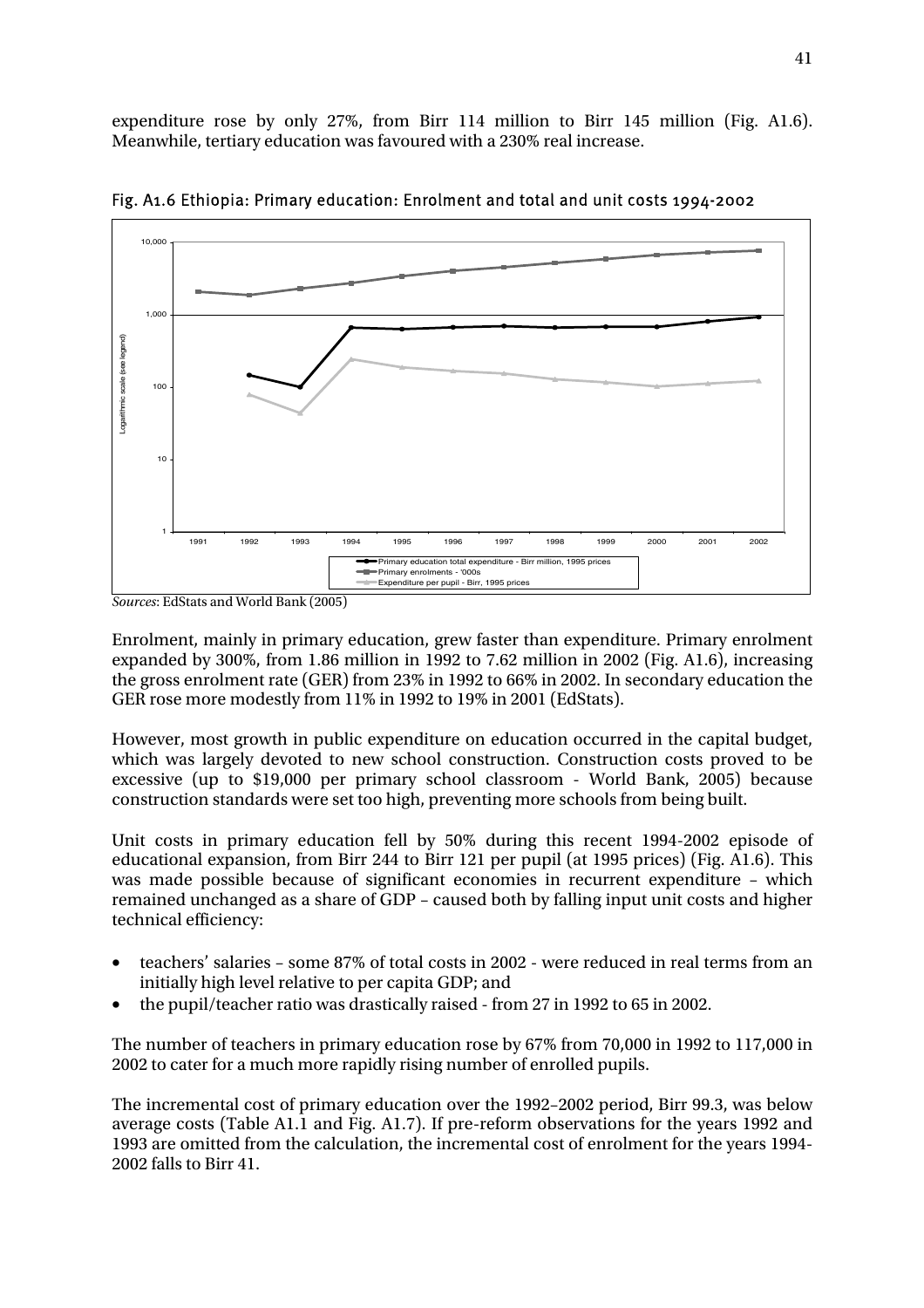expenditure rose by only 27%, from Birr 114 million to Birr 145 million (Fig. A1.6). Meanwhile, tertiary education was favoured with a 230% real increase.



Fig. A1.6 Ethiopia: Primary education: Enrolment and total and unit costs 1994-2002

Enrolment, mainly in primary education, grew faster than expenditure. Primary enrolment expanded by 300%, from 1.86 million in 1992 to 7.62 million in 2002 (Fig. A1.6), increasing the gross enrolment rate (GER) from 23% in 1992 to 66% in 2002. In secondary education the GER rose more modestly from 11% in 1992 to 19% in 2001 (EdStats).

However, most growth in public expenditure on education occurred in the capital budget, which was largely devoted to new school construction. Construction costs proved to be excessive (up to \$19,000 per primary school classroom - World Bank, 2005) because construction standards were set too high, preventing more schools from being built.

Unit costs in primary education fell by 50% during this recent 1994-2002 episode of educational expansion, from Birr 244 to Birr 121 per pupil (at 1995 prices) (Fig. A1.6). This was made possible because of significant economies in recurrent expenditure – which remained unchanged as a share of GDP – caused both by falling input unit costs and higher technical efficiency:

- teachers' salaries some 87% of total costs in 2002 were reduced in real terms from an initially high level relative to per capita GDP; and
- the pupil/teacher ratio was drastically raised from 27 in 1992 to 65 in 2002.

The number of teachers in primary education rose by 67% from 70,000 in 1992 to 117,000 in 2002 to cater for a much more rapidly rising number of enrolled pupils.

The incremental cost of primary education over the 1992–2002 period, Birr 99.3, was below average costs (Table A1.1 and Fig. A1.7). If pre-reform observations for the years 1992 and 1993 are omitted from the calculation, the incremental cost of enrolment for the years 1994- 2002 falls to Birr 41.

*Sources*: EdStats and World Bank (2005)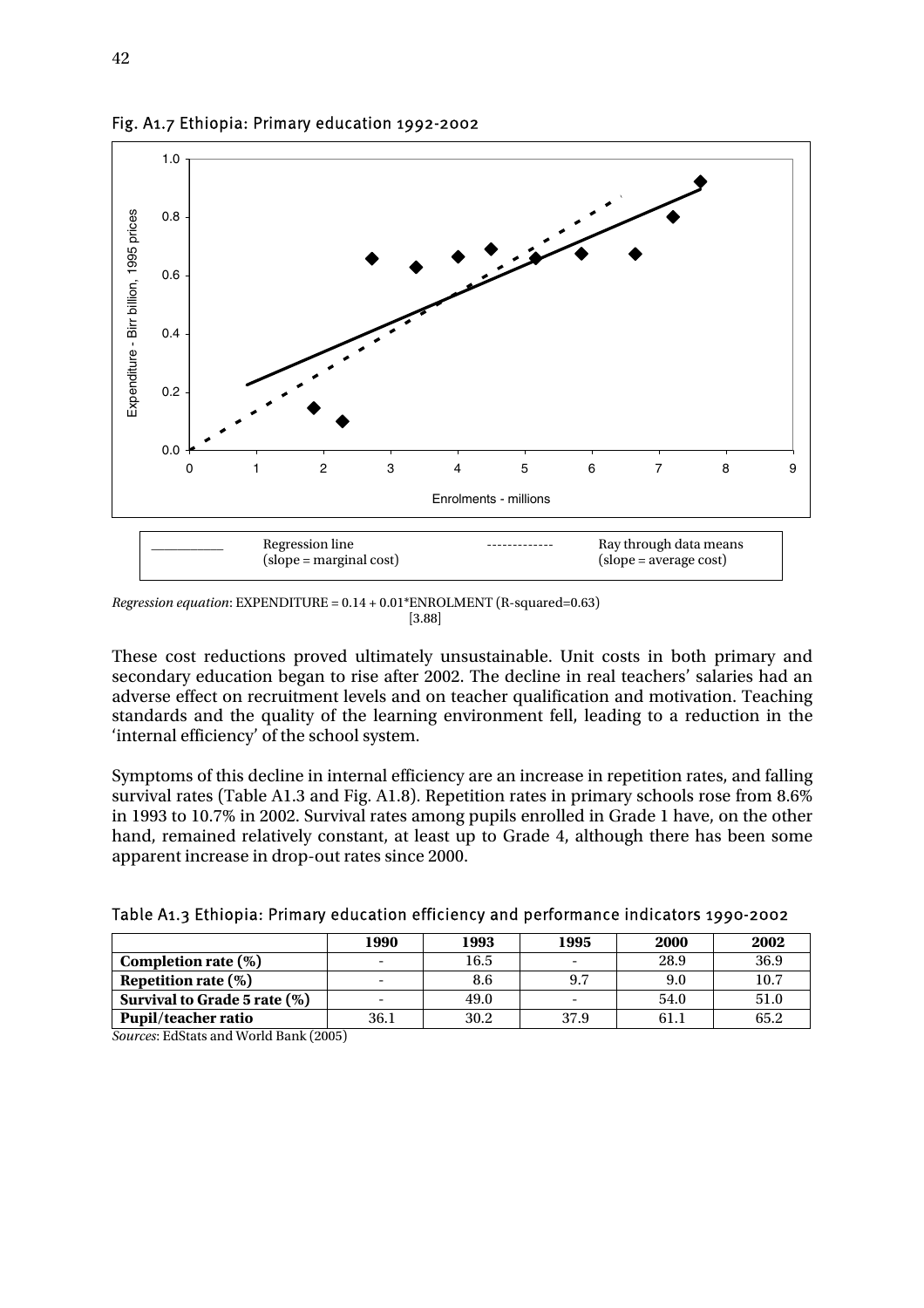

Fig. A1.7 Ethiopia: Primary education 1992-2002

These cost reductions proved ultimately unsustainable. Unit costs in both primary and secondary education began to rise after 2002. The decline in real teachers' salaries had an adverse effect on recruitment levels and on teacher qualification and motivation. Teaching standards and the quality of the learning environment fell, leading to a reduction in the 'internal efficiency' of the school system.

Symptoms of this decline in internal efficiency are an increase in repetition rates, and falling survival rates (Table A1.3 and Fig. A1.8). Repetition rates in primary schools rose from 8.6% in 1993 to 10.7% in 2002. Survival rates among pupils enrolled in Grade 1 have, on the other hand, remained relatively constant, at least up to Grade 4, although there has been some apparent increase in drop-out rates since 2000.

|                              | 1990 | 1993 | 1995                     | 2000 | 2002 |
|------------------------------|------|------|--------------------------|------|------|
| Completion rate $(\%)$       |      | 16.5 |                          | 28.9 | 36.9 |
| Repetition rate $(\%)$       |      | 8.6  | 9.7                      | 9.0  | 10.7 |
| Survival to Grade 5 rate (%) |      | 49.0 | $\overline{\phantom{0}}$ | 54.0 | 51.0 |
| Pupil/teacher ratio          | 36.1 | 30.2 | 37.9                     | 61.1 | 65.2 |

Table A1.3 Ethiopia: Primary education efficiency and performance indicators 1990-2002

*Sources*: EdStats and World Bank (2005)

*Regression equation*: EXPENDITURE = 0.14 + 0.01\*ENROLMENT (R-squared=0.63)  $[3.88]$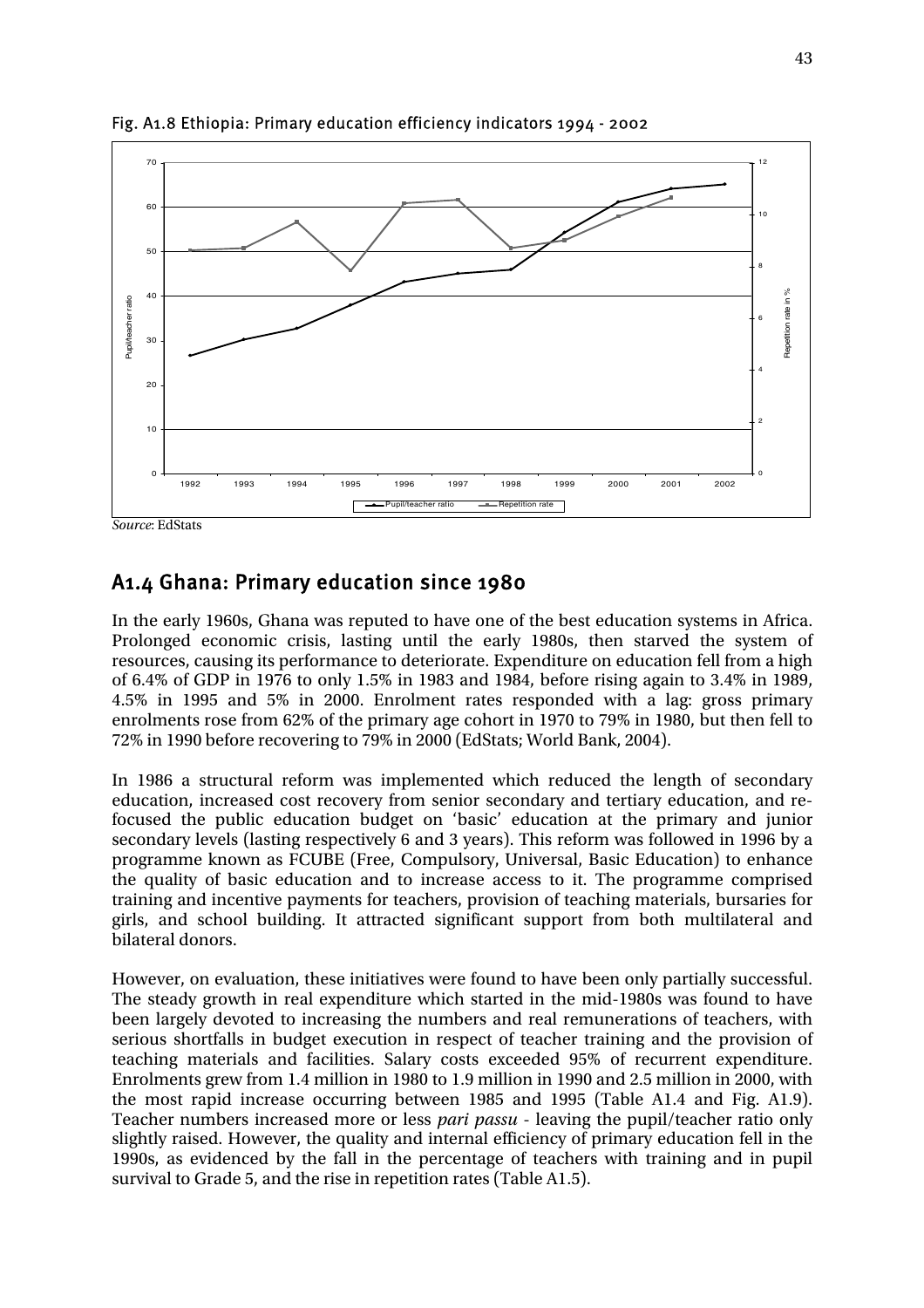

Fig. A1.8 Ethiopia: Primary education efficiency indicators 1994 - 2002

*Source*: EdStats

### A1.4 Ghana: Primary education since 1980

In the early 1960s, Ghana was reputed to have one of the best education systems in Africa. Prolonged economic crisis, lasting until the early 1980s, then starved the system of resources, causing its performance to deteriorate. Expenditure on education fell from a high of 6.4% of GDP in 1976 to only 1.5% in 1983 and 1984, before rising again to 3.4% in 1989, 4.5% in 1995 and 5% in 2000. Enrolment rates responded with a lag: gross primary enrolments rose from 62% of the primary age cohort in 1970 to 79% in 1980, but then fell to 72% in 1990 before recovering to 79% in 2000 (EdStats; World Bank, 2004).

In 1986 a structural reform was implemented which reduced the length of secondary education, increased cost recovery from senior secondary and tertiary education, and refocused the public education budget on 'basic' education at the primary and junior secondary levels (lasting respectively 6 and 3 years). This reform was followed in 1996 by a programme known as FCUBE (Free, Compulsory, Universal, Basic Education) to enhance the quality of basic education and to increase access to it. The programme comprised training and incentive payments for teachers, provision of teaching materials, bursaries for girls, and school building. It attracted significant support from both multilateral and bilateral donors.

However, on evaluation, these initiatives were found to have been only partially successful. The steady growth in real expenditure which started in the mid-1980s was found to have been largely devoted to increasing the numbers and real remunerations of teachers, with serious shortfalls in budget execution in respect of teacher training and the provision of teaching materials and facilities. Salary costs exceeded 95% of recurrent expenditure. Enrolments grew from 1.4 million in 1980 to 1.9 million in 1990 and 2.5 million in 2000, with the most rapid increase occurring between 1985 and 1995 (Table A1.4 and Fig. A1.9). Teacher numbers increased more or less *pari passu* - leaving the pupil/teacher ratio only slightly raised. However, the quality and internal efficiency of primary education fell in the 1990s, as evidenced by the fall in the percentage of teachers with training and in pupil survival to Grade 5, and the rise in repetition rates (Table A1.5).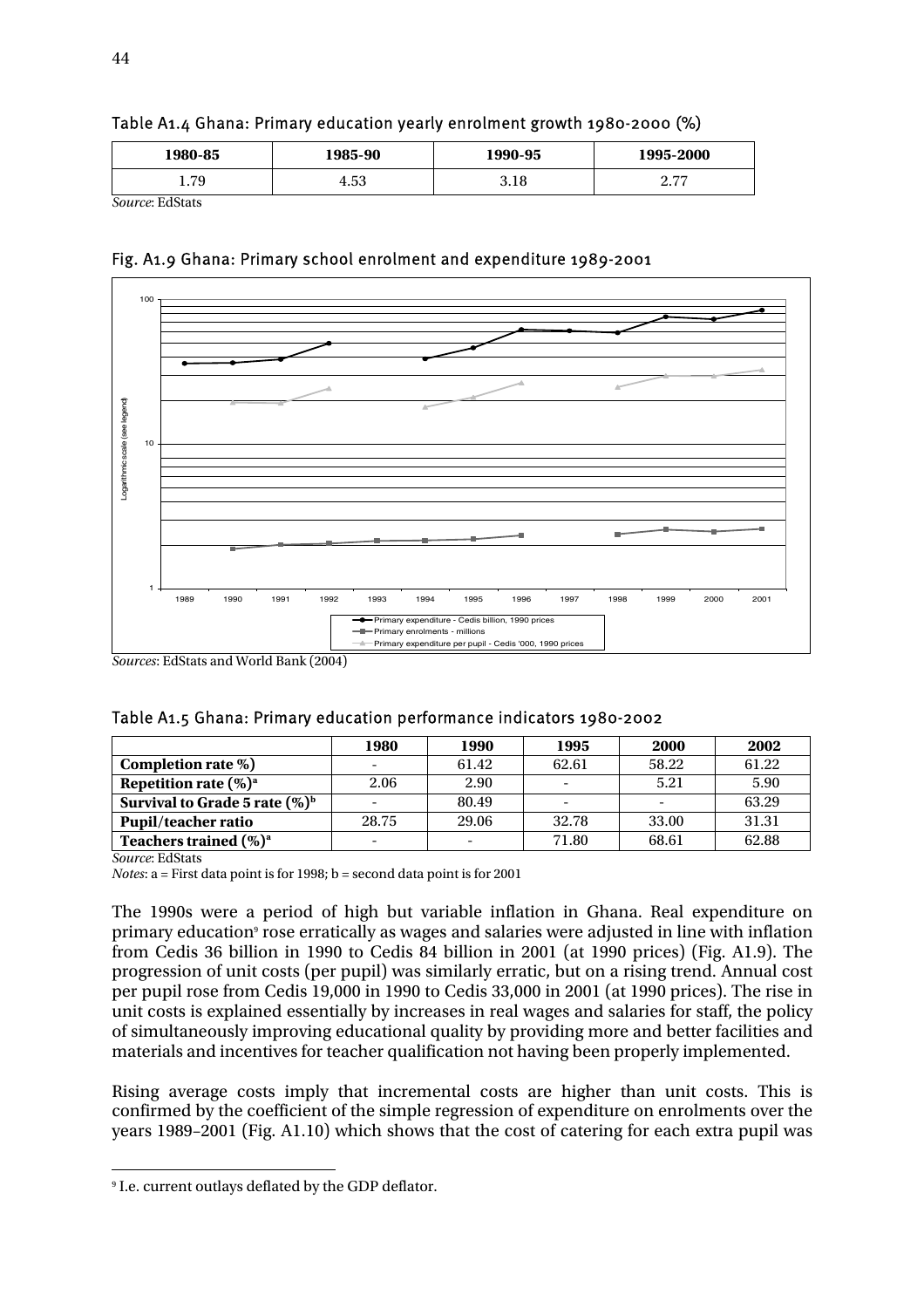| 1980-85                                             | 1985-90 | 1990-95 | 1995-2000       |
|-----------------------------------------------------|---------|---------|-----------------|
| 70<br>1. I J                                        | 4.53    | 3.18    | $\Omega$<br>، ، |
| $P_{\text{a}1}$ and $P_{\text{a}1}$ $P_{\text{a}2}$ |         |         |                 |



*Source*: EdStats





*Sources*: EdStats and World Bank (2004)

| Table A1.5 Ghana: Primary education performance indicators 1980-2002 |  |  |  |  |
|----------------------------------------------------------------------|--|--|--|--|
|----------------------------------------------------------------------|--|--|--|--|

|                                   | 1980                     | 1990                     | 1995  | <b>2000</b> | 2002  |
|-----------------------------------|--------------------------|--------------------------|-------|-------------|-------|
| Completion rate %)                |                          | 61.42                    | 62.61 | 58.22       | 61.22 |
| Repetition rate $(\%)^a$          | 2.06                     | 2.90                     |       | 5.21        | 5.90  |
| Survival to Grade 5 rate $(\%)^b$ |                          | 80.49                    |       |             | 63.29 |
| <b>Pupil/teacher ratio</b>        | 28.75                    | 29.06                    | 32.78 | 33.00       | 31.31 |
| Teachers trained $(\%)^a$         | $\overline{\phantom{0}}$ | $\overline{\phantom{0}}$ | 71.80 | 68.61       | 62.88 |

*Source*: EdStats

*Notes*: a = First data point is for 1998; b = second data point is for 2001

The 1990s were a period of high but variable inflation in Ghana. Real expenditure on primary education<sup>9</sup> rose erratically as wages and salaries were adjusted in line with inflation from Cedis 36 billion in 1990 to Cedis 84 billion in 2001 (at 1990 prices) (Fig. A1.9). The progression of unit costs (per pupil) was similarly erratic, but on a rising trend. Annual cost per pupil rose from Cedis 19,000 in 1990 to Cedis 33,000 in 2001 (at 1990 prices). The rise in unit costs is explained essentially by increases in real wages and salaries for staff, the policy of simultaneously improving educational quality by providing more and better facilities and materials and incentives for teacher qualification not having been properly implemented.

Rising average costs imply that incremental costs are higher than unit costs. This is confirmed by the coefficient of the simple regression of expenditure on enrolments over the years 1989–2001 (Fig. A1.10) which shows that the cost of catering for each extra pupil was

 $\overline{a}$ 9 I.e. current outlays deflated by the GDP deflator.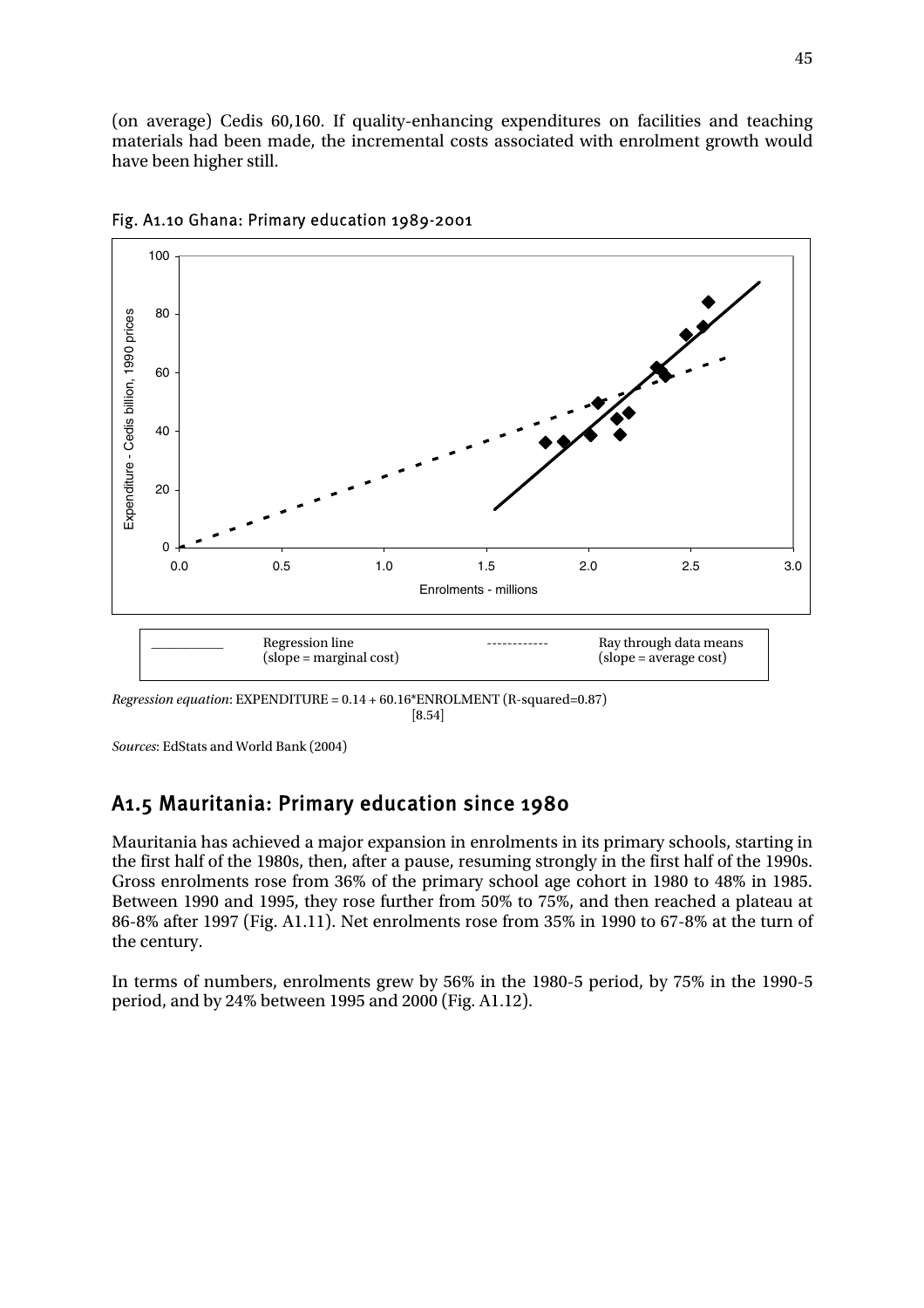(on average) Cedis 60,160. If quality-enhancing expenditures on facilities and teaching materials had been made, the incremental costs associated with enrolment growth would have been higher still.



Fig. A1.10 Ghana: Primary education 1989-2001

*Regression equation*: EXPENDITURE = 0.14 + 60.16\*ENROLMENT (R-squared=0.87)  $[8.54]$ 

*Sources*: EdStats and World Bank (2004)

### A1.5 Mauritania: Primary education since 1980

Mauritania has achieved a major expansion in enrolments in its primary schools, starting in the first half of the 1980s, then, after a pause, resuming strongly in the first half of the 1990s. Gross enrolments rose from 36% of the primary school age cohort in 1980 to 48% in 1985. Between 1990 and 1995, they rose further from 50% to 75%, and then reached a plateau at 86-8% after 1997 (Fig. A1.11). Net enrolments rose from 35% in 1990 to 67-8% at the turn of the century.

In terms of numbers, enrolments grew by 56% in the 1980-5 period, by 75% in the 1990-5 period, and by 24% between 1995 and 2000 (Fig. A1.12).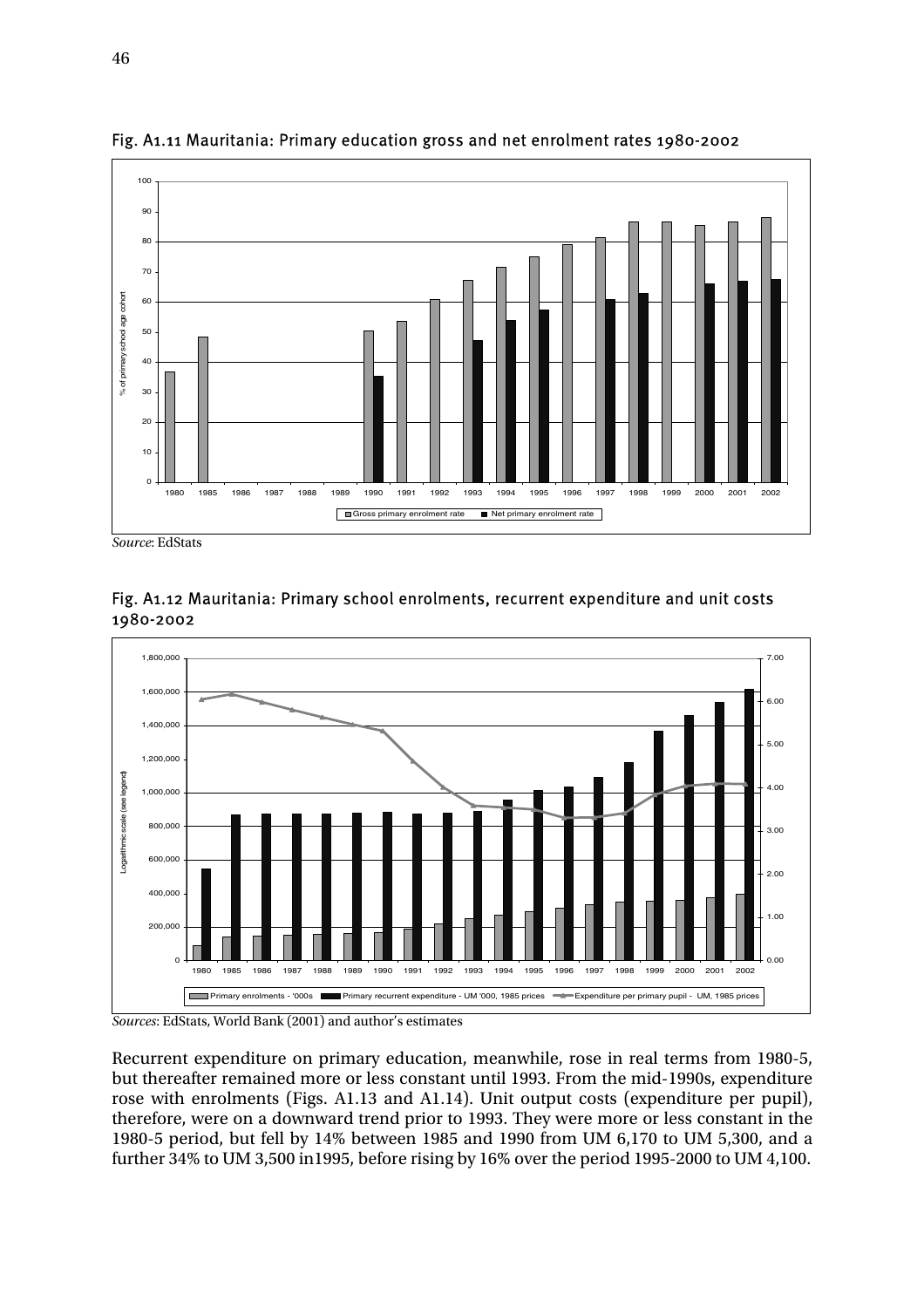

Fig. A1.11 Mauritania: Primary education gross and net enrolment rates 1980-2002

*Source*: EdStats



Fig. A1.12 Mauritania: Primary school enrolments, recurrent expenditure and unit costs 1980-2002

*Sources*: EdStats, World Bank (2001) and author's estimates

Recurrent expenditure on primary education, meanwhile, rose in real terms from 1980-5, but thereafter remained more or less constant until 1993. From the mid-1990s, expenditure rose with enrolments (Figs. A1.13 and A1.14). Unit output costs (expenditure per pupil), therefore, were on a downward trend prior to 1993. They were more or less constant in the 1980-5 period, but fell by 14% between 1985 and 1990 from UM 6,170 to UM 5,300, and a further 34% to UM 3,500 in1995, before rising by 16% over the period 1995-2000 to UM 4,100.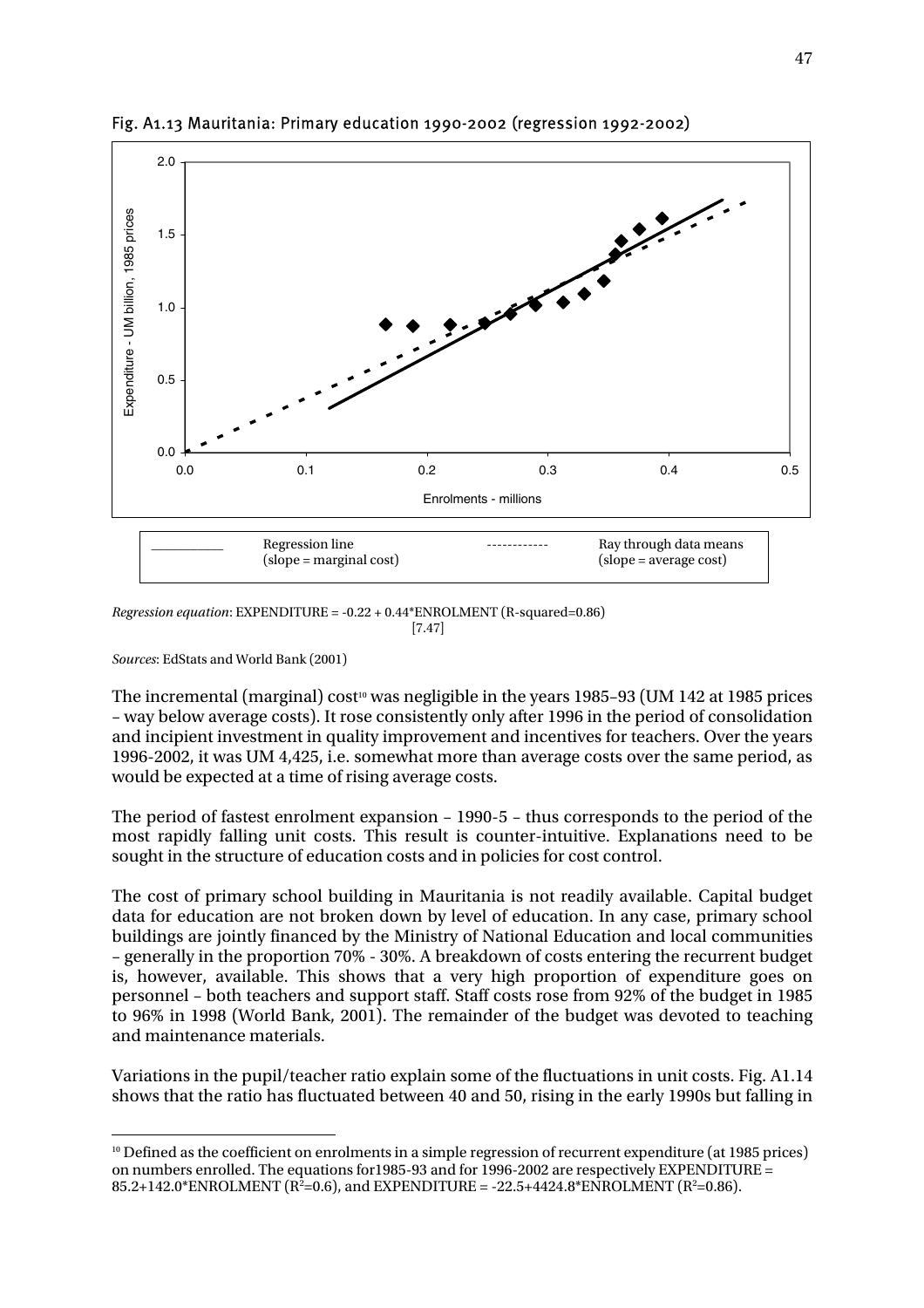

Fig. A1.13 Mauritania: Primary education 1990-2002 (regression 1992-2002)

*Regression equation*: EXPENDITURE = -0.22 + 0.44\*ENROLMENT (R-squared=0.86)  $[7.47]$ 

*Sources*: EdStats and World Bank (2001)

 $\overline{a}$ 

The incremental (marginal) cost<sup>10</sup> was negligible in the years 1985–93 (UM 142 at 1985 prices – way below average costs). It rose consistently only after 1996 in the period of consolidation and incipient investment in quality improvement and incentives for teachers. Over the years 1996-2002, it was UM 4,425, i.e. somewhat more than average costs over the same period, as would be expected at a time of rising average costs.

The period of fastest enrolment expansion – 1990-5 – thus corresponds to the period of the most rapidly falling unit costs. This result is counter-intuitive. Explanations need to be sought in the structure of education costs and in policies for cost control.

The cost of primary school building in Mauritania is not readily available. Capital budget data for education are not broken down by level of education. In any case, primary school buildings are jointly financed by the Ministry of National Education and local communities – generally in the proportion 70% - 30%. A breakdown of costs entering the recurrent budget is, however, available. This shows that a very high proportion of expenditure goes on personnel – both teachers and support staff. Staff costs rose from 92% of the budget in 1985 to 96% in 1998 (World Bank, 2001). The remainder of the budget was devoted to teaching and maintenance materials.

Variations in the pupil/teacher ratio explain some of the fluctuations in unit costs. Fig. A1.14 shows that the ratio has fluctuated between 40 and 50, rising in the early 1990s but falling in

<sup>&</sup>lt;sup>10</sup> Defined as the coefficient on enrolments in a simple regression of recurrent expenditure (at 1985 prices) on numbers enrolled. The equations for1985-93 and for 1996-2002 are respectively EXPENDITURE =  $85.2+142.0*$ ENROLMENT (R<sup>2</sup>=0.6), and EXPENDITURE = -22.5+4424.8\*ENROLMENT (R<sup>2</sup>=0.86).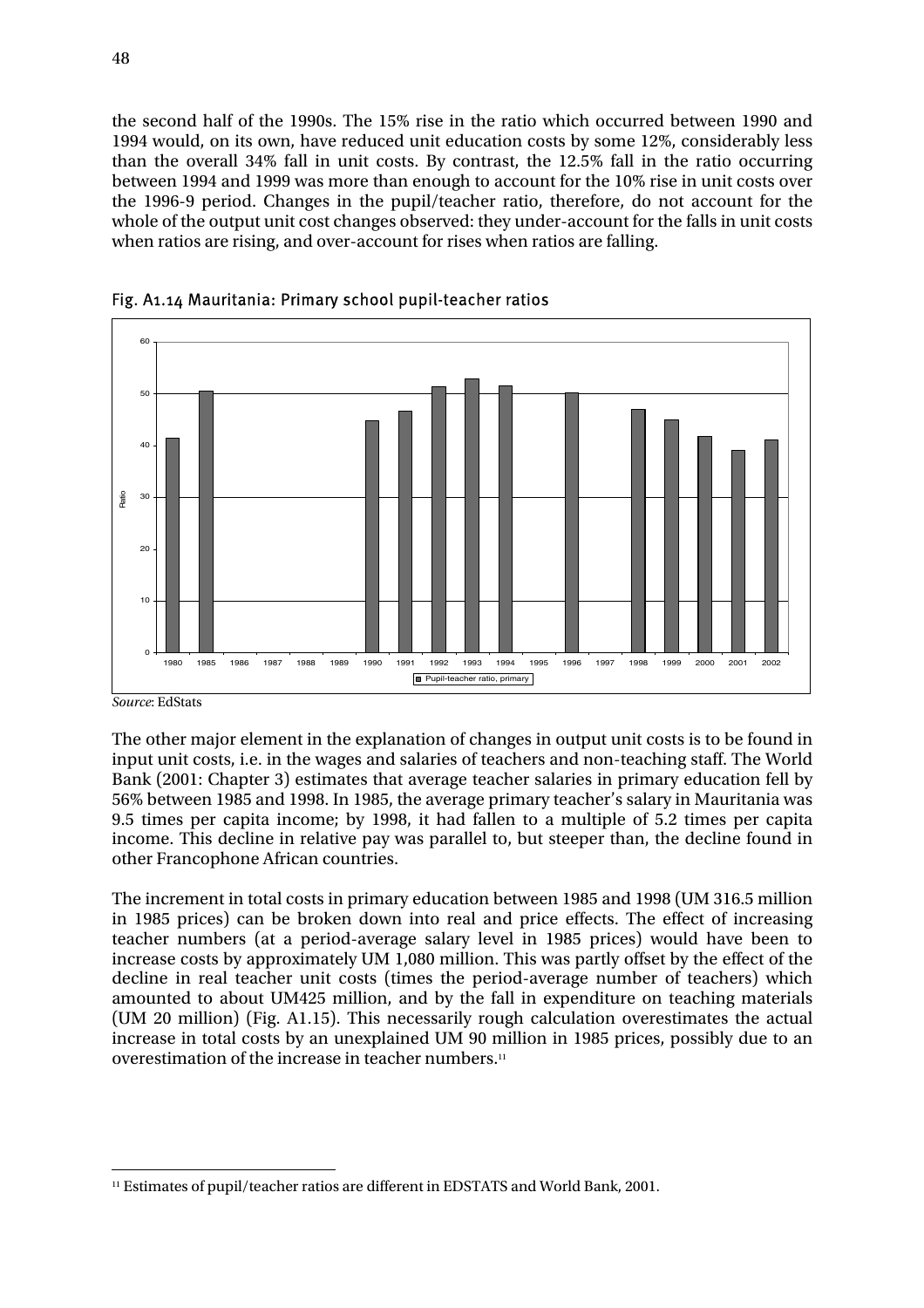the second half of the 1990s. The 15% rise in the ratio which occurred between 1990 and 1994 would, on its own, have reduced unit education costs by some 12%, considerably less than the overall 34% fall in unit costs. By contrast, the 12.5% fall in the ratio occurring between 1994 and 1999 was more than enough to account for the 10% rise in unit costs over the 1996-9 period. Changes in the pupil/teacher ratio, therefore, do not account for the whole of the output unit cost changes observed: they under-account for the falls in unit costs when ratios are rising, and over-account for rises when ratios are falling.





The other major element in the explanation of changes in output unit costs is to be found in input unit costs, i.e. in the wages and salaries of teachers and non-teaching staff. The World Bank (2001: Chapter 3) estimates that average teacher salaries in primary education fell by 56% between 1985 and 1998. In 1985, the average primary teacher's salary in Mauritania was 9.5 times per capita income; by 1998, it had fallen to a multiple of 5.2 times per capita income. This decline in relative pay was parallel to, but steeper than, the decline found in other Francophone African countries.

The increment in total costs in primary education between 1985 and 1998 (UM 316.5 million in 1985 prices) can be broken down into real and price effects. The effect of increasing teacher numbers (at a period-average salary level in 1985 prices) would have been to increase costs by approximately UM 1,080 million. This was partly offset by the effect of the decline in real teacher unit costs (times the period-average number of teachers) which amounted to about UM425 million, and by the fall in expenditure on teaching materials (UM 20 million) (Fig. A1.15). This necessarily rough calculation overestimates the actual increase in total costs by an unexplained UM 90 million in 1985 prices, possibly due to an overestimation of the increase in teacher numbers.<sup>11</sup>

*Source*: EdStats

 $\overline{a}$ 11 Estimates of pupil/teacher ratios are different in EDSTATS and World Bank, 2001.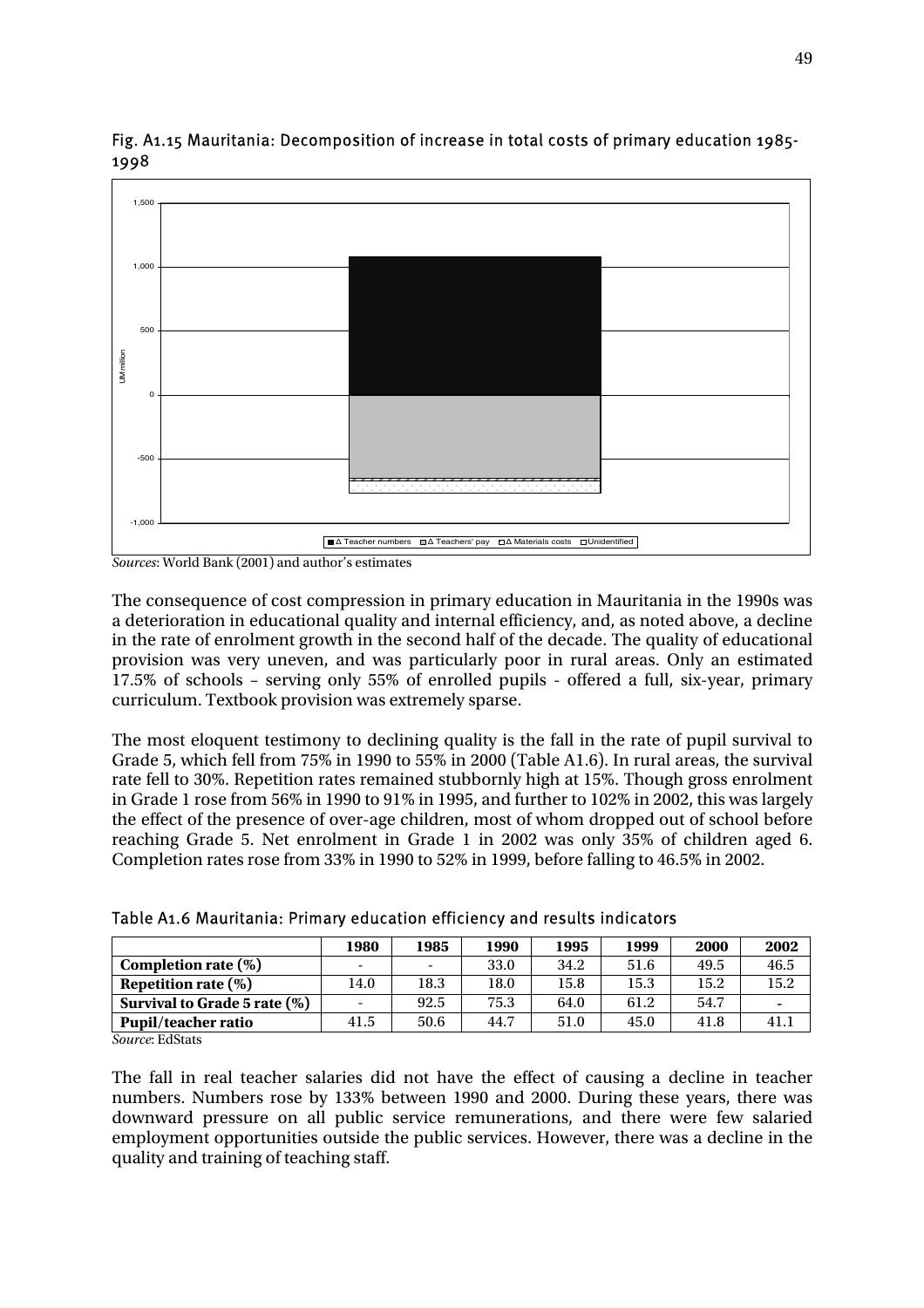

#### Fig. A1.15 Mauritania: Decomposition of increase in total costs of primary education 1985- 1998

*Sources*: World Bank (2001) and author's estimates

The consequence of cost compression in primary education in Mauritania in the 1990s was a deterioration in educational quality and internal efficiency, and, as noted above, a decline in the rate of enrolment growth in the second half of the decade. The quality of educational provision was very uneven, and was particularly poor in rural areas. Only an estimated 17.5% of schools – serving only 55% of enrolled pupils - offered a full, six-year, primary curriculum. Textbook provision was extremely sparse.

The most eloquent testimony to declining quality is the fall in the rate of pupil survival to Grade 5, which fell from 75% in 1990 to 55% in 2000 (Table A1.6). In rural areas, the survival rate fell to 30%. Repetition rates remained stubbornly high at 15%. Though gross enrolment in Grade 1 rose from 56% in 1990 to 91% in 1995, and further to 102% in 2002, this was largely the effect of the presence of over-age children, most of whom dropped out of school before reaching Grade 5. Net enrolment in Grade 1 in 2002 was only 35% of children aged 6. Completion rates rose from 33% in 1990 to 52% in 1999, before falling to 46.5% in 2002.

|                              | 1980                     | 1985 | 1990 | 1995 | 1999 | 2000 | 2002 |
|------------------------------|--------------------------|------|------|------|------|------|------|
| Completion rate $(\%)$       | $\overline{\phantom{a}}$ | -    | 33.0 | 34.2 | 51.6 | 49.5 | 46.5 |
| Repetition rate $(\%)$       | 14.0                     | 18.3 | 18.0 | 15.8 | 15.3 | 15.2 | 15.2 |
| Survival to Grade 5 rate (%) | $\overline{\phantom{a}}$ | 92.5 | 75.3 | 64.0 | 61.2 | 54.7 |      |
| <b>Pupil/teacher ratio</b>   | 41.5                     | 50.6 | 44.7 | 51.0 | 45.0 | 41.8 | 41.  |

Table A1.6 Mauritania: Primary education efficiency and results indicators

*Source*: EdStats

The fall in real teacher salaries did not have the effect of causing a decline in teacher numbers. Numbers rose by 133% between 1990 and 2000. During these years, there was downward pressure on all public service remunerations, and there were few salaried employment opportunities outside the public services. However, there was a decline in the quality and training of teaching staff.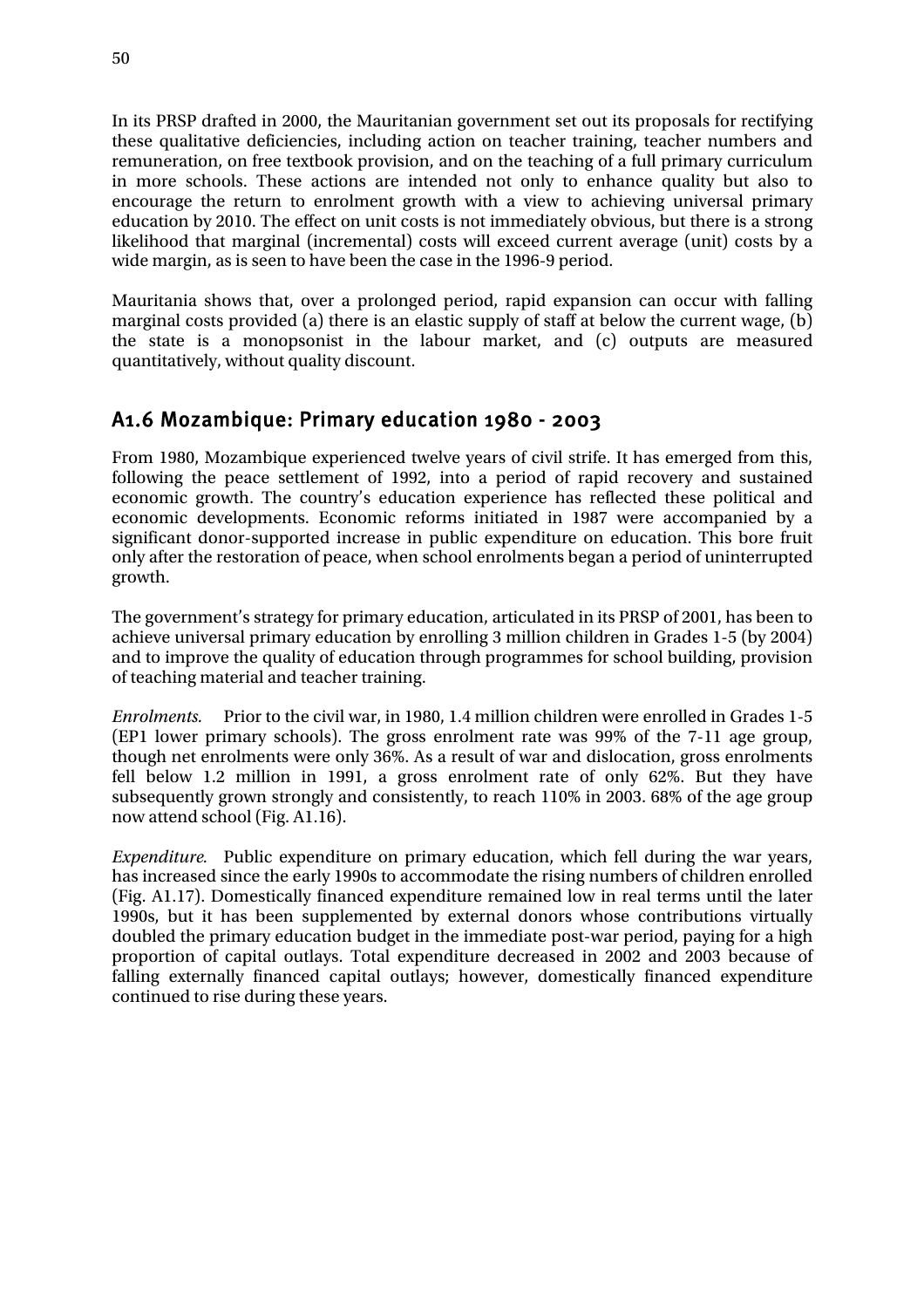In its PRSP drafted in 2000, the Mauritanian government set out its proposals for rectifying these qualitative deficiencies, including action on teacher training, teacher numbers and remuneration, on free textbook provision, and on the teaching of a full primary curriculum in more schools. These actions are intended not only to enhance quality but also to encourage the return to enrolment growth with a view to achieving universal primary education by 2010. The effect on unit costs is not immediately obvious, but there is a strong likelihood that marginal (incremental) costs will exceed current average (unit) costs by a wide margin, as is seen to have been the case in the 1996-9 period.

Mauritania shows that, over a prolonged period, rapid expansion can occur with falling marginal costs provided (a) there is an elastic supply of staff at below the current wage, (b) the state is a monopsonist in the labour market, and (c) outputs are measured quantitatively, without quality discount.

### A1.6 Mozambique: Primary education 1980 - 2003

From 1980, Mozambique experienced twelve years of civil strife. It has emerged from this, following the peace settlement of 1992, into a period of rapid recovery and sustained economic growth. The country's education experience has reflected these political and economic developments. Economic reforms initiated in 1987 were accompanied by a significant donor-supported increase in public expenditure on education. This bore fruit only after the restoration of peace, when school enrolments began a period of uninterrupted growth.

The government's strategy for primary education, articulated in its PRSP of 2001, has been to achieve universal primary education by enrolling 3 million children in Grades 1-5 (by 2004) and to improve the quality of education through programmes for school building, provision of teaching material and teacher training.

*Enrolments.* Prior to the civil war, in 1980, 1.4 million children were enrolled in Grades 1-5 (EP1 lower primary schools). The gross enrolment rate was 99% of the 7-11 age group, though net enrolments were only 36%. As a result of war and dislocation, gross enrolments fell below 1.2 million in 1991, a gross enrolment rate of only 62%. But they have subsequently grown strongly and consistently, to reach 110% in 2003. 68% of the age group now attend school (Fig. A1.16).

*Expenditure.* Public expenditure on primary education, which fell during the war years, has increased since the early 1990s to accommodate the rising numbers of children enrolled (Fig. A1.17). Domestically financed expenditure remained low in real terms until the later 1990s, but it has been supplemented by external donors whose contributions virtually doubled the primary education budget in the immediate post-war period, paying for a high proportion of capital outlays. Total expenditure decreased in 2002 and 2003 because of falling externally financed capital outlays; however, domestically financed expenditure continued to rise during these years.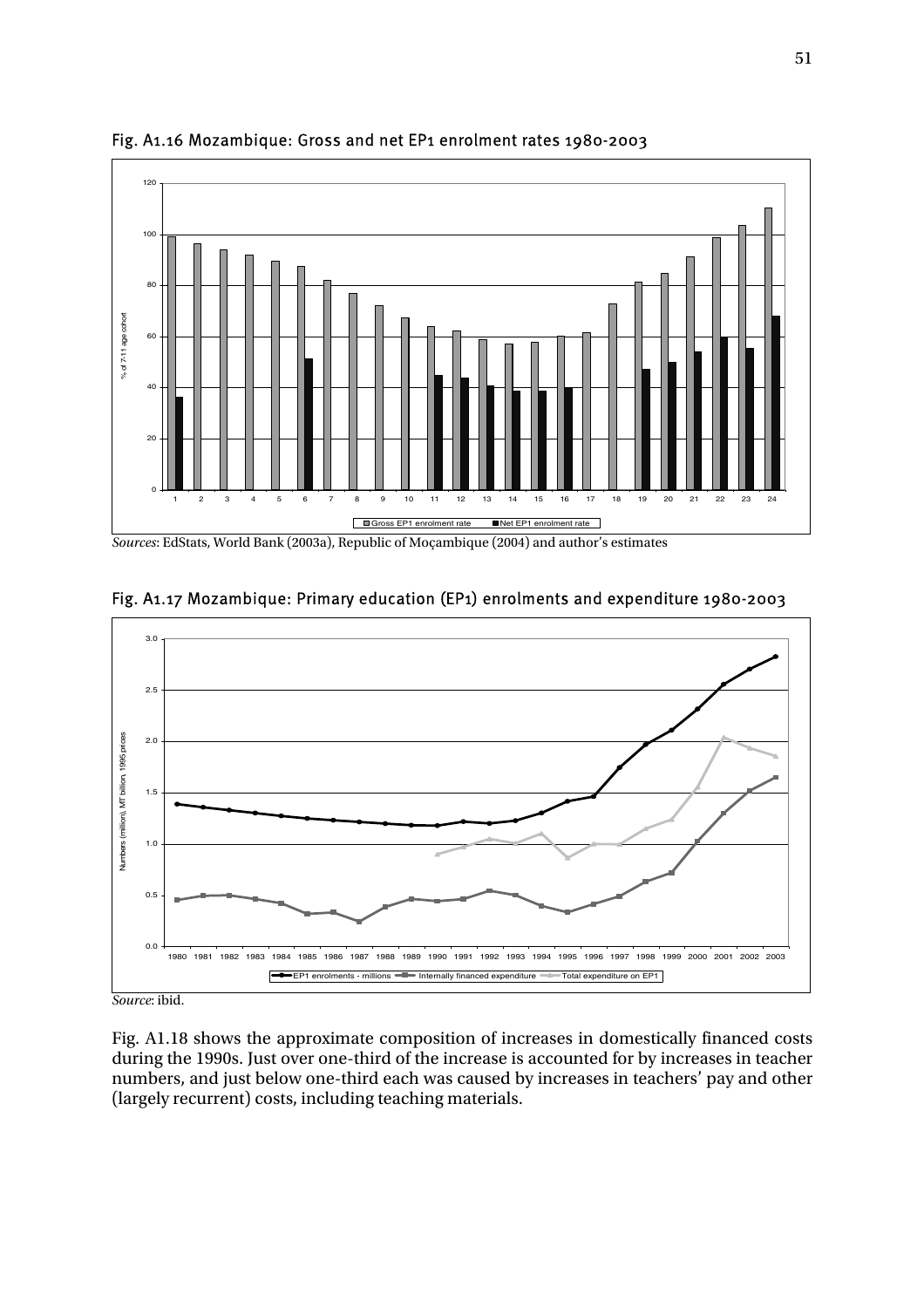

Fig. A1.16 Mozambique: Gross and net EP1 enrolment rates 1980-2003

*Sources*: EdStats, World Bank (2003a), Republic of Moçambique (2004) and author's estimates



#### Fig. A1.17 Mozambique: Primary education (EP1) enrolments and expenditure 1980-2003

*Source*: ibid.

Fig. A1.18 shows the approximate composition of increases in domestically financed costs during the 1990s. Just over one-third of the increase is accounted for by increases in teacher numbers, and just below one-third each was caused by increases in teachers' pay and other (largely recurrent) costs, including teaching materials.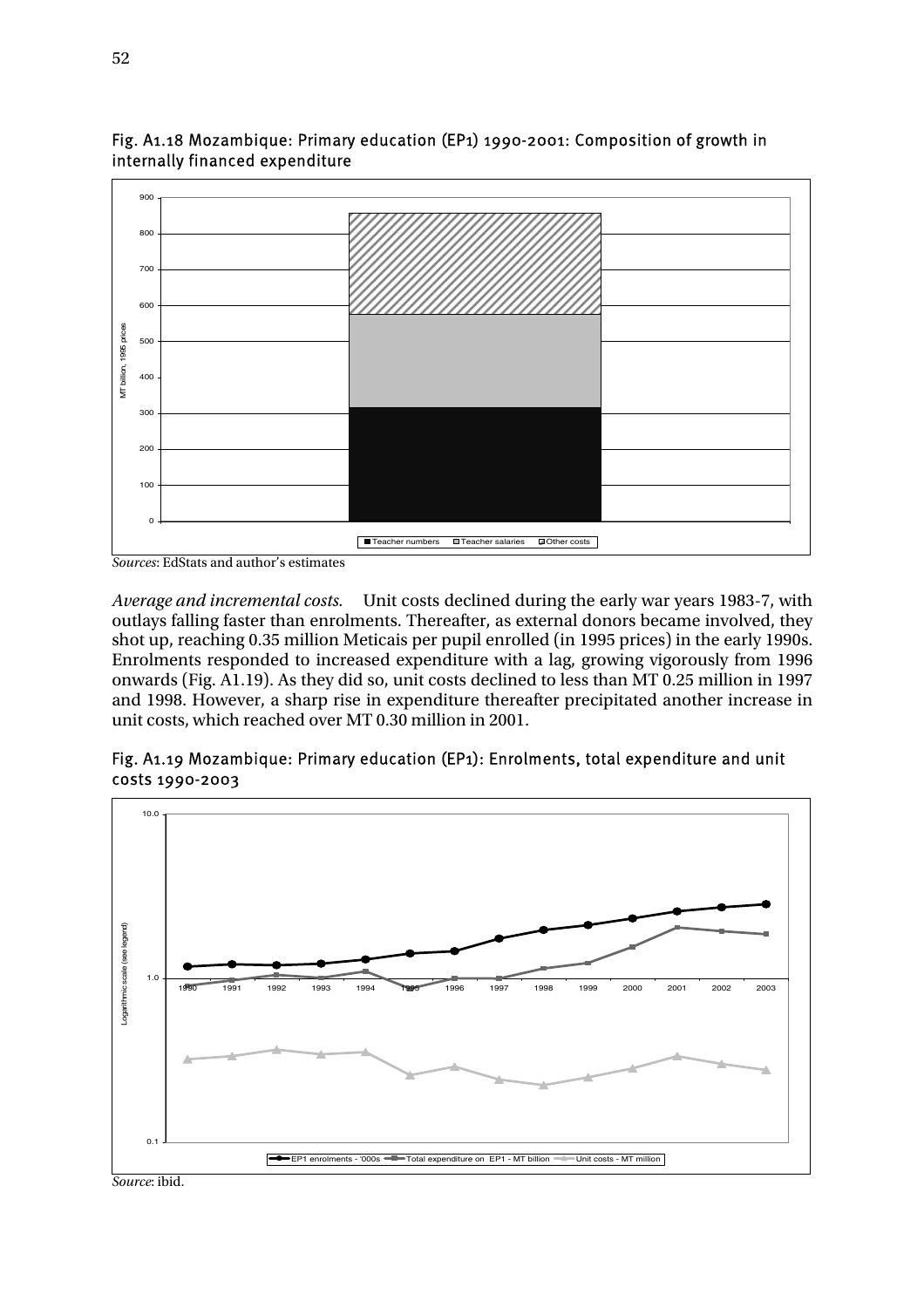

Fig. A1.18 Mozambique: Primary education (EP1) 1990-2001: Composition of growth in internally financed expenditure

*Sources*: EdStats and author's estimates

*Average and incremental costs.* Unit costs declined during the early war years 1983-7, with outlays falling faster than enrolments. Thereafter, as external donors became involved, they shot up, reaching 0.35 million Meticais per pupil enrolled (in 1995 prices) in the early 1990s. Enrolments responded to increased expenditure with a lag, growing vigorously from 1996 onwards (Fig. A1.19). As they did so, unit costs declined to less than MT 0.25 million in 1997 and 1998. However, a sharp rise in expenditure thereafter precipitated another increase in unit costs, which reached over MT 0.30 million in 2001.

#### Fig. A1.19 Mozambique: Primary education (EP1): Enrolments, total expenditure and unit costs 1990-2003



*Source*: ibid.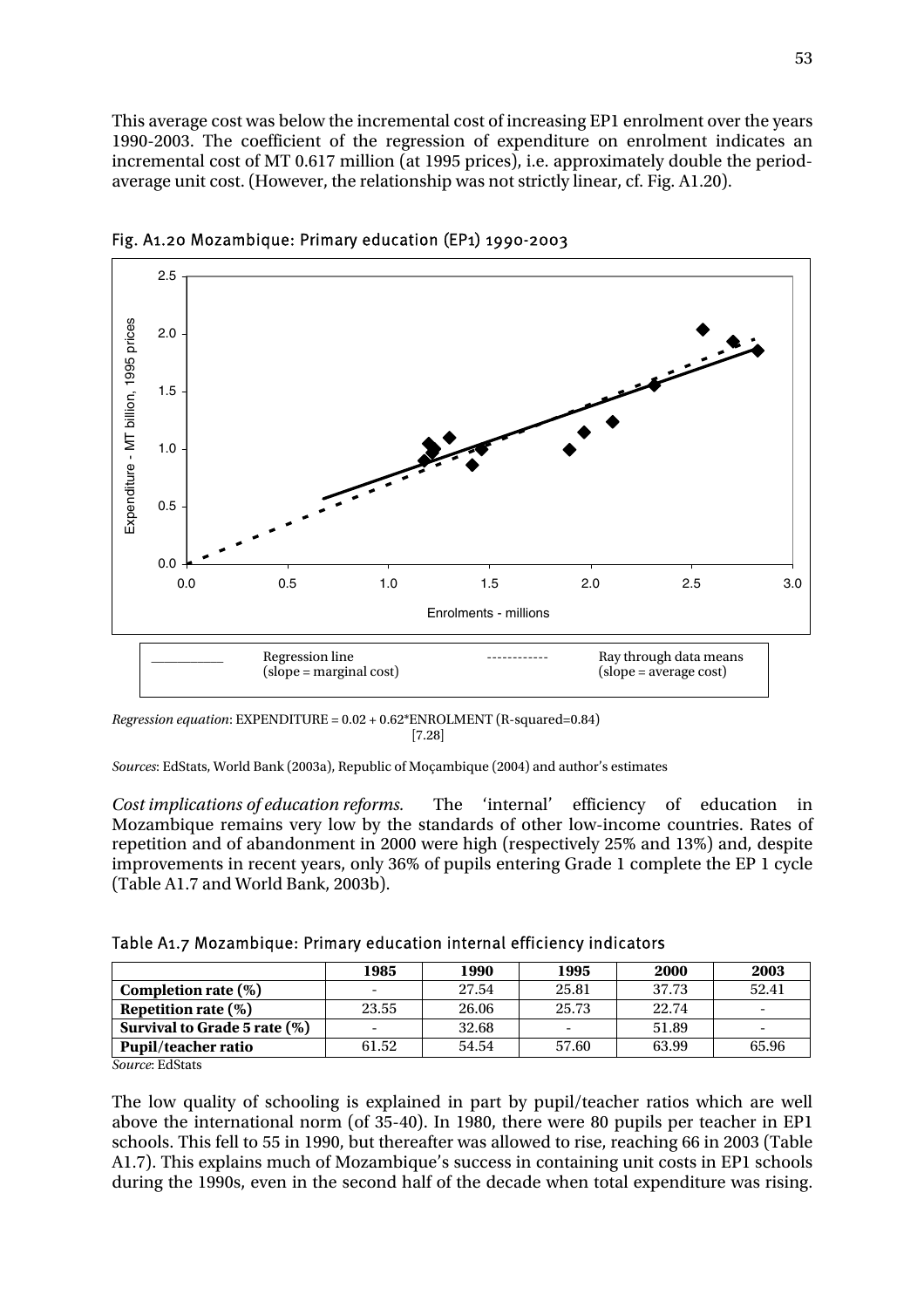This average cost was below the incremental cost of increasing EP1 enrolment over the years 1990-2003. The coefficient of the regression of expenditure on enrolment indicates an incremental cost of MT 0.617 million (at 1995 prices), i.e. approximately double the periodaverage unit cost. (However, the relationship was not strictly linear, cf. Fig. A1.20).



Fig. A1.20 Mozambique: Primary education (EP1) 1990-2003

*Regression equation*: EXPENDITURE = 0.02 + 0.62\*ENROLMENT (R-squared=0.84)  $[7.28]$ 

*Sources*: EdStats, World Bank (2003a), Republic of Moçambique (2004) and author's estimates

*Cost implications of education reforms.* The 'internal' efficiency of education in Mozambique remains very low by the standards of other low-income countries. Rates of repetition and of abandonment in 2000 were high (respectively 25% and 13%) and, despite improvements in recent years, only 36% of pupils entering Grade 1 complete the EP 1 cycle (Table A1.7 and World Bank, 2003b).

|  |  | Table A1.7 Mozambique: Primary education internal efficiency indicators |  |  |
|--|--|-------------------------------------------------------------------------|--|--|
|--|--|-------------------------------------------------------------------------|--|--|

|                              | 1985                     | 1990  | 1995  | 2000  | 2003                     |
|------------------------------|--------------------------|-------|-------|-------|--------------------------|
| Completion rate $(\%)$       | $\overline{\phantom{0}}$ | 27.54 | 25.81 | 37.73 | 52.41                    |
| Repetition rate $(\%)$       | 23.55                    | 26.06 | 25.73 | 22.74 |                          |
| Survival to Grade 5 rate (%) | $\overline{\phantom{a}}$ | 32.68 |       | 51.89 | $\overline{\phantom{0}}$ |
| <b>Pupil/teacher ratio</b>   | 61.52                    | 54.54 | 57.60 | 63.99 | 65.96                    |

*Source*: EdStats

The low quality of schooling is explained in part by pupil/teacher ratios which are well above the international norm (of 35-40). In 1980, there were 80 pupils per teacher in EP1 schools. This fell to 55 in 1990, but thereafter was allowed to rise, reaching 66 in 2003 (Table A1.7). This explains much of Mozambique's success in containing unit costs in EP1 schools during the 1990s, even in the second half of the decade when total expenditure was rising.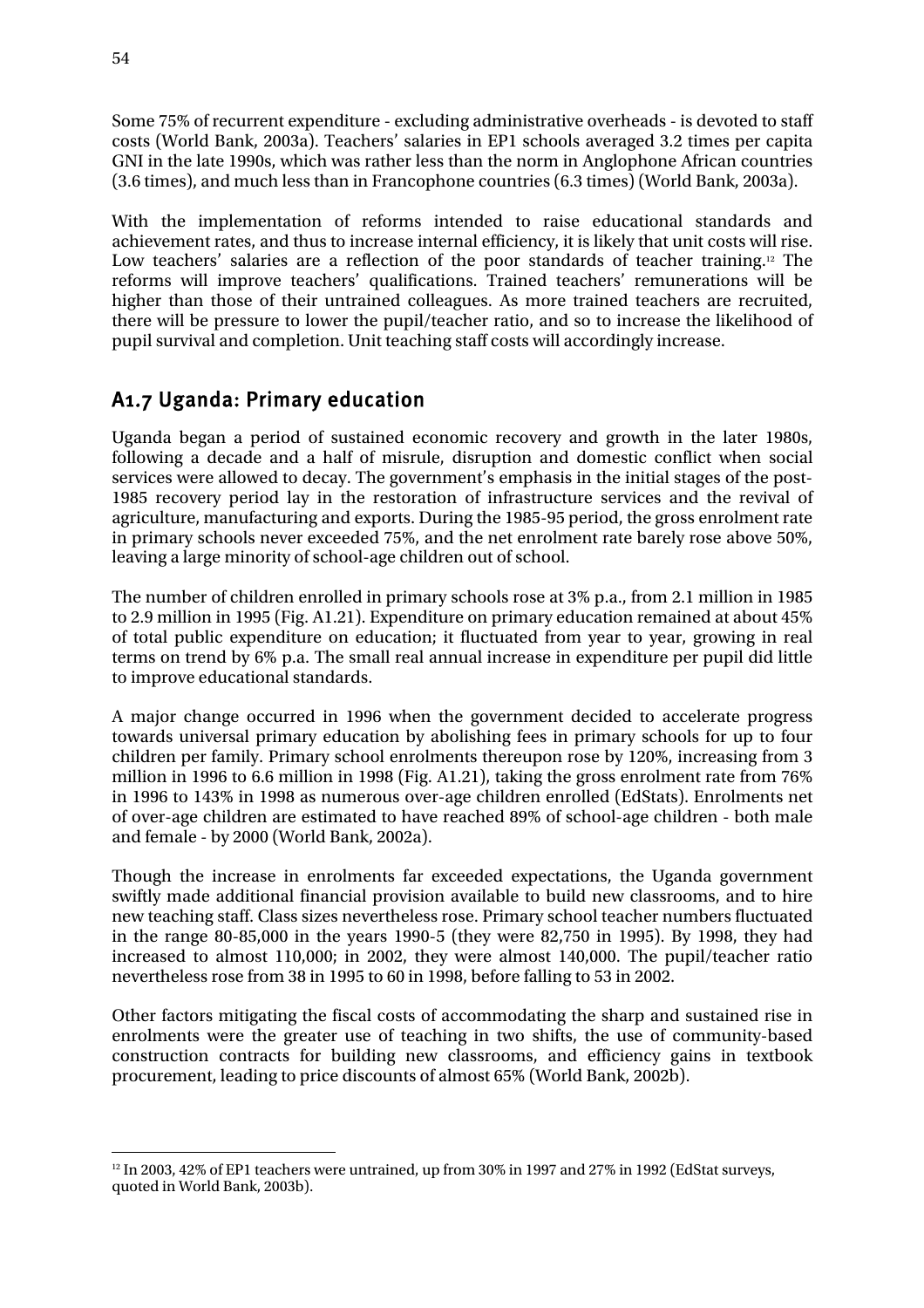Some 75% of recurrent expenditure - excluding administrative overheads - is devoted to staff costs (World Bank, 2003a). Teachers' salaries in EP1 schools averaged 3.2 times per capita GNI in the late 1990s, which was rather less than the norm in Anglophone African countries (3.6 times), and much less than in Francophone countries (6.3 times) (World Bank, 2003a).

With the implementation of reforms intended to raise educational standards and achievement rates, and thus to increase internal efficiency, it is likely that unit costs will rise. Low teachers' salaries are a reflection of the poor standards of teacher training.<sup>12</sup> The reforms will improve teachers' qualifications. Trained teachers' remunerations will be higher than those of their untrained colleagues. As more trained teachers are recruited, there will be pressure to lower the pupil/teacher ratio, and so to increase the likelihood of pupil survival and completion. Unit teaching staff costs will accordingly increase.

### A1.7 Uganda: Primary education

Uganda began a period of sustained economic recovery and growth in the later 1980s, following a decade and a half of misrule, disruption and domestic conflict when social services were allowed to decay. The government's emphasis in the initial stages of the post-1985 recovery period lay in the restoration of infrastructure services and the revival of agriculture, manufacturing and exports. During the 1985-95 period, the gross enrolment rate in primary schools never exceeded 75%, and the net enrolment rate barely rose above 50%, leaving a large minority of school-age children out of school.

The number of children enrolled in primary schools rose at 3% p.a., from 2.1 million in 1985 to 2.9 million in 1995 (Fig. A1.21). Expenditure on primary education remained at about 45% of total public expenditure on education; it fluctuated from year to year, growing in real terms on trend by 6% p.a. The small real annual increase in expenditure per pupil did little to improve educational standards.

A major change occurred in 1996 when the government decided to accelerate progress towards universal primary education by abolishing fees in primary schools for up to four children per family. Primary school enrolments thereupon rose by 120%, increasing from 3 million in 1996 to 6.6 million in 1998 (Fig. A1.21), taking the gross enrolment rate from 76% in 1996 to 143% in 1998 as numerous over-age children enrolled (EdStats). Enrolments net of over-age children are estimated to have reached 89% of school-age children - both male and female - by 2000 (World Bank, 2002a).

Though the increase in enrolments far exceeded expectations, the Uganda government swiftly made additional financial provision available to build new classrooms, and to hire new teaching staff. Class sizes nevertheless rose. Primary school teacher numbers fluctuated in the range 80-85,000 in the years 1990-5 (they were 82,750 in 1995). By 1998, they had increased to almost 110,000; in 2002, they were almost 140,000. The pupil/teacher ratio nevertheless rose from 38 in 1995 to 60 in 1998, before falling to 53 in 2002.

Other factors mitigating the fiscal costs of accommodating the sharp and sustained rise in enrolments were the greater use of teaching in two shifts, the use of community-based construction contracts for building new classrooms, and efficiency gains in textbook procurement, leading to price discounts of almost 65% (World Bank, 2002b).

 $\overline{a}$ <sup>12</sup> In 2003, 42% of EP1 teachers were untrained, up from 30% in 1997 and 27% in 1992 (EdStat surveys, quoted in World Bank, 2003b).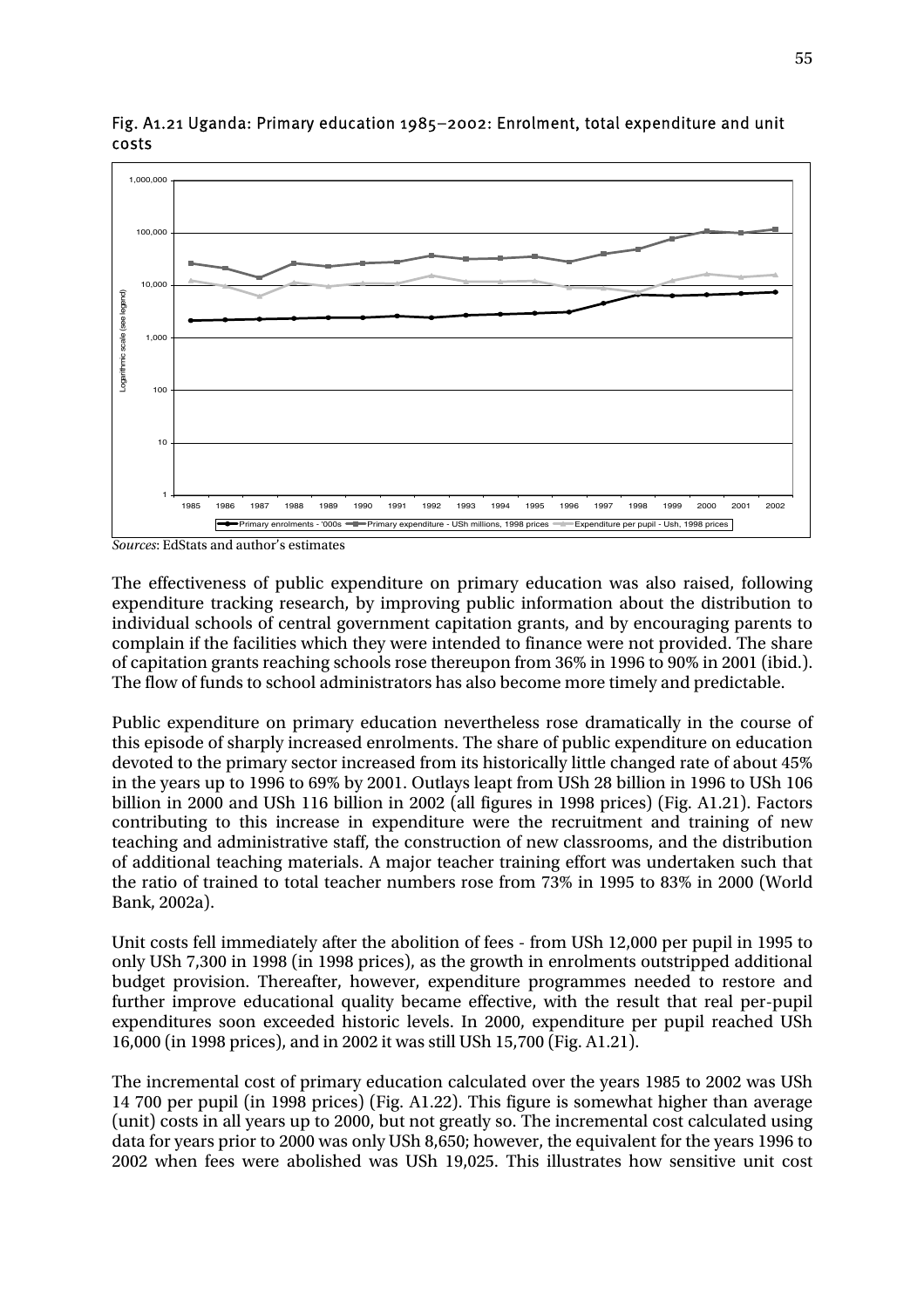

Fig. A1.21 Uganda: Primary education 1985–2002: Enrolment, total expenditure and unit costs

*Sources*: EdStats and author's estimates

The effectiveness of public expenditure on primary education was also raised, following expenditure tracking research, by improving public information about the distribution to individual schools of central government capitation grants, and by encouraging parents to complain if the facilities which they were intended to finance were not provided. The share of capitation grants reaching schools rose thereupon from 36% in 1996 to 90% in 2001 (ibid.). The flow of funds to school administrators has also become more timely and predictable.

Public expenditure on primary education nevertheless rose dramatically in the course of this episode of sharply increased enrolments. The share of public expenditure on education devoted to the primary sector increased from its historically little changed rate of about 45% in the years up to 1996 to 69% by 2001. Outlays leapt from USh 28 billion in 1996 to USh 106 billion in 2000 and USh 116 billion in 2002 (all figures in 1998 prices) (Fig. A1.21). Factors contributing to this increase in expenditure were the recruitment and training of new teaching and administrative staff, the construction of new classrooms, and the distribution of additional teaching materials. A major teacher training effort was undertaken such that the ratio of trained to total teacher numbers rose from 73% in 1995 to 83% in 2000 (World Bank, 2002a).

Unit costs fell immediately after the abolition of fees - from USh 12,000 per pupil in 1995 to only USh 7,300 in 1998 (in 1998 prices), as the growth in enrolments outstripped additional budget provision. Thereafter, however, expenditure programmes needed to restore and further improve educational quality became effective, with the result that real per-pupil expenditures soon exceeded historic levels. In 2000, expenditure per pupil reached USh 16,000 (in 1998 prices), and in 2002 it was still USh 15,700 (Fig. A1.21).

The incremental cost of primary education calculated over the years 1985 to 2002 was USh 14 700 per pupil (in 1998 prices) (Fig. A1.22). This figure is somewhat higher than average (unit) costs in all years up to 2000, but not greatly so. The incremental cost calculated using data for years prior to 2000 was only USh 8,650; however, the equivalent for the years 1996 to 2002 when fees were abolished was USh 19,025. This illustrates how sensitive unit cost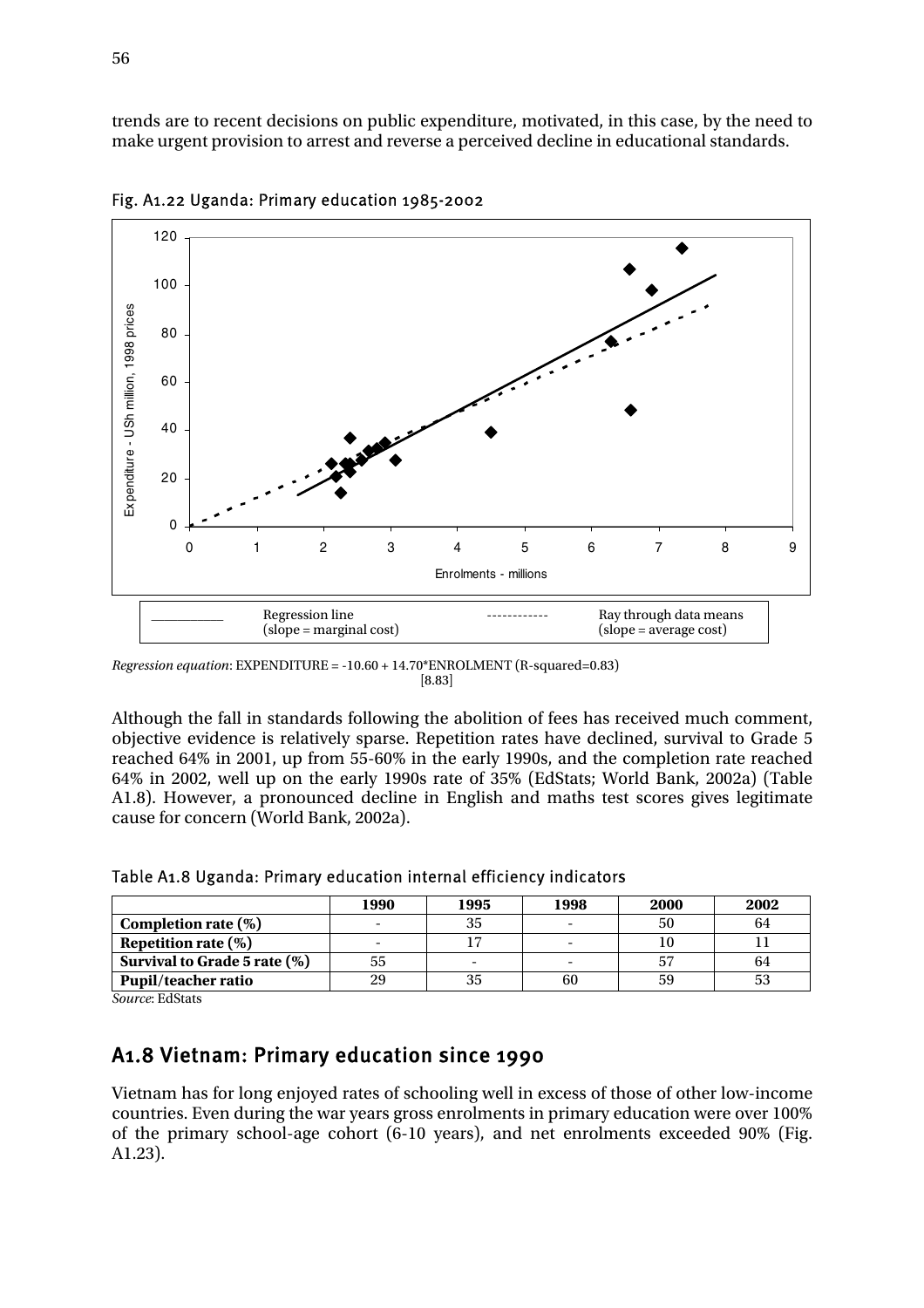trends are to recent decisions on public expenditure, motivated, in this case, by the need to make urgent provision to arrest and reverse a perceived decline in educational standards.



Fig. A1.22 Uganda: Primary education 1985-2002

Although the fall in standards following the abolition of fees has received much comment, objective evidence is relatively sparse. Repetition rates have declined, survival to Grade 5 reached 64% in 2001, up from 55-60% in the early 1990s, and the completion rate reached 64% in 2002, well up on the early 1990s rate of 35% (EdStats; World Bank, 2002a) (Table A1.8). However, a pronounced decline in English and maths test scores gives legitimate cause for concern (World Bank, 2002a).

|                              | 1990                     | 1995 | 1998 | 2000 | 2002 |
|------------------------------|--------------------------|------|------|------|------|
| Completion rate $(\%)$       | $\overline{\phantom{a}}$ | 35   |      | 50   | 64   |
| Repetition rate $(\%)$       | $\overline{\phantom{0}}$ |      |      |      |      |
| Survival to Grade 5 rate (%) | 55                       |      |      |      | 64   |
| <b>Pupil/teacher ratio</b>   | 29                       |      | 60   | 59   |      |

Table A1.8 Uganda: Primary education internal efficiency indicators

*Source*: EdStats

### A1.8 Vietnam: Primary education since 1990

Vietnam has for long enjoyed rates of schooling well in excess of those of other low-income countries. Even during the war years gross enrolments in primary education were over 100% of the primary school-age cohort (6-10 years), and net enrolments exceeded 90% (Fig. A1.23).

*Regression equation*: EXPENDITURE = -10.60 + 14.70\*ENROLMENT (R-squared=0.83)  $[8.83]$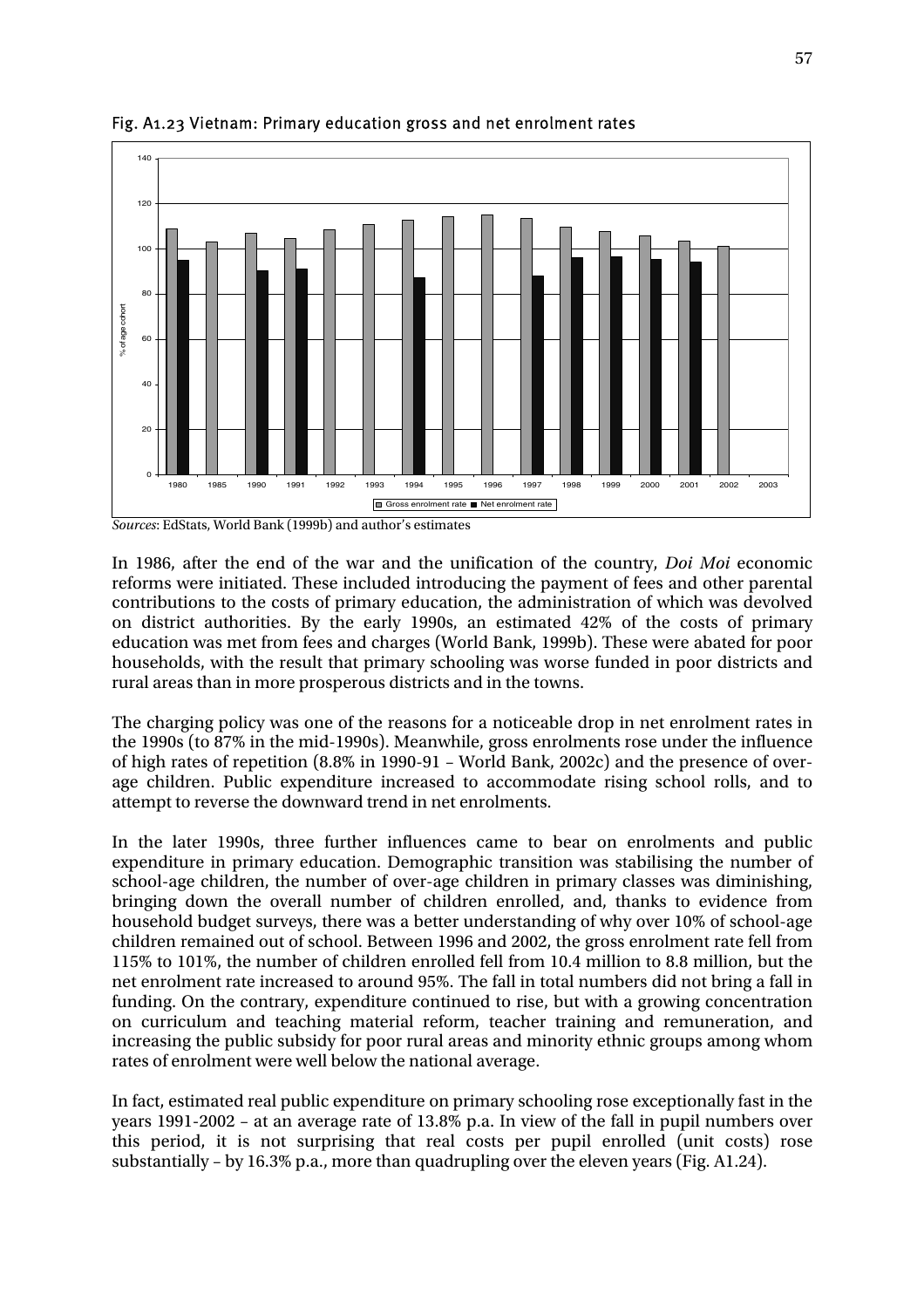

Fig. A1.23 Vietnam: Primary education gross and net enrolment rates

*Sources*: EdStats, World Bank (1999b) and author's estimates

In 1986, after the end of the war and the unification of the country, *Doi Moi* economic reforms were initiated. These included introducing the payment of fees and other parental contributions to the costs of primary education, the administration of which was devolved on district authorities. By the early 1990s, an estimated 42% of the costs of primary education was met from fees and charges (World Bank, 1999b). These were abated for poor households, with the result that primary schooling was worse funded in poor districts and rural areas than in more prosperous districts and in the towns.

The charging policy was one of the reasons for a noticeable drop in net enrolment rates in the 1990s (to 87% in the mid-1990s). Meanwhile, gross enrolments rose under the influence of high rates of repetition (8.8% in 1990-91 – World Bank, 2002c) and the presence of overage children. Public expenditure increased to accommodate rising school rolls, and to attempt to reverse the downward trend in net enrolments.

In the later 1990s, three further influences came to bear on enrolments and public expenditure in primary education. Demographic transition was stabilising the number of school-age children, the number of over-age children in primary classes was diminishing, bringing down the overall number of children enrolled, and, thanks to evidence from household budget surveys, there was a better understanding of why over 10% of school-age children remained out of school. Between 1996 and 2002, the gross enrolment rate fell from 115% to 101%, the number of children enrolled fell from 10.4 million to 8.8 million, but the net enrolment rate increased to around 95%. The fall in total numbers did not bring a fall in funding. On the contrary, expenditure continued to rise, but with a growing concentration on curriculum and teaching material reform, teacher training and remuneration, and increasing the public subsidy for poor rural areas and minority ethnic groups among whom rates of enrolment were well below the national average.

In fact, estimated real public expenditure on primary schooling rose exceptionally fast in the years 1991-2002 – at an average rate of 13.8% p.a. In view of the fall in pupil numbers over this period, it is not surprising that real costs per pupil enrolled (unit costs) rose substantially – by 16.3% p.a., more than quadrupling over the eleven years (Fig. A1.24).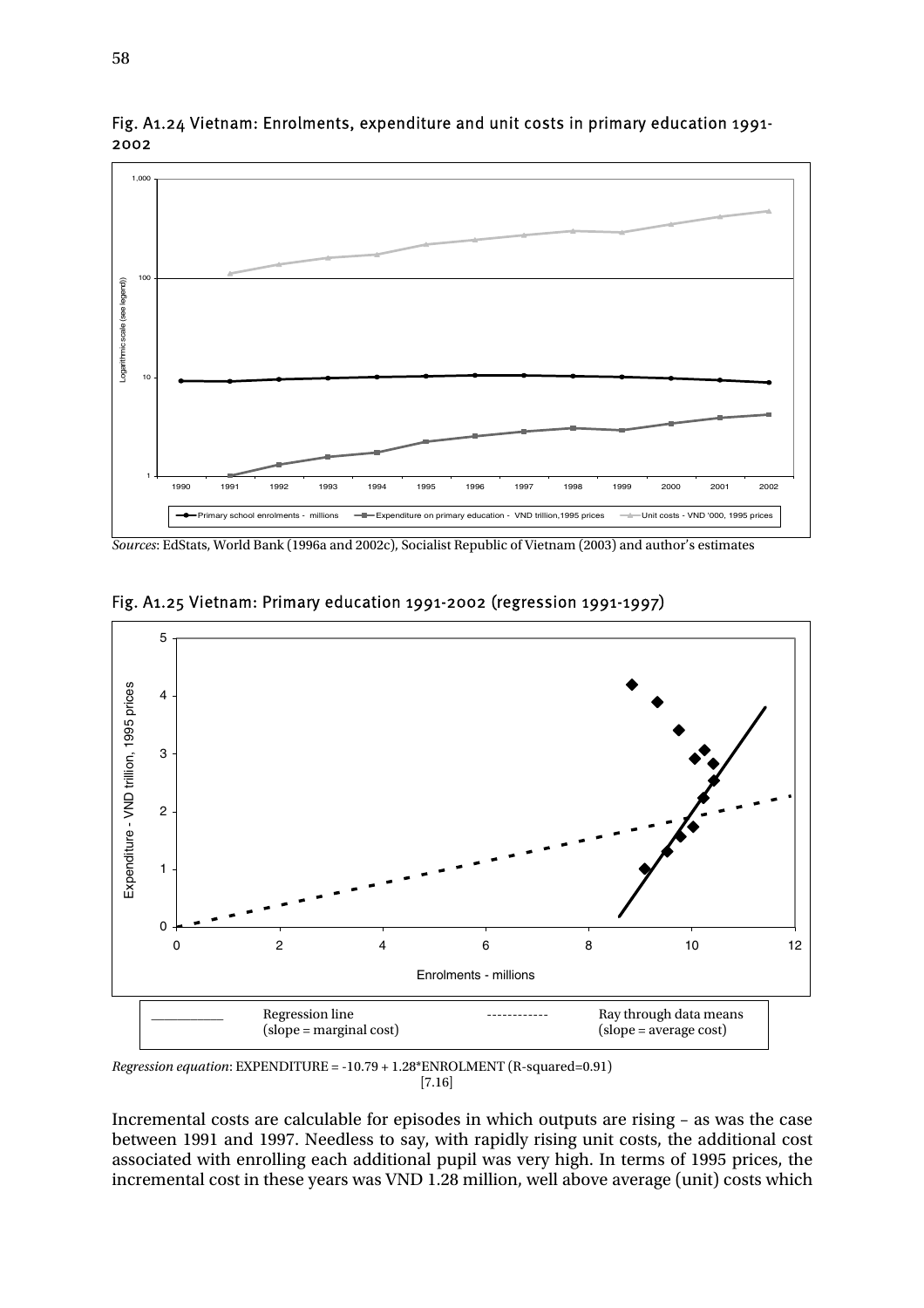

Fig. A1.24 Vietnam: Enrolments, expenditure and unit costs in primary education 1991- 2002

*Sources*: EdStats, World Bank (1996a and 2002c), Socialist Republic of Vietnam (2003) and author's estimates



Fig. A1.25 Vietnam: Primary education 1991-2002 (regression 1991-1997)

*Regression equation*: EXPENDITURE = -10.79 + 1.28\*ENROLMENT (R-squared=0.91) [7.16]

Incremental costs are calculable for episodes in which outputs are rising – as was the case between 1991 and 1997. Needless to say, with rapidly rising unit costs, the additional cost associated with enrolling each additional pupil was very high. In terms of 1995 prices, the incremental cost in these years was VND 1.28 million, well above average (unit) costs which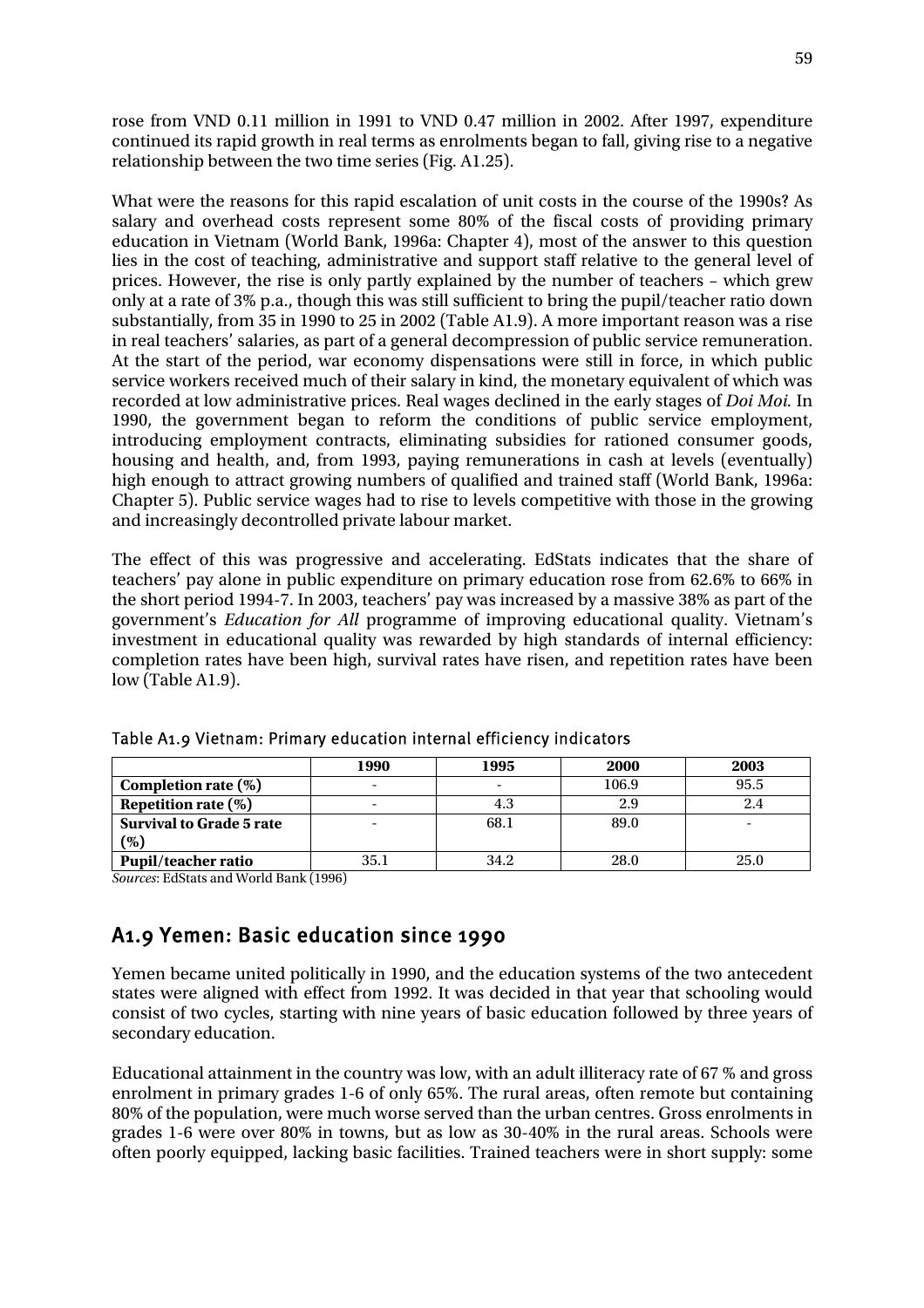rose from VND 0.11 million in 1991 to VND 0.47 million in 2002. After 1997, expenditure continued its rapid growth in real terms as enrolments began to fall, giving rise to a negative relationship between the two time series (Fig. A1.25).

What were the reasons for this rapid escalation of unit costs in the course of the 1990s? As salary and overhead costs represent some 80% of the fiscal costs of providing primary education in Vietnam (World Bank, 1996a: Chapter 4), most of the answer to this question lies in the cost of teaching, administrative and support staff relative to the general level of prices. However, the rise is only partly explained by the number of teachers – which grew only at a rate of 3% p.a., though this was still sufficient to bring the pupil/teacher ratio down substantially, from 35 in 1990 to 25 in 2002 (Table A1.9). A more important reason was a rise in real teachers' salaries, as part of a general decompression of public service remuneration. At the start of the period, war economy dispensations were still in force, in which public service workers received much of their salary in kind, the monetary equivalent of which was recorded at low administrative prices. Real wages declined in the early stages of *Doi Moi.* In 1990, the government began to reform the conditions of public service employment, introducing employment contracts, eliminating subsidies for rationed consumer goods, housing and health, and, from 1993, paying remunerations in cash at levels (eventually) high enough to attract growing numbers of qualified and trained staff (World Bank, 1996a: Chapter 5). Public service wages had to rise to levels competitive with those in the growing and increasingly decontrolled private labour market.

The effect of this was progressive and accelerating. EdStats indicates that the share of teachers' pay alone in public expenditure on primary education rose from 62.6% to 66% in the short period 1994-7. In 2003, teachers' pay was increased by a massive 38% as part of the government's *Education for All* programme of improving educational quality. Vietnam's investment in educational quality was rewarded by high standards of internal efficiency: completion rates have been high, survival rates have risen, and repetition rates have been low (Table A1.9).

|                                 | 1990 | 1995                     | <b>2000</b> | 2003 |
|---------------------------------|------|--------------------------|-------------|------|
| Completion rate $(\%)$          |      | $\overline{\phantom{0}}$ | 106.9       | 95.5 |
| Repetition rate $(\%)$          |      | 4.3                      |             |      |
| <b>Survival to Grade 5 rate</b> |      | 68.1                     | 89.0        |      |
| $(\%)$                          |      |                          |             |      |
| <b>Pupil/teacher ratio</b>      | 35.1 | 34.2                     | 28.0        | 25.0 |

Table A1.9 Vietnam: Primary education internal efficiency indicators

*Sources*: EdStats and World Bank (1996)

## A1.9 Yemen: Basic education since 1990

Yemen became united politically in 1990, and the education systems of the two antecedent states were aligned with effect from 1992. It was decided in that year that schooling would consist of two cycles, starting with nine years of basic education followed by three years of secondary education.

Educational attainment in the country was low, with an adult illiteracy rate of 67 % and gross enrolment in primary grades 1-6 of only 65%. The rural areas, often remote but containing 80% of the population, were much worse served than the urban centres. Gross enrolments in grades 1-6 were over 80% in towns, but as low as 30-40% in the rural areas. Schools were often poorly equipped, lacking basic facilities. Trained teachers were in short supply: some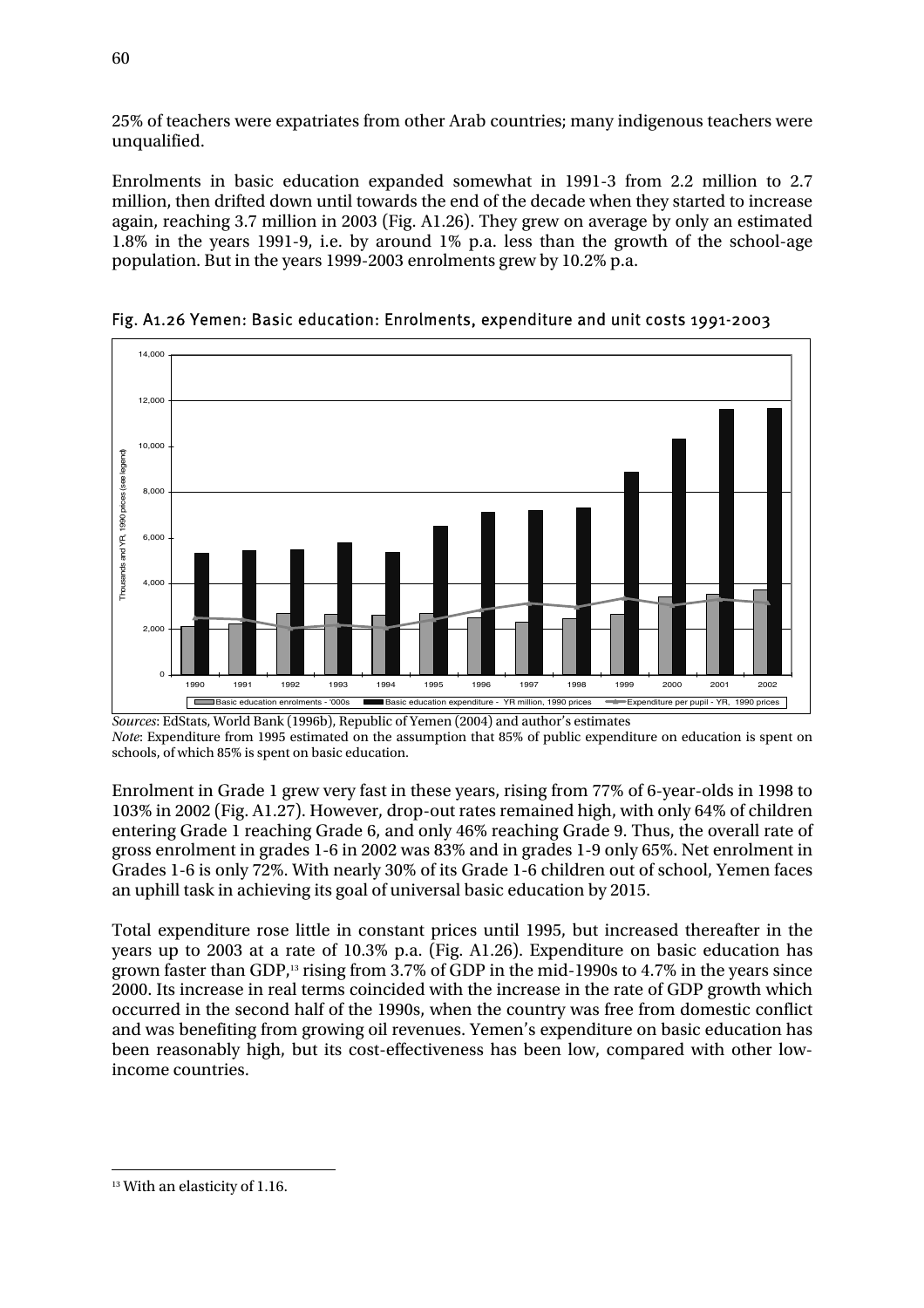25% of teachers were expatriates from other Arab countries; many indigenous teachers were unqualified.

Enrolments in basic education expanded somewhat in 1991-3 from 2.2 million to 2.7 million, then drifted down until towards the end of the decade when they started to increase again, reaching 3.7 million in 2003 (Fig. A1.26). They grew on average by only an estimated 1.8% in the years 1991-9, i.e. by around 1% p.a. less than the growth of the school-age population. But in the years 1999-2003 enrolments grew by 10.2% p.a.



Fig. A1.26 Yemen: Basic education: Enrolments, expenditure and unit costs 1991-2003

*Sources*: EdStats, World Bank (1996b), Republic of Yemen (2004) and author's estimates *Note*: Expenditure from 1995 estimated on the assumption that 85% of public expenditure on education is spent on schools, of which 85% is spent on basic education.

Enrolment in Grade 1 grew very fast in these years, rising from 77% of 6-year-olds in 1998 to 103% in 2002 (Fig. A1.27). However, drop-out rates remained high, with only 64% of children entering Grade 1 reaching Grade 6, and only 46% reaching Grade 9. Thus, the overall rate of gross enrolment in grades 1-6 in 2002 was 83% and in grades 1-9 only 65%. Net enrolment in Grades 1-6 is only 72%. With nearly 30% of its Grade 1-6 children out of school, Yemen faces an uphill task in achieving its goal of universal basic education by 2015.

Total expenditure rose little in constant prices until 1995, but increased thereafter in the years up to 2003 at a rate of 10.3% p.a. (Fig. A1.26). Expenditure on basic education has grown faster than GDP,<sup>13</sup> rising from 3.7% of GDP in the mid-1990s to 4.7% in the years since 2000. Its increase in real terms coincided with the increase in the rate of GDP growth which occurred in the second half of the 1990s, when the country was free from domestic conflict and was benefiting from growing oil revenues. Yemen's expenditure on basic education has been reasonably high, but its cost-effectiveness has been low, compared with other lowincome countries.

 $\overline{a}$ <sup>13</sup> With an elasticity of 1.16.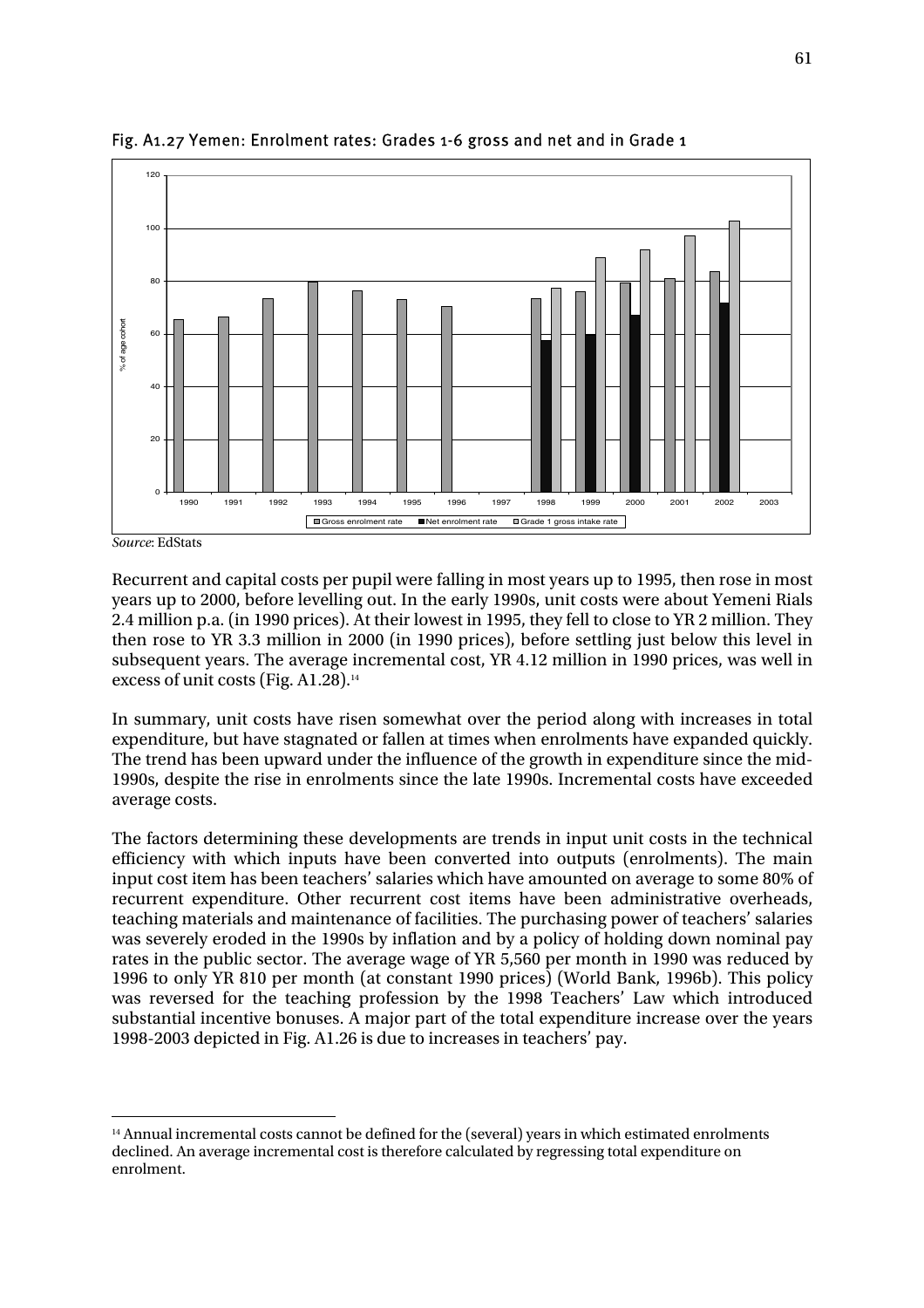

Fig. A1.27 Yemen: Enrolment rates: Grades 1-6 gross and net and in Grade 1

Recurrent and capital costs per pupil were falling in most years up to 1995, then rose in most years up to 2000, before levelling out. In the early 1990s, unit costs were about Yemeni Rials 2.4 million p.a. (in 1990 prices). At their lowest in 1995, they fell to close to YR 2 million. They then rose to YR 3.3 million in 2000 (in 1990 prices), before settling just below this level in subsequent years. The average incremental cost, YR 4.12 million in 1990 prices, was well in excess of unit costs (Fig. A1.28).14

In summary, unit costs have risen somewhat over the period along with increases in total expenditure, but have stagnated or fallen at times when enrolments have expanded quickly. The trend has been upward under the influence of the growth in expenditure since the mid-1990s, despite the rise in enrolments since the late 1990s. Incremental costs have exceeded average costs.

The factors determining these developments are trends in input unit costs in the technical efficiency with which inputs have been converted into outputs (enrolments). The main input cost item has been teachers' salaries which have amounted on average to some 80% of recurrent expenditure. Other recurrent cost items have been administrative overheads, teaching materials and maintenance of facilities. The purchasing power of teachers' salaries was severely eroded in the 1990s by inflation and by a policy of holding down nominal pay rates in the public sector. The average wage of YR 5,560 per month in 1990 was reduced by 1996 to only YR 810 per month (at constant 1990 prices) (World Bank, 1996b). This policy was reversed for the teaching profession by the 1998 Teachers' Law which introduced substantial incentive bonuses. A major part of the total expenditure increase over the years 1998-2003 depicted in Fig. A1.26 is due to increases in teachers' pay.

*Source*: EdStats

 $\overline{a}$ <sup>14</sup> Annual incremental costs cannot be defined for the (several) years in which estimated enrolments declined. An average incremental cost is therefore calculated by regressing total expenditure on enrolment.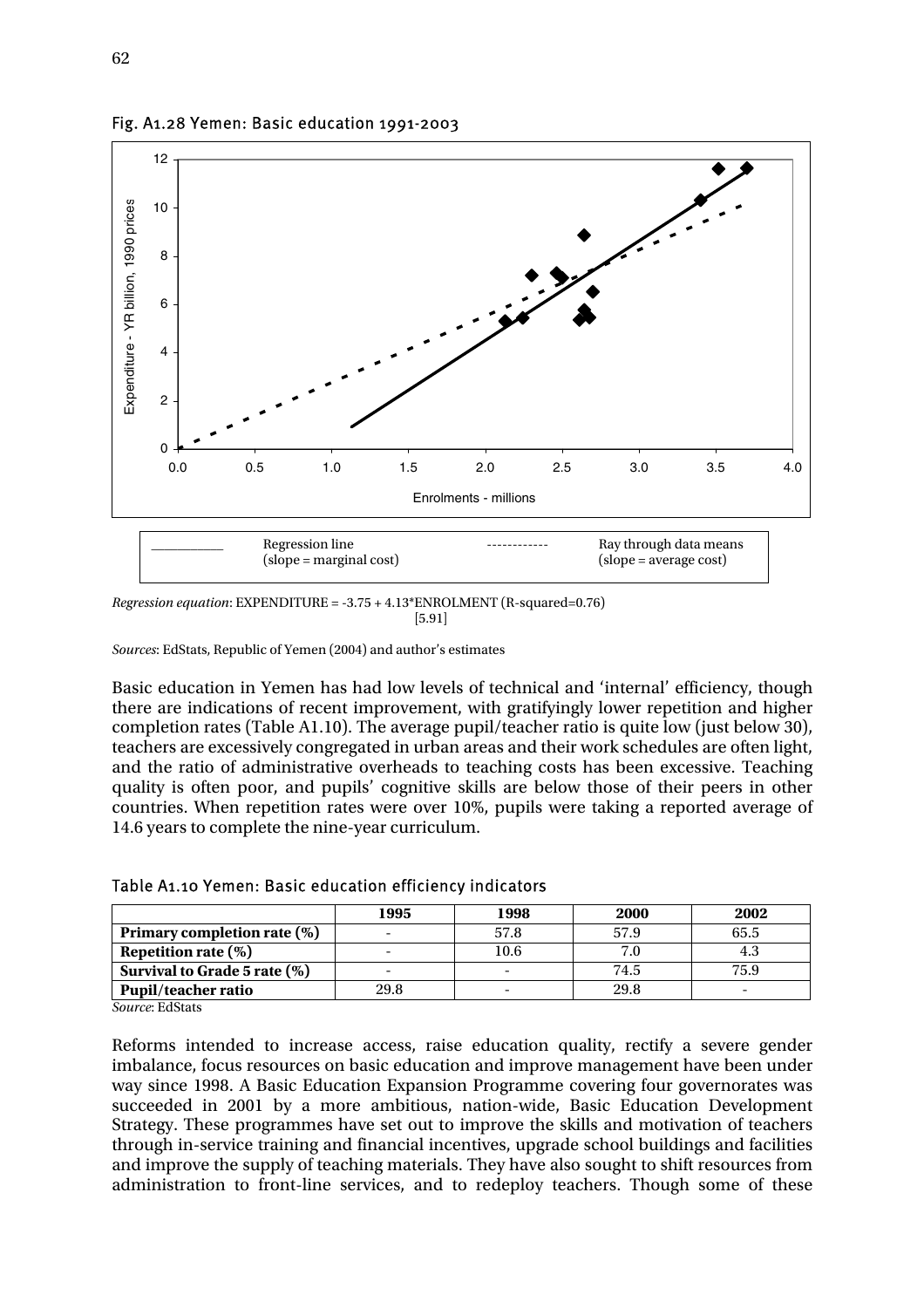

Fig. A1.28 Yemen: Basic education 1991-2003

*Regression equation*: EXPENDITURE = -3.75 + 4.13\*ENROLMENT (R-squared=0.76)  $[5.91]$ 

*Sources*: EdStats, Republic of Yemen (2004) and author's estimates

Basic education in Yemen has had low levels of technical and 'internal' efficiency, though there are indications of recent improvement, with gratifyingly lower repetition and higher completion rates (Table A1.10). The average pupil/teacher ratio is quite low (just below 30), teachers are excessively congregated in urban areas and their work schedules are often light, and the ratio of administrative overheads to teaching costs has been excessive. Teaching quality is often poor, and pupils' cognitive skills are below those of their peers in other countries. When repetition rates were over 10%, pupils were taking a reported average of 14.6 years to complete the nine-year curriculum.

|                                | 1995                     | 1998                     | 2000 | 2002                     |
|--------------------------------|--------------------------|--------------------------|------|--------------------------|
| Primary completion rate $(\%)$ |                          | 57.8                     | 57.9 | 65.5                     |
| Repetition rate $(\%)$         |                          | 10.6                     |      | 4.3                      |
| Survival to Grade 5 rate (%)   | $\overline{\phantom{0}}$ | $\overline{\phantom{0}}$ | 74.5 | 75.9                     |
| <b>Pupil/teacher ratio</b>     | 29.8                     |                          | 29.8 | $\overline{\phantom{0}}$ |

Table A1.10 Yemen: Basic education efficiency indicators

*Source*: EdStats

Reforms intended to increase access, raise education quality, rectify a severe gender imbalance, focus resources on basic education and improve management have been under way since 1998. A Basic Education Expansion Programme covering four governorates was succeeded in 2001 by a more ambitious, nation-wide, Basic Education Development Strategy. These programmes have set out to improve the skills and motivation of teachers through in-service training and financial incentives, upgrade school buildings and facilities and improve the supply of teaching materials. They have also sought to shift resources from administration to front-line services, and to redeploy teachers. Though some of these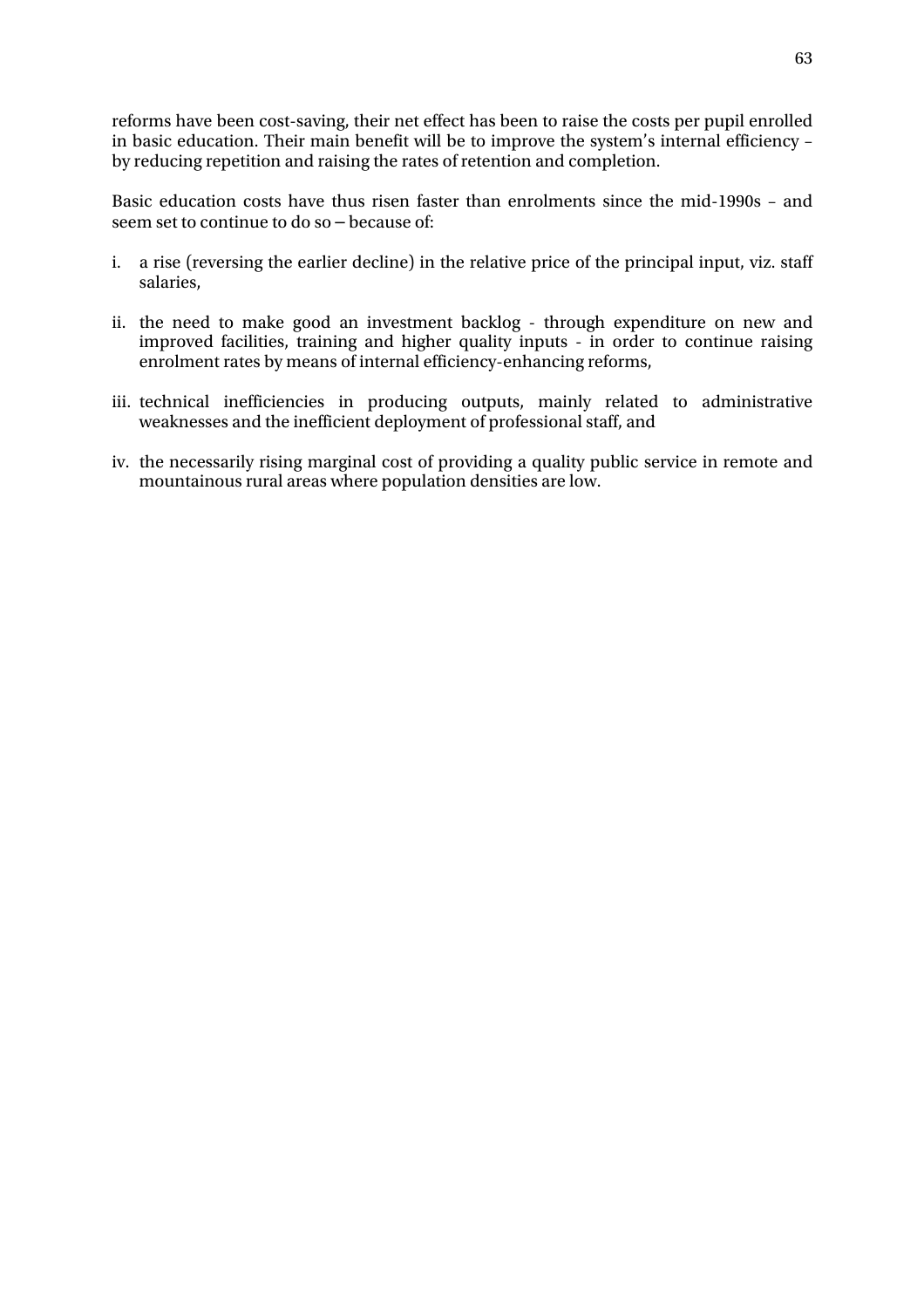reforms have been cost-saving, their net effect has been to raise the costs per pupil enrolled in basic education. Their main benefit will be to improve the system's internal efficiency – by reducing repetition and raising the rates of retention and completion.

Basic education costs have thus risen faster than enrolments since the mid-1990s – and seem set to continue to do so – because of:

- i. a rise (reversing the earlier decline) in the relative price of the principal input, viz. staff salaries,
- ii. the need to make good an investment backlog through expenditure on new and improved facilities, training and higher quality inputs - in order to continue raising enrolment rates by means of internal efficiency-enhancing reforms,
- iii. technical inefficiencies in producing outputs, mainly related to administrative weaknesses and the inefficient deployment of professional staff, and
- iv. the necessarily rising marginal cost of providing a quality public service in remote and mountainous rural areas where population densities are low.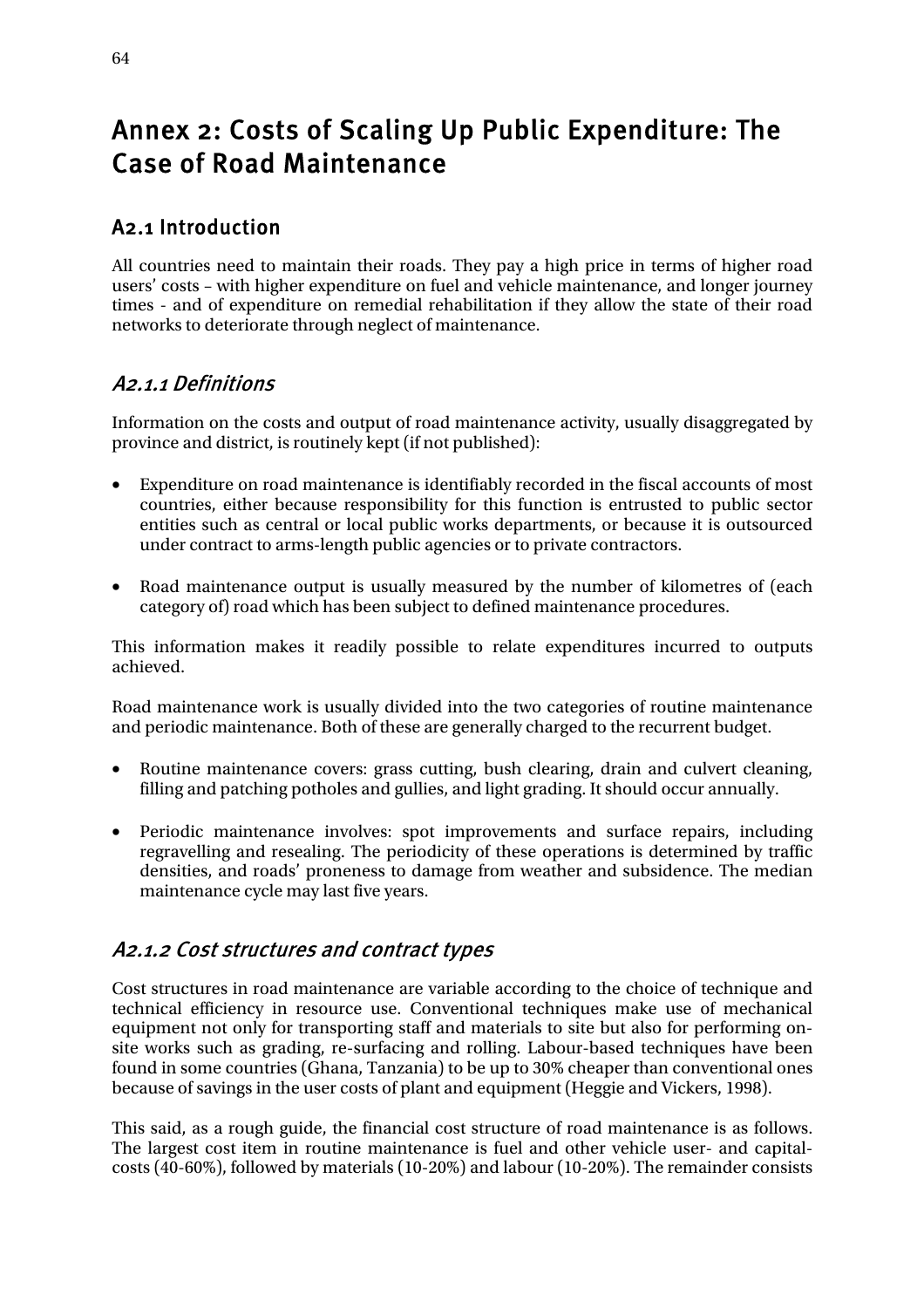# Annex 2: Costs of Scaling Up Public Expenditure: The Case of Road Maintenance

# A2.1 Introduction

All countries need to maintain their roads. They pay a high price in terms of higher road users' costs – with higher expenditure on fuel and vehicle maintenance, and longer journey times - and of expenditure on remedial rehabilitation if they allow the state of their road networks to deteriorate through neglect of maintenance.

# A2.1.1 Definitions

Information on the costs and output of road maintenance activity, usually disaggregated by province and district, is routinely kept (if not published):

- Expenditure on road maintenance is identifiably recorded in the fiscal accounts of most countries, either because responsibility for this function is entrusted to public sector entities such as central or local public works departments, or because it is outsourced under contract to arms-length public agencies or to private contractors.
- Road maintenance output is usually measured by the number of kilometres of (each category of) road which has been subject to defined maintenance procedures.

This information makes it readily possible to relate expenditures incurred to outputs achieved.

Road maintenance work is usually divided into the two categories of routine maintenance and periodic maintenance. Both of these are generally charged to the recurrent budget.

- Routine maintenance covers: grass cutting, bush clearing, drain and culvert cleaning, filling and patching potholes and gullies, and light grading. It should occur annually.
- Periodic maintenance involves: spot improvements and surface repairs, including regravelling and resealing. The periodicity of these operations is determined by traffic densities, and roads' proneness to damage from weather and subsidence. The median maintenance cycle may last five years.

## A2.1.2 Cost structures and contract types

Cost structures in road maintenance are variable according to the choice of technique and technical efficiency in resource use. Conventional techniques make use of mechanical equipment not only for transporting staff and materials to site but also for performing onsite works such as grading, re-surfacing and rolling. Labour-based techniques have been found in some countries (Ghana, Tanzania) to be up to 30% cheaper than conventional ones because of savings in the user costs of plant and equipment (Heggie and Vickers, 1998).

This said, as a rough guide, the financial cost structure of road maintenance is as follows. The largest cost item in routine maintenance is fuel and other vehicle user- and capitalcosts (40-60%), followed by materials (10-20%) and labour (10-20%). The remainder consists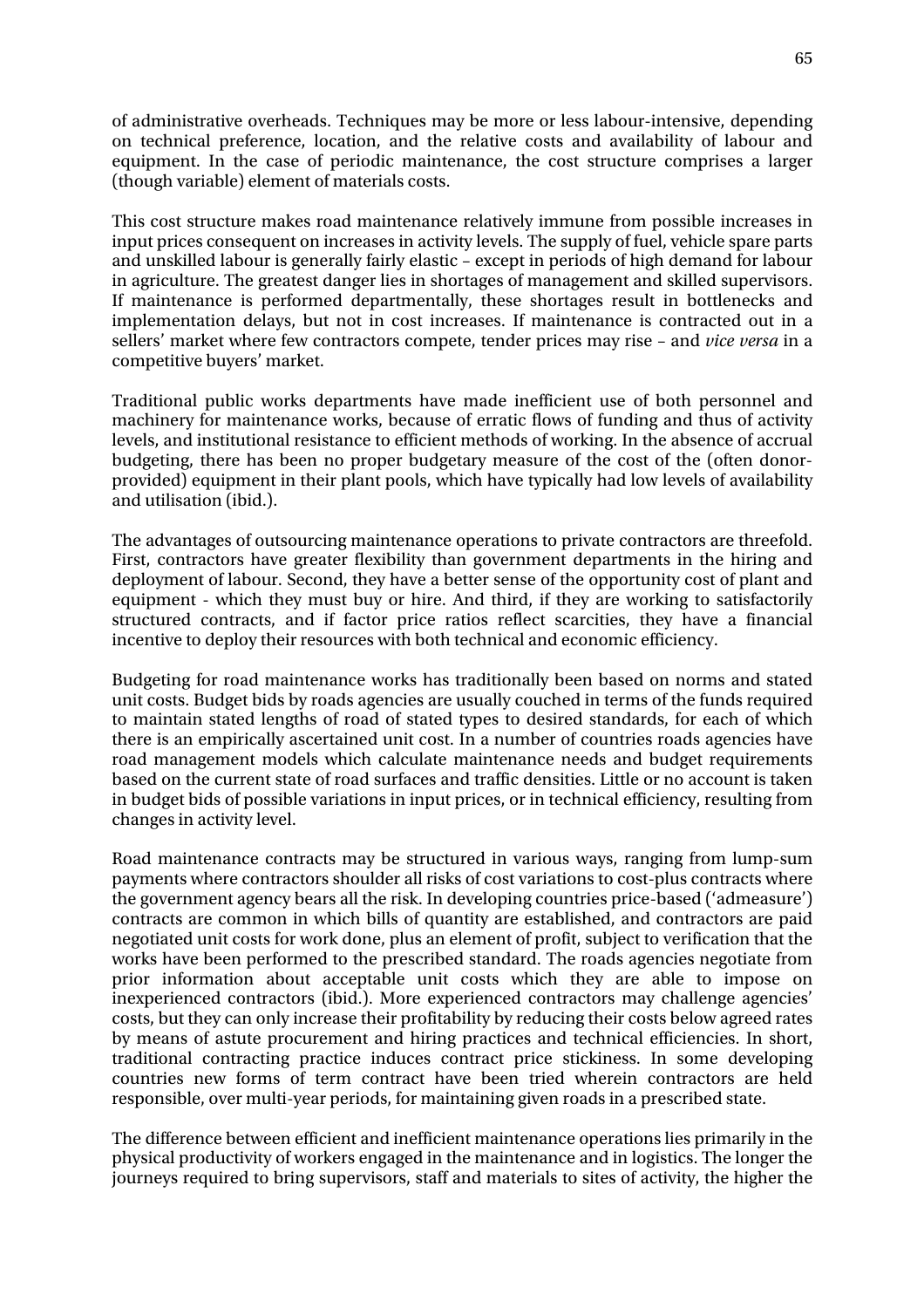of administrative overheads. Techniques may be more or less labour-intensive, depending on technical preference, location, and the relative costs and availability of labour and equipment. In the case of periodic maintenance, the cost structure comprises a larger (though variable) element of materials costs.

This cost structure makes road maintenance relatively immune from possible increases in input prices consequent on increases in activity levels. The supply of fuel, vehicle spare parts and unskilled labour is generally fairly elastic – except in periods of high demand for labour in agriculture. The greatest danger lies in shortages of management and skilled supervisors. If maintenance is performed departmentally, these shortages result in bottlenecks and implementation delays, but not in cost increases. If maintenance is contracted out in a sellers' market where few contractors compete, tender prices may rise – and *vice versa* in a competitive buyers' market.

Traditional public works departments have made inefficient use of both personnel and machinery for maintenance works, because of erratic flows of funding and thus of activity levels, and institutional resistance to efficient methods of working. In the absence of accrual budgeting, there has been no proper budgetary measure of the cost of the (often donorprovided) equipment in their plant pools, which have typically had low levels of availability and utilisation (ibid.).

The advantages of outsourcing maintenance operations to private contractors are threefold. First, contractors have greater flexibility than government departments in the hiring and deployment of labour. Second, they have a better sense of the opportunity cost of plant and equipment - which they must buy or hire. And third, if they are working to satisfactorily structured contracts, and if factor price ratios reflect scarcities, they have a financial incentive to deploy their resources with both technical and economic efficiency.

Budgeting for road maintenance works has traditionally been based on norms and stated unit costs. Budget bids by roads agencies are usually couched in terms of the funds required to maintain stated lengths of road of stated types to desired standards, for each of which there is an empirically ascertained unit cost. In a number of countries roads agencies have road management models which calculate maintenance needs and budget requirements based on the current state of road surfaces and traffic densities. Little or no account is taken in budget bids of possible variations in input prices, or in technical efficiency, resulting from changes in activity level.

Road maintenance contracts may be structured in various ways, ranging from lump-sum payments where contractors shoulder all risks of cost variations to cost-plus contracts where the government agency bears all the risk. In developing countries price-based ('admeasure') contracts are common in which bills of quantity are established, and contractors are paid negotiated unit costs for work done, plus an element of profit, subject to verification that the works have been performed to the prescribed standard. The roads agencies negotiate from prior information about acceptable unit costs which they are able to impose on inexperienced contractors (ibid.). More experienced contractors may challenge agencies' costs, but they can only increase their profitability by reducing their costs below agreed rates by means of astute procurement and hiring practices and technical efficiencies. In short, traditional contracting practice induces contract price stickiness. In some developing countries new forms of term contract have been tried wherein contractors are held responsible, over multi-year periods, for maintaining given roads in a prescribed state.

The difference between efficient and inefficient maintenance operations lies primarily in the physical productivity of workers engaged in the maintenance and in logistics. The longer the journeys required to bring supervisors, staff and materials to sites of activity, the higher the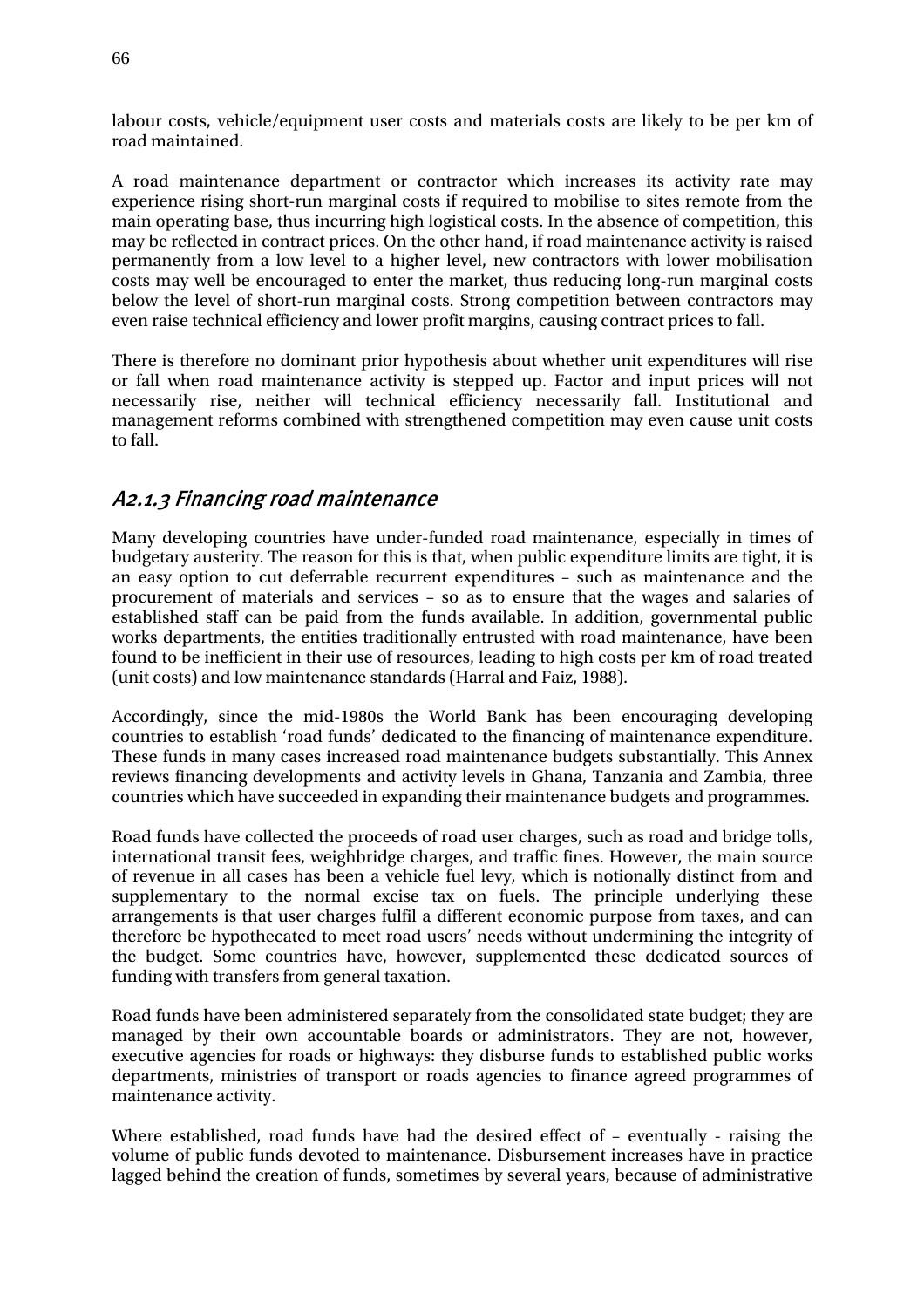labour costs, vehicle/equipment user costs and materials costs are likely to be per km of road maintained.

A road maintenance department or contractor which increases its activity rate may experience rising short-run marginal costs if required to mobilise to sites remote from the main operating base, thus incurring high logistical costs. In the absence of competition, this may be reflected in contract prices. On the other hand, if road maintenance activity is raised permanently from a low level to a higher level, new contractors with lower mobilisation costs may well be encouraged to enter the market, thus reducing long-run marginal costs below the level of short-run marginal costs. Strong competition between contractors may even raise technical efficiency and lower profit margins, causing contract prices to fall.

There is therefore no dominant prior hypothesis about whether unit expenditures will rise or fall when road maintenance activity is stepped up. Factor and input prices will not necessarily rise, neither will technical efficiency necessarily fall. Institutional and management reforms combined with strengthened competition may even cause unit costs to fall.

### A2.1.3 Financing road maintenance

Many developing countries have under-funded road maintenance, especially in times of budgetary austerity. The reason for this is that, when public expenditure limits are tight, it is an easy option to cut deferrable recurrent expenditures – such as maintenance and the procurement of materials and services – so as to ensure that the wages and salaries of established staff can be paid from the funds available. In addition, governmental public works departments, the entities traditionally entrusted with road maintenance, have been found to be inefficient in their use of resources, leading to high costs per km of road treated (unit costs) and low maintenance standards (Harral and Faiz, 1988).

Accordingly, since the mid-1980s the World Bank has been encouraging developing countries to establish 'road funds' dedicated to the financing of maintenance expenditure. These funds in many cases increased road maintenance budgets substantially. This Annex reviews financing developments and activity levels in Ghana, Tanzania and Zambia, three countries which have succeeded in expanding their maintenance budgets and programmes.

Road funds have collected the proceeds of road user charges, such as road and bridge tolls, international transit fees, weighbridge charges, and traffic fines. However, the main source of revenue in all cases has been a vehicle fuel levy, which is notionally distinct from and supplementary to the normal excise tax on fuels. The principle underlying these arrangements is that user charges fulfil a different economic purpose from taxes, and can therefore be hypothecated to meet road users' needs without undermining the integrity of the budget. Some countries have, however, supplemented these dedicated sources of funding with transfers from general taxation.

Road funds have been administered separately from the consolidated state budget; they are managed by their own accountable boards or administrators. They are not, however, executive agencies for roads or highways: they disburse funds to established public works departments, ministries of transport or roads agencies to finance agreed programmes of maintenance activity.

Where established, road funds have had the desired effect of – eventually - raising the volume of public funds devoted to maintenance. Disbursement increases have in practice lagged behind the creation of funds, sometimes by several years, because of administrative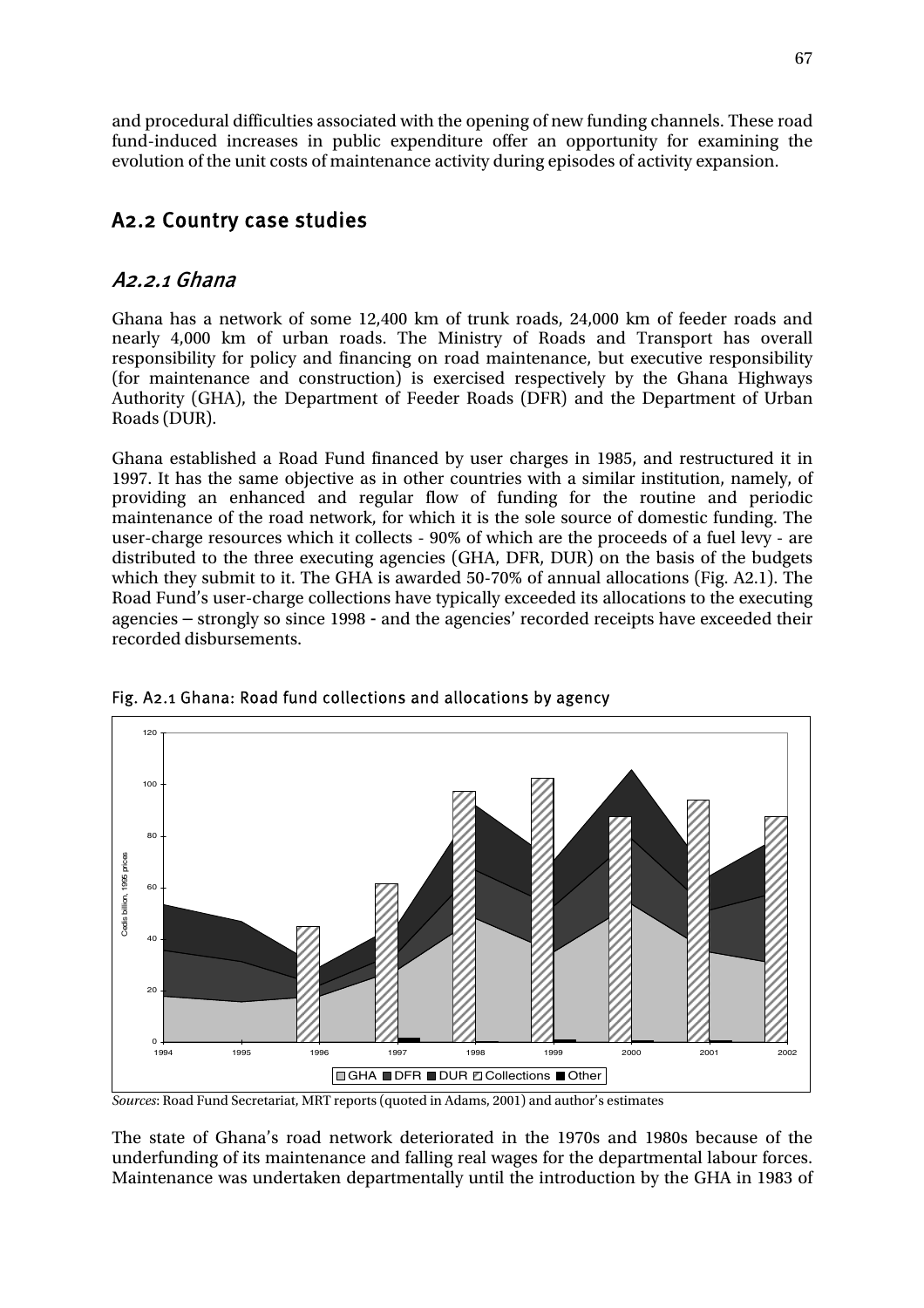and procedural difficulties associated with the opening of new funding channels. These road fund-induced increases in public expenditure offer an opportunity for examining the evolution of the unit costs of maintenance activity during episodes of activity expansion.

# A2.2 Country case studies

### A2.2.1 Ghana

Ghana has a network of some 12,400 km of trunk roads, 24,000 km of feeder roads and nearly 4,000 km of urban roads. The Ministry of Roads and Transport has overall responsibility for policy and financing on road maintenance, but executive responsibility (for maintenance and construction) is exercised respectively by the Ghana Highways Authority (GHA), the Department of Feeder Roads (DFR) and the Department of Urban Roads (DUR).

Ghana established a Road Fund financed by user charges in 1985, and restructured it in 1997. It has the same objective as in other countries with a similar institution, namely, of providing an enhanced and regular flow of funding for the routine and periodic maintenance of the road network, for which it is the sole source of domestic funding. The user-charge resources which it collects - 90% of which are the proceeds of a fuel levy - are distributed to the three executing agencies (GHA, DFR, DUR) on the basis of the budgets which they submit to it. The GHA is awarded 50-70% of annual allocations (Fig. A2.1). The Road Fund's user-charge collections have typically exceeded its allocations to the executing agencies – strongly so since 1998 - and the agencies' recorded receipts have exceeded their recorded disbursements.



#### Fig. A2.1 Ghana: Road fund collections and allocations by agency

*Sources*: Road Fund Secretariat, MRT reports (quoted in Adams, 2001) and author's estimates

The state of Ghana's road network deteriorated in the 1970s and 1980s because of the underfunding of its maintenance and falling real wages for the departmental labour forces. Maintenance was undertaken departmentally until the introduction by the GHA in 1983 of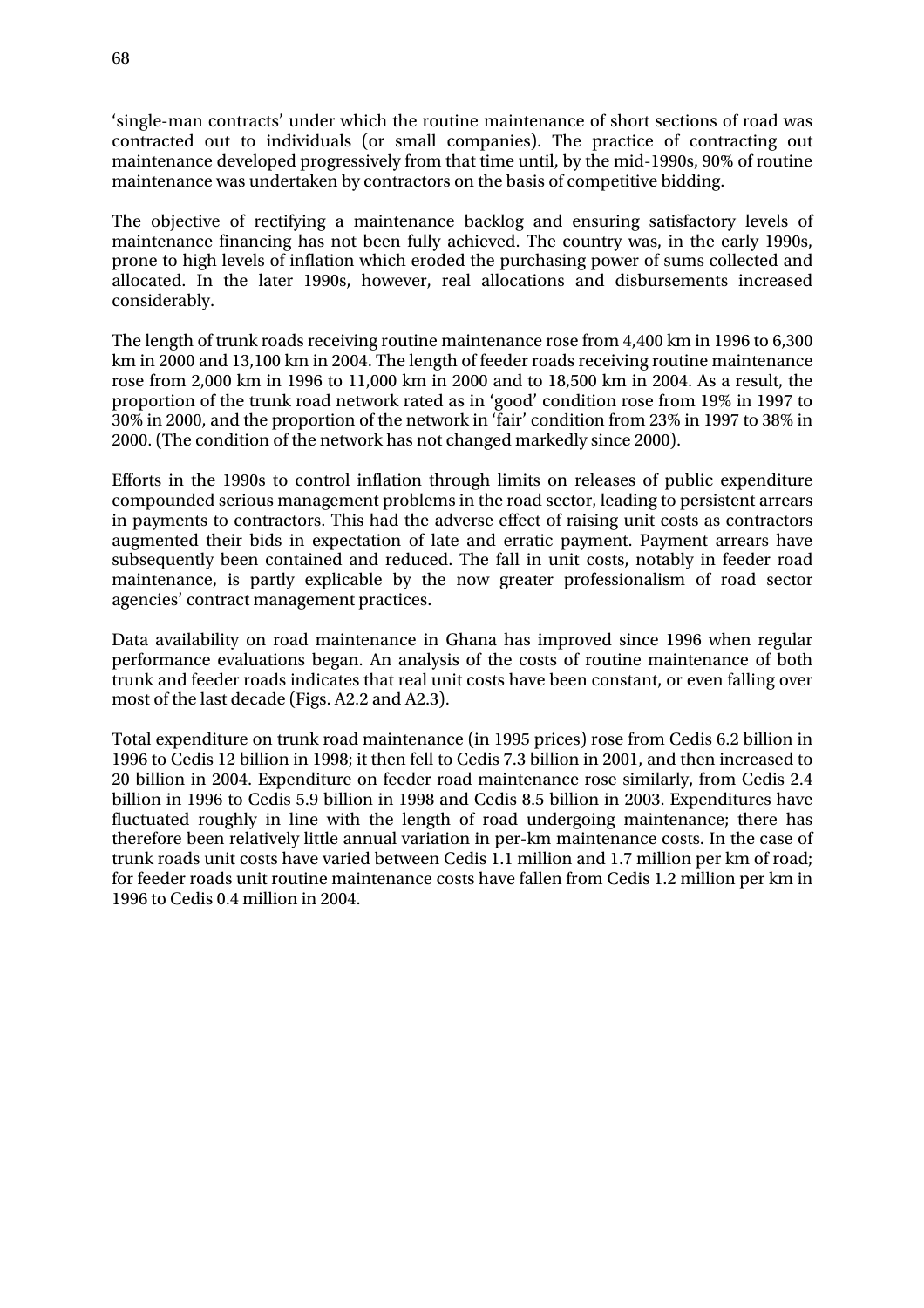'single-man contracts' under which the routine maintenance of short sections of road was contracted out to individuals (or small companies). The practice of contracting out maintenance developed progressively from that time until, by the mid-1990s, 90% of routine maintenance was undertaken by contractors on the basis of competitive bidding.

The objective of rectifying a maintenance backlog and ensuring satisfactory levels of maintenance financing has not been fully achieved. The country was, in the early 1990s, prone to high levels of inflation which eroded the purchasing power of sums collected and allocated. In the later 1990s, however, real allocations and disbursements increased considerably.

The length of trunk roads receiving routine maintenance rose from 4,400 km in 1996 to 6,300 km in 2000 and 13,100 km in 2004. The length of feeder roads receiving routine maintenance rose from 2,000 km in 1996 to 11,000 km in 2000 and to 18,500 km in 2004. As a result, the proportion of the trunk road network rated as in 'good' condition rose from 19% in 1997 to 30% in 2000, and the proportion of the network in 'fair' condition from 23% in 1997 to 38% in 2000. (The condition of the network has not changed markedly since 2000).

Efforts in the 1990s to control inflation through limits on releases of public expenditure compounded serious management problems in the road sector, leading to persistent arrears in payments to contractors. This had the adverse effect of raising unit costs as contractors augmented their bids in expectation of late and erratic payment. Payment arrears have subsequently been contained and reduced. The fall in unit costs, notably in feeder road maintenance, is partly explicable by the now greater professionalism of road sector agencies' contract management practices.

Data availability on road maintenance in Ghana has improved since 1996 when regular performance evaluations began. An analysis of the costs of routine maintenance of both trunk and feeder roads indicates that real unit costs have been constant, or even falling over most of the last decade (Figs. A2.2 and A2.3).

Total expenditure on trunk road maintenance (in 1995 prices) rose from Cedis 6.2 billion in 1996 to Cedis 12 billion in 1998; it then fell to Cedis 7.3 billion in 2001, and then increased to 20 billion in 2004. Expenditure on feeder road maintenance rose similarly, from Cedis 2.4 billion in 1996 to Cedis 5.9 billion in 1998 and Cedis 8.5 billion in 2003. Expenditures have fluctuated roughly in line with the length of road undergoing maintenance; there has therefore been relatively little annual variation in per-km maintenance costs. In the case of trunk roads unit costs have varied between Cedis 1.1 million and 1.7 million per km of road; for feeder roads unit routine maintenance costs have fallen from Cedis 1.2 million per km in 1996 to Cedis 0.4 million in 2004.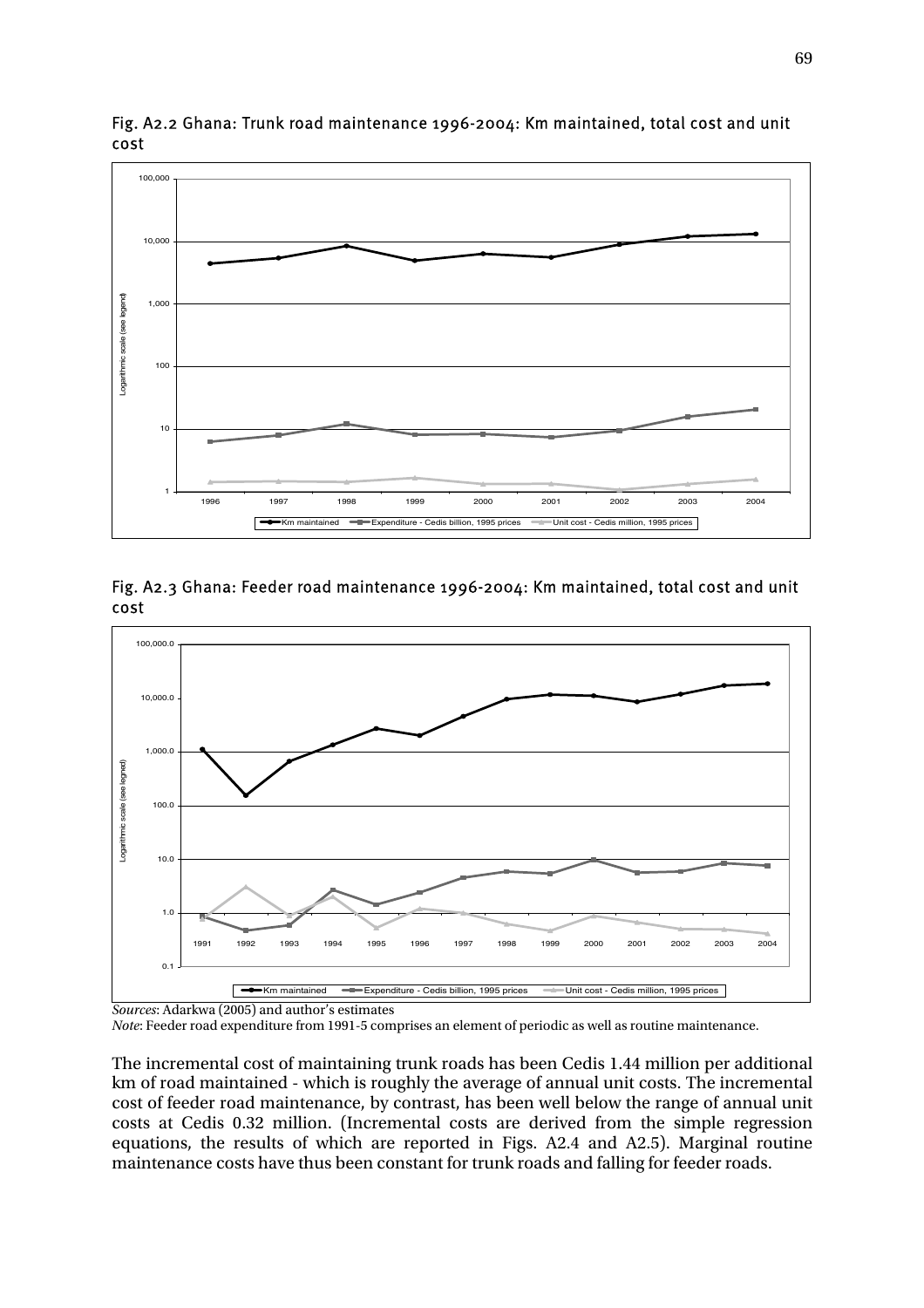

Fig. A2.2 Ghana: Trunk road maintenance 1996-2004: Km maintained, total cost and unit cost



Fig. A2.3 Ghana: Feeder road maintenance 1996-2004: Km maintained, total cost and unit cost

*Note*: Feeder road expenditure from 1991-5 comprises an element of periodic as well as routine maintenance.

The incremental cost of maintaining trunk roads has been Cedis 1.44 million per additional km of road maintained - which is roughly the average of annual unit costs. The incremental cost of feeder road maintenance, by contrast, has been well below the range of annual unit costs at Cedis 0.32 million. (Incremental costs are derived from the simple regression equations, the results of which are reported in Figs. A2.4 and A2.5). Marginal routine maintenance costs have thus been constant for trunk roads and falling for feeder roads.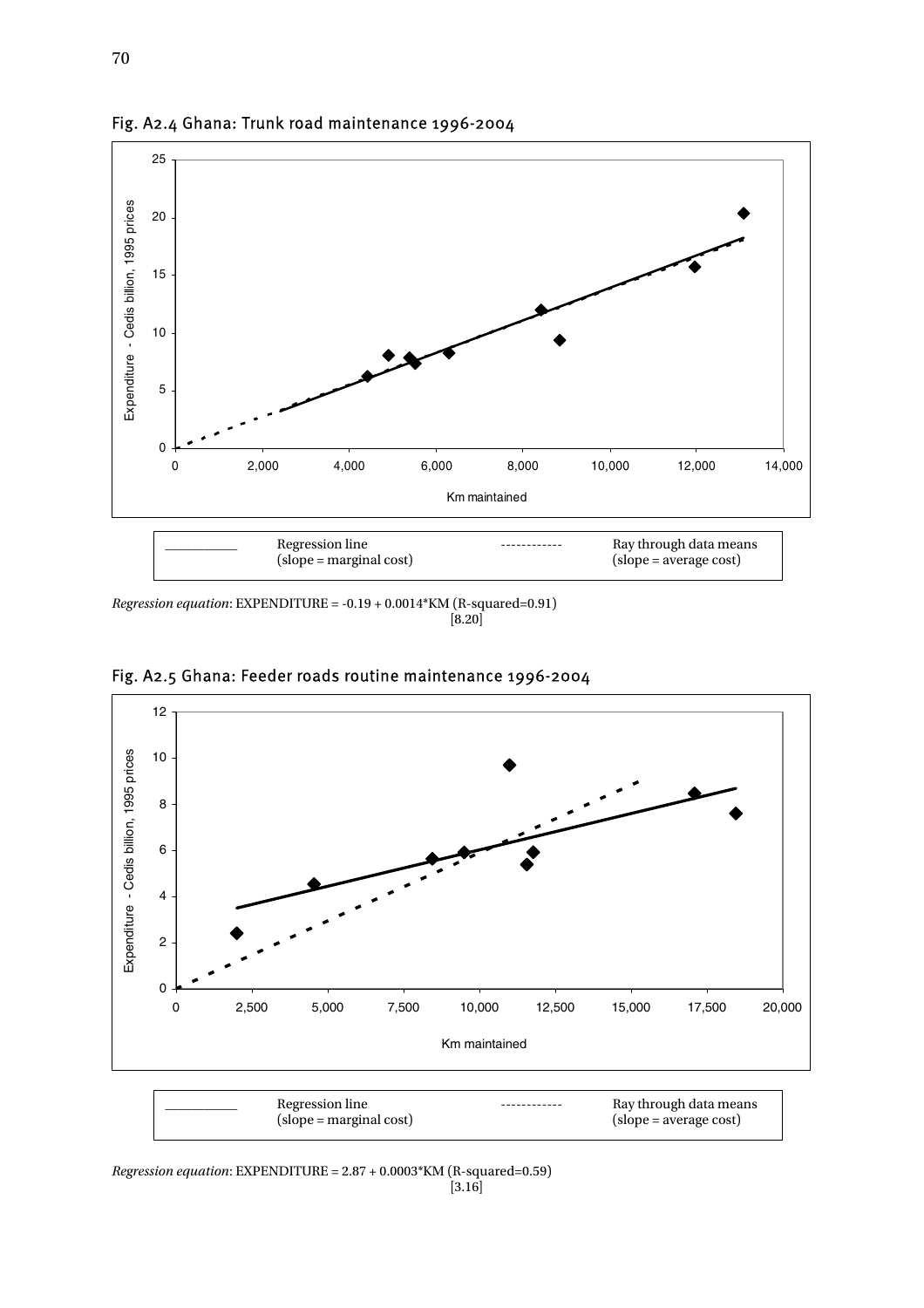

Fig. A2.4 Ghana: Trunk road maintenance 1996-2004

*Regression equation*: EXPENDITURE = -0.19 + 0.0014 KM (R-squared=0.91)<br>[8.20]  $[8.20]$ 



Fig. A2.5 Ghana: Feeder roads routine maintenance 1996-2004

*Regression equation*: EXPENDITURE = 2.87 + 0.0003\*KM (R-squared=0.59)<br>[3.16]  $[3.16]$ 

 $(slope = marginal cost)$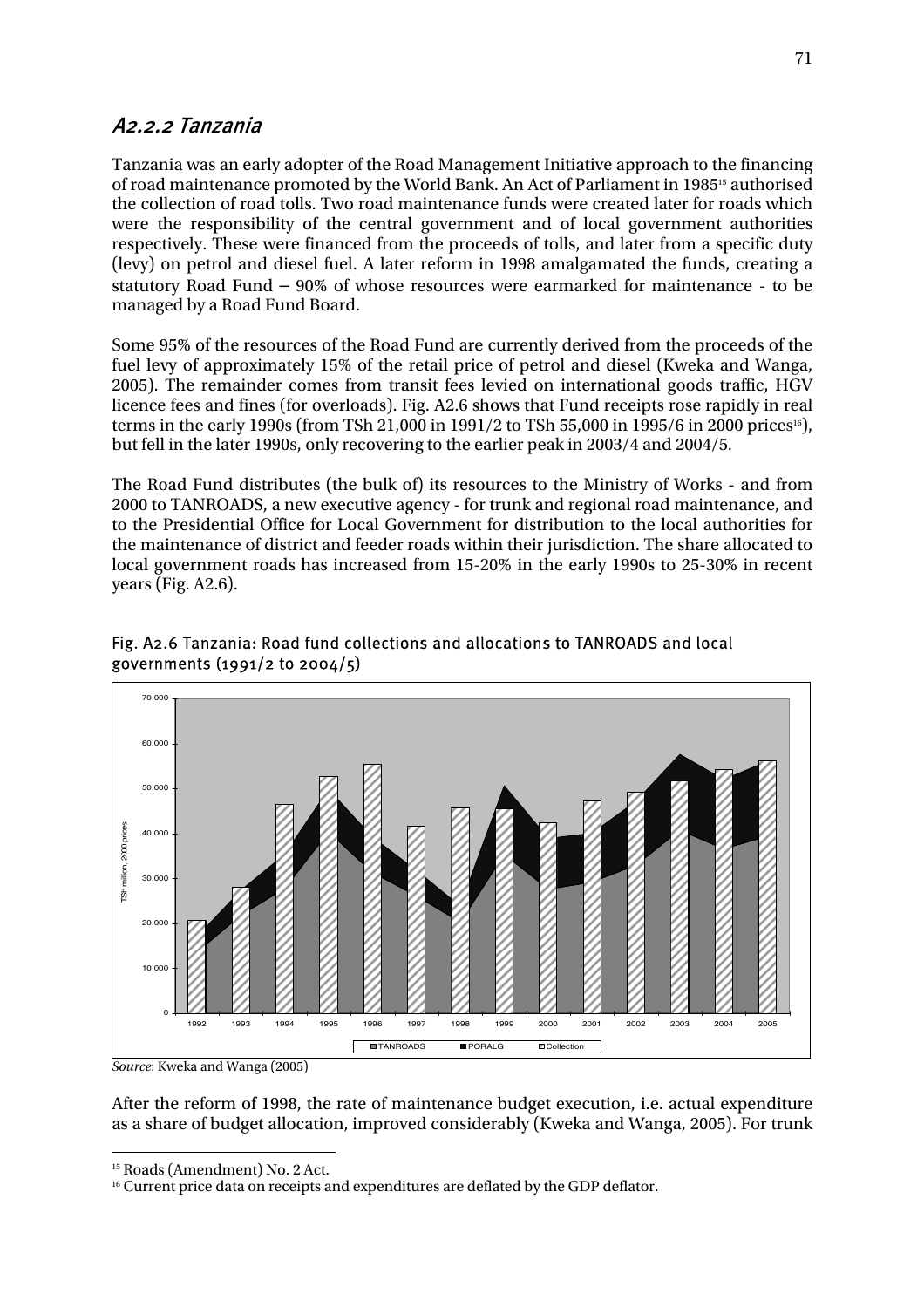### A2.2.2 Tanzania

Tanzania was an early adopter of the Road Management Initiative approach to the financing of road maintenance promoted by the World Bank. An Act of Parliament in 198515 authorised the collection of road tolls. Two road maintenance funds were created later for roads which were the responsibility of the central government and of local government authorities respectively. These were financed from the proceeds of tolls, and later from a specific duty (levy) on petrol and diesel fuel. A later reform in 1998 amalgamated the funds, creating a statutory Road Fund – 90% of whose resources were earmarked for maintenance - to be managed by a Road Fund Board.

Some 95% of the resources of the Road Fund are currently derived from the proceeds of the fuel levy of approximately 15% of the retail price of petrol and diesel (Kweka and Wanga, 2005). The remainder comes from transit fees levied on international goods traffic, HGV licence fees and fines (for overloads). Fig. A2.6 shows that Fund receipts rose rapidly in real terms in the early 1990s (from TSh 21,000 in 1991/2 to TSh 55,000 in 1995/6 in 2000 prices16), but fell in the later 1990s, only recovering to the earlier peak in 2003/4 and 2004/5.

The Road Fund distributes (the bulk of) its resources to the Ministry of Works - and from 2000 to TANROADS, a new executive agency - for trunk and regional road maintenance, and to the Presidential Office for Local Government for distribution to the local authorities for the maintenance of district and feeder roads within their jurisdiction. The share allocated to local government roads has increased from 15-20% in the early 1990s to 25-30% in recent years (Fig. A2.6).



### Fig. A2.6 Tanzania: Road fund collections and allocations to TANROADS and local governments (1991/2 to 2004/5)

*Source*: Kweka and Wanga (2005)

After the reform of 1998, the rate of maintenance budget execution, i.e. actual expenditure as a share of budget allocation, improved considerably (Kweka and Wanga, 2005). For trunk

 $\overline{a}$ 15 Roads (Amendment) No. 2 Act.

<sup>&</sup>lt;sup>16</sup> Current price data on receipts and expenditures are deflated by the GDP deflator.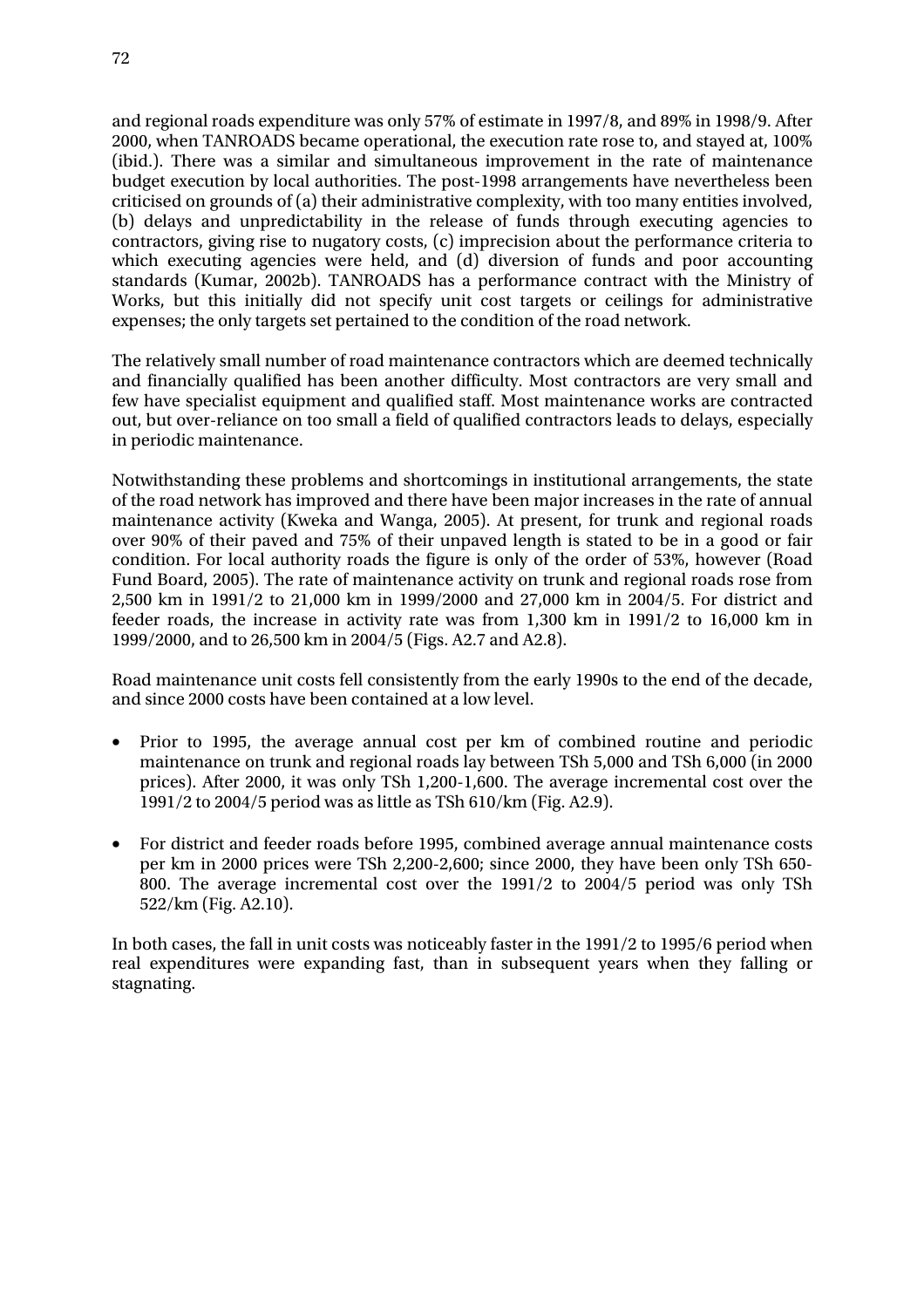and regional roads expenditure was only 57% of estimate in 1997/8, and 89% in 1998/9. After 2000, when TANROADS became operational, the execution rate rose to, and stayed at, 100% (ibid.). There was a similar and simultaneous improvement in the rate of maintenance budget execution by local authorities. The post-1998 arrangements have nevertheless been criticised on grounds of (a) their administrative complexity, with too many entities involved, (b) delays and unpredictability in the release of funds through executing agencies to contractors, giving rise to nugatory costs, (c) imprecision about the performance criteria to which executing agencies were held, and (d) diversion of funds and poor accounting standards (Kumar, 2002b). TANROADS has a performance contract with the Ministry of Works, but this initially did not specify unit cost targets or ceilings for administrative expenses; the only targets set pertained to the condition of the road network.

The relatively small number of road maintenance contractors which are deemed technically and financially qualified has been another difficulty. Most contractors are very small and few have specialist equipment and qualified staff. Most maintenance works are contracted out, but over-reliance on too small a field of qualified contractors leads to delays, especially in periodic maintenance.

Notwithstanding these problems and shortcomings in institutional arrangements, the state of the road network has improved and there have been major increases in the rate of annual maintenance activity (Kweka and Wanga, 2005). At present, for trunk and regional roads over 90% of their paved and 75% of their unpaved length is stated to be in a good or fair condition. For local authority roads the figure is only of the order of 53%, however (Road Fund Board, 2005). The rate of maintenance activity on trunk and regional roads rose from 2,500 km in 1991/2 to 21,000 km in 1999/2000 and 27,000 km in 2004/5. For district and feeder roads, the increase in activity rate was from 1,300 km in 1991/2 to 16,000 km in 1999/2000, and to 26,500 km in 2004/5 (Figs. A2.7 and A2.8).

Road maintenance unit costs fell consistently from the early 1990s to the end of the decade, and since 2000 costs have been contained at a low level.

- Prior to 1995, the average annual cost per km of combined routine and periodic maintenance on trunk and regional roads lay between TSh 5,000 and TSh 6,000 (in 2000 prices). After 2000, it was only TSh 1,200-1,600. The average incremental cost over the 1991/2 to 2004/5 period was as little as TSh 610/km (Fig. A2.9).
- For district and feeder roads before 1995, combined average annual maintenance costs per km in 2000 prices were TSh 2,200-2,600; since 2000, they have been only TSh 650- 800. The average incremental cost over the 1991/2 to 2004/5 period was only TSh 522/km (Fig. A2.10).

In both cases, the fall in unit costs was noticeably faster in the 1991/2 to 1995/6 period when real expenditures were expanding fast, than in subsequent years when they falling or stagnating.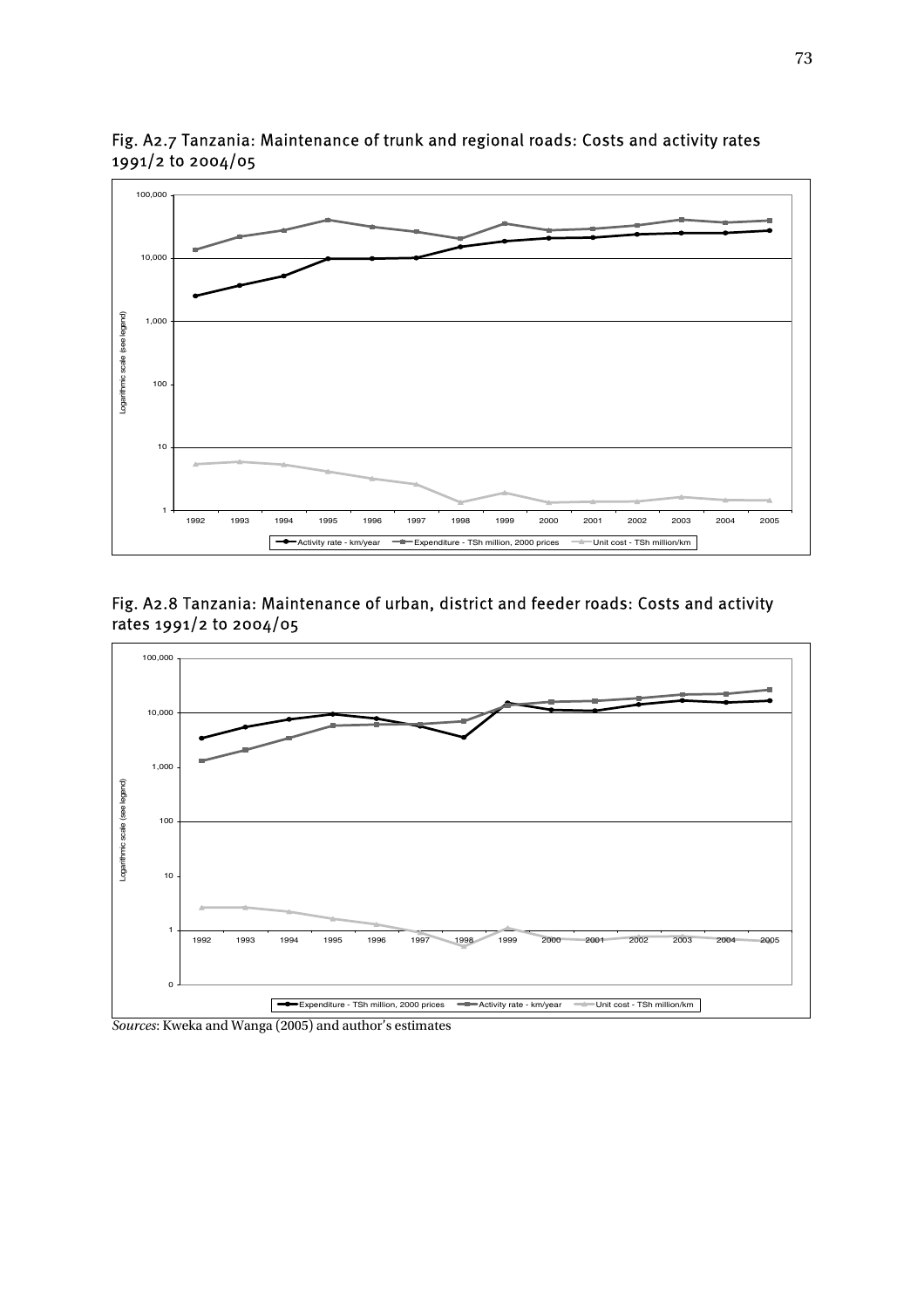

Fig. A2.7 Tanzania: Maintenance of trunk and regional roads: Costs and activity rates 1991/2 to 2004/05

Fig. A2.8 Tanzania: Maintenance of urban, district and feeder roads: Costs and activity rates 1991/2 to 2004/05



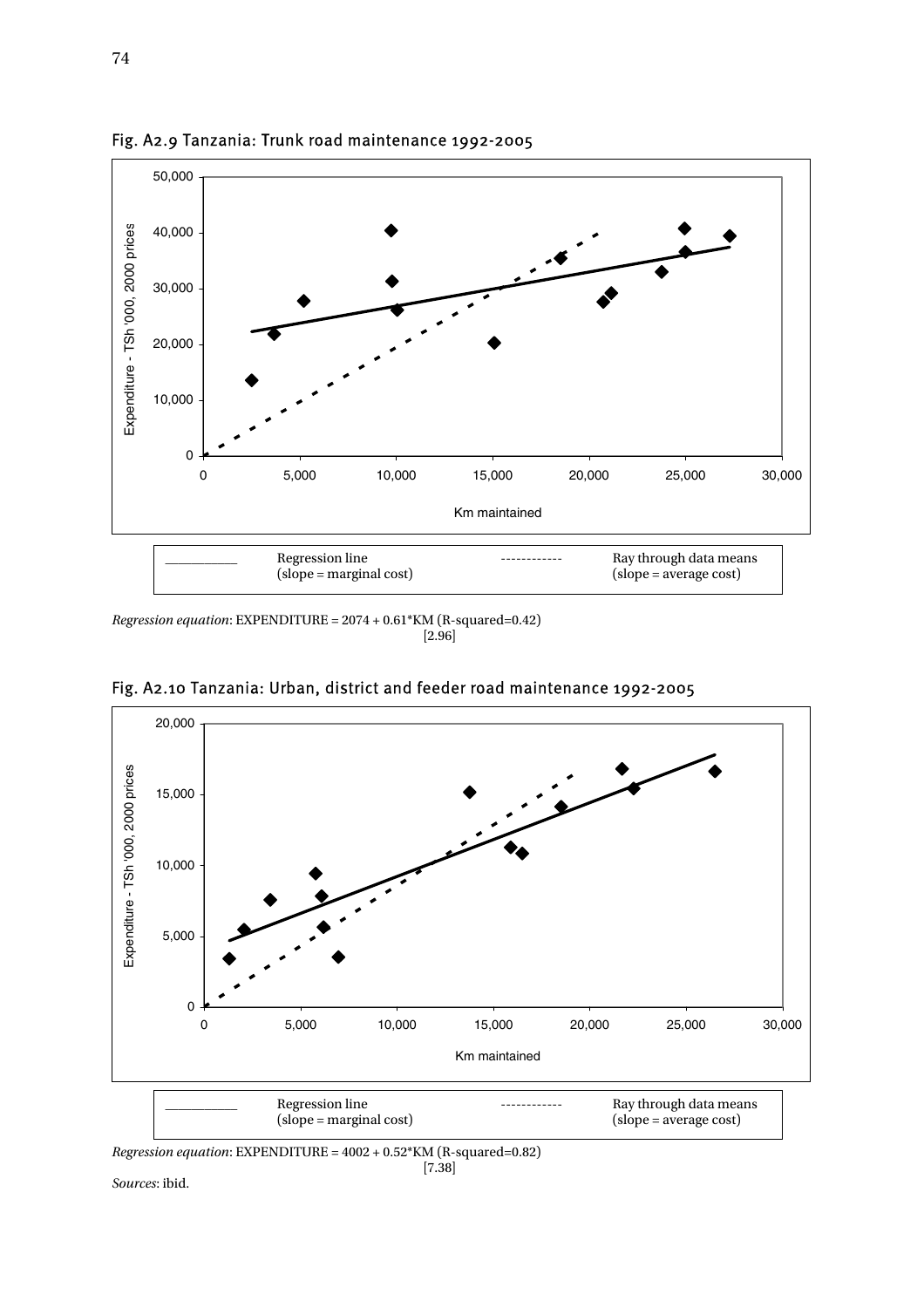

Fig. A2.9 Tanzania: Trunk road maintenance 1992-2005

*Regression equation*: EXPENDITURE = 2074 + 0.61\*KM (R-squared=0.42) [2.96]



Fig. A2.10 Tanzania: Urban, district and feeder road maintenance 1992-2005

*Regression equation*: EXPENDITURE = 4002 + 0.52\*KM (R-squared=0.82)

 $[7.38]$ *Sources*: ibid.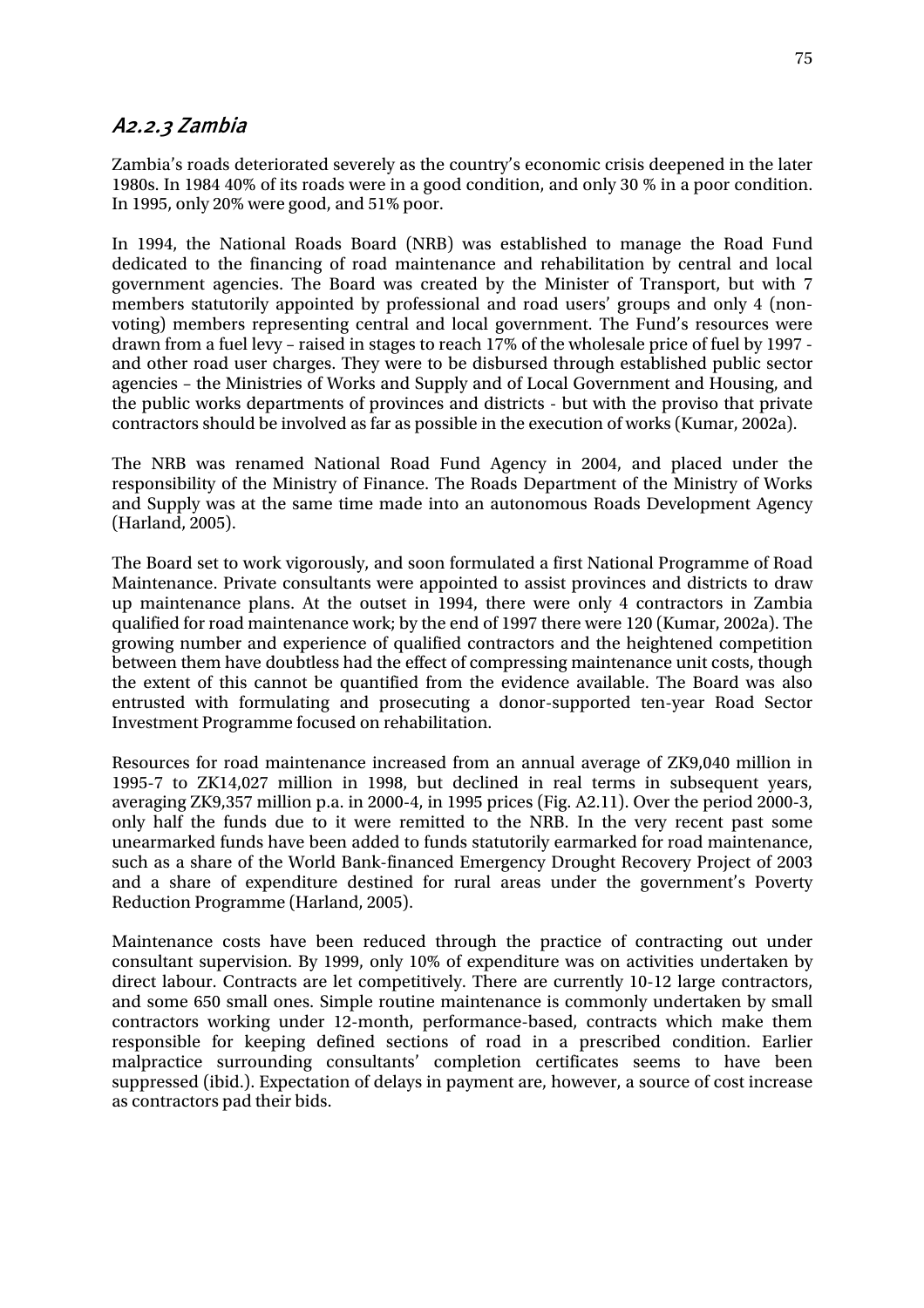### A2.2.3 Zambia

Zambia's roads deteriorated severely as the country's economic crisis deepened in the later 1980s. In 1984 40% of its roads were in a good condition, and only 30 % in a poor condition. In 1995, only 20% were good, and 51% poor.

In 1994, the National Roads Board (NRB) was established to manage the Road Fund dedicated to the financing of road maintenance and rehabilitation by central and local government agencies. The Board was created by the Minister of Transport, but with 7 members statutorily appointed by professional and road users' groups and only 4 (nonvoting) members representing central and local government. The Fund's resources were drawn from a fuel levy – raised in stages to reach 17% of the wholesale price of fuel by 1997 and other road user charges. They were to be disbursed through established public sector agencies – the Ministries of Works and Supply and of Local Government and Housing, and the public works departments of provinces and districts - but with the proviso that private contractors should be involved as far as possible in the execution of works (Kumar, 2002a).

The NRB was renamed National Road Fund Agency in 2004, and placed under the responsibility of the Ministry of Finance. The Roads Department of the Ministry of Works and Supply was at the same time made into an autonomous Roads Development Agency (Harland, 2005).

The Board set to work vigorously, and soon formulated a first National Programme of Road Maintenance. Private consultants were appointed to assist provinces and districts to draw up maintenance plans. At the outset in 1994, there were only 4 contractors in Zambia qualified for road maintenance work; by the end of 1997 there were 120 (Kumar, 2002a). The growing number and experience of qualified contractors and the heightened competition between them have doubtless had the effect of compressing maintenance unit costs, though the extent of this cannot be quantified from the evidence available. The Board was also entrusted with formulating and prosecuting a donor-supported ten-year Road Sector Investment Programme focused on rehabilitation.

Resources for road maintenance increased from an annual average of ZK9,040 million in 1995-7 to ZK14,027 million in 1998, but declined in real terms in subsequent years, averaging ZK9,357 million p.a. in 2000-4, in 1995 prices (Fig. A2.11). Over the period 2000-3, only half the funds due to it were remitted to the NRB. In the very recent past some unearmarked funds have been added to funds statutorily earmarked for road maintenance, such as a share of the World Bank-financed Emergency Drought Recovery Project of 2003 and a share of expenditure destined for rural areas under the government's Poverty Reduction Programme (Harland, 2005).

Maintenance costs have been reduced through the practice of contracting out under consultant supervision. By 1999, only 10% of expenditure was on activities undertaken by direct labour. Contracts are let competitively. There are currently 10-12 large contractors, and some 650 small ones. Simple routine maintenance is commonly undertaken by small contractors working under 12-month, performance-based, contracts which make them responsible for keeping defined sections of road in a prescribed condition. Earlier malpractice surrounding consultants' completion certificates seems to have been suppressed (ibid.). Expectation of delays in payment are, however, a source of cost increase as contractors pad their bids.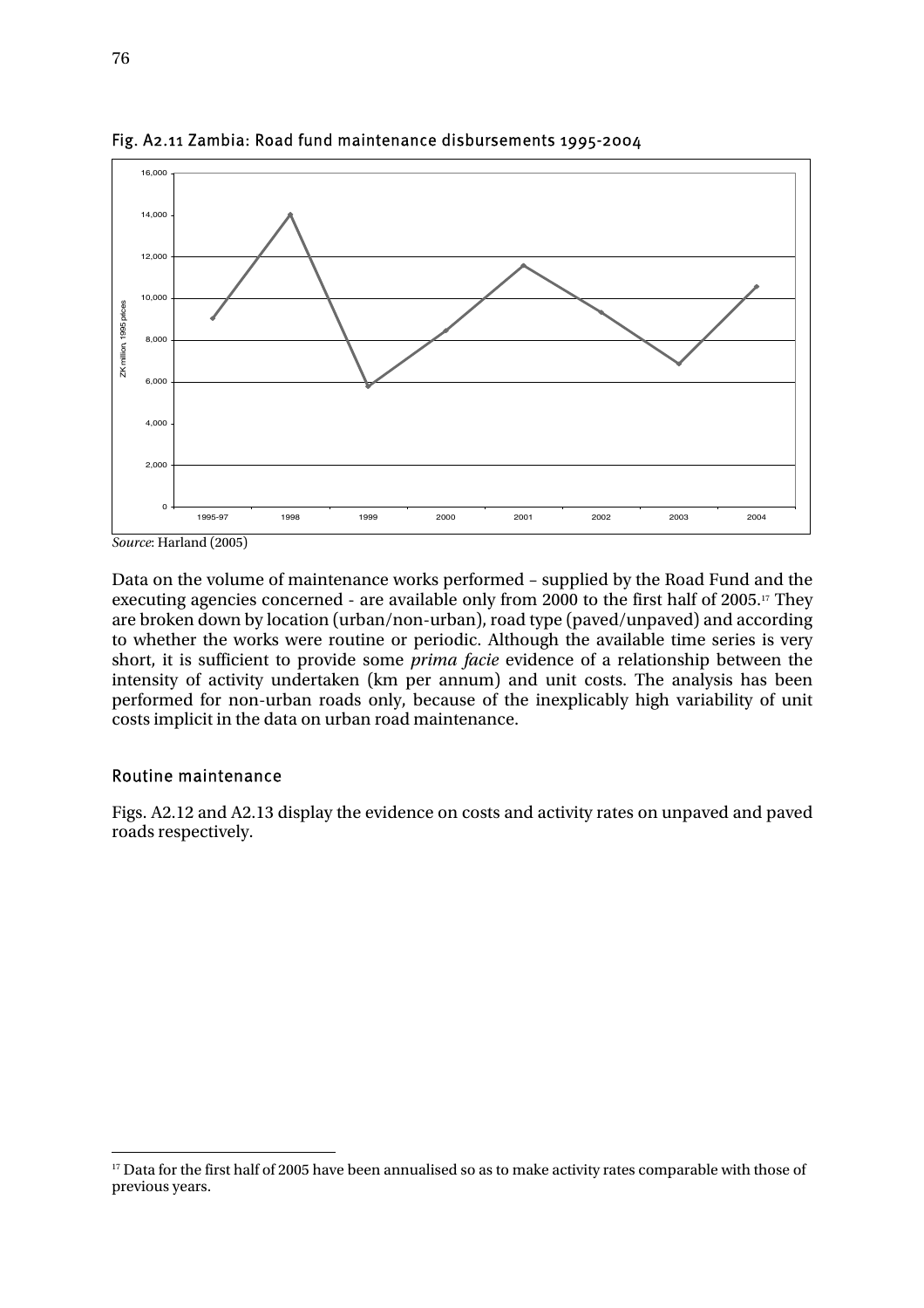

Fig. A2.11 Zambia: Road fund maintenance disbursements 1995-2004

Data on the volume of maintenance works performed – supplied by the Road Fund and the executing agencies concerned - are available only from 2000 to the first half of 2005.17 They are broken down by location (urban/non-urban), road type (paved/unpaved) and according to whether the works were routine or periodic. Although the available time series is very short, it is sufficient to provide some *prima facie* evidence of a relationship between the intensity of activity undertaken (km per annum) and unit costs. The analysis has been performed for non-urban roads only, because of the inexplicably high variability of unit costs implicit in the data on urban road maintenance.

#### Routine maintenance

 $\overline{a}$ 

Figs. A2.12 and A2.13 display the evidence on costs and activity rates on unpaved and paved roads respectively.

*Source*: Harland (2005)

<sup>&</sup>lt;sup>17</sup> Data for the first half of 2005 have been annualised so as to make activity rates comparable with those of previous years.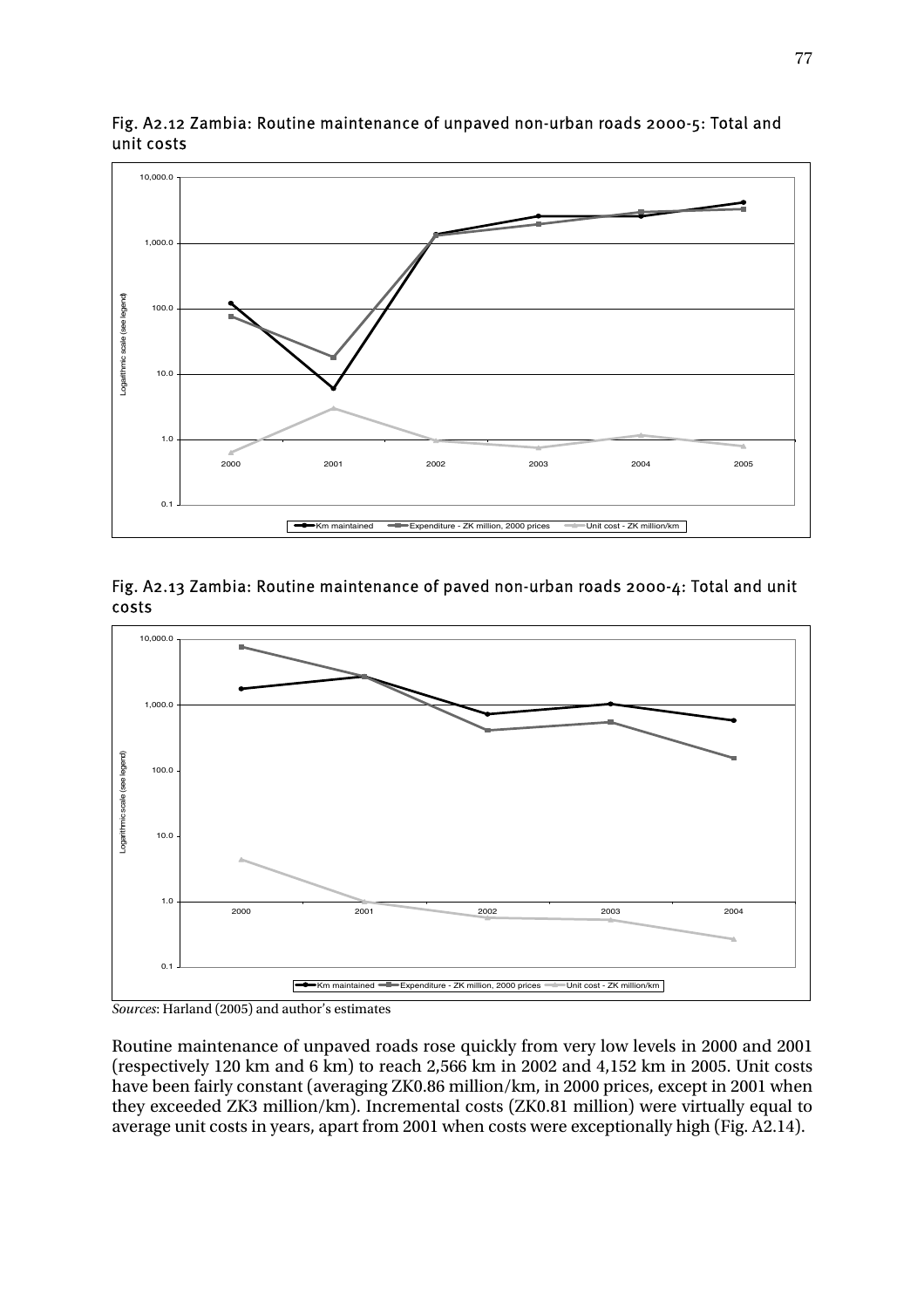

Fig. A2.12 Zambia: Routine maintenance of unpaved non-urban roads 2000-5: Total and unit costs







Routine maintenance of unpaved roads rose quickly from very low levels in 2000 and 2001 (respectively 120 km and 6 km) to reach 2,566 km in 2002 and 4,152 km in 2005. Unit costs have been fairly constant (averaging ZK0.86 million/km, in 2000 prices, except in 2001 when they exceeded ZK3 million/km). Incremental costs (ZK0.81 million) were virtually equal to average unit costs in years, apart from 2001 when costs were exceptionally high (Fig. A2.14).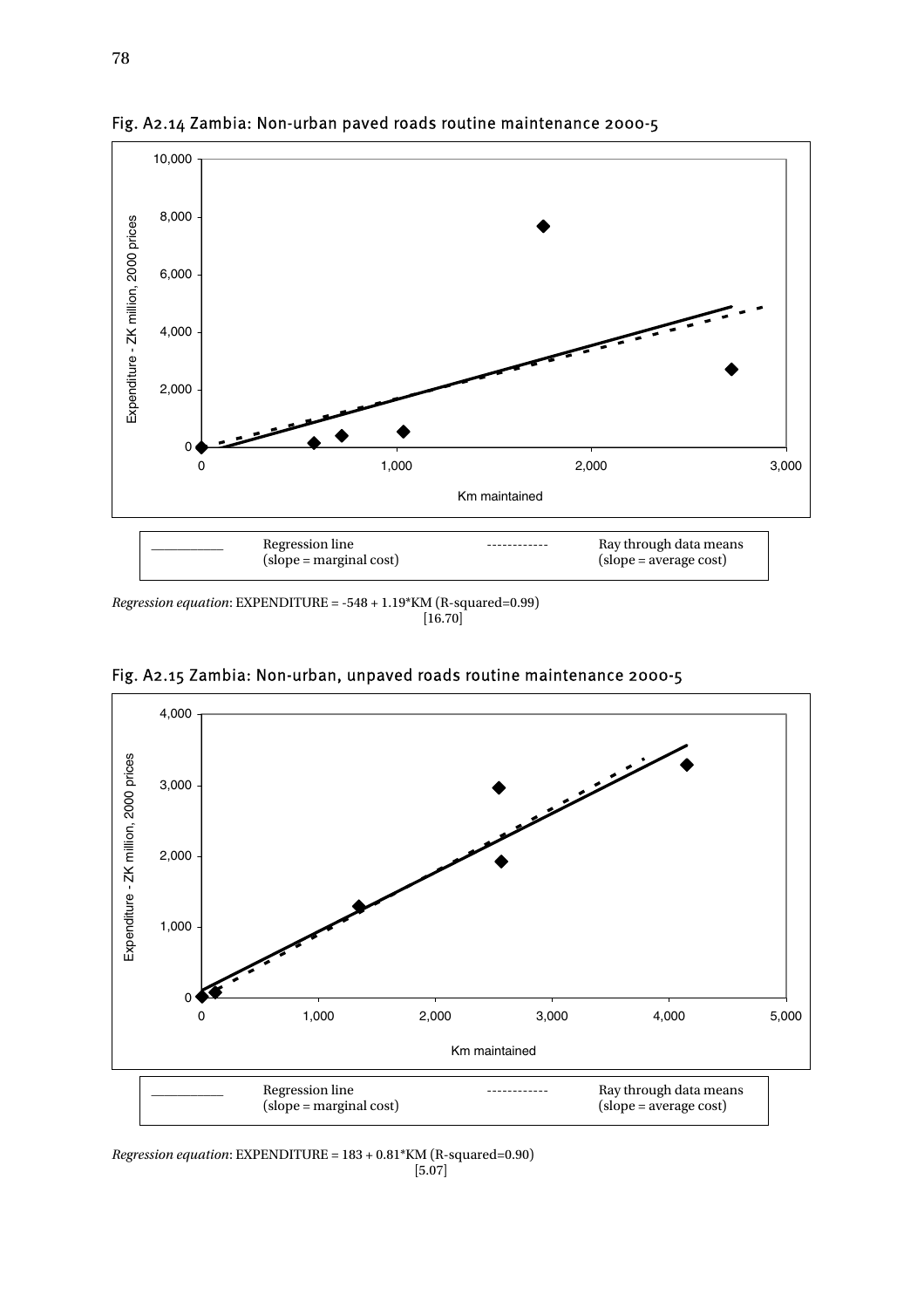

Fig. A2.14 Zambia: Non-urban paved roads routine maintenance 2000-5

*Regression equation*: EXPENDITURE = -548 + 1.19\*KM (R-squared=0.99) [16.70]



Fig. A2.15 Zambia: Non-urban, unpaved roads routine maintenance 2000-5

*Regression equation*: EXPENDITURE = 183 + 0.81\*KM (R-squared=0.90) [5.07]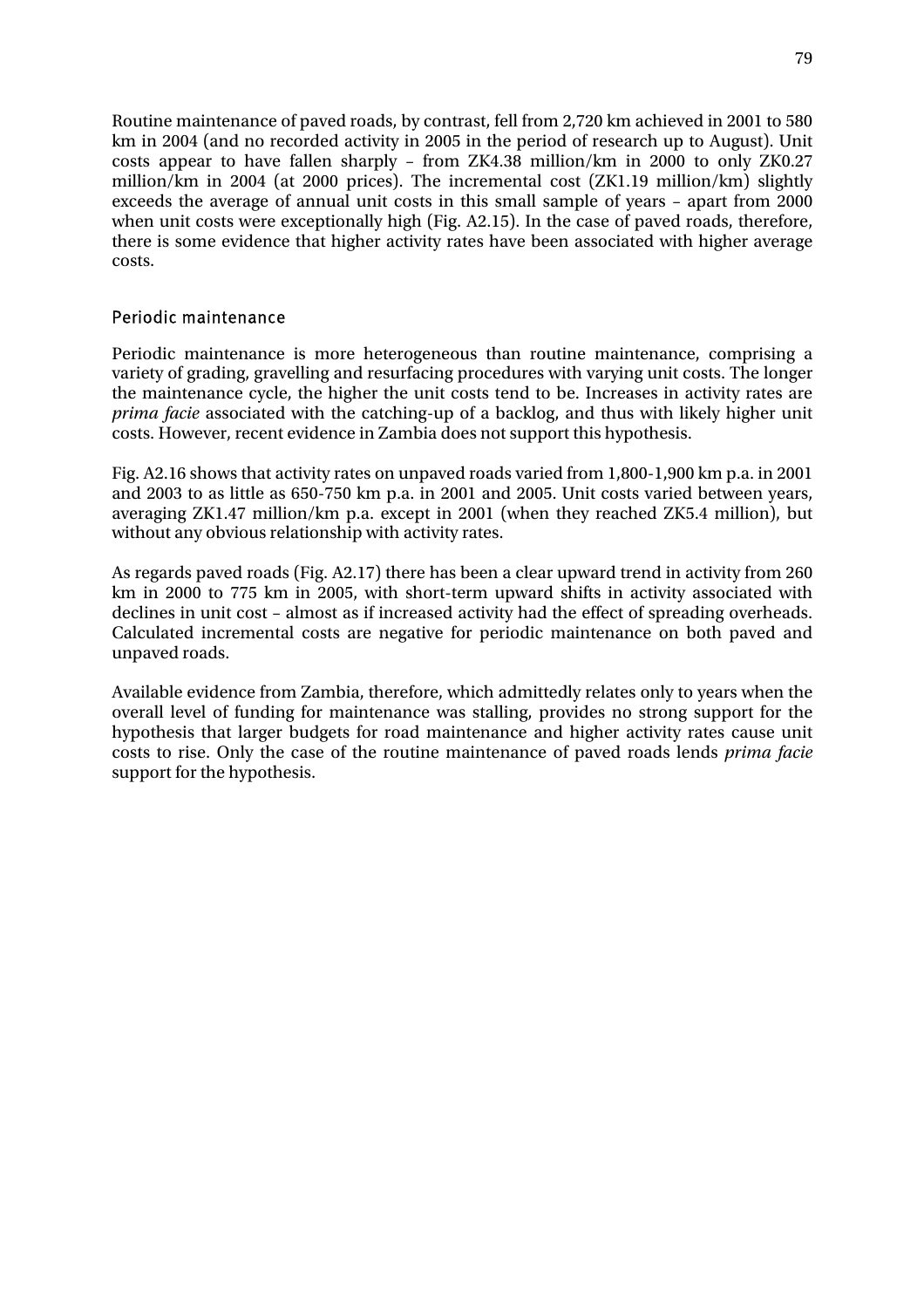Routine maintenance of paved roads, by contrast, fell from 2,720 km achieved in 2001 to 580 km in 2004 (and no recorded activity in 2005 in the period of research up to August). Unit costs appear to have fallen sharply – from ZK4.38 million/km in 2000 to only ZK0.27 million/km in 2004 (at 2000 prices). The incremental cost (ZK1.19 million/km) slightly exceeds the average of annual unit costs in this small sample of years – apart from 2000 when unit costs were exceptionally high (Fig. A2.15). In the case of paved roads, therefore, there is some evidence that higher activity rates have been associated with higher average costs.

#### Periodic maintenance

Periodic maintenance is more heterogeneous than routine maintenance, comprising a variety of grading, gravelling and resurfacing procedures with varying unit costs. The longer the maintenance cycle, the higher the unit costs tend to be. Increases in activity rates are *prima facie* associated with the catching-up of a backlog, and thus with likely higher unit costs. However, recent evidence in Zambia does not support this hypothesis.

Fig. A2.16 shows that activity rates on unpaved roads varied from 1,800-1,900 km p.a. in 2001 and 2003 to as little as 650-750 km p.a. in 2001 and 2005. Unit costs varied between years, averaging ZK1.47 million/km p.a. except in 2001 (when they reached ZK5.4 million), but without any obvious relationship with activity rates.

As regards paved roads (Fig. A2.17) there has been a clear upward trend in activity from 260 km in 2000 to 775 km in 2005, with short-term upward shifts in activity associated with declines in unit cost – almost as if increased activity had the effect of spreading overheads. Calculated incremental costs are negative for periodic maintenance on both paved and unpaved roads.

Available evidence from Zambia, therefore, which admittedly relates only to years when the overall level of funding for maintenance was stalling, provides no strong support for the hypothesis that larger budgets for road maintenance and higher activity rates cause unit costs to rise. Only the case of the routine maintenance of paved roads lends *prima facie* support for the hypothesis.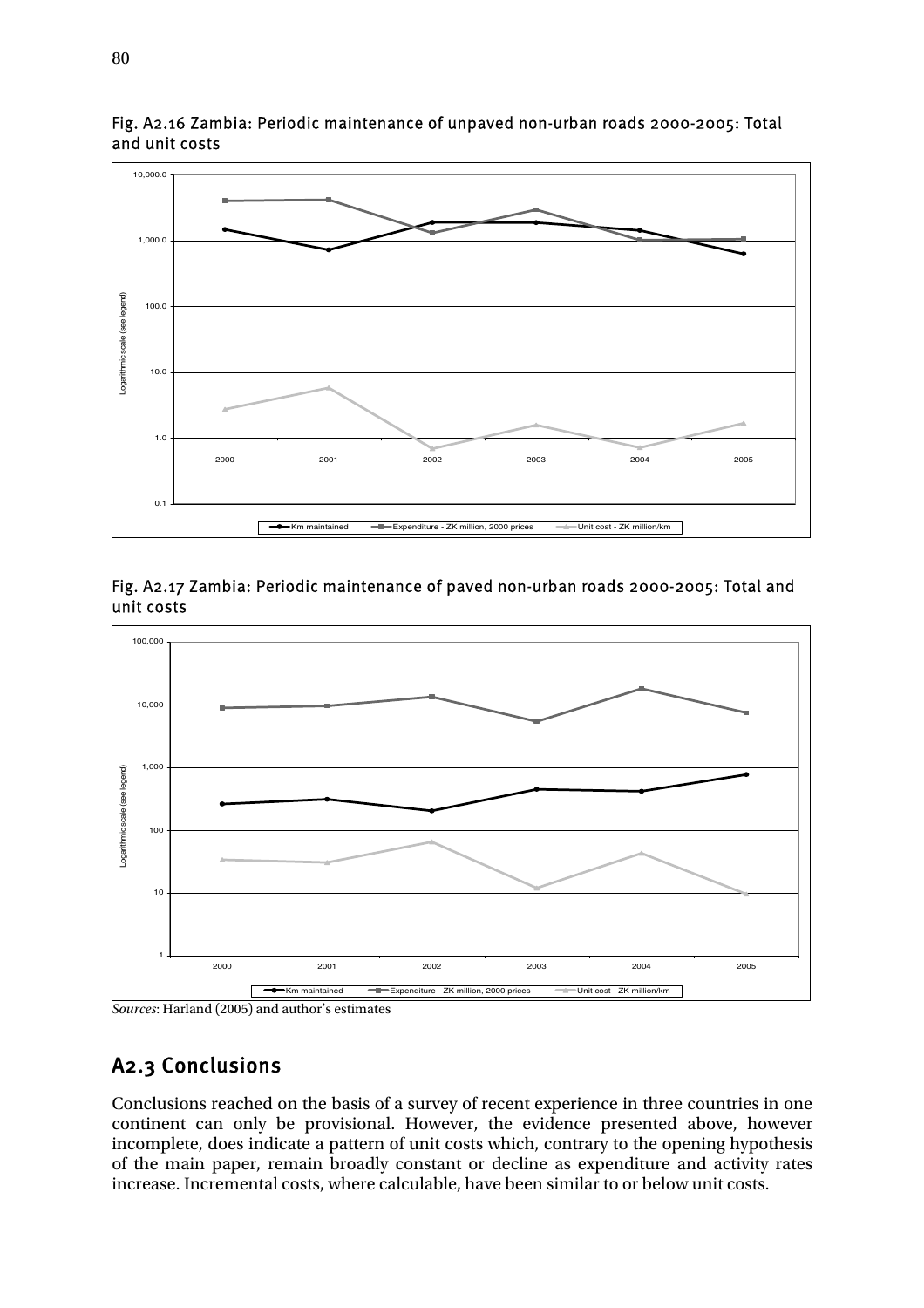

Fig. A2.16 Zambia: Periodic maintenance of unpaved non-urban roads 2000-2005: Total and unit costs





*Sources*: Harland (2005) and author's estimates

# A2.3 Conclusions

Conclusions reached on the basis of a survey of recent experience in three countries in one continent can only be provisional. However, the evidence presented above, however incomplete, does indicate a pattern of unit costs which, contrary to the opening hypothesis of the main paper, remain broadly constant or decline as expenditure and activity rates increase. Incremental costs, where calculable, have been similar to or below unit costs.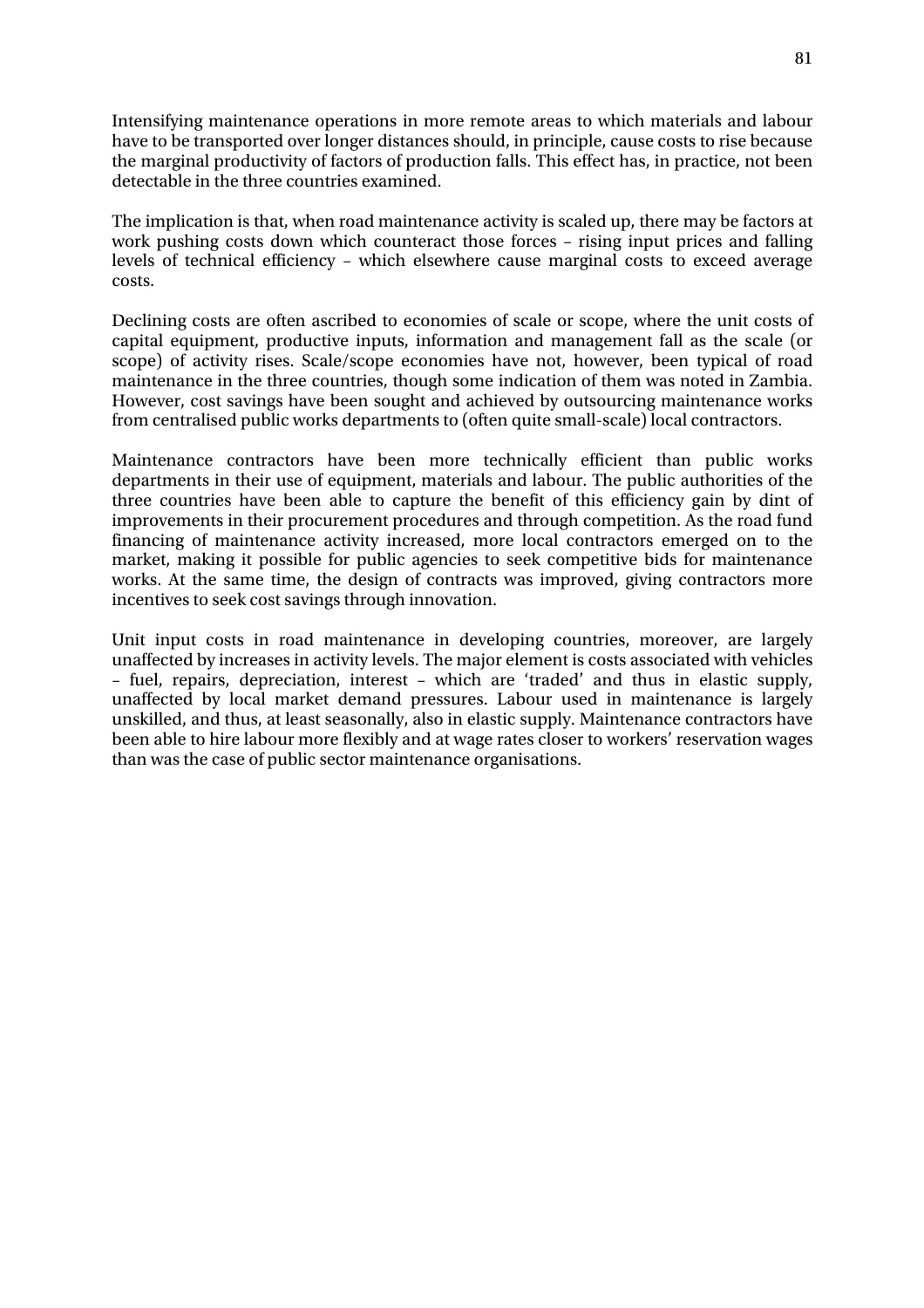Intensifying maintenance operations in more remote areas to which materials and labour have to be transported over longer distances should, in principle, cause costs to rise because the marginal productivity of factors of production falls. This effect has, in practice, not been detectable in the three countries examined.

The implication is that, when road maintenance activity is scaled up, there may be factors at work pushing costs down which counteract those forces – rising input prices and falling levels of technical efficiency – which elsewhere cause marginal costs to exceed average costs.

Declining costs are often ascribed to economies of scale or scope, where the unit costs of capital equipment, productive inputs, information and management fall as the scale (or scope) of activity rises. Scale/scope economies have not, however, been typical of road maintenance in the three countries, though some indication of them was noted in Zambia. However, cost savings have been sought and achieved by outsourcing maintenance works from centralised public works departments to (often quite small-scale) local contractors.

Maintenance contractors have been more technically efficient than public works departments in their use of equipment, materials and labour. The public authorities of the three countries have been able to capture the benefit of this efficiency gain by dint of improvements in their procurement procedures and through competition. As the road fund financing of maintenance activity increased, more local contractors emerged on to the market, making it possible for public agencies to seek competitive bids for maintenance works. At the same time, the design of contracts was improved, giving contractors more incentives to seek cost savings through innovation.

Unit input costs in road maintenance in developing countries, moreover, are largely unaffected by increases in activity levels. The major element is costs associated with vehicles – fuel, repairs, depreciation, interest – which are 'traded' and thus in elastic supply, unaffected by local market demand pressures. Labour used in maintenance is largely unskilled, and thus, at least seasonally, also in elastic supply. Maintenance contractors have been able to hire labour more flexibly and at wage rates closer to workers' reservation wages than was the case of public sector maintenance organisations.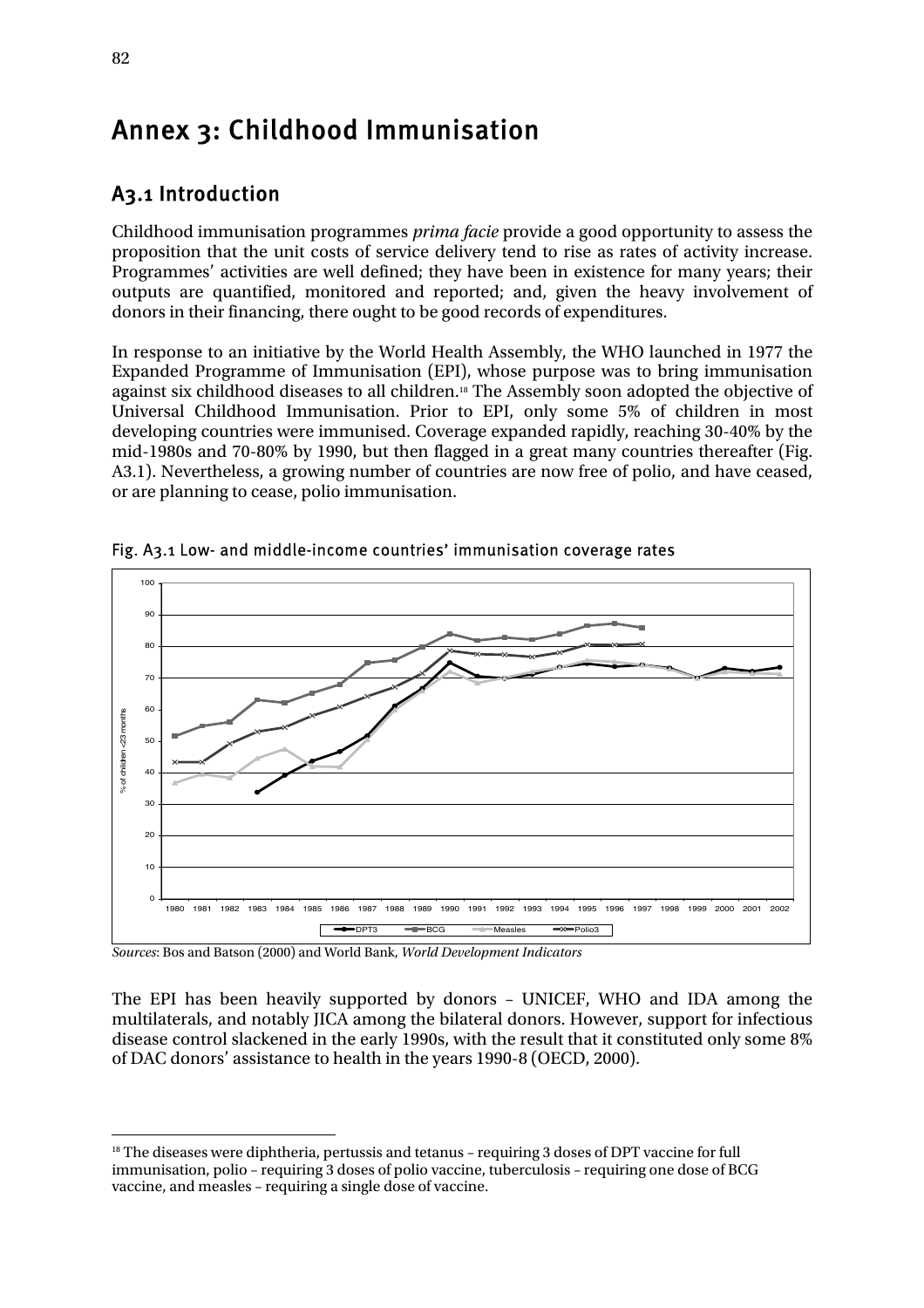# Annex 3: Childhood Immunisation

# A3.1 Introduction

Childhood immunisation programmes *prima facie* provide a good opportunity to assess the proposition that the unit costs of service delivery tend to rise as rates of activity increase. Programmes' activities are well defined; they have been in existence for many years; their outputs are quantified, monitored and reported; and, given the heavy involvement of donors in their financing, there ought to be good records of expenditures.

In response to an initiative by the World Health Assembly, the WHO launched in 1977 the Expanded Programme of Immunisation (EPI), whose purpose was to bring immunisation against six childhood diseases to all children.18 The Assembly soon adopted the objective of Universal Childhood Immunisation. Prior to EPI, only some 5% of children in most developing countries were immunised. Coverage expanded rapidly, reaching 30-40% by the mid-1980s and 70-80% by 1990, but then flagged in a great many countries thereafter (Fig. A3.1). Nevertheless, a growing number of countries are now free of polio, and have ceased, or are planning to cease, polio immunisation.



Fig. A3.1 Low- and middle-income countries' immunisation coverage rates

*Sources*: Bos and Batson (2000) and World Bank, *World Development Indicators* 

The EPI has been heavily supported by donors – UNICEF, WHO and IDA among the multilaterals, and notably JICA among the bilateral donors. However, support for infectious disease control slackened in the early 1990s, with the result that it constituted only some 8% of DAC donors' assistance to health in the years 1990-8 (OECD, 2000).

 $\overline{a}$ 

<sup>&</sup>lt;sup>18</sup> The diseases were diphtheria, pertussis and tetanus - requiring 3 doses of DPT vaccine for full immunisation, polio – requiring 3 doses of polio vaccine, tuberculosis – requiring one dose of BCG vaccine, and measles – requiring a single dose of vaccine.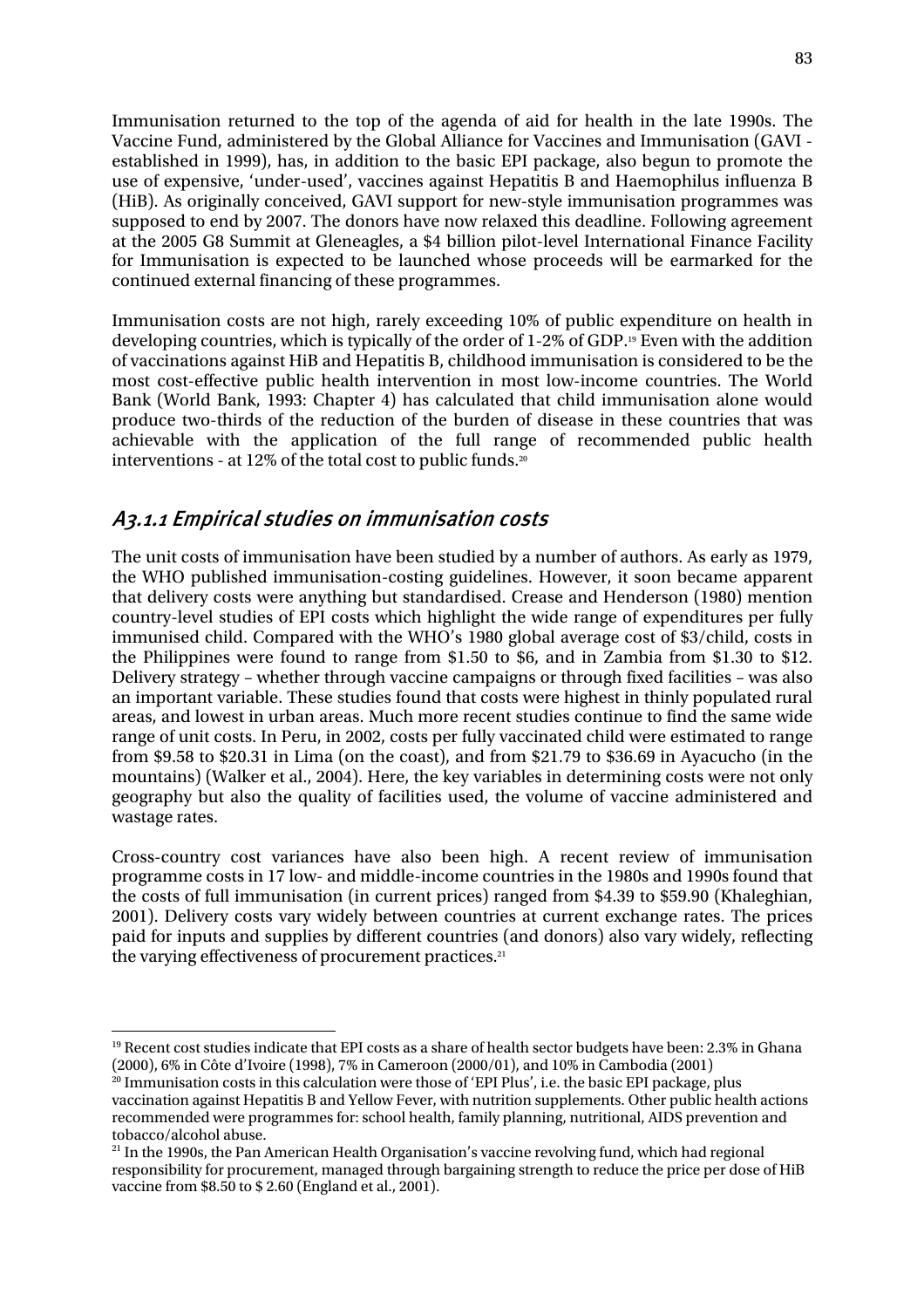Immunisation returned to the top of the agenda of aid for health in the late 1990s. The Vaccine Fund, administered by the Global Alliance for Vaccines and Immunisation (GAVI established in 1999), has, in addition to the basic EPI package, also begun to promote the use of expensive, 'under-used', vaccines against Hepatitis B and Haemophilus influenza B (HiB). As originally conceived, GAVI support for new-style immunisation programmes was supposed to end by 2007. The donors have now relaxed this deadline. Following agreement at the 2005 G8 Summit at Gleneagles, a \$4 billion pilot-level International Finance Facility for Immunisation is expected to be launched whose proceeds will be earmarked for the continued external financing of these programmes.

Immunisation costs are not high, rarely exceeding 10% of public expenditure on health in developing countries, which is typically of the order of 1-2% of GDP.19 Even with the addition of vaccinations against HiB and Hepatitis B, childhood immunisation is considered to be the most cost-effective public health intervention in most low-income countries. The World Bank (World Bank, 1993: Chapter 4) has calculated that child immunisation alone would produce two-thirds of the reduction of the burden of disease in these countries that was achievable with the application of the full range of recommended public health interventions - at 12% of the total cost to public funds.<sup>20</sup>

### A3.1.1 Empirical studies on immunisation costs

The unit costs of immunisation have been studied by a number of authors. As early as 1979, the WHO published immunisation-costing guidelines. However, it soon became apparent that delivery costs were anything but standardised. Crease and Henderson (1980) mention country-level studies of EPI costs which highlight the wide range of expenditures per fully immunised child. Compared with the WHO's 1980 global average cost of \$3/child, costs in the Philippines were found to range from \$1.50 to \$6, and in Zambia from \$1.30 to \$12. Delivery strategy – whether through vaccine campaigns or through fixed facilities – was also an important variable. These studies found that costs were highest in thinly populated rural areas, and lowest in urban areas. Much more recent studies continue to find the same wide range of unit costs. In Peru, in 2002, costs per fully vaccinated child were estimated to range from \$9.58 to \$20.31 in Lima (on the coast), and from \$21.79 to \$36.69 in Ayacucho (in the mountains) (Walker et al., 2004). Here, the key variables in determining costs were not only geography but also the quality of facilities used, the volume of vaccine administered and wastage rates.

Cross-country cost variances have also been high. A recent review of immunisation programme costs in 17 low- and middle-income countries in the 1980s and 1990s found that the costs of full immunisation (in current prices) ranged from \$4.39 to \$59.90 (Khaleghian, 2001). Delivery costs vary widely between countries at current exchange rates. The prices paid for inputs and supplies by different countries (and donors) also vary widely, reflecting the varying effectiveness of procurement practices.<sup>21</sup>

 $\overline{a}$ <sup>19</sup> Recent cost studies indicate that EPI costs as a share of health sector budgets have been: 2.3% in Ghana (2000), 6% in Côte d'Ivoire (1998), 7% in Cameroon (2000/01), and 10% in Cambodia (2001)

 $^{20}$  Immunisation costs in this calculation were those of 'EPI Plus', i.e. the basic EPI package, plus vaccination against Hepatitis B and Yellow Fever, with nutrition supplements. Other public health actions recommended were programmes for: school health, family planning, nutritional, AIDS prevention and tobacco/alcohol abuse.

<sup>&</sup>lt;sup>21</sup> In the 1990s, the Pan American Health Organisation's vaccine revolving fund, which had regional responsibility for procurement, managed through bargaining strength to reduce the price per dose of HiB vaccine from \$8.50 to \$ 2.60 (England et al., 2001).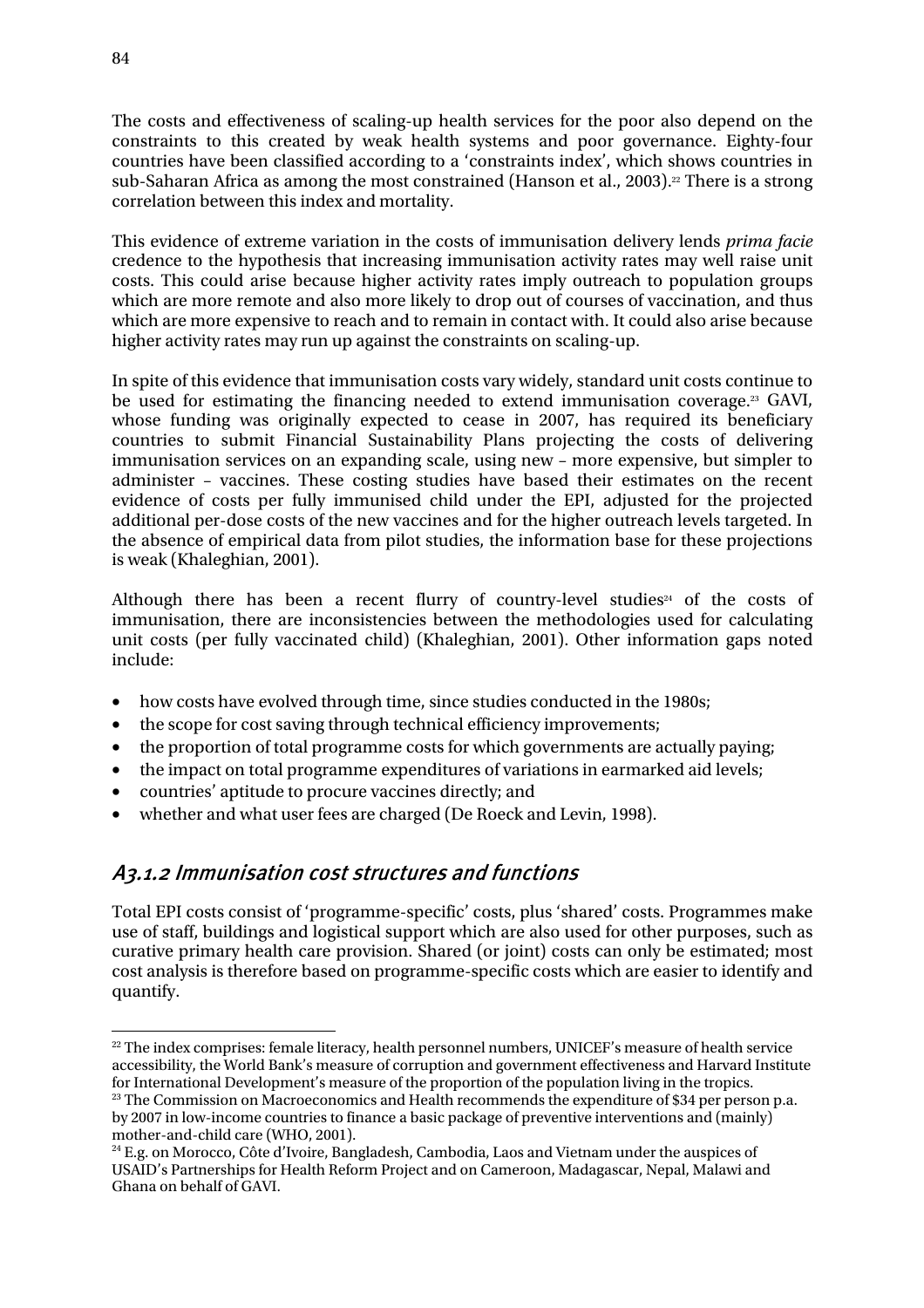The costs and effectiveness of scaling-up health services for the poor also depend on the constraints to this created by weak health systems and poor governance. Eighty-four countries have been classified according to a 'constraints index', which shows countries in sub-Saharan Africa as among the most constrained (Hanson et al., 2003).<sup>22</sup> There is a strong correlation between this index and mortality.

This evidence of extreme variation in the costs of immunisation delivery lends *prima facie* credence to the hypothesis that increasing immunisation activity rates may well raise unit costs. This could arise because higher activity rates imply outreach to population groups which are more remote and also more likely to drop out of courses of vaccination, and thus which are more expensive to reach and to remain in contact with. It could also arise because higher activity rates may run up against the constraints on scaling-up.

In spite of this evidence that immunisation costs vary widely, standard unit costs continue to be used for estimating the financing needed to extend immunisation coverage.23 GAVI, whose funding was originally expected to cease in 2007, has required its beneficiary countries to submit Financial Sustainability Plans projecting the costs of delivering immunisation services on an expanding scale, using new – more expensive, but simpler to administer – vaccines. These costing studies have based their estimates on the recent evidence of costs per fully immunised child under the EPI, adjusted for the projected additional per-dose costs of the new vaccines and for the higher outreach levels targeted. In the absence of empirical data from pilot studies, the information base for these projections is weak (Khaleghian, 2001).

Although there has been a recent flurry of country-level studies<sup>24</sup> of the costs of immunisation, there are inconsistencies between the methodologies used for calculating unit costs (per fully vaccinated child) (Khaleghian, 2001). Other information gaps noted include:

- how costs have evolved through time, since studies conducted in the 1980s;
- the scope for cost saving through technical efficiency improvements;
- the proportion of total programme costs for which governments are actually paying;
- the impact on total programme expenditures of variations in earmarked aid levels;
- countries' aptitude to procure vaccines directly; and
- whether and what user fees are charged (De Roeck and Levin, 1998).

## A3.1.2 Immunisation cost structures and functions

Total EPI costs consist of 'programme-specific' costs, plus 'shared' costs. Programmes make use of staff, buildings and logistical support which are also used for other purposes, such as curative primary health care provision. Shared (or joint) costs can only be estimated; most cost analysis is therefore based on programme-specific costs which are easier to identify and quantify.

 $\overline{a}$  $22$  The index comprises: female literacy, health personnel numbers, UNICEF's measure of health service accessibility, the World Bank's measure of corruption and government effectiveness and Harvard Institute for International Development's measure of the proportion of the population living in the tropics. <sup>23</sup> The Commission on Macroeconomics and Health recommends the expenditure of \$34 per person p.a.

by 2007 in low-income countries to finance a basic package of preventive interventions and (mainly)

<sup>&</sup>lt;sup>24</sup> E.g. on Morocco, Côte d'Ivoire, Bangladesh, Cambodia, Laos and Vietnam under the auspices of USAID's Partnerships for Health Reform Project and on Cameroon, Madagascar, Nepal, Malawi and Ghana on behalf of GAVI.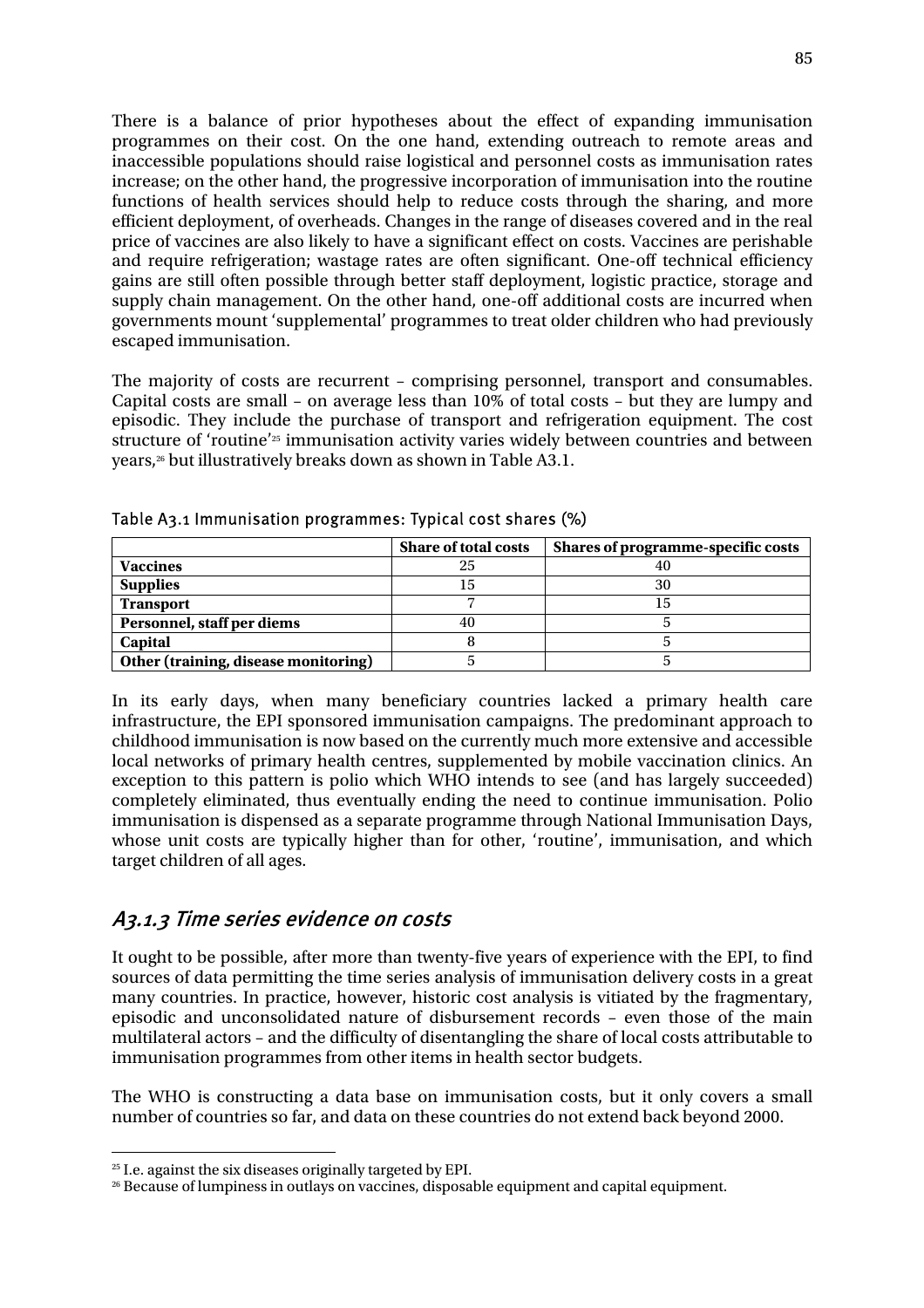There is a balance of prior hypotheses about the effect of expanding immunisation programmes on their cost. On the one hand, extending outreach to remote areas and inaccessible populations should raise logistical and personnel costs as immunisation rates increase; on the other hand, the progressive incorporation of immunisation into the routine functions of health services should help to reduce costs through the sharing, and more efficient deployment, of overheads. Changes in the range of diseases covered and in the real price of vaccines are also likely to have a significant effect on costs. Vaccines are perishable and require refrigeration; wastage rates are often significant. One-off technical efficiency gains are still often possible through better staff deployment, logistic practice, storage and supply chain management. On the other hand, one-off additional costs are incurred when governments mount 'supplemental' programmes to treat older children who had previously escaped immunisation.

The majority of costs are recurrent – comprising personnel, transport and consumables. Capital costs are small – on average less than 10% of total costs – but they are lumpy and episodic. They include the purchase of transport and refrigeration equipment. The cost structure of 'routine'25 immunisation activity varies widely between countries and between years,26 but illustratively breaks down as shown in Table A3.1.

|                                      | <b>Share of total costs</b> | Shares of programme-specific costs |  |
|--------------------------------------|-----------------------------|------------------------------------|--|
| <b>Vaccines</b>                      | 25                          |                                    |  |
| <b>Supplies</b>                      | 15                          | 30                                 |  |
| <b>Transport</b>                     |                             | 15.                                |  |
| Personnel, staff per diems           | 40                          |                                    |  |
| Capital                              |                             |                                    |  |
| Other (training, disease monitoring) |                             |                                    |  |

Table A3.1 Immunisation programmes: Typical cost shares (%)

In its early days, when many beneficiary countries lacked a primary health care infrastructure, the EPI sponsored immunisation campaigns. The predominant approach to childhood immunisation is now based on the currently much more extensive and accessible local networks of primary health centres, supplemented by mobile vaccination clinics. An exception to this pattern is polio which WHO intends to see (and has largely succeeded) completely eliminated, thus eventually ending the need to continue immunisation. Polio immunisation is dispensed as a separate programme through National Immunisation Days, whose unit costs are typically higher than for other, 'routine', immunisation, and which target children of all ages.

## A3.1.3 Time series evidence on costs

It ought to be possible, after more than twenty-five years of experience with the EPI, to find sources of data permitting the time series analysis of immunisation delivery costs in a great many countries. In practice, however, historic cost analysis is vitiated by the fragmentary, episodic and unconsolidated nature of disbursement records – even those of the main multilateral actors – and the difficulty of disentangling the share of local costs attributable to immunisation programmes from other items in health sector budgets.

The WHO is constructing a data base on immunisation costs, but it only covers a small number of countries so far, and data on these countries do not extend back beyond 2000.

 $\overline{a}$ <sup>25</sup> I.e. against the six diseases originally targeted by EPI.

<sup>26</sup> Because of lumpiness in outlays on vaccines, disposable equipment and capital equipment.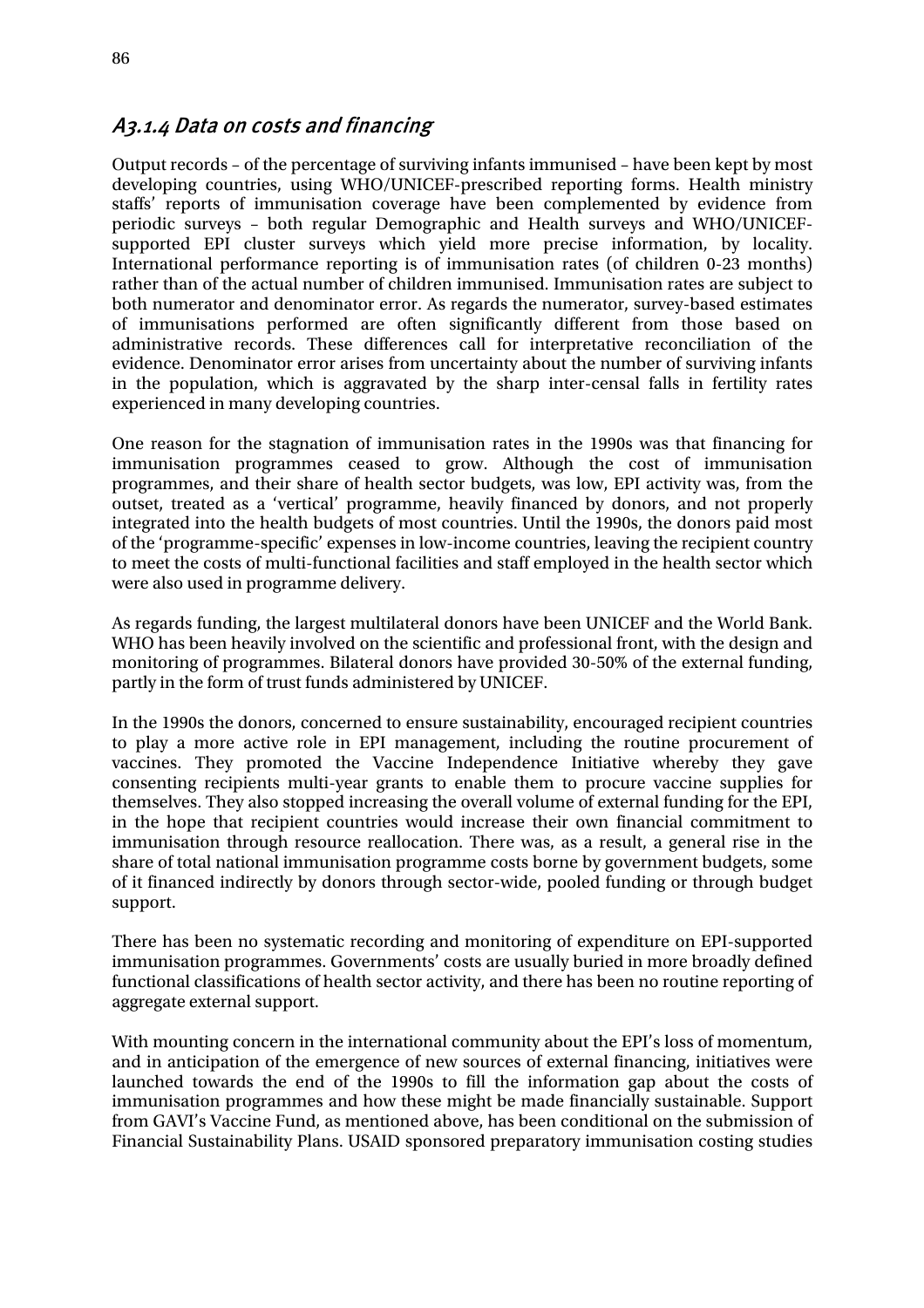### A3.1.4 Data on costs and financing

Output records – of the percentage of surviving infants immunised – have been kept by most developing countries, using WHO/UNICEF-prescribed reporting forms. Health ministry staffs' reports of immunisation coverage have been complemented by evidence from periodic surveys – both regular Demographic and Health surveys and WHO/UNICEFsupported EPI cluster surveys which yield more precise information, by locality. International performance reporting is of immunisation rates (of children 0-23 months) rather than of the actual number of children immunised. Immunisation rates are subject to both numerator and denominator error. As regards the numerator, survey-based estimates of immunisations performed are often significantly different from those based on administrative records. These differences call for interpretative reconciliation of the evidence. Denominator error arises from uncertainty about the number of surviving infants in the population, which is aggravated by the sharp inter-censal falls in fertility rates experienced in many developing countries.

One reason for the stagnation of immunisation rates in the 1990s was that financing for immunisation programmes ceased to grow. Although the cost of immunisation programmes, and their share of health sector budgets, was low, EPI activity was, from the outset, treated as a 'vertical' programme, heavily financed by donors, and not properly integrated into the health budgets of most countries. Until the 1990s, the donors paid most of the 'programme-specific' expenses in low-income countries, leaving the recipient country to meet the costs of multi-functional facilities and staff employed in the health sector which were also used in programme delivery.

As regards funding, the largest multilateral donors have been UNICEF and the World Bank. WHO has been heavily involved on the scientific and professional front, with the design and monitoring of programmes. Bilateral donors have provided 30-50% of the external funding, partly in the form of trust funds administered by UNICEF.

In the 1990s the donors, concerned to ensure sustainability, encouraged recipient countries to play a more active role in EPI management, including the routine procurement of vaccines. They promoted the Vaccine Independence Initiative whereby they gave consenting recipients multi-year grants to enable them to procure vaccine supplies for themselves. They also stopped increasing the overall volume of external funding for the EPI, in the hope that recipient countries would increase their own financial commitment to immunisation through resource reallocation. There was, as a result, a general rise in the share of total national immunisation programme costs borne by government budgets, some of it financed indirectly by donors through sector-wide, pooled funding or through budget support.

There has been no systematic recording and monitoring of expenditure on EPI-supported immunisation programmes. Governments' costs are usually buried in more broadly defined functional classifications of health sector activity, and there has been no routine reporting of aggregate external support.

With mounting concern in the international community about the EPI's loss of momentum, and in anticipation of the emergence of new sources of external financing, initiatives were launched towards the end of the 1990s to fill the information gap about the costs of immunisation programmes and how these might be made financially sustainable. Support from GAVI's Vaccine Fund, as mentioned above, has been conditional on the submission of Financial Sustainability Plans. USAID sponsored preparatory immunisation costing studies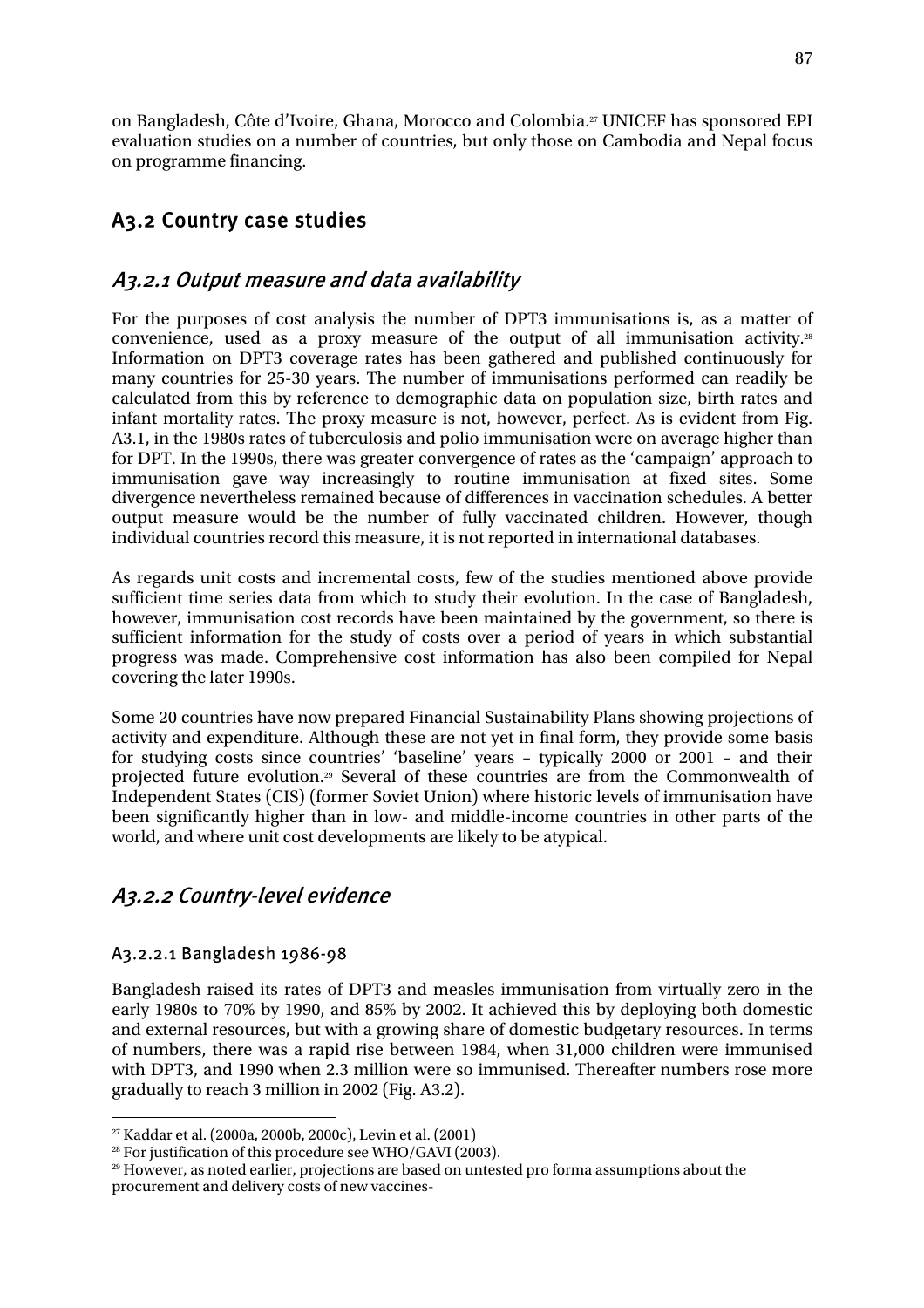on Bangladesh, Côte d'Ivoire, Ghana, Morocco and Colombia.27 UNICEF has sponsored EPI evaluation studies on a number of countries, but only those on Cambodia and Nepal focus on programme financing.

# A3.2 Country case studies

# A3.2.1 Output measure and data availability

For the purposes of cost analysis the number of DPT3 immunisations is, as a matter of convenience, used as a proxy measure of the output of all immunisation activity.28 Information on DPT3 coverage rates has been gathered and published continuously for many countries for 25-30 years. The number of immunisations performed can readily be calculated from this by reference to demographic data on population size, birth rates and infant mortality rates. The proxy measure is not, however, perfect. As is evident from Fig. A3.1, in the 1980s rates of tuberculosis and polio immunisation were on average higher than for DPT. In the 1990s, there was greater convergence of rates as the 'campaign' approach to immunisation gave way increasingly to routine immunisation at fixed sites. Some divergence nevertheless remained because of differences in vaccination schedules. A better output measure would be the number of fully vaccinated children. However, though individual countries record this measure, it is not reported in international databases.

As regards unit costs and incremental costs, few of the studies mentioned above provide sufficient time series data from which to study their evolution. In the case of Bangladesh, however, immunisation cost records have been maintained by the government, so there is sufficient information for the study of costs over a period of years in which substantial progress was made. Comprehensive cost information has also been compiled for Nepal covering the later 1990s.

Some 20 countries have now prepared Financial Sustainability Plans showing projections of activity and expenditure. Although these are not yet in final form, they provide some basis for studying costs since countries' 'baseline' years – typically 2000 or 2001 – and their projected future evolution.29 Several of these countries are from the Commonwealth of Independent States (CIS) (former Soviet Union) where historic levels of immunisation have been significantly higher than in low- and middle-income countries in other parts of the world, and where unit cost developments are likely to be atypical.

# A3.2.2 Country-level evidence

### A3.2.2.1 Bangladesh 1986-98

Bangladesh raised its rates of DPT3 and measles immunisation from virtually zero in the early 1980s to 70% by 1990, and 85% by 2002. It achieved this by deploying both domestic and external resources, but with a growing share of domestic budgetary resources. In terms of numbers, there was a rapid rise between 1984, when 31,000 children were immunised with DPT3, and 1990 when 2.3 million were so immunised. Thereafter numbers rose more gradually to reach 3 million in 2002 (Fig. A3.2).

 $\overline{a}$ 

<sup>&</sup>lt;sup>27</sup> Kaddar et al. (2000a, 2000b, 2000c), Levin et al. (2001)<br><sup>28</sup> For justification of this procedure see WHO/GAVI (2003).

<sup>&</sup>lt;sup>29</sup> However, as noted earlier, projections are based on untested pro forma assumptions about the procurement and delivery costs of new vaccines-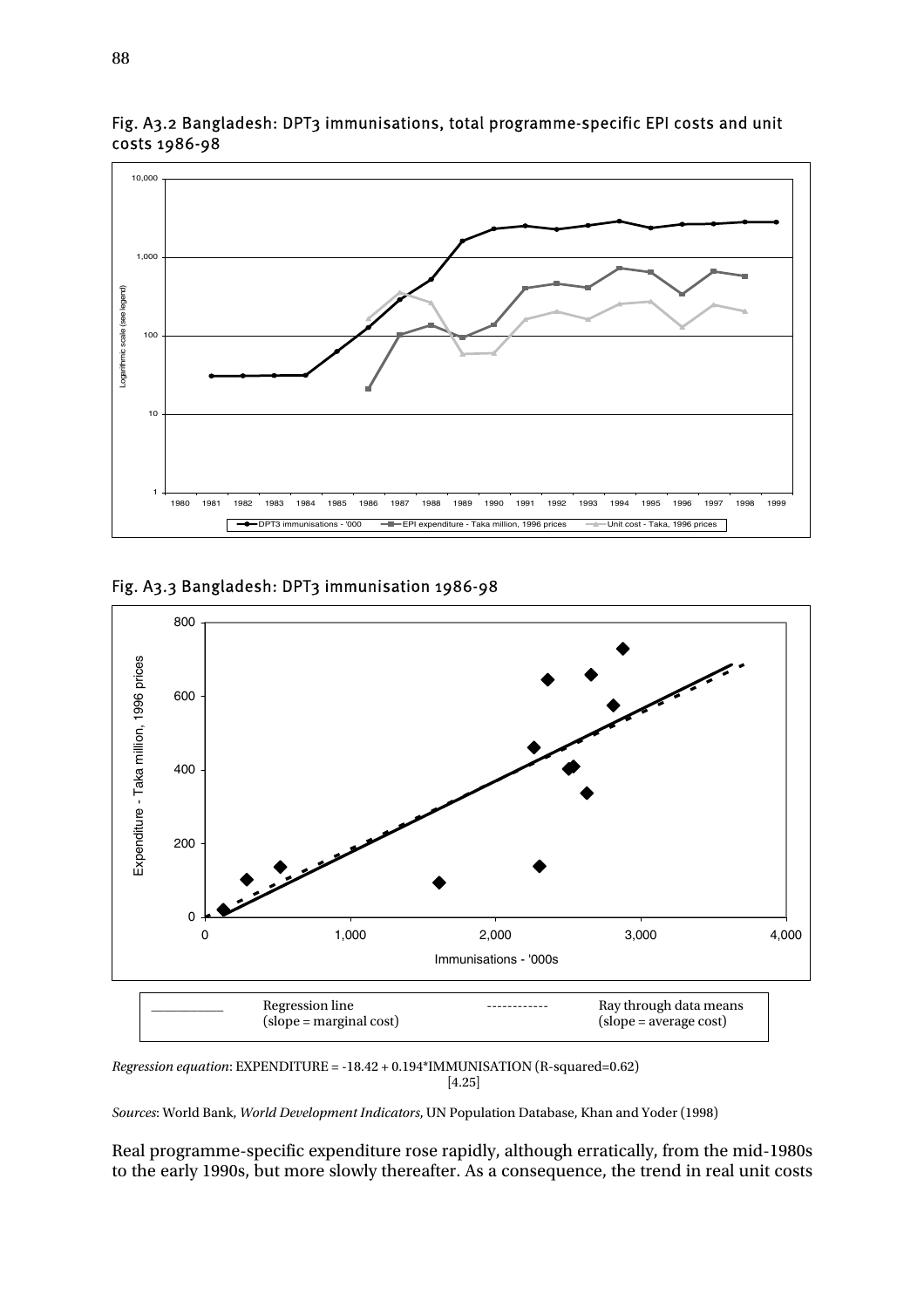

Fig. A3.2 Bangladesh: DPT3 immunisations, total programme-specific EPI costs and unit costs 1986-98

Fig. A3.3 Bangladesh: DPT3 immunisation 1986-98



*Regression equation*: EXPENDITURE = -18.42 + 0.194\*IMMUNISATION (R-squared=0.62) [4.25]

*Sources*: World Bank, *World Development Indicators*, UN Population Database, Khan and Yoder (1998)

Real programme-specific expenditure rose rapidly, although erratically, from the mid-1980s to the early 1990s, but more slowly thereafter. As a consequence, the trend in real unit costs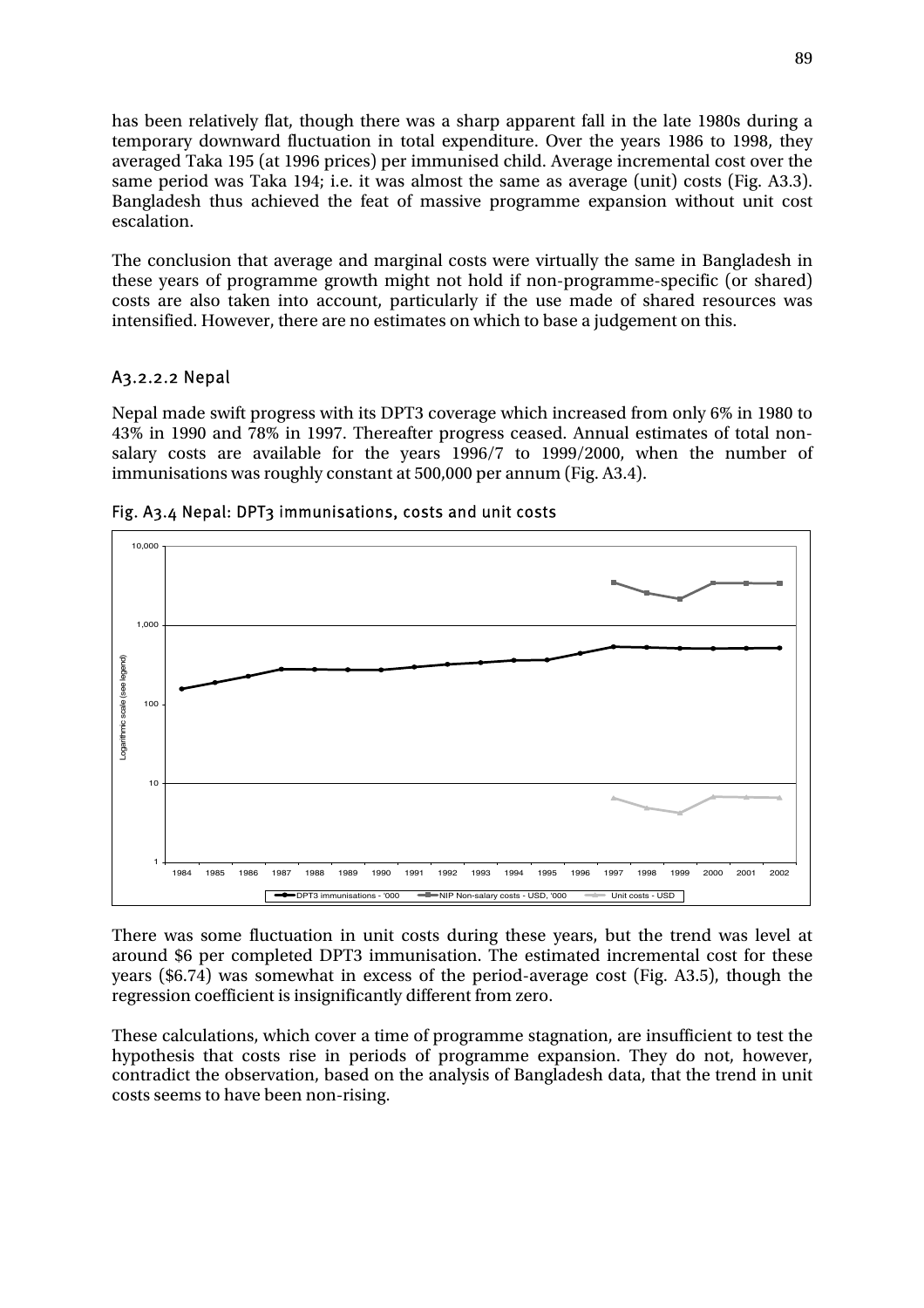has been relatively flat, though there was a sharp apparent fall in the late 1980s during a temporary downward fluctuation in total expenditure. Over the years 1986 to 1998, they averaged Taka 195 (at 1996 prices) per immunised child. Average incremental cost over the same period was Taka 194; i.e. it was almost the same as average (unit) costs (Fig. A3.3). Bangladesh thus achieved the feat of massive programme expansion without unit cost escalation.

The conclusion that average and marginal costs were virtually the same in Bangladesh in these years of programme growth might not hold if non-programme-specific (or shared) costs are also taken into account, particularly if the use made of shared resources was intensified. However, there are no estimates on which to base a judgement on this.

#### A3.2.2.2 Nepal

Nepal made swift progress with its DPT3 coverage which increased from only 6% in 1980 to 43% in 1990 and 78% in 1997. Thereafter progress ceased. Annual estimates of total nonsalary costs are available for the years 1996/7 to 1999/2000, when the number of immunisations was roughly constant at 500,000 per annum (Fig. A3.4).



Fig. A3.4 Nepal: DPT3 immunisations, costs and unit costs

There was some fluctuation in unit costs during these years, but the trend was level at around \$6 per completed DPT3 immunisation. The estimated incremental cost for these years (\$6.74) was somewhat in excess of the period-average cost (Fig. A3.5), though the regression coefficient is insignificantly different from zero.

These calculations, which cover a time of programme stagnation, are insufficient to test the hypothesis that costs rise in periods of programme expansion. They do not, however, contradict the observation, based on the analysis of Bangladesh data, that the trend in unit costs seems to have been non-rising.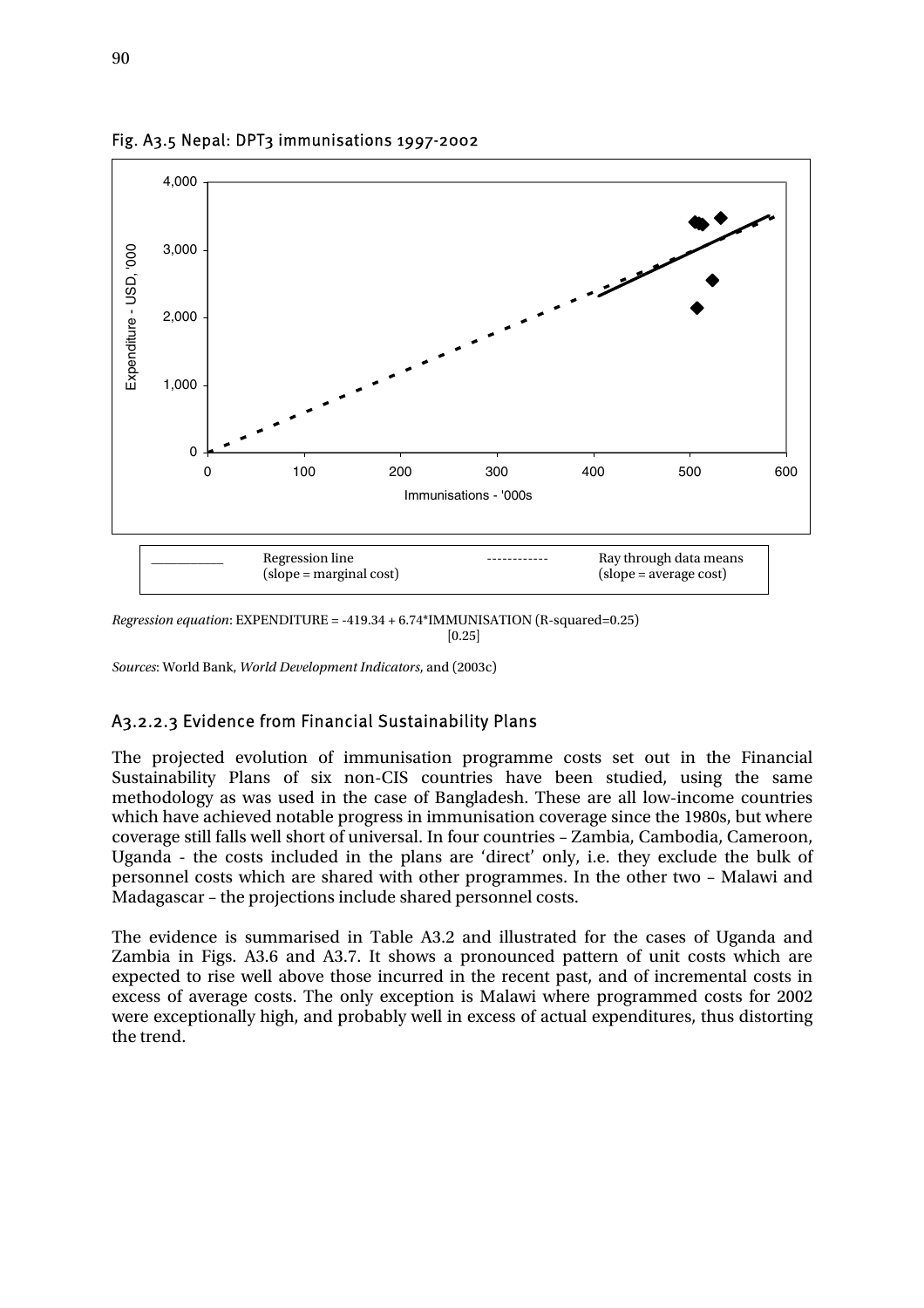

Fig. A3.5 Nepal: DPT3 immunisations 1997-2002

*Regression equation*: EXPENDITURE = -419.34 + 6.74\*IMMUNISATION (R-squared=0.25)  $[0.25]$ 

*Sources*: World Bank, *World Development Indicators*, and (2003c)

#### A3.2.2.3 Evidence from Financial Sustainability Plans

The projected evolution of immunisation programme costs set out in the Financial Sustainability Plans of six non-CIS countries have been studied, using the same methodology as was used in the case of Bangladesh. These are all low-income countries which have achieved notable progress in immunisation coverage since the 1980s, but where coverage still falls well short of universal. In four countries – Zambia, Cambodia, Cameroon, Uganda - the costs included in the plans are 'direct' only, i.e. they exclude the bulk of personnel costs which are shared with other programmes. In the other two – Malawi and Madagascar – the projections include shared personnel costs.

The evidence is summarised in Table A3.2 and illustrated for the cases of Uganda and Zambia in Figs. A3.6 and A3.7. It shows a pronounced pattern of unit costs which are expected to rise well above those incurred in the recent past, and of incremental costs in excess of average costs. The only exception is Malawi where programmed costs for 2002 were exceptionally high, and probably well in excess of actual expenditures, thus distorting the trend.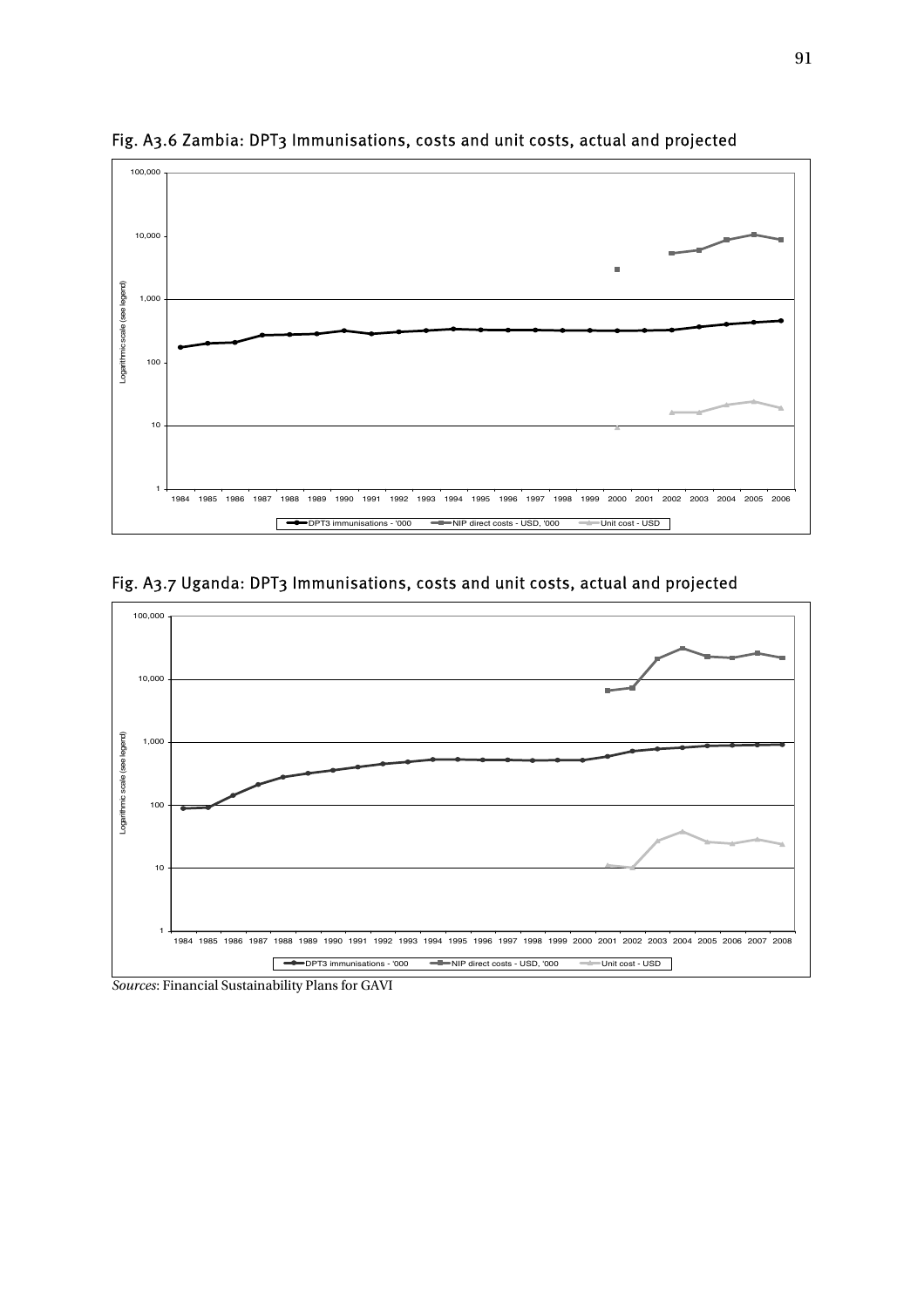

Fig. A3.6 Zambia: DPT3 Immunisations, costs and unit costs, actual and projected

Fig. A3.7 Uganda: DPT3 Immunisations, costs and unit costs, actual and projected



*Sources*: Financial Sustainability Plans for GAVI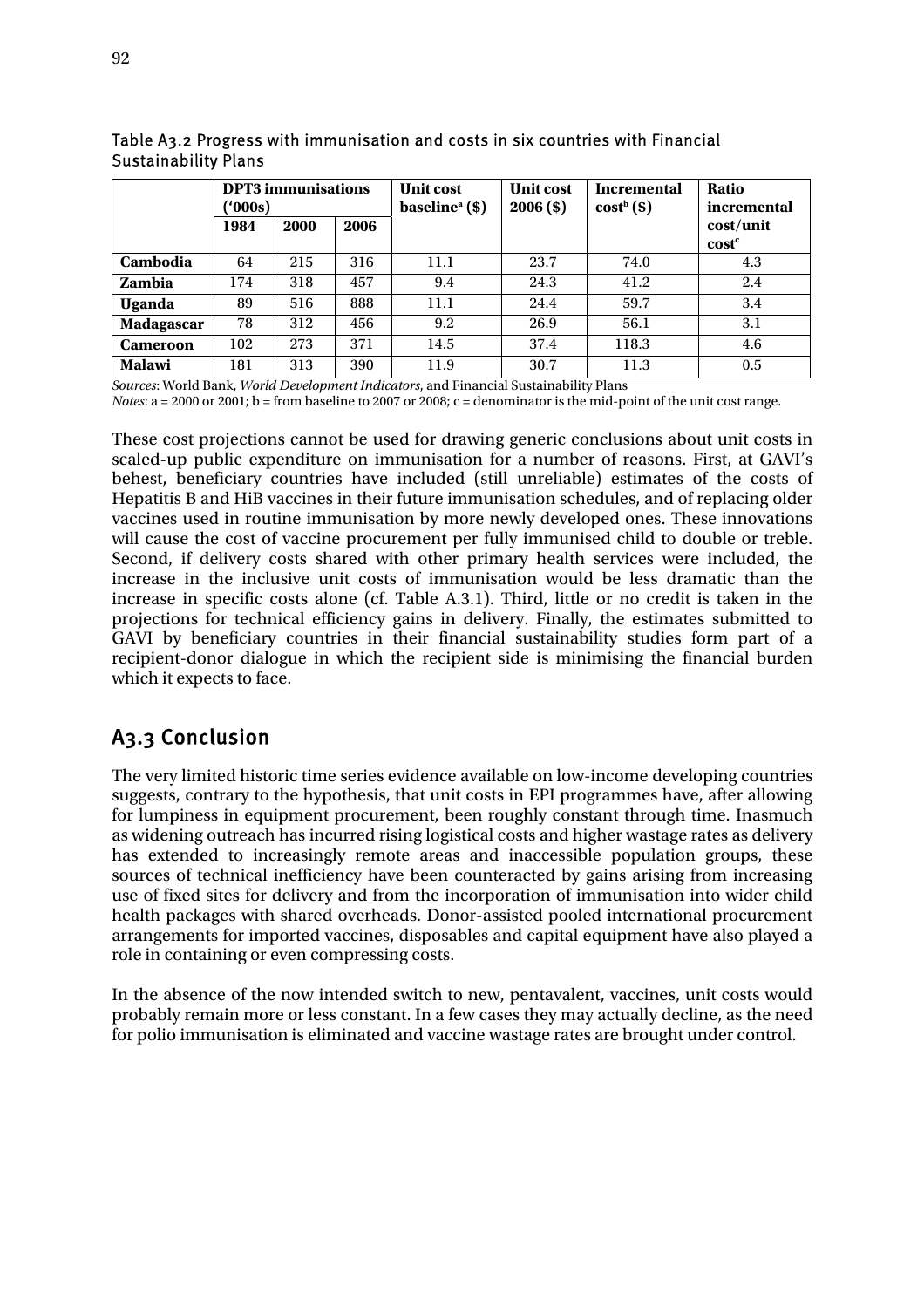|                 | <b>DPT3</b> immunisations<br>$^{\prime}000s)$ |      |      | <b>Unit cost</b><br>baseline <sup>a</sup> $($ \$) | <b>Unit cost</b><br>$2006($ \$) | <b>Incremental</b><br>$costb(\$)$ | Ratio<br>incremental |
|-----------------|-----------------------------------------------|------|------|---------------------------------------------------|---------------------------------|-----------------------------------|----------------------|
|                 | 1984                                          | 2000 | 2006 |                                                   |                                 |                                   | cost/unit            |
|                 |                                               |      |      |                                                   |                                 |                                   | cost <sup>c</sup>    |
| Cambodia        | 64                                            | 215  | 316  | 11.1                                              | 23.7                            | 74.0                              | 4.3                  |
| Zambia          | 174                                           | 318  | 457  | 9.4                                               | 24.3                            | 41.2                              | 2.4                  |
| <b>Uganda</b>   | 89                                            | 516  | 888  | 11.1                                              | 24.4                            | 59.7                              | 3.4                  |
| Madagascar      | 78                                            | 312  | 456  | 9.2                                               | 26.9                            | 56.1                              | 3.1                  |
| <b>Cameroon</b> | 102                                           | 273  | 371  | 14.5                                              | 37.4                            | 118.3                             | 4.6                  |
| <b>Malawi</b>   | 181                                           | 313  | 390  | 11.9                                              | 30.7                            | 11.3                              | 0.5                  |

Table A3.2 Progress with immunisation and costs in six countries with Financial Sustainability Plans

*Sources*: World Bank, *World Development Indicators*, and Financial Sustainability Plans

*Notes*: a = 2000 or 2001; b = from baseline to 2007 or 2008; c = denominator is the mid-point of the unit cost range.

These cost projections cannot be used for drawing generic conclusions about unit costs in scaled-up public expenditure on immunisation for a number of reasons. First, at GAVI's behest, beneficiary countries have included (still unreliable) estimates of the costs of Hepatitis B and HiB vaccines in their future immunisation schedules, and of replacing older vaccines used in routine immunisation by more newly developed ones. These innovations will cause the cost of vaccine procurement per fully immunised child to double or treble. Second, if delivery costs shared with other primary health services were included, the increase in the inclusive unit costs of immunisation would be less dramatic than the increase in specific costs alone (cf. Table A.3.1). Third, little or no credit is taken in the projections for technical efficiency gains in delivery. Finally, the estimates submitted to GAVI by beneficiary countries in their financial sustainability studies form part of a recipient-donor dialogue in which the recipient side is minimising the financial burden which it expects to face.

# A3.3 Conclusion

The very limited historic time series evidence available on low-income developing countries suggests, contrary to the hypothesis, that unit costs in EPI programmes have, after allowing for lumpiness in equipment procurement, been roughly constant through time. Inasmuch as widening outreach has incurred rising logistical costs and higher wastage rates as delivery has extended to increasingly remote areas and inaccessible population groups, these sources of technical inefficiency have been counteracted by gains arising from increasing use of fixed sites for delivery and from the incorporation of immunisation into wider child health packages with shared overheads. Donor-assisted pooled international procurement arrangements for imported vaccines, disposables and capital equipment have also played a role in containing or even compressing costs.

In the absence of the now intended switch to new, pentavalent, vaccines, unit costs would probably remain more or less constant. In a few cases they may actually decline, as the need for polio immunisation is eliminated and vaccine wastage rates are brought under control.